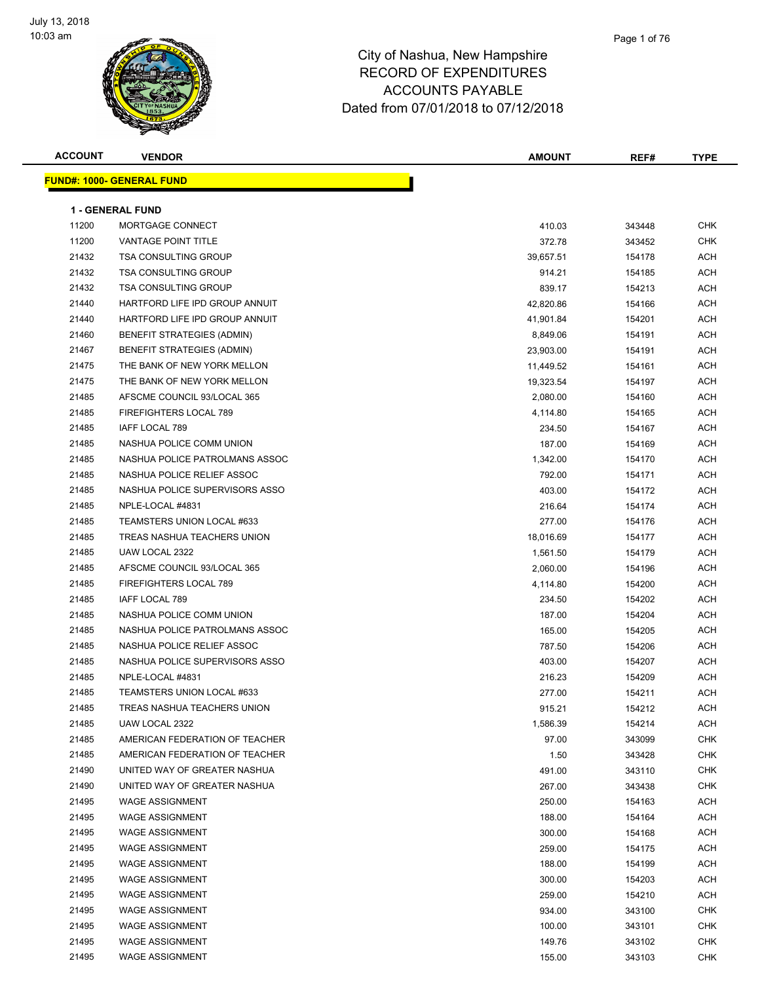

| <b>ACCOUNT</b> | <b>VENDOR</b>                     | <b>AMOUNT</b> | REF#   | <b>TYPE</b> |
|----------------|-----------------------------------|---------------|--------|-------------|
|                | <b>FUND#: 1000- GENERAL FUND</b>  |               |        |             |
|                |                                   |               |        |             |
|                | <b>1 - GENERAL FUND</b>           |               |        |             |
| 11200          | MORTGAGE CONNECT                  | 410.03        | 343448 | <b>CHK</b>  |
| 11200          | VANTAGE POINT TITLE               | 372.78        | 343452 | <b>CHK</b>  |
| 21432          | <b>TSA CONSULTING GROUP</b>       | 39,657.51     | 154178 | <b>ACH</b>  |
| 21432          | <b>TSA CONSULTING GROUP</b>       | 914.21        | 154185 | ACH         |
| 21432          | <b>TSA CONSULTING GROUP</b>       | 839.17        | 154213 | ACH         |
| 21440          | HARTFORD LIFE IPD GROUP ANNUIT    | 42,820.86     | 154166 | ACH         |
| 21440          | HARTFORD LIFE IPD GROUP ANNUIT    | 41,901.84     | 154201 | ACH         |
| 21460          | <b>BENEFIT STRATEGIES (ADMIN)</b> | 8,849.06      | 154191 | ACH         |
| 21467          | <b>BENEFIT STRATEGIES (ADMIN)</b> | 23,903.00     | 154191 | ACH         |
| 21475          | THE BANK OF NEW YORK MELLON       | 11,449.52     | 154161 | ACH         |
| 21475          | THE BANK OF NEW YORK MELLON       | 19,323.54     | 154197 | ACH         |
| 21485          | AFSCME COUNCIL 93/LOCAL 365       | 2,080.00      | 154160 | ACH         |
| 21485          | FIREFIGHTERS LOCAL 789            | 4,114.80      | 154165 | ACH         |
| 21485          | IAFF LOCAL 789                    | 234.50        | 154167 | ACH         |
| 21485          | NASHUA POLICE COMM UNION          | 187.00        | 154169 | ACH         |
| 21485          | NASHUA POLICE PATROLMANS ASSOC    | 1,342.00      | 154170 | ACH         |
| 21485          | NASHUA POLICE RELIEF ASSOC        | 792.00        | 154171 | ACH         |
| 21485          | NASHUA POLICE SUPERVISORS ASSO    | 403.00        | 154172 | ACH         |
| 21485          | NPLE-LOCAL #4831                  | 216.64        | 154174 | ACH         |
| 21485          | TEAMSTERS UNION LOCAL #633        | 277.00        | 154176 | ACH         |
| 21485          | TREAS NASHUA TEACHERS UNION       | 18,016.69     | 154177 | ACH         |
| 21485          | UAW LOCAL 2322                    | 1,561.50      | 154179 | ACH         |
| 21485          | AFSCME COUNCIL 93/LOCAL 365       | 2,060.00      | 154196 | ACH         |
| 21485          | FIREFIGHTERS LOCAL 789            | 4,114.80      | 154200 | <b>ACH</b>  |
| 21485          | IAFF LOCAL 789                    | 234.50        | 154202 | ACH         |
| 21485          | NASHUA POLICE COMM UNION          | 187.00        | 154204 | ACH         |
| 21485          | NASHUA POLICE PATROLMANS ASSOC    | 165.00        | 154205 | ACH         |
| 21485          | NASHUA POLICE RELIEF ASSOC        | 787.50        | 154206 | ACH         |
| 21485          | NASHUA POLICE SUPERVISORS ASSO    | 403.00        | 154207 | ACH         |
| 21485          | NPLE-LOCAL #4831                  | 216.23        | 154209 | ACH         |
| 21485          | TEAMSTERS UNION LOCAL #633        | 277.00        | 154211 | ACH         |
| 21485          | TREAS NASHUA TEACHERS UNION       | 915.21        | 154212 | ACH         |
| 21485          | UAW LOCAL 2322                    | 1,586.39      | 154214 | ACH         |
| 21485          | AMERICAN FEDERATION OF TEACHER    | 97.00         | 343099 | <b>CHK</b>  |
| 21485          | AMERICAN FEDERATION OF TEACHER    | 1.50          | 343428 | <b>CHK</b>  |
| 21490          | UNITED WAY OF GREATER NASHUA      | 491.00        | 343110 | <b>CHK</b>  |
| 21490          | UNITED WAY OF GREATER NASHUA      | 267.00        | 343438 | <b>CHK</b>  |
| 21495          | <b>WAGE ASSIGNMENT</b>            | 250.00        | 154163 | ACH         |
| 21495          | <b>WAGE ASSIGNMENT</b>            | 188.00        | 154164 | ACH         |
| 21495          | <b>WAGE ASSIGNMENT</b>            | 300.00        | 154168 | ACH         |
| 21495          | <b>WAGE ASSIGNMENT</b>            | 259.00        | 154175 | ACH         |
| 21495          | <b>WAGE ASSIGNMENT</b>            | 188.00        | 154199 | ACH         |
| 21495          | <b>WAGE ASSIGNMENT</b>            | 300.00        | 154203 | ACH         |
| 21495          | <b>WAGE ASSIGNMENT</b>            | 259.00        | 154210 | ACH         |
| 21495          | WAGE ASSIGNMENT                   | 934.00        | 343100 | <b>CHK</b>  |
| 21495          | <b>WAGE ASSIGNMENT</b>            | 100.00        | 343101 | <b>CHK</b>  |
| 21495          | <b>WAGE ASSIGNMENT</b>            | 149.76        | 343102 | CHK         |
| 21495          | WAGE ASSIGNMENT                   | 155.00        | 343103 | CHK         |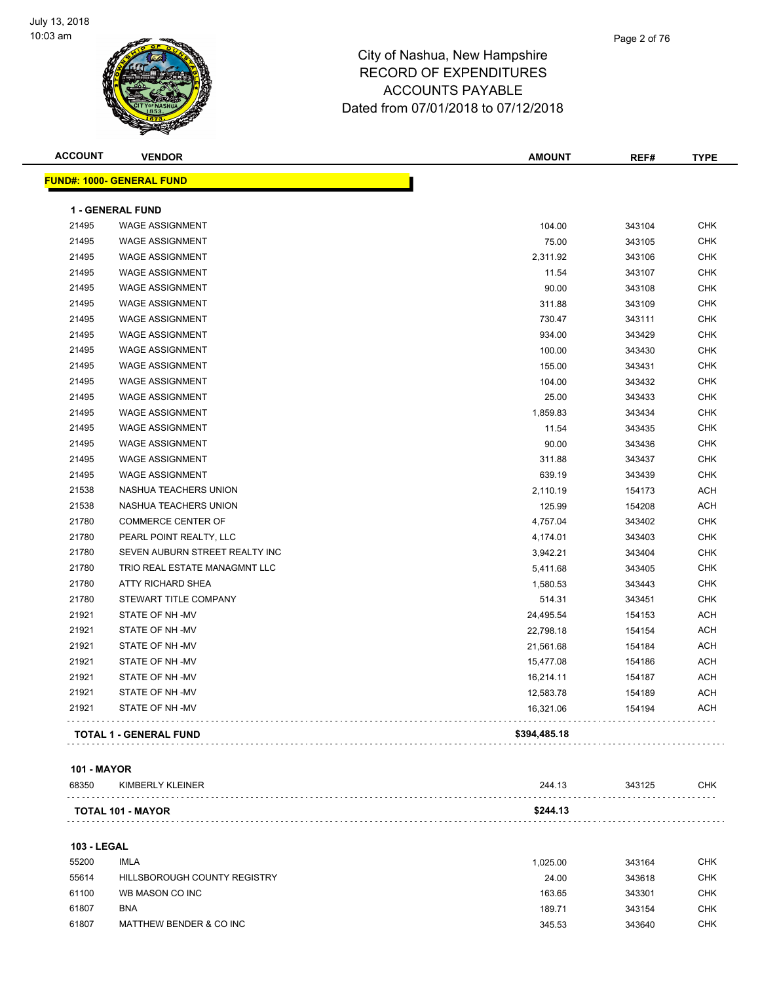

| <b>ACCOUNT</b> | <b>VENDOR</b>                    | <b>AMOUNT</b> | REF#   | <b>TYPE</b> |
|----------------|----------------------------------|---------------|--------|-------------|
|                | <b>FUND#: 1000- GENERAL FUND</b> |               |        |             |
|                | <b>1 - GENERAL FUND</b>          |               |        |             |
| 21495          | <b>WAGE ASSIGNMENT</b>           | 104.00        | 343104 | <b>CHK</b>  |
| 21495          | <b>WAGE ASSIGNMENT</b>           | 75.00         | 343105 | <b>CHK</b>  |
| 21495          | <b>WAGE ASSIGNMENT</b>           | 2,311.92      | 343106 | <b>CHK</b>  |
| 21495          | <b>WAGE ASSIGNMENT</b>           | 11.54         | 343107 | <b>CHK</b>  |
| 21495          | <b>WAGE ASSIGNMENT</b>           | 90.00         | 343108 | <b>CHK</b>  |
| 21495          | <b>WAGE ASSIGNMENT</b>           | 311.88        | 343109 | <b>CHK</b>  |
| 21495          | <b>WAGE ASSIGNMENT</b>           | 730.47        | 343111 | <b>CHK</b>  |
| 21495          | <b>WAGE ASSIGNMENT</b>           | 934.00        | 343429 | <b>CHK</b>  |
| 21495          | <b>WAGE ASSIGNMENT</b>           | 100.00        | 343430 | <b>CHK</b>  |
| 21495          | <b>WAGE ASSIGNMENT</b>           | 155.00        | 343431 | <b>CHK</b>  |
| 21495          | <b>WAGE ASSIGNMENT</b>           | 104.00        | 343432 | <b>CHK</b>  |
| 21495          | <b>WAGE ASSIGNMENT</b>           | 25.00         | 343433 | <b>CHK</b>  |
| 21495          | <b>WAGE ASSIGNMENT</b>           | 1,859.83      | 343434 | <b>CHK</b>  |
| 21495          | <b>WAGE ASSIGNMENT</b>           | 11.54         | 343435 | <b>CHK</b>  |
| 21495          | <b>WAGE ASSIGNMENT</b>           | 90.00         | 343436 | <b>CHK</b>  |
| 21495          | <b>WAGE ASSIGNMENT</b>           | 311.88        | 343437 | <b>CHK</b>  |
| 21495          | <b>WAGE ASSIGNMENT</b>           | 639.19        | 343439 | <b>CHK</b>  |
| 21538          | NASHUA TEACHERS UNION            | 2,110.19      | 154173 | <b>ACH</b>  |
| 21538          | NASHUA TEACHERS UNION            | 125.99        | 154208 | <b>ACH</b>  |
| 21780          | <b>COMMERCE CENTER OF</b>        | 4,757.04      | 343402 | <b>CHK</b>  |
| 21780          | PEARL POINT REALTY, LLC          | 4,174.01      | 343403 | <b>CHK</b>  |
| 21780          | SEVEN AUBURN STREET REALTY INC   | 3,942.21      | 343404 | <b>CHK</b>  |
| 21780          | TRIO REAL ESTATE MANAGMNT LLC    | 5,411.68      | 343405 | <b>CHK</b>  |
| 21780          | ATTY RICHARD SHEA                | 1,580.53      | 343443 | <b>CHK</b>  |
| 21780          | STEWART TITLE COMPANY            | 514.31        | 343451 | <b>CHK</b>  |
| 21921          | STATE OF NH-MV                   | 24,495.54     | 154153 | <b>ACH</b>  |
| 21921          | STATE OF NH-MV                   | 22,798.18     | 154154 | <b>ACH</b>  |
| 21921          | STATE OF NH-MV                   | 21,561.68     | 154184 | <b>ACH</b>  |
| 21921          | STATE OF NH-MV                   | 15,477.08     | 154186 | <b>ACH</b>  |
| 21921          | STATE OF NH-MV                   | 16,214.11     | 154187 | <b>ACH</b>  |
| 21921          | STATE OF NH-MV                   | 12,583.78     | 154189 | <b>ACH</b>  |
| 21921          | STATE OF NH -MV                  | 16,321.06     | 154194 | <b>ACH</b>  |
|                | <b>TOTAL 1 - GENERAL FUND</b>    | \$394,485.18  |        |             |

#### **101 - MAYOR**

| 68350 | EINER<br>KIMBERLY KL     | 244.<br>$\cdot$ | 343125 | СНК |
|-------|--------------------------|-----------------|--------|-----|
|       |                          |                 |        |     |
|       | <b>TOTAL 101 - MAYOR</b> | \$244.13        |        |     |
|       |                          |                 |        |     |

#### **103 - LEGAL**

| <b>IMLA</b>                  | 1.025.00 | 343164 | CHK        |
|------------------------------|----------|--------|------------|
| HILLSBOROUGH COUNTY REGISTRY | 24.00    | 343618 | CHK        |
| WB MASON CO INC              | 163.65   | 343301 | <b>CHK</b> |
| <b>BNA</b>                   | 189.71   | 343154 | CHK        |
| MATTHEW BENDER & CO INC      | 345.53   | 343640 | CHK        |
|                              |          |        |            |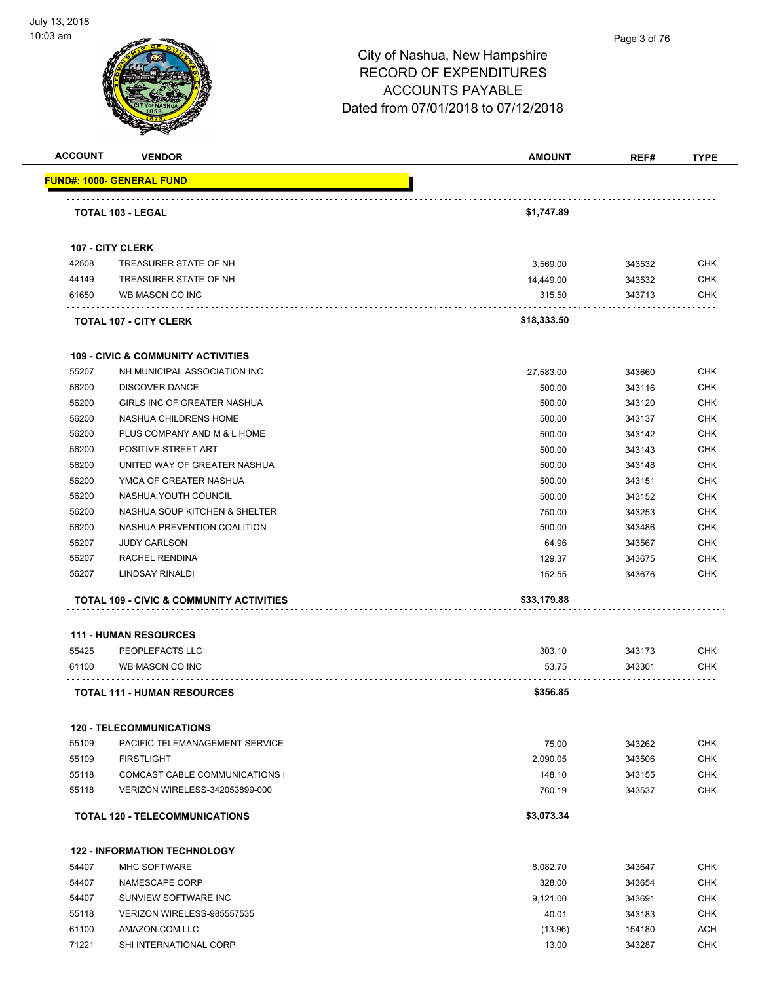

#### Page 3 of 76

| <b>ACCOUNT</b> | <b>VENDOR</b>                                              | <b>AMOUNT</b> | REF#   | <b>TYPE</b> |
|----------------|------------------------------------------------------------|---------------|--------|-------------|
|                | <u> FUND#: 1000- GENERAL FUND</u>                          |               |        |             |
|                | TOTAL 103 - LEGAL                                          | \$1,747.89    |        |             |
|                |                                                            |               |        |             |
|                | 107 - CITY CLERK                                           |               |        |             |
| 42508          | TREASURER STATE OF NH                                      | 3,569.00      | 343532 | <b>CHK</b>  |
| 44149          | TREASURER STATE OF NH                                      | 14,449.00     | 343532 | <b>CHK</b>  |
| 61650          | WB MASON CO INC                                            | 315.50        | 343713 | CHK         |
|                | <b>TOTAL 107 - CITY CLERK</b>                              | \$18,333.50   |        |             |
|                | <b>109 - CIVIC &amp; COMMUNITY ACTIVITIES</b>              |               |        |             |
| 55207          | NH MUNICIPAL ASSOCIATION INC                               | 27,583.00     | 343660 | <b>CHK</b>  |
| 56200          | <b>DISCOVER DANCE</b>                                      | 500.00        | 343116 | <b>CHK</b>  |
| 56200          | GIRLS INC OF GREATER NASHUA                                | 500.00        | 343120 | <b>CHK</b>  |
| 56200          | NASHUA CHILDRENS HOME                                      | 500.00        | 343137 | <b>CHK</b>  |
| 56200          | PLUS COMPANY AND M & L HOME                                | 500.00        | 343142 | <b>CHK</b>  |
| 56200          | POSITIVE STREET ART                                        | 500.00        | 343143 | <b>CHK</b>  |
| 56200          | UNITED WAY OF GREATER NASHUA                               | 500.00        | 343148 | <b>CHK</b>  |
| 56200          | YMCA OF GREATER NASHUA                                     | 500.00        | 343151 | <b>CHK</b>  |
| 56200          | NASHUA YOUTH COUNCIL                                       | 500.00        | 343152 | <b>CHK</b>  |
| 56200          | NASHUA SOUP KITCHEN & SHELTER                              | 750.00        | 343253 | <b>CHK</b>  |
| 56200          | NASHUA PREVENTION COALITION                                | 500.00        | 343486 | <b>CHK</b>  |
| 56207          | <b>JUDY CARLSON</b>                                        | 64.96         | 343567 | <b>CHK</b>  |
| 56207          | RACHEL RENDINA                                             | 129.37        | 343675 | <b>CHK</b>  |
| 56207          | LINDSAY RINALDI                                            | 152.55        | 343676 | <b>CHK</b>  |
|                | TOTAL 109 - CIVIC & COMMUNITY ACTIVITIES                   | \$33,179.88   |        |             |
|                |                                                            |               |        |             |
|                | <b>111 - HUMAN RESOURCES</b>                               |               |        |             |
| 55425          | PEOPLEFACTS LLC                                            | 303.10        | 343173 | <b>CHK</b>  |
| 61100          | WB MASON CO INC                                            | 53.75         | 343301 | CHK         |
|                | <b>TOTAL 111 - HUMAN RESOURCES</b>                         | \$356.85      |        |             |
|                | <b>120 - TELECOMMUNICATIONS</b>                            |               |        |             |
| 55109          | PACIFIC TELEMANAGEMENT SERVICE                             | 75.00         | 343262 | <b>CHK</b>  |
| 55109          | <b>FIRSTLIGHT</b>                                          | 2,090.05      | 343506 | <b>CHK</b>  |
| 55118          | <b>COMCAST CABLE COMMUNICATIONS I</b>                      | 148.10        | 343155 | <b>CHK</b>  |
| 55118          | VERIZON WIRELESS-342053899-000                             | 760.19        | 343537 | <b>CHK</b>  |
|                | <b>TOTAL 120 - TELECOMMUNICATIONS</b>                      | \$3,073.34    |        |             |
|                |                                                            |               |        |             |
| 54407          | <b>122 - INFORMATION TECHNOLOGY</b><br><b>MHC SOFTWARE</b> |               |        | <b>CHK</b>  |
|                |                                                            | 8,082.70      | 343647 |             |
| 54407          | NAMESCAPE CORP                                             | 328.00        | 343654 | <b>CHK</b>  |
| 54407          | SUNVIEW SOFTWARE INC                                       | 9,121.00      | 343691 | <b>CHK</b>  |
| 55118          | VERIZON WIRELESS-985557535                                 | 40.01         | 343183 | <b>CHK</b>  |
| 61100          | AMAZON.COM LLC                                             | (13.96)       | 154180 | ACH         |
| 71221          | SHI INTERNATIONAL CORP                                     | 13.00         | 343287 | <b>CHK</b>  |
|                |                                                            |               |        |             |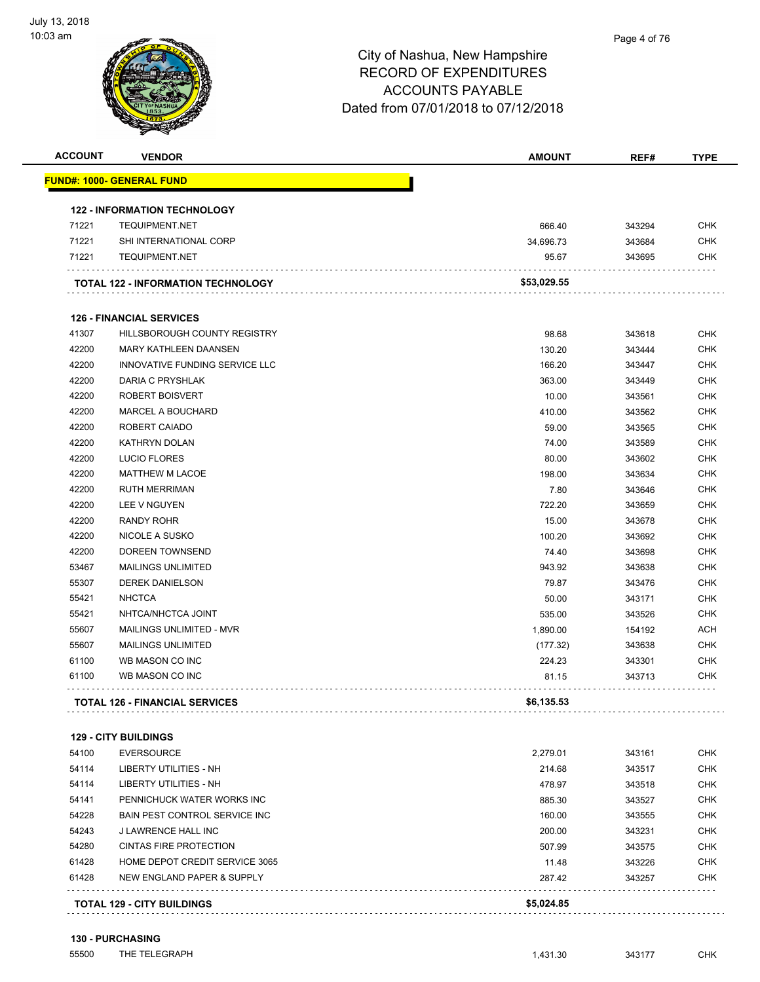

| <b>ACCOUNT</b> | <b>VENDOR</b>                             | <b>AMOUNT</b> | REF#   | <b>TYPE</b> |
|----------------|-------------------------------------------|---------------|--------|-------------|
|                | <u> FUND#: 1000- GENERAL FUND</u>         |               |        |             |
|                | <b>122 - INFORMATION TECHNOLOGY</b>       |               |        |             |
| 71221          | <b>TEQUIPMENT.NET</b>                     | 666.40        | 343294 | <b>CHK</b>  |
| 71221          | SHI INTERNATIONAL CORP                    | 34,696.73     | 343684 | <b>CHK</b>  |
| 71221          | <b>TEQUIPMENT.NET</b>                     | 95.67         | 343695 | CHK         |
|                | <b>TOTAL 122 - INFORMATION TECHNOLOGY</b> | \$53,029.55   |        |             |
|                | <b>126 - FINANCIAL SERVICES</b>           |               |        |             |
| 41307          | HILLSBOROUGH COUNTY REGISTRY              | 98.68         | 343618 | <b>CHK</b>  |
| 42200          | MARY KATHLEEN DAANSEN                     | 130.20        | 343444 | <b>CHK</b>  |
| 42200          | INNOVATIVE FUNDING SERVICE LLC            | 166.20        | 343447 | <b>CHK</b>  |
| 42200          | DARIA C PRYSHLAK                          | 363.00        | 343449 | <b>CHK</b>  |
| 42200          | ROBERT BOISVERT                           | 10.00         | 343561 | <b>CHK</b>  |
| 42200          | MARCEL A BOUCHARD                         | 410.00        | 343562 | <b>CHK</b>  |
| 42200          | ROBERT CAIADO                             | 59.00         | 343565 | <b>CHK</b>  |
| 42200          | <b>KATHRYN DOLAN</b>                      | 74.00         | 343589 | CHK         |
| 42200          | <b>LUCIO FLORES</b>                       | 80.00         | 343602 | <b>CHK</b>  |
| 42200          | <b>MATTHEW M LACOE</b>                    | 198.00        | 343634 | <b>CHK</b>  |
| 42200          | <b>RUTH MERRIMAN</b>                      | 7.80          | 343646 | CHK         |
| 42200          | LEE V NGUYEN                              | 722.20        | 343659 | <b>CHK</b>  |
| 42200          | RANDY ROHR                                | 15.00         | 343678 | <b>CHK</b>  |
| 42200          | NICOLE A SUSKO                            | 100.20        | 343692 | CHK         |
| 42200          | DOREEN TOWNSEND                           | 74.40         | 343698 | <b>CHK</b>  |
| 53467          | <b>MAILINGS UNLIMITED</b>                 | 943.92        | 343638 | CHK         |
| 55307          | <b>DEREK DANIELSON</b>                    | 79.87         | 343476 | CHK         |
| 55421          | <b>NHCTCA</b>                             | 50.00         | 343171 | <b>CHK</b>  |
| 55421          | NHTCA/NHCTCA JOINT                        | 535.00        | 343526 | CHK         |
| 55607          | MAILINGS UNLIMITED - MVR                  | 1,890.00      | 154192 | <b>ACH</b>  |
| 55607          | <b>MAILINGS UNLIMITED</b>                 | (177.32)      | 343638 | CHK         |
| 61100          | WB MASON CO INC                           | 224.23        | 343301 | CHK         |
| 61100          | WB MASON CO INC                           | 81.15         | 343713 | CHK         |
|                | <b>TOTAL 126 - FINANCIAL SERVICES</b>     | \$6,135.53    |        |             |
|                | <b>129 - CITY BUILDINGS</b>               |               |        |             |
| 54100          | <b>EVERSOURCE</b>                         | 2,279.01      | 343161 | <b>CHK</b>  |
| 54114          | <b>LIBERTY UTILITIES - NH</b>             | 214.68        | 343517 | <b>CHK</b>  |
| 54114          | LIBERTY UTILITIES - NH                    | 478.97        | 343518 | <b>CHK</b>  |
| 54141          | PENNICHUCK WATER WORKS INC                | 885.30        | 343527 | CHK         |
| 54228          | BAIN PEST CONTROL SERVICE INC             | 160.00        | 343555 | <b>CHK</b>  |
| 54243          | <b>J LAWRENCE HALL INC</b>                | 200.00        | 343231 | <b>CHK</b>  |
| 54280          | <b>CINTAS FIRE PROTECTION</b>             | 507.99        | 343575 | <b>CHK</b>  |
| 61428          | HOME DEPOT CREDIT SERVICE 3065            | 11.48         | 343226 | <b>CHK</b>  |
| 61428          | NEW ENGLAND PAPER & SUPPLY                | 287.42        | 343257 | <b>CHK</b>  |
|                |                                           |               |        |             |

**TOTAL 129 - CITY BUILDINGS \$5,024.85**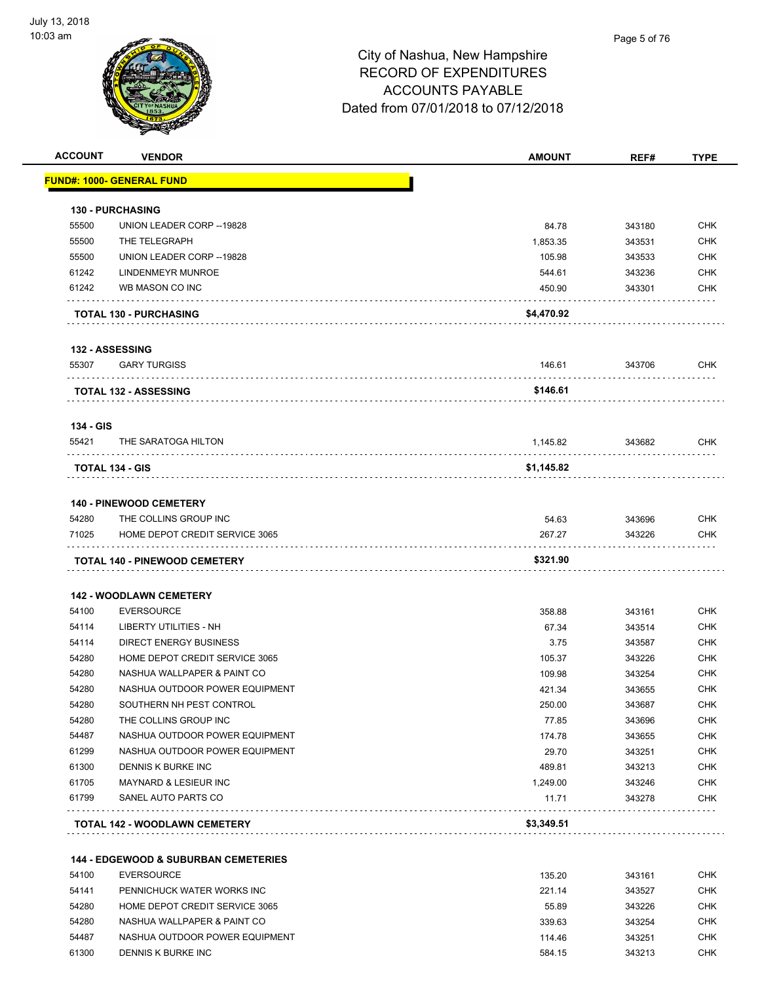

| <b>ACCOUNT</b> | <b>VENDOR</b>                                           | <b>AMOUNT</b>     | REF#   | <b>TYPE</b>              |
|----------------|---------------------------------------------------------|-------------------|--------|--------------------------|
|                | <u> FUND#: 1000- GENERAL FUND</u>                       |                   |        |                          |
|                |                                                         |                   |        |                          |
|                | <b>130 - PURCHASING</b>                                 |                   |        |                          |
| 55500          | UNION LEADER CORP -- 19828                              | 84.78             | 343180 | <b>CHK</b>               |
| 55500          | THE TELEGRAPH                                           | 1,853.35          | 343531 | <b>CHK</b>               |
| 55500          | UNION LEADER CORP -- 19828                              | 105.98            | 343533 | <b>CHK</b>               |
| 61242          | LINDENMEYR MUNROE                                       | 544.61            | 343236 | <b>CHK</b>               |
| 61242          | WB MASON CO INC                                         | 450.90            | 343301 | <b>CHK</b>               |
|                |                                                         |                   |        |                          |
|                | <b>TOTAL 130 - PURCHASING</b>                           | \$4,470.92        |        |                          |
|                | <b>132 - ASSESSING</b>                                  |                   |        |                          |
| 55307          | <b>GARY TURGISS</b>                                     | 146.61            | 343706 | <b>CHK</b>               |
|                | <b>TOTAL 132 - ASSESSING</b>                            | \$146.61          |        |                          |
|                |                                                         |                   |        |                          |
| 134 - GIS      |                                                         |                   |        |                          |
| 55421          | THE SARATOGA HILTON                                     | 1,145.82          | 343682 | <b>CHK</b>               |
|                | <b>TOTAL 134 - GIS</b>                                  | \$1,145.82        |        |                          |
|                |                                                         |                   |        |                          |
|                | <b>140 - PINEWOOD CEMETERY</b>                          |                   |        |                          |
| 54280          | THE COLLINS GROUP INC                                   | 54.63             | 343696 | <b>CHK</b>               |
| 71025          | HOME DEPOT CREDIT SERVICE 3065                          | 267.27            | 343226 | <b>CHK</b>               |
|                |                                                         |                   |        |                          |
|                | TOTAL 140 - PINEWOOD CEMETERY                           | \$321.90          |        |                          |
|                |                                                         |                   |        |                          |
|                | <b>142 - WOODLAWN CEMETERY</b>                          |                   |        |                          |
| 54100          | <b>EVERSOURCE</b>                                       | 358.88            | 343161 | <b>CHK</b>               |
| 54114          | LIBERTY UTILITIES - NH                                  | 67.34             | 343514 | <b>CHK</b>               |
| 54114          | <b>DIRECT ENERGY BUSINESS</b>                           | 3.75              | 343587 | <b>CHK</b>               |
| 54280          | HOME DEPOT CREDIT SERVICE 3065                          | 105.37            | 343226 | <b>CHK</b>               |
| 54280          | NASHUA WALLPAPER & PAINT CO                             | 109.98            | 343254 | <b>CHK</b>               |
| 54280          | NASHUA OUTDOOR POWER EQUIPMENT                          | 421.34            | 343655 | <b>CHK</b>               |
| 54280          | SOUTHERN NH PEST CONTROL                                | 250.00            | 343687 | <b>CHK</b>               |
| 54280<br>54487 | THE COLLINS GROUP INC<br>NASHUA OUTDOOR POWER EQUIPMENT | 77.85             | 343696 | <b>CHK</b><br><b>CHK</b> |
|                |                                                         | 174.78            | 343655 | <b>CHK</b>               |
| 61299<br>61300 | NASHUA OUTDOOR POWER EQUIPMENT<br>DENNIS K BURKE INC    | 29.70             | 343251 |                          |
|                |                                                         | 489.81            | 343213 | <b>CHK</b><br><b>CHK</b> |
| 61705<br>61799 | MAYNARD & LESIEUR INC<br>SANEL AUTO PARTS CO            | 1,249.00<br>11.71 | 343246 | <b>CHK</b>               |
|                |                                                         |                   | 343278 |                          |
|                | <b>TOTAL 142 - WOODLAWN CEMETERY</b>                    | \$3,349.51        |        |                          |
|                |                                                         |                   |        |                          |
|                | <b>144 - EDGEWOOD &amp; SUBURBAN CEMETERIES</b>         |                   |        |                          |
| 54100          | <b>EVERSOURCE</b>                                       | 135.20            | 343161 | <b>CHK</b>               |
| 54141          | PENNICHUCK WATER WORKS INC                              | 221.14            | 343527 | <b>CHK</b>               |
| 54280          | HOME DEPOT CREDIT SERVICE 3065                          | 55.89             | 343226 | <b>CHK</b>               |
| 54280          | NASHUA WALLPAPER & PAINT CO                             | 339.63            | 343254 | <b>CHK</b>               |
| 54487          | NASHUA OUTDOOR POWER EQUIPMENT                          | 114.46            | 343251 | <b>CHK</b>               |
| 61300          | DENNIS K BURKE INC                                      | 584.15            | 343213 | <b>CHK</b>               |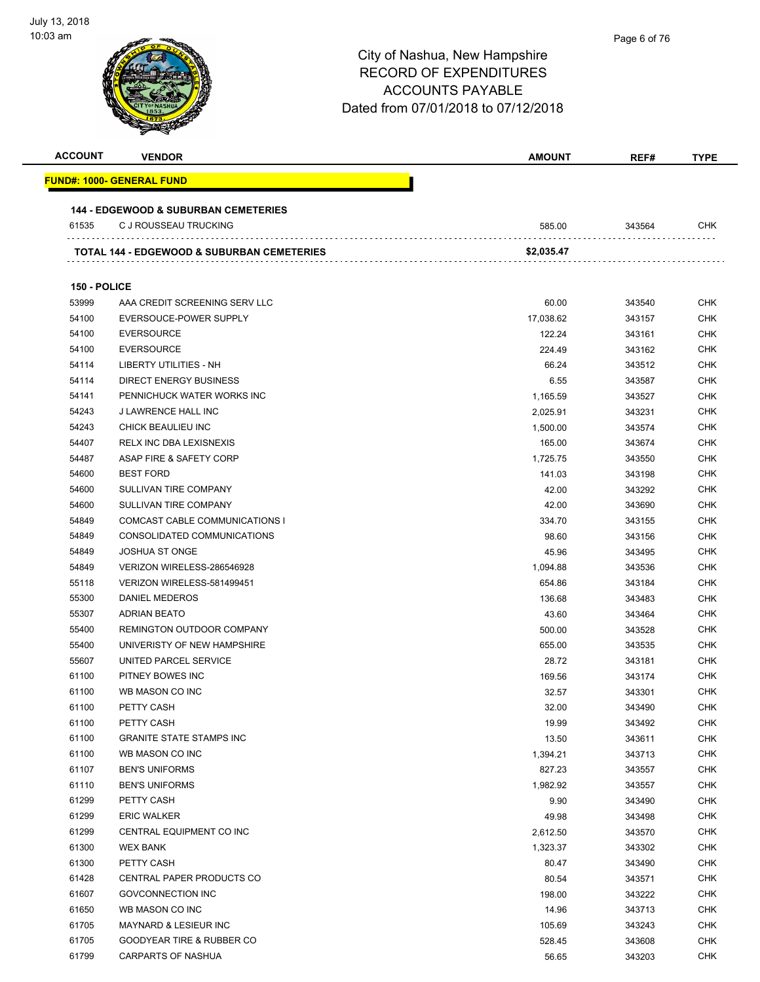# Page 6 of 76City of Nashua, New Hampshire RECORD OF EXPENDITURES ACCOUNTS PAYABLE Dated from 07/01/2018 to 07/12/2018 **ACCOUNT VENDOR AMOUNT REF# TYPE FUND#: 1000- GENERAL FUND 144 - EDGEWOOD & SUBURBAN CEMETERIES** C J ROUSSEAU TRUCKING 585.00 343564 CHK **TOTAL 144 - EDGEWOOD & SUBURBAN CEMETERIES \$2,035.47 150 - POLICE** AAA CREDIT SCREENING SERV LLC 60.00 343540 CHK EVERSOUCE-POWER SUPPLY 17,038.62 343157 CHK

| 54100 | <b>EVERSOURCE</b>                    | 122.24   | 343161 | <b>CHK</b> |
|-------|--------------------------------------|----------|--------|------------|
| 54100 | <b>EVERSOURCE</b>                    | 224.49   | 343162 | <b>CHK</b> |
| 54114 | <b>LIBERTY UTILITIES - NH</b>        | 66.24    | 343512 | <b>CHK</b> |
| 54114 | <b>DIRECT ENERGY BUSINESS</b>        | 6.55     | 343587 | CHK        |
| 54141 | PENNICHUCK WATER WORKS INC           | 1,165.59 | 343527 | <b>CHK</b> |
| 54243 | J LAWRENCE HALL INC                  | 2,025.91 | 343231 | <b>CHK</b> |
| 54243 | CHICK BEAULIEU INC                   | 1,500.00 | 343574 | <b>CHK</b> |
| 54407 | RELX INC DBA LEXISNEXIS              | 165.00   | 343674 | <b>CHK</b> |
| 54487 | ASAP FIRE & SAFETY CORP              | 1,725.75 | 343550 | <b>CHK</b> |
| 54600 | <b>BEST FORD</b>                     | 141.03   | 343198 | <b>CHK</b> |
| 54600 | SULLIVAN TIRE COMPANY                | 42.00    | 343292 | <b>CHK</b> |
| 54600 | SULLIVAN TIRE COMPANY                | 42.00    | 343690 | <b>CHK</b> |
| 54849 | COMCAST CABLE COMMUNICATIONS I       | 334.70   | 343155 | CHK        |
| 54849 | CONSOLIDATED COMMUNICATIONS          | 98.60    | 343156 | <b>CHK</b> |
| 54849 | JOSHUA ST ONGE                       | 45.96    | 343495 | <b>CHK</b> |
| 54849 | VERIZON WIRELESS-286546928           | 1,094.88 | 343536 | <b>CHK</b> |
| 55118 | VERIZON WIRELESS-581499451           | 654.86   | 343184 | <b>CHK</b> |
| 55300 | DANIEL MEDEROS                       | 136.68   | 343483 | <b>CHK</b> |
| 55307 | <b>ADRIAN BEATO</b>                  | 43.60    | 343464 | <b>CHK</b> |
| 55400 | REMINGTON OUTDOOR COMPANY            | 500.00   | 343528 | <b>CHK</b> |
| 55400 | UNIVERISTY OF NEW HAMPSHIRE          | 655.00   | 343535 | <b>CHK</b> |
| 55607 | UNITED PARCEL SERVICE                | 28.72    | 343181 | CHK        |
| 61100 | PITNEY BOWES INC                     | 169.56   | 343174 | <b>CHK</b> |
| 61100 | WB MASON CO INC                      | 32.57    | 343301 | <b>CHK</b> |
| 61100 | PETTY CASH                           | 32.00    | 343490 | <b>CHK</b> |
| 61100 | PETTY CASH                           | 19.99    | 343492 | <b>CHK</b> |
| 61100 | <b>GRANITE STATE STAMPS INC</b>      | 13.50    | 343611 | <b>CHK</b> |
| 61100 | WB MASON CO INC                      | 1,394.21 | 343713 | <b>CHK</b> |
| 61107 | <b>BEN'S UNIFORMS</b>                | 827.23   | 343557 | <b>CHK</b> |
| 61110 | <b>BEN'S UNIFORMS</b>                | 1,982.92 | 343557 | <b>CHK</b> |
| 61299 | PETTY CASH                           | 9.90     | 343490 | CHK        |
| 61299 | <b>ERIC WALKER</b>                   | 49.98    | 343498 | <b>CHK</b> |
| 61299 | CENTRAL EQUIPMENT CO INC             | 2,612.50 | 343570 | <b>CHK</b> |
| 61300 | <b>WEX BANK</b>                      | 1,323.37 | 343302 | <b>CHK</b> |
| 61300 | PETTY CASH                           | 80.47    | 343490 | <b>CHK</b> |
| 61428 | CENTRAL PAPER PRODUCTS CO            | 80.54    | 343571 | <b>CHK</b> |
| 61607 | <b>GOVCONNECTION INC</b>             | 198.00   | 343222 | <b>CHK</b> |
| 61650 | WB MASON CO INC                      | 14.96    | 343713 | <b>CHK</b> |
| 61705 | MAYNARD & LESIEUR INC                | 105.69   | 343243 | <b>CHK</b> |
| 61705 | <b>GOODYEAR TIRE &amp; RUBBER CO</b> | 528.45   | 343608 | CHK        |
| 61799 | <b>CARPARTS OF NASHUA</b>            | 56.65    | 343203 | <b>CHK</b> |
|       |                                      |          |        |            |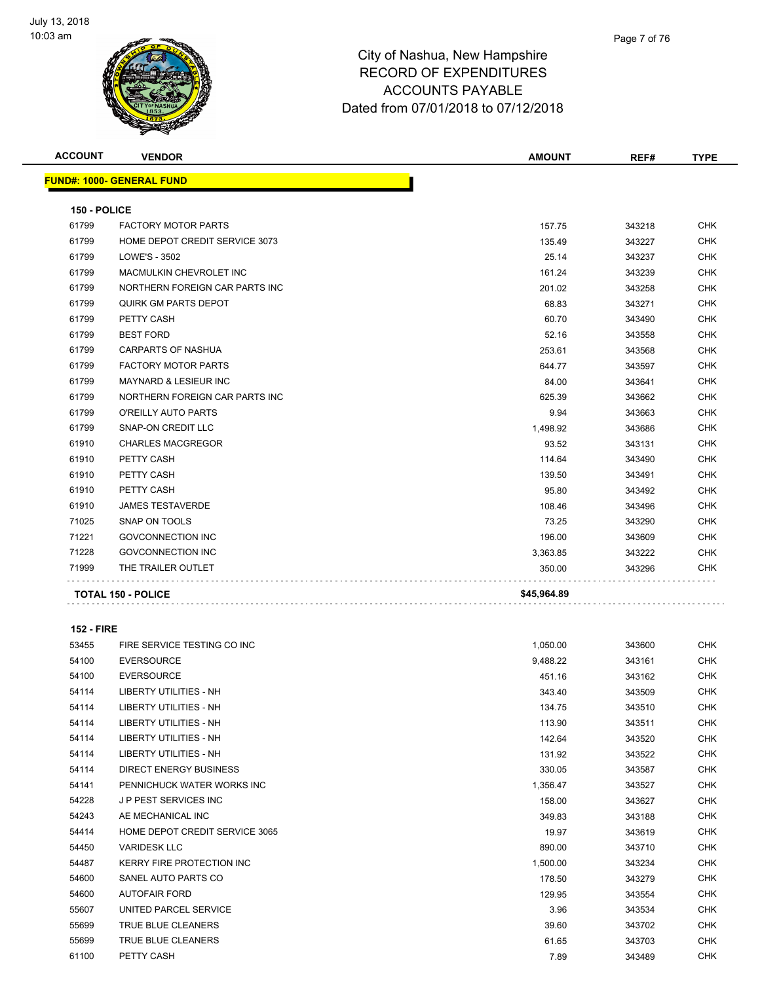

| <b>ACCOUNT</b>    | <b>VENDOR</b>                    | <b>AMOUNT</b> | REF#   | <b>TYPE</b> |
|-------------------|----------------------------------|---------------|--------|-------------|
|                   | <b>FUND#: 1000- GENERAL FUND</b> |               |        |             |
| 150 - POLICE      |                                  |               |        |             |
| 61799             | <b>FACTORY MOTOR PARTS</b>       | 157.75        | 343218 | <b>CHK</b>  |
| 61799             | HOME DEPOT CREDIT SERVICE 3073   | 135.49        | 343227 | <b>CHK</b>  |
| 61799             | LOWE'S - 3502                    | 25.14         | 343237 | <b>CHK</b>  |
| 61799             | <b>MACMULKIN CHEVROLET INC</b>   | 161.24        | 343239 | <b>CHK</b>  |
| 61799             | NORTHERN FOREIGN CAR PARTS INC   | 201.02        | 343258 | <b>CHK</b>  |
| 61799             | <b>QUIRK GM PARTS DEPOT</b>      | 68.83         | 343271 | <b>CHK</b>  |
| 61799             | PETTY CASH                       | 60.70         | 343490 | <b>CHK</b>  |
| 61799             | <b>BEST FORD</b>                 | 52.16         | 343558 | <b>CHK</b>  |
| 61799             | CARPARTS OF NASHUA               | 253.61        | 343568 | CHK         |
| 61799             | <b>FACTORY MOTOR PARTS</b>       | 644.77        | 343597 | <b>CHK</b>  |
| 61799             | MAYNARD & LESIEUR INC            | 84.00         | 343641 | <b>CHK</b>  |
| 61799             | NORTHERN FOREIGN CAR PARTS INC   | 625.39        | 343662 | <b>CHK</b>  |
| 61799             | O'REILLY AUTO PARTS              | 9.94          | 343663 | <b>CHK</b>  |
| 61799             | SNAP-ON CREDIT LLC               | 1,498.92      | 343686 | <b>CHK</b>  |
| 61910             | <b>CHARLES MACGREGOR</b>         | 93.52         | 343131 | <b>CHK</b>  |
| 61910             | PETTY CASH                       | 114.64        | 343490 | <b>CHK</b>  |
| 61910             | PETTY CASH                       | 139.50        | 343491 | <b>CHK</b>  |
| 61910             | PETTY CASH                       | 95.80         | 343492 | <b>CHK</b>  |
| 61910             | <b>JAMES TESTAVERDE</b>          | 108.46        | 343496 | <b>CHK</b>  |
| 71025             | SNAP ON TOOLS                    | 73.25         | 343290 | <b>CHK</b>  |
| 71221             | <b>GOVCONNECTION INC</b>         | 196.00        | 343609 | <b>CHK</b>  |
| 71228             | <b>GOVCONNECTION INC</b>         | 3,363.85      | 343222 | <b>CHK</b>  |
| 71999             | THE TRAILER OUTLET               | 350.00        | 343296 | <b>CHK</b>  |
|                   | <b>TOTAL 150 - POLICE</b>        | \$45,964.89   |        |             |
| <b>152 - FIRE</b> |                                  |               |        |             |

| 53455 | FIRE SERVICE TESTING CO INC      | 1,050.00 | 343600 | <b>CHK</b> |
|-------|----------------------------------|----------|--------|------------|
| 54100 | <b>EVERSOURCE</b>                | 9,488.22 | 343161 | <b>CHK</b> |
| 54100 | <b>EVERSOURCE</b>                | 451.16   | 343162 | <b>CHK</b> |
| 54114 | <b>LIBERTY UTILITIES - NH</b>    | 343.40   | 343509 | <b>CHK</b> |
| 54114 | <b>LIBERTY UTILITIES - NH</b>    | 134.75   | 343510 | <b>CHK</b> |
| 54114 | <b>LIBERTY UTILITIES - NH</b>    | 113.90   | 343511 | <b>CHK</b> |
| 54114 | <b>LIBERTY UTILITIES - NH</b>    | 142.64   | 343520 | CHK        |
| 54114 | <b>LIBERTY UTILITIES - NH</b>    | 131.92   | 343522 | <b>CHK</b> |
| 54114 | DIRECT ENERGY BUSINESS           | 330.05   | 343587 | CHK        |
| 54141 | PENNICHUCK WATER WORKS INC       | 1,356.47 | 343527 | <b>CHK</b> |
| 54228 | <b>JP PEST SERVICES INC</b>      | 158.00   | 343627 | <b>CHK</b> |
| 54243 | AE MECHANICAL INC                | 349.83   | 343188 | CHK        |
| 54414 | HOME DEPOT CREDIT SERVICE 3065   | 19.97    | 343619 | <b>CHK</b> |
| 54450 | <b>VARIDESK LLC</b>              | 890.00   | 343710 | <b>CHK</b> |
| 54487 | <b>KERRY FIRE PROTECTION INC</b> | 1,500.00 | 343234 | CHK        |
| 54600 | SANEL AUTO PARTS CO              | 178.50   | 343279 | <b>CHK</b> |
| 54600 | <b>AUTOFAIR FORD</b>             | 129.95   | 343554 | <b>CHK</b> |
| 55607 | UNITED PARCEL SERVICE            | 3.96     | 343534 | <b>CHK</b> |
| 55699 | <b>TRUE BLUE CLEANERS</b>        | 39.60    | 343702 | <b>CHK</b> |
| 55699 | <b>TRUE BLUE CLEANERS</b>        | 61.65    | 343703 | <b>CHK</b> |
| 61100 | PETTY CASH                       | 7.89     | 343489 | <b>CHK</b> |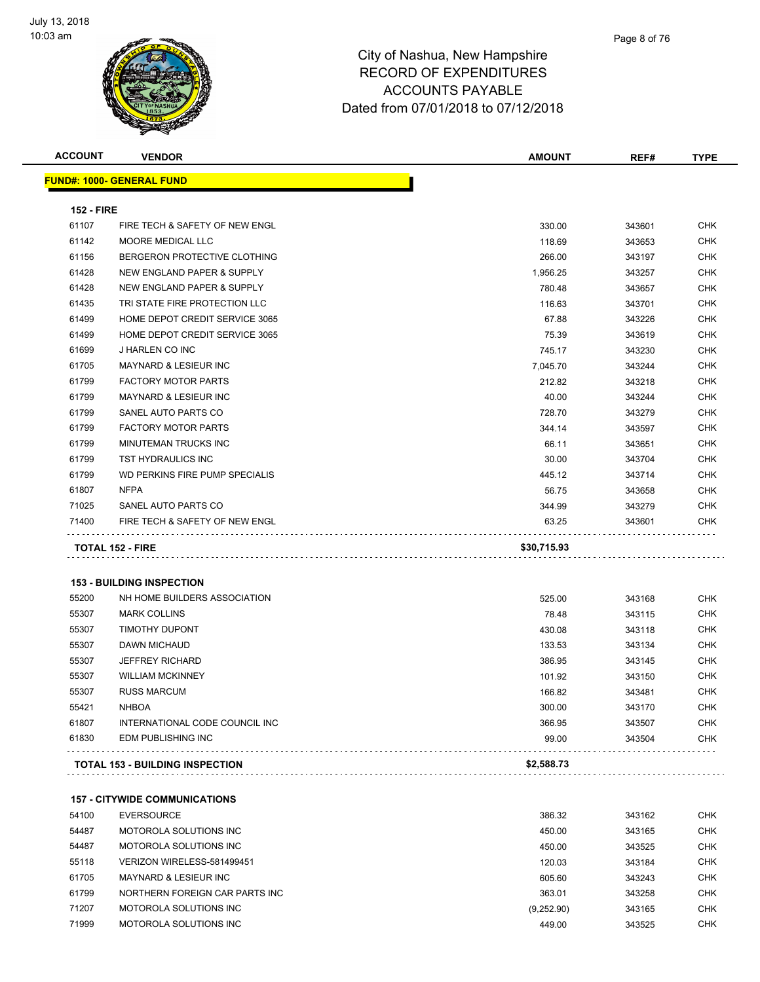

| <b>ACCOUNT</b>    | <b>VENDOR</b>                          | <b>AMOUNT</b> | REF#   | <b>TYPE</b> |
|-------------------|----------------------------------------|---------------|--------|-------------|
|                   | <u> FUND#: 1000- GENERAL FUND</u>      |               |        |             |
|                   |                                        |               |        |             |
| <b>152 - FIRE</b> |                                        |               |        |             |
| 61107             | FIRE TECH & SAFETY OF NEW ENGL         | 330.00        | 343601 | CHK         |
| 61142             | <b>MOORE MEDICAL LLC</b>               | 118.69        | 343653 | <b>CHK</b>  |
| 61156             | BERGERON PROTECTIVE CLOTHING           | 266.00        | 343197 | CHK         |
| 61428             | NEW ENGLAND PAPER & SUPPLY             | 1,956.25      | 343257 | CHK         |
| 61428             | NEW ENGLAND PAPER & SUPPLY             | 780.48        | 343657 | <b>CHK</b>  |
| 61435             | TRI STATE FIRE PROTECTION LLC          | 116.63        | 343701 | <b>CHK</b>  |
| 61499             | HOME DEPOT CREDIT SERVICE 3065         | 67.88         | 343226 | CHK         |
| 61499             | HOME DEPOT CREDIT SERVICE 3065         | 75.39         | 343619 | <b>CHK</b>  |
| 61699             | J HARLEN CO INC                        | 745.17        | 343230 | <b>CHK</b>  |
| 61705             | MAYNARD & LESIEUR INC                  | 7,045.70      | 343244 | CHK         |
| 61799             | <b>FACTORY MOTOR PARTS</b>             | 212.82        | 343218 | CHK         |
| 61799             | <b>MAYNARD &amp; LESIEUR INC</b>       | 40.00         | 343244 | CHK         |
| 61799             | SANEL AUTO PARTS CO                    | 728.70        | 343279 | <b>CHK</b>  |
| 61799             | <b>FACTORY MOTOR PARTS</b>             | 344.14        | 343597 | <b>CHK</b>  |
| 61799             | MINUTEMAN TRUCKS INC                   | 66.11         | 343651 | <b>CHK</b>  |
| 61799             | TST HYDRAULICS INC                     | 30.00         | 343704 | CHK         |
| 61799             | WD PERKINS FIRE PUMP SPECIALIS         | 445.12        | 343714 | CHK         |
| 61807             | <b>NFPA</b>                            | 56.75         | 343658 | CHK         |
| 71025             | SANEL AUTO PARTS CO                    | 344.99        | 343279 | CHK         |
| 71400             | FIRE TECH & SAFETY OF NEW ENGL         | 63.25         | 343601 | <b>CHK</b>  |
|                   |                                        |               |        |             |
|                   | <b>TOTAL 152 - FIRE</b>                | \$30,715.93   |        |             |
|                   |                                        |               |        |             |
|                   | <b>153 - BUILDING INSPECTION</b>       |               |        |             |
| 55200             | NH HOME BUILDERS ASSOCIATION           | 525.00        | 343168 | <b>CHK</b>  |
| 55307             | <b>MARK COLLINS</b>                    | 78.48         | 343115 | <b>CHK</b>  |
| 55307             | <b>TIMOTHY DUPONT</b>                  | 430.08        | 343118 | <b>CHK</b>  |
| 55307             | DAWN MICHAUD                           | 133.53        | 343134 | <b>CHK</b>  |
| 55307             | <b>JEFFREY RICHARD</b>                 | 386.95        | 343145 | <b>CHK</b>  |
| 55307             | <b>WILLIAM MCKINNEY</b>                | 101.92        | 343150 | <b>CHK</b>  |
| 55307             | <b>RUSS MARCUM</b>                     | 166.82        | 343481 | CHK         |
| 55421             | <b>NHBOA</b>                           | 300.00        | 343170 | <b>CHK</b>  |
| 61807             | INTERNATIONAL CODE COUNCIL INC         | 366.95        | 343507 | CHK         |
| 61830             | EDM PUBLISHING INC                     | 99.00         | 343504 | CHK         |
|                   | <b>TOTAL 153 - BUILDING INSPECTION</b> | \$2,588.73    |        |             |
|                   |                                        |               |        |             |
|                   | <b>157 - CITYWIDE COMMUNICATIONS</b>   |               |        |             |
| 54100             | <b>EVERSOURCE</b>                      | 386.32        | 343162 | CHK         |
| 54487             | MOTOROLA SOLUTIONS INC                 | 450.00        | 343165 | <b>CHK</b>  |
| 54487             | MOTOROLA SOLUTIONS INC                 | 450.00        | 343525 | <b>CHK</b>  |
| 55118             | VERIZON WIRELESS-581499451             | 120.03        | 343184 | <b>CHK</b>  |
| 61705             | MAYNARD & LESIEUR INC                  | 605.60        | 343243 | <b>CHK</b>  |
| 61799             | NORTHERN FOREIGN CAR PARTS INC         | 363.01        | 343258 | <b>CHK</b>  |
| 71207             | MOTOROLA SOLUTIONS INC                 | (9,252.90)    | 343165 | <b>CHK</b>  |
| 71999             | MOTOROLA SOLUTIONS INC                 | 449.00        | 343525 | <b>CHK</b>  |
|                   |                                        |               |        |             |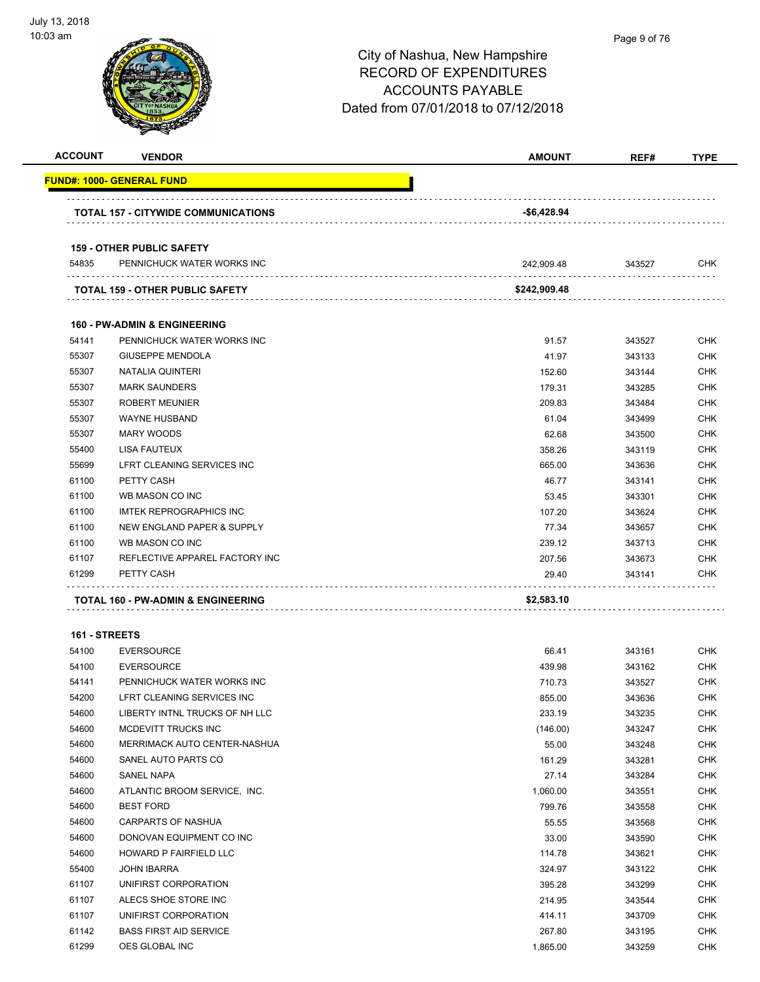| <b>ACCOUNT</b> | <b>VENDOR</b>                                   | <b>AMOUNT</b> | REF#   | <b>TYPE</b> |
|----------------|-------------------------------------------------|---------------|--------|-------------|
|                | <u> FUND#: 1000- GENERAL FUND</u>               |               |        |             |
|                | TOTAL 157 - CITYWIDE COMMUNICATIONS             | -\$6,428.94   |        |             |
|                |                                                 |               |        |             |
|                | <b>159 - OTHER PUBLIC SAFETY</b>                |               |        |             |
| 54835          | PENNICHUCK WATER WORKS INC                      | 242,909.48    | 343527 | <b>CHK</b>  |
|                | <b>TOTAL 159 - OTHER PUBLIC SAFETY</b>          | \$242,909.48  |        |             |
|                | <b>160 - PW-ADMIN &amp; ENGINEERING</b>         |               |        |             |
| 54141          | PENNICHUCK WATER WORKS INC                      | 91.57         | 343527 | <b>CHK</b>  |
| 55307          | <b>GIUSEPPE MENDOLA</b>                         | 41.97         | 343133 | <b>CHK</b>  |
| 55307          | NATALIA QUINTERI                                | 152.60        | 343144 | <b>CHK</b>  |
| 55307          | <b>MARK SAUNDERS</b>                            | 179.31        | 343285 | <b>CHK</b>  |
| 55307          | <b>ROBERT MEUNIER</b>                           | 209.83        | 343484 | <b>CHK</b>  |
| 55307          | <b>WAYNE HUSBAND</b>                            | 61.04         |        | <b>CHK</b>  |
| 55307          | <b>MARY WOODS</b>                               |               | 343499 |             |
|                | <b>LISA FAUTEUX</b>                             | 62.68         | 343500 | <b>CHK</b>  |
| 55400          |                                                 | 358.26        | 343119 | <b>CHK</b>  |
| 55699          | LFRT CLEANING SERVICES INC                      | 665.00        | 343636 | <b>CHK</b>  |
| 61100          | PETTY CASH                                      | 46.77         | 343141 | <b>CHK</b>  |
| 61100          | WB MASON CO INC                                 | 53.45         | 343301 | <b>CHK</b>  |
| 61100          | <b>IMTEK REPROGRAPHICS INC</b>                  | 107.20        | 343624 | <b>CHK</b>  |
| 61100          | NEW ENGLAND PAPER & SUPPLY                      | 77.34         | 343657 | <b>CHK</b>  |
| 61100          | WB MASON CO INC                                 | 239.12        | 343713 | <b>CHK</b>  |
| 61107          | REFLECTIVE APPAREL FACTORY INC                  | 207.56        | 343673 | CHK         |
| 61299          | PETTY CASH                                      | 29.40         | 343141 | <b>CHK</b>  |
|                | TOTAL 160 - PW-ADMIN & ENGINEERING              | \$2,583.10    |        |             |
| 161 - STREETS  |                                                 |               |        |             |
| 54100          | <b>EVERSOURCE</b>                               | 66.41         | 343161 | <b>CHK</b>  |
| 54100          | <b>EVERSOURCE</b>                               | 439.98        | 343162 | <b>CHK</b>  |
| 54141          | PENNICHUCK WATER WORKS INC                      | 710.73        | 343527 | CHK         |
| 54200          | LFRT CLEANING SERVICES INC                      | 855.00        | 343636 | <b>CHK</b>  |
| 54600          | LIBERTY INTNL TRUCKS OF NH LLC                  | 233.19        | 343235 | <b>CHK</b>  |
| 54600          | MCDEVITT TRUCKS INC                             | (146.00)      | 343247 | <b>CHK</b>  |
| 54600          | MERRIMACK AUTO CENTER-NASHUA                    | 55.00         | 343248 | <b>CHK</b>  |
| 54600          | SANEL AUTO PARTS CO                             | 161.29        | 343281 | CHK         |
| 54600          | SANEL NAPA                                      | 27.14         | 343284 | <b>CHK</b>  |
| 54600          | ATLANTIC BROOM SERVICE, INC.                    | 1,060.00      | 343551 | CHK         |
| 54600          | <b>BEST FORD</b>                                | 799.76        | 343558 | <b>CHK</b>  |
| 54600          | CARPARTS OF NASHUA                              | 55.55         | 343568 | <b>CHK</b>  |
| 54600          | DONOVAN EQUIPMENT CO INC                        | 33.00         | 343590 | <b>CHK</b>  |
| 54600          | HOWARD P FAIRFIELD LLC                          | 114.78        |        | <b>CHK</b>  |
| 55400          | <b>JOHN IBARRA</b>                              |               | 343621 | <b>CHK</b>  |
| 61107          | UNIFIRST CORPORATION                            | 324.97        | 343122 | <b>CHK</b>  |
| 61107          | ALECS SHOE STORE INC                            | 395.28        | 343299 |             |
|                |                                                 | 214.95        | 343544 | <b>CHK</b>  |
| 61107          | UNIFIRST CORPORATION                            | 414.11        | 343709 | <b>CHK</b>  |
| 61142          | <b>BASS FIRST AID SERVICE</b><br>OES GLOBAL INC | 267.80        | 343195 | <b>CHK</b>  |
| 61299          |                                                 | 1,865.00      | 343259 | <b>CHK</b>  |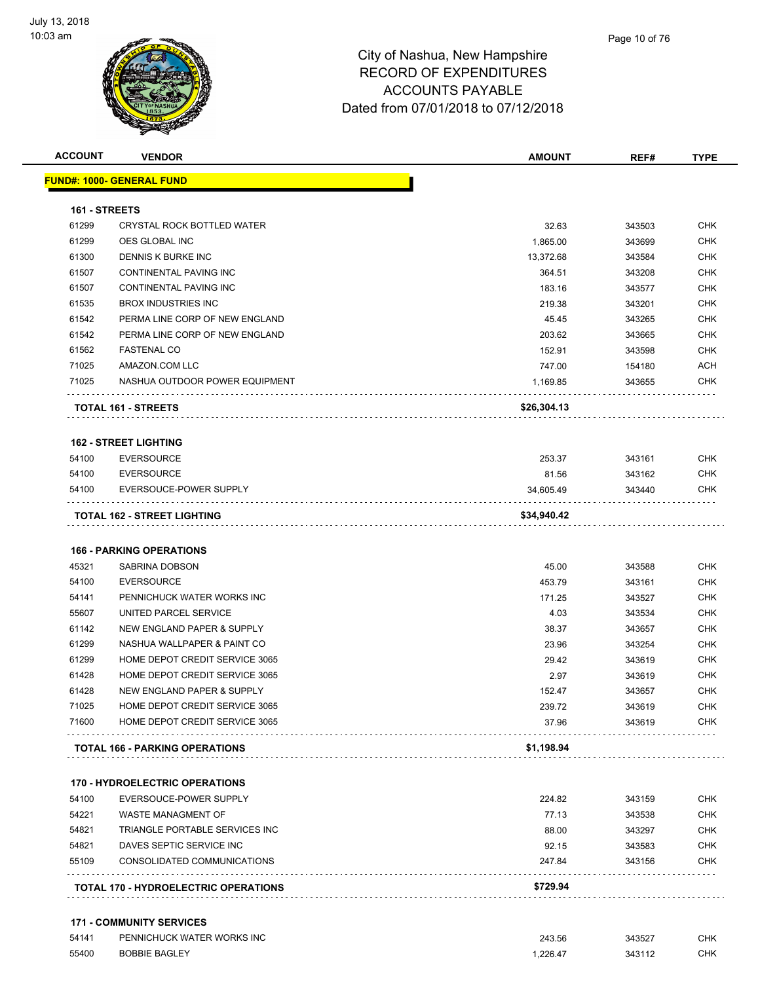

|                        | <b>VENDOR</b>                                           | <b>AMOUNT</b>   | REF#             | <b>TYPE</b>                                                                                                          |
|------------------------|---------------------------------------------------------|-----------------|------------------|----------------------------------------------------------------------------------------------------------------------|
|                        | <u> FUND#: 1000- GENERAL FUND</u>                       |                 |                  |                                                                                                                      |
|                        |                                                         |                 |                  |                                                                                                                      |
| 161 - STREETS<br>61299 | CRYSTAL ROCK BOTTLED WATER                              | 32.63           | 343503           | <b>CHK</b>                                                                                                           |
| 61299                  | <b>OES GLOBAL INC</b>                                   | 1,865.00        | 343699           | CHK                                                                                                                  |
| 61300                  | DENNIS K BURKE INC                                      | 13,372.68       | 343584           | <b>CHK</b>                                                                                                           |
| 61507                  | CONTINENTAL PAVING INC                                  | 364.51          | 343208           | <b>CHK</b>                                                                                                           |
| 61507                  | CONTINENTAL PAVING INC                                  | 183.16          | 343577           | <b>CHK</b>                                                                                                           |
| 61535                  | <b>BROX INDUSTRIES INC</b>                              | 219.38          | 343201           | <b>CHK</b>                                                                                                           |
| 61542                  | PERMA LINE CORP OF NEW ENGLAND                          | 45.45           | 343265           | <b>CHK</b>                                                                                                           |
| 61542                  | PERMA LINE CORP OF NEW ENGLAND                          | 203.62          | 343665           | <b>CHK</b>                                                                                                           |
| 61562                  | <b>FASTENAL CO</b>                                      | 152.91          | 343598           | <b>CHK</b>                                                                                                           |
| 71025                  | AMAZON.COM LLC                                          | 747.00          | 154180           | ACH                                                                                                                  |
| 71025                  | NASHUA OUTDOOR POWER EQUIPMENT                          | 1,169.85        | 343655           | <b>CHK</b>                                                                                                           |
|                        |                                                         |                 |                  |                                                                                                                      |
|                        | TOTAL 161 - STREETS                                     | \$26,304.13     |                  |                                                                                                                      |
|                        | <b>162 - STREET LIGHTING</b>                            |                 |                  |                                                                                                                      |
| 54100                  | <b>EVERSOURCE</b>                                       | 253.37          | 343161           | <b>CHK</b>                                                                                                           |
| 54100                  | <b>EVERSOURCE</b>                                       | 81.56           | 343162           | <b>CHK</b>                                                                                                           |
| 54100                  | EVERSOUCE-POWER SUPPLY                                  | 34,605.49       | 343440           | CHK                                                                                                                  |
|                        | TOTAL 162 - STREET LIGHTING                             | \$34,940.42     |                  |                                                                                                                      |
|                        |                                                         |                 |                  |                                                                                                                      |
|                        | <b>166 - PARKING OPERATIONS</b>                         |                 |                  |                                                                                                                      |
| 45321                  | SABRINA DOBSON                                          | 45.00           | 343588           | <b>CHK</b>                                                                                                           |
| 54100                  | <b>EVERSOURCE</b>                                       | 453.79          | 343161           | <b>CHK</b>                                                                                                           |
| 54141                  | PENNICHUCK WATER WORKS INC                              | 171.25          | 343527           | CHK                                                                                                                  |
| 55607                  | UNITED PARCEL SERVICE                                   |                 |                  | CHK                                                                                                                  |
|                        |                                                         | 4.03            | 343534           |                                                                                                                      |
| 61142                  | NEW ENGLAND PAPER & SUPPLY                              | 38.37           | 343657           |                                                                                                                      |
| 61299                  | NASHUA WALLPAPER & PAINT CO                             | 23.96           | 343254           |                                                                                                                      |
| 61299                  | HOME DEPOT CREDIT SERVICE 3065                          | 29.42           | 343619           |                                                                                                                      |
| 61428                  | HOME DEPOT CREDIT SERVICE 3065                          | 2.97            | 343619           |                                                                                                                      |
| 61428                  | NEW ENGLAND PAPER & SUPPLY                              | 152.47          | 343657           |                                                                                                                      |
| 71025                  | HOME DEPOT CREDIT SERVICE 3065                          | 239.72          | 343619           |                                                                                                                      |
| 71600                  | HOME DEPOT CREDIT SERVICE 3065                          | 37.96           | 343619           |                                                                                                                      |
|                        | <b>TOTAL 166 - PARKING OPERATIONS</b>                   | \$1,198.94      |                  |                                                                                                                      |
|                        | <b>170 - HYDROELECTRIC OPERATIONS</b>                   |                 |                  |                                                                                                                      |
| 54100                  |                                                         |                 |                  |                                                                                                                      |
|                        | EVERSOUCE-POWER SUPPLY<br><b>WASTE MANAGMENT OF</b>     | 224.82          | 343159<br>343538 |                                                                                                                      |
| 54221                  | TRIANGLE PORTABLE SERVICES INC                          | 77.13           |                  |                                                                                                                      |
| 54821                  |                                                         | 88.00           | 343297           |                                                                                                                      |
| 54821<br>55109         | DAVES SEPTIC SERVICE INC<br>CONSOLIDATED COMMUNICATIONS | 92.15<br>247.84 | 343583<br>343156 |                                                                                                                      |
|                        | <b>TOTAL 170 - HYDROELECTRIC OPERATIONS</b>             | \$729.94        |                  | CHK<br><b>CHK</b><br>CHK<br><b>CHK</b><br><b>CHK</b><br><b>CHK</b><br>CHK.<br>CHK<br>CHK<br>CHK<br>CHK<br><b>CHK</b> |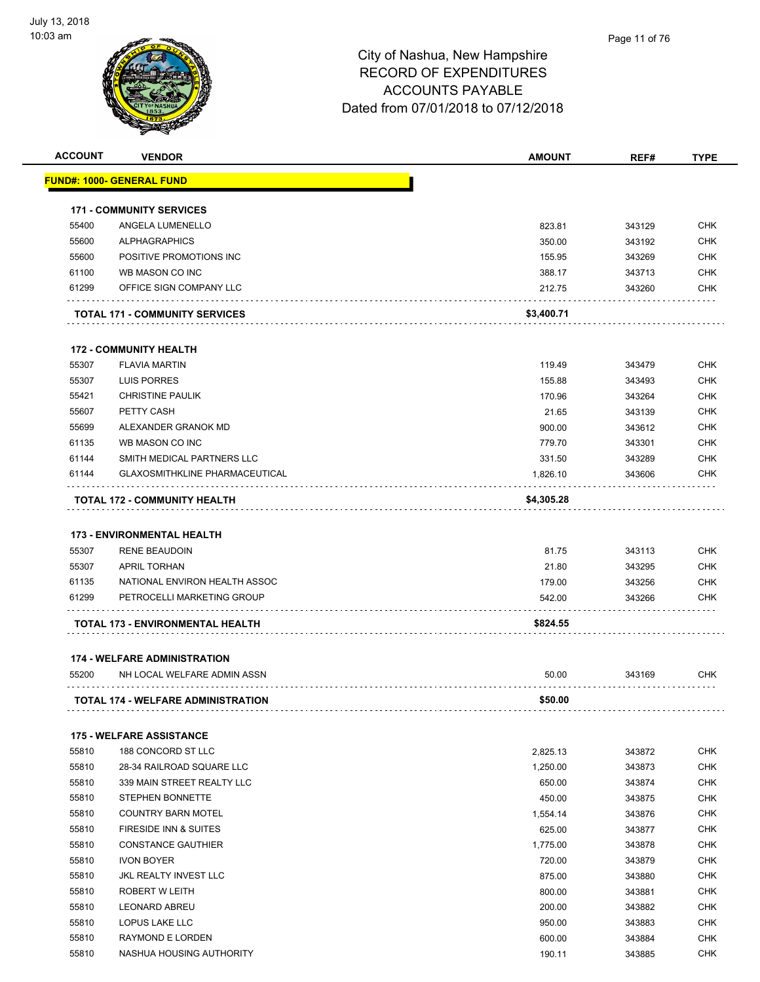

| <b>ACCOUNT</b> | <b>VENDOR</b>                             | AMOUNT     | REF#   | <b>TYPE</b> |
|----------------|-------------------------------------------|------------|--------|-------------|
|                | <u> FUND#: 1000- GENERAL FUND</u>         |            |        |             |
|                |                                           |            |        |             |
|                | <b>171 - COMMUNITY SERVICES</b>           |            |        |             |
| 55400          | ANGELA LUMENELLO                          | 823.81     | 343129 | <b>CHK</b>  |
| 55600          | <b>ALPHAGRAPHICS</b>                      | 350.00     | 343192 | <b>CHK</b>  |
| 55600          | POSITIVE PROMOTIONS INC                   | 155.95     | 343269 | <b>CHK</b>  |
| 61100          | WB MASON CO INC                           | 388.17     | 343713 | <b>CHK</b>  |
| 61299          | OFFICE SIGN COMPANY LLC                   | 212.75     | 343260 | <b>CHK</b>  |
|                | <b>TOTAL 171 - COMMUNITY SERVICES</b>     | \$3,400.71 |        |             |
|                | <b>172 - COMMUNITY HEALTH</b>             |            |        |             |
| 55307          | <b>FLAVIA MARTIN</b>                      |            |        | <b>CHK</b>  |
| 55307          | LUIS PORRES                               | 119.49     | 343479 |             |
|                |                                           | 155.88     | 343493 | <b>CHK</b>  |
| 55421          | <b>CHRISTINE PAULIK</b>                   | 170.96     | 343264 | <b>CHK</b>  |
| 55607          | PETTY CASH                                | 21.65      | 343139 | <b>CHK</b>  |
| 55699          | ALEXANDER GRANOK MD                       | 900.00     | 343612 | <b>CHK</b>  |
| 61135          | WB MASON CO INC                           | 779.70     | 343301 | <b>CHK</b>  |
| 61144          | SMITH MEDICAL PARTNERS LLC                | 331.50     | 343289 | <b>CHK</b>  |
| 61144          | <b>GLAXOSMITHKLINE PHARMACEUTICAL</b>     | 1,826.10   | 343606 | <b>CHK</b>  |
|                | TOTAL 172 - COMMUNITY HEALTH              | \$4,305.28 |        |             |
|                | <b>173 - ENVIRONMENTAL HEALTH</b>         |            |        |             |
| 55307          | <b>RENE BEAUDOIN</b>                      | 81.75      | 343113 | <b>CHK</b>  |
| 55307          | <b>APRIL TORHAN</b>                       | 21.80      | 343295 | <b>CHK</b>  |
| 61135          | NATIONAL ENVIRON HEALTH ASSOC             | 179.00     | 343256 | <b>CHK</b>  |
| 61299          | PETROCELLI MARKETING GROUP                | 542.00     | 343266 | CHK         |
|                |                                           |            |        |             |
|                | TOTAL 173 - ENVIRONMENTAL HEALTH          | \$824.55   |        |             |
|                | <b>174 - WELFARE ADMINISTRATION</b>       |            |        |             |
| 55200          | NH LOCAL WELFARE ADMIN ASSN               | 50.00      | 343169 | <b>CHK</b>  |
|                | <b>TOTAL 174 - WELFARE ADMINISTRATION</b> | \$50.00    |        |             |
|                | <b>175 - WELFARE ASSISTANCE</b>           |            |        |             |
| 55810          | 188 CONCORD ST LLC                        | 2,825.13   | 343872 | <b>CHK</b>  |
| 55810          | 28-34 RAILROAD SQUARE LLC                 |            |        | <b>CHK</b>  |
|                | 339 MAIN STREET REALTY LLC                | 1,250.00   | 343873 | <b>CHK</b>  |
| 55810          |                                           | 650.00     | 343874 |             |
| 55810          | STEPHEN BONNETTE                          | 450.00     | 343875 | CHK         |
| 55810          | <b>COUNTRY BARN MOTEL</b>                 | 1,554.14   | 343876 | <b>CHK</b>  |
| 55810          | <b>FIRESIDE INN &amp; SUITES</b>          | 625.00     | 343877 | <b>CHK</b>  |
| 55810          | <b>CONSTANCE GAUTHIER</b>                 | 1,775.00   | 343878 | <b>CHK</b>  |
| 55810          | <b>IVON BOYER</b>                         | 720.00     | 343879 | <b>CHK</b>  |
| 55810          | JKL REALTY INVEST LLC                     | 875.00     | 343880 | <b>CHK</b>  |
| 55810          | ROBERT W LEITH                            | 800.00     | 343881 | <b>CHK</b>  |
| 55810          | <b>LEONARD ABREU</b>                      | 200.00     | 343882 | <b>CHK</b>  |
| 55810          | LOPUS LAKE LLC                            | 950.00     | 343883 | <b>CHK</b>  |
| 55810          | RAYMOND E LORDEN                          | 600.00     | 343884 | <b>CHK</b>  |
| 55810          | NASHUA HOUSING AUTHORITY                  | 190.11     | 343885 | <b>CHK</b>  |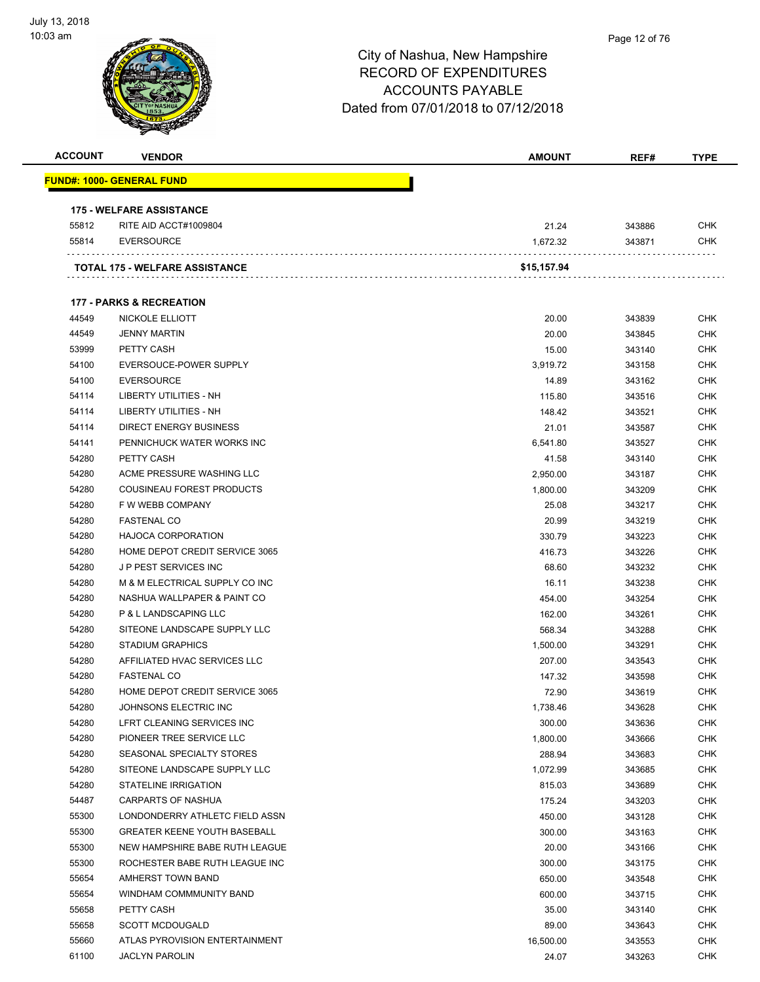

| <b>ACCOUNT</b> | <b>VENDOR</b>                         | <b>AMOUNT</b> | REF#   | <b>TYPE</b> |
|----------------|---------------------------------------|---------------|--------|-------------|
|                | <u> FUND#: 1000- GENERAL FUND</u>     |               |        |             |
|                |                                       |               |        |             |
|                | <b>175 - WELFARE ASSISTANCE</b>       |               |        |             |
| 55812          | RITE AID ACCT#1009804                 | 21.24         | 343886 | <b>CHK</b>  |
| 55814          | <b>EVERSOURCE</b>                     | 1,672.32      | 343871 | CHK         |
|                |                                       |               |        |             |
|                | <b>TOTAL 175 - WELFARE ASSISTANCE</b> | \$15,157.94   |        |             |
|                |                                       |               |        |             |
|                | <b>177 - PARKS &amp; RECREATION</b>   |               |        |             |
| 44549          | NICKOLE ELLIOTT                       | 20.00         | 343839 | <b>CHK</b>  |
| 44549          | <b>JENNY MARTIN</b>                   | 20.00         | 343845 | <b>CHK</b>  |
| 53999          | PETTY CASH                            | 15.00         | 343140 | <b>CHK</b>  |
| 54100          | EVERSOUCE-POWER SUPPLY                | 3,919.72      | 343158 | CHK         |
| 54100          | <b>EVERSOURCE</b>                     | 14.89         | 343162 | <b>CHK</b>  |
| 54114          | LIBERTY UTILITIES - NH                | 115.80        | 343516 | <b>CHK</b>  |
| 54114          | LIBERTY UTILITIES - NH                | 148.42        | 343521 | <b>CHK</b>  |
| 54114          | <b>DIRECT ENERGY BUSINESS</b>         | 21.01         | 343587 | CHK         |
| 54141          | PENNICHUCK WATER WORKS INC            | 6,541.80      | 343527 | CHK         |
| 54280          | PETTY CASH                            | 41.58         | 343140 | <b>CHK</b>  |
| 54280          | ACME PRESSURE WASHING LLC             | 2,950.00      | 343187 | <b>CHK</b>  |
| 54280          | COUSINEAU FOREST PRODUCTS             | 1,800.00      | 343209 | CHK         |
| 54280          | F W WEBB COMPANY                      | 25.08         | 343217 | CHK         |
| 54280          | <b>FASTENAL CO</b>                    | 20.99         | 343219 | <b>CHK</b>  |
| 54280          | <b>HAJOCA CORPORATION</b>             | 330.79        | 343223 | CHK         |
| 54280          | HOME DEPOT CREDIT SERVICE 3065        | 416.73        | 343226 | <b>CHK</b>  |
| 54280          | J P PEST SERVICES INC                 | 68.60         | 343232 | <b>CHK</b>  |
| 54280          | M & M ELECTRICAL SUPPLY CO INC        | 16.11         | 343238 | <b>CHK</b>  |
| 54280          | NASHUA WALLPAPER & PAINT CO           | 454.00        | 343254 | <b>CHK</b>  |
| 54280          | P & L LANDSCAPING LLC                 | 162.00        | 343261 | <b>CHK</b>  |
| 54280          | SITEONE LANDSCAPE SUPPLY LLC          | 568.34        | 343288 | <b>CHK</b>  |
| 54280          | <b>STADIUM GRAPHICS</b>               | 1,500.00      | 343291 | CHK         |
| 54280          | AFFILIATED HVAC SERVICES LLC          | 207.00        | 343543 | <b>CHK</b>  |
| 54280          | <b>FASTENAL CO</b>                    | 147.32        | 343598 | <b>CHK</b>  |
| 54280          | HOME DEPOT CREDIT SERVICE 3065        | 72.90         | 343619 | <b>CHK</b>  |
| 54280          | JOHNSONS ELECTRIC INC                 | 1,738.46      | 343628 | <b>CHK</b>  |
| 54280          | LFRT CLEANING SERVICES INC            | 300.00        | 343636 | <b>CHK</b>  |
| 54280          | PIONEER TREE SERVICE LLC              | 1,800.00      | 343666 | <b>CHK</b>  |
| 54280          | SEASONAL SPECIALTY STORES             | 288.94        | 343683 | <b>CHK</b>  |
| 54280          | SITEONE LANDSCAPE SUPPLY LLC          | 1,072.99      | 343685 | <b>CHK</b>  |
| 54280          | STATELINE IRRIGATION                  | 815.03        | 343689 | <b>CHK</b>  |
| 54487          | <b>CARPARTS OF NASHUA</b>             | 175.24        | 343203 | <b>CHK</b>  |
| 55300          | LONDONDERRY ATHLETC FIELD ASSN        | 450.00        | 343128 | <b>CHK</b>  |
| 55300          | <b>GREATER KEENE YOUTH BASEBALL</b>   | 300.00        | 343163 | <b>CHK</b>  |
| 55300          | NEW HAMPSHIRE BABE RUTH LEAGUE        | 20.00         | 343166 | <b>CHK</b>  |
| 55300          | ROCHESTER BABE RUTH LEAGUE INC        | 300.00        | 343175 | <b>CHK</b>  |
| 55654          | AMHERST TOWN BAND                     | 650.00        | 343548 | <b>CHK</b>  |
| 55654          | WINDHAM COMMMUNITY BAND               | 600.00        | 343715 | <b>CHK</b>  |
| 55658          | PETTY CASH                            | 35.00         | 343140 | <b>CHK</b>  |
| 55658          | <b>SCOTT MCDOUGALD</b>                | 89.00         | 343643 | <b>CHK</b>  |
| 55660          | ATLAS PYROVISION ENTERTAINMENT        | 16,500.00     | 343553 | <b>CHK</b>  |
| 61100          | <b>JACLYN PAROLIN</b>                 | 24.07         | 343263 | <b>CHK</b>  |
|                |                                       |               |        |             |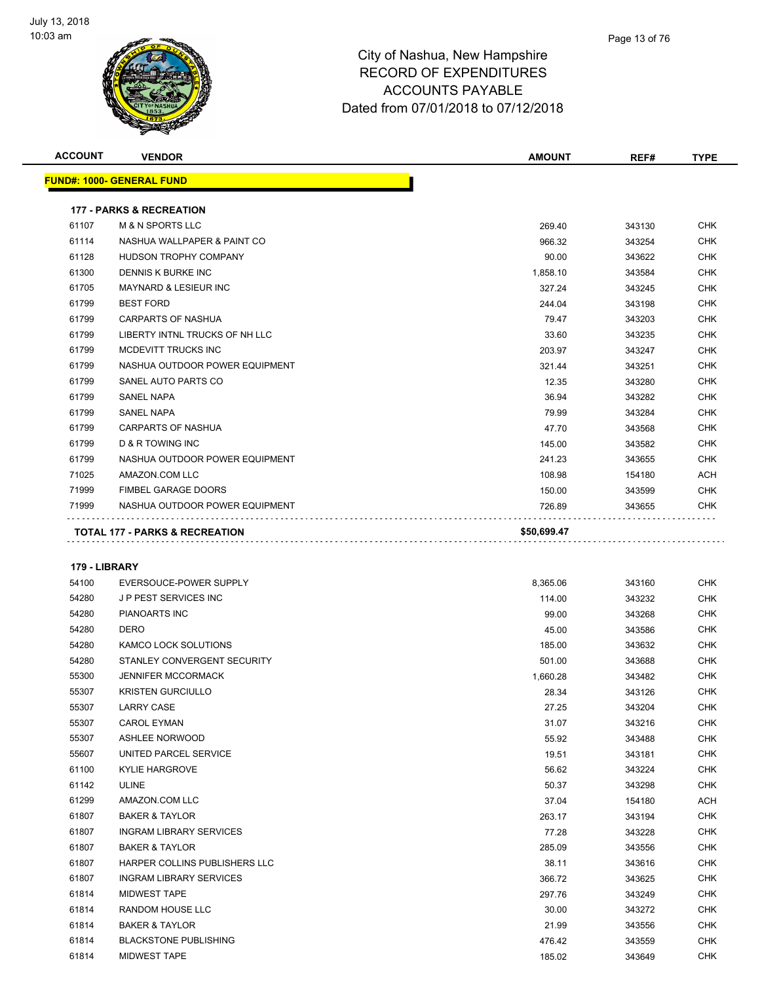

| <b>VENDOR</b>                             | <b>AMOUNT</b> | REF#   | <b>TYPE</b> |
|-------------------------------------------|---------------|--------|-------------|
| <b>FUND#: 1000- GENERAL FUND</b>          |               |        |             |
| <b>177 - PARKS &amp; RECREATION</b>       |               |        |             |
| <b>M &amp; N SPORTS LLC</b>               | 269.40        | 343130 | <b>CHK</b>  |
| NASHUA WALLPAPER & PAINT CO               | 966.32        | 343254 | <b>CHK</b>  |
| HUDSON TROPHY COMPANY                     | 90.00         | 343622 | <b>CHK</b>  |
| DENNIS K BURKE INC                        | 1,858.10      | 343584 | <b>CHK</b>  |
| <b>MAYNARD &amp; LESIEUR INC</b>          | 327.24        | 343245 | <b>CHK</b>  |
| <b>BEST FORD</b>                          | 244.04        | 343198 | <b>CHK</b>  |
| <b>CARPARTS OF NASHUA</b>                 | 79.47         | 343203 | <b>CHK</b>  |
| LIBERTY INTNL TRUCKS OF NH LLC            | 33.60         | 343235 | <b>CHK</b>  |
| MCDEVITT TRUCKS INC                       | 203.97        | 343247 | <b>CHK</b>  |
| NASHUA OUTDOOR POWER EQUIPMENT            | 321.44        | 343251 | <b>CHK</b>  |
| SANEL AUTO PARTS CO                       | 12.35         | 343280 | <b>CHK</b>  |
| <b>SANEL NAPA</b>                         | 36.94         | 343282 | <b>CHK</b>  |
| <b>SANEL NAPA</b>                         | 79.99         | 343284 | <b>CHK</b>  |
| <b>CARPARTS OF NASHUA</b>                 | 47.70         | 343568 | <b>CHK</b>  |
| <b>D &amp; R TOWING INC</b>               | 145.00        | 343582 | <b>CHK</b>  |
| NASHUA OUTDOOR POWER EQUIPMENT            | 241.23        | 343655 | <b>CHK</b>  |
| AMAZON.COM LLC                            | 108.98        | 154180 | <b>ACH</b>  |
| <b>FIMBEL GARAGE DOORS</b>                | 150.00        | 343599 | <b>CHK</b>  |
| NASHUA OUTDOOR POWER EQUIPMENT            | 726.89        | 343655 | CHK         |
| <b>TOTAL 177 - PARKS &amp; RECREATION</b> | \$50,699.47   |        |             |
| 179 - LIBRARY                             |               |        |             |

| 54100 | EVERSOUCE-POWER SUPPLY         | 8,365.06 | 343160 | <b>CHK</b> |
|-------|--------------------------------|----------|--------|------------|
| 54280 | <b>JP PEST SERVICES INC</b>    | 114.00   | 343232 | <b>CHK</b> |
| 54280 | PIANOARTS INC                  | 99.00    | 343268 | <b>CHK</b> |
| 54280 | <b>DERO</b>                    | 45.00    | 343586 | <b>CHK</b> |
| 54280 | KAMCO LOCK SOLUTIONS           | 185.00   | 343632 | <b>CHK</b> |
| 54280 | STANLEY CONVERGENT SECURITY    | 501.00   | 343688 | <b>CHK</b> |
| 55300 | <b>JENNIFER MCCORMACK</b>      | 1,660.28 | 343482 | <b>CHK</b> |
| 55307 | <b>KRISTEN GURCIULLO</b>       | 28.34    | 343126 | <b>CHK</b> |
| 55307 | <b>LARRY CASE</b>              | 27.25    | 343204 | <b>CHK</b> |
| 55307 | <b>CAROL EYMAN</b>             | 31.07    | 343216 | <b>CHK</b> |
| 55307 | ASHLEE NORWOOD                 | 55.92    | 343488 | <b>CHK</b> |
| 55607 | UNITED PARCEL SERVICE          | 19.51    | 343181 | <b>CHK</b> |
| 61100 | <b>KYLIE HARGROVE</b>          | 56.62    | 343224 | <b>CHK</b> |
| 61142 | <b>ULINE</b>                   | 50.37    | 343298 | <b>CHK</b> |
| 61299 | AMAZON.COM LLC                 | 37.04    | 154180 | ACH        |
| 61807 | <b>BAKER &amp; TAYLOR</b>      | 263.17   | 343194 | <b>CHK</b> |
| 61807 | <b>INGRAM LIBRARY SERVICES</b> | 77.28    | 343228 | <b>CHK</b> |
| 61807 | <b>BAKER &amp; TAYLOR</b>      | 285.09   | 343556 | <b>CHK</b> |
| 61807 | HARPER COLLINS PUBLISHERS LLC  | 38.11    | 343616 | <b>CHK</b> |
| 61807 | <b>INGRAM LIBRARY SERVICES</b> | 366.72   | 343625 | <b>CHK</b> |
| 61814 | <b>MIDWEST TAPE</b>            | 297.76   | 343249 | <b>CHK</b> |
| 61814 | RANDOM HOUSE LLC               | 30.00    | 343272 | <b>CHK</b> |
| 61814 | <b>BAKER &amp; TAYLOR</b>      | 21.99    | 343556 | <b>CHK</b> |
| 61814 | <b>BLACKSTONE PUBLISHING</b>   | 476.42   | 343559 | <b>CHK</b> |
| 61814 | <b>MIDWEST TAPE</b>            | 185.02   | 343649 | <b>CHK</b> |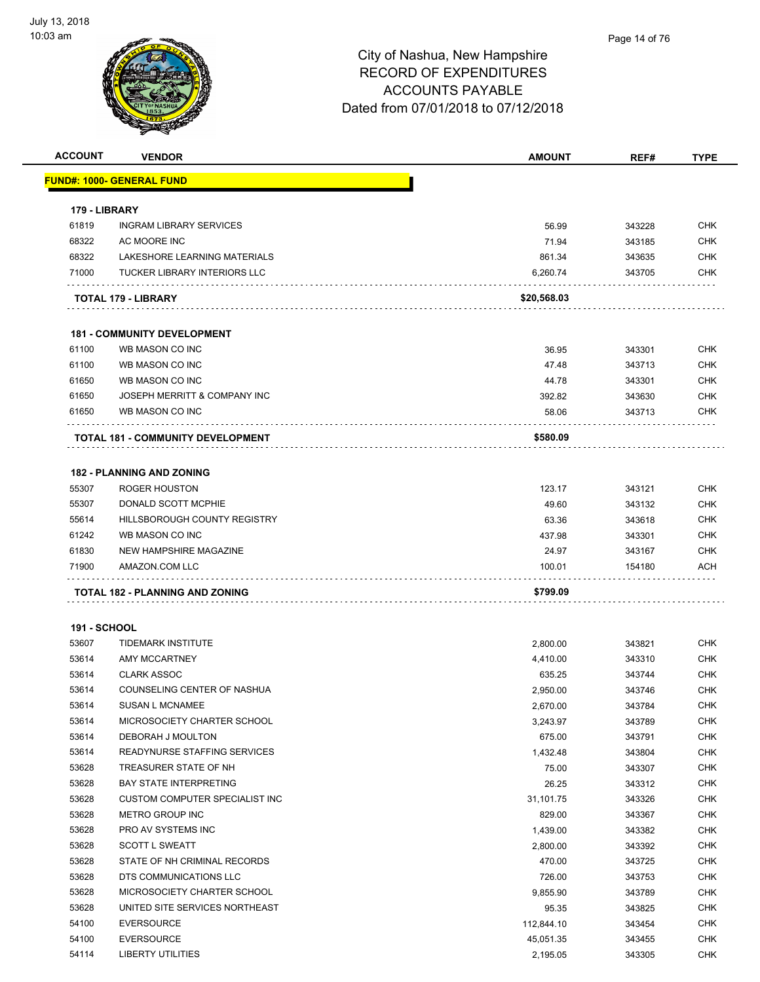

| <b>ACCOUNT</b>      | <b>VENDOR</b>                                   | <b>AMOUNT</b>   | REF#             | <b>TYPE</b>       |
|---------------------|-------------------------------------------------|-----------------|------------------|-------------------|
|                     | <b>FUND#: 1000- GENERAL FUND</b>                |                 |                  |                   |
|                     |                                                 |                 |                  |                   |
| 179 - LIBRARY       |                                                 |                 |                  |                   |
| 61819               | <b>INGRAM LIBRARY SERVICES</b>                  | 56.99           | 343228           | <b>CHK</b>        |
| 68322               | AC MOORE INC                                    | 71.94           | 343185           | <b>CHK</b>        |
| 68322               | LAKESHORE LEARNING MATERIALS                    | 861.34          | 343635           | <b>CHK</b>        |
| 71000               | <b>TUCKER LIBRARY INTERIORS LLC</b>             | 6,260.74        | 343705           | <b>CHK</b>        |
|                     | TOTAL 179 - LIBRARY                             | \$20,568.03     |                  |                   |
|                     | <b>181 - COMMUNITY DEVELOPMENT</b>              |                 |                  |                   |
| 61100               | WB MASON CO INC                                 | 36.95           | 343301           | <b>CHK</b>        |
| 61100               | WB MASON CO INC                                 | 47.48           | 343713           | <b>CHK</b>        |
| 61650               | WB MASON CO INC                                 | 44.78           |                  | <b>CHK</b>        |
|                     |                                                 |                 | 343301           |                   |
| 61650<br>61650      | JOSEPH MERRITT & COMPANY INC<br>WB MASON CO INC | 392.82<br>58.06 | 343630<br>343713 | <b>CHK</b><br>CHK |
|                     |                                                 |                 |                  |                   |
|                     | TOTAL 181 - COMMUNITY DEVELOPMENT               | \$580.09        |                  |                   |
|                     | <b>182 - PLANNING AND ZONING</b>                |                 |                  |                   |
| 55307               | <b>ROGER HOUSTON</b>                            | 123.17          | 343121           | <b>CHK</b>        |
| 55307               | DONALD SCOTT MCPHIE                             | 49.60           | 343132           | <b>CHK</b>        |
| 55614               | HILLSBOROUGH COUNTY REGISTRY                    | 63.36           | 343618           | <b>CHK</b>        |
| 61242               | WB MASON CO INC                                 | 437.98          | 343301           | <b>CHK</b>        |
| 61830               | NEW HAMPSHIRE MAGAZINE                          | 24.97           | 343167           | <b>CHK</b>        |
| 71900               | AMAZON.COM LLC                                  | 100.01          | 154180           | ACH               |
|                     | <b>TOTAL 182 - PLANNING AND ZONING</b>          | \$799.09        |                  |                   |
|                     |                                                 |                 |                  |                   |
| <b>191 - SCHOOL</b> |                                                 |                 |                  |                   |
| 53607               | <b>TIDEMARK INSTITUTE</b>                       | 2,800.00        | 343821           | <b>CHK</b>        |
| 53614               | AMY MCCARTNEY                                   | 4,410.00        | 343310           | <b>CHK</b>        |
| 53614               | <b>CLARK ASSOC</b>                              | 635.25          | 343744           | <b>CHK</b>        |
| 53614               | COUNSELING CENTER OF NASHUA                     | 2,950.00        | 343746           | CHK               |
| 53614               | <b>SUSAN L MCNAMEE</b>                          | 2,670.00        | 343784           | <b>CHK</b>        |
| 53614               | MICROSOCIETY CHARTER SCHOOL                     | 3,243.97        | 343789           | <b>CHK</b>        |
| 53614               | DEBORAH J MOULTON                               | 675.00          | 343791           | <b>CHK</b>        |
| 53614               | READYNURSE STAFFING SERVICES                    | 1,432.48        | 343804           | <b>CHK</b>        |
| 53628               | TREASURER STATE OF NH                           | 75.00           | 343307           | <b>CHK</b>        |
| 53628               | <b>BAY STATE INTERPRETING</b>                   | 26.25           | 343312           | <b>CHK</b>        |
| 53628               | <b>CUSTOM COMPUTER SPECIALIST INC</b>           | 31,101.75       | 343326           | <b>CHK</b>        |
| 53628               | METRO GROUP INC                                 | 829.00          | 343367           | <b>CHK</b>        |
| 53628               | PRO AV SYSTEMS INC                              | 1,439.00        | 343382           | <b>CHK</b>        |
| 53628               | <b>SCOTT L SWEATT</b>                           | 2,800.00        | 343392           | <b>CHK</b>        |
| 53628               | STATE OF NH CRIMINAL RECORDS                    | 470.00          | 343725           | <b>CHK</b>        |
| 53628               | DTS COMMUNICATIONS LLC                          | 726.00          | 343753           | <b>CHK</b>        |
| 53628               | MICROSOCIETY CHARTER SCHOOL                     | 9,855.90        | 343789           | <b>CHK</b>        |
| 53628               | UNITED SITE SERVICES NORTHEAST                  | 95.35           | 343825           | <b>CHK</b>        |
| 54100               | <b>EVERSOURCE</b>                               | 112,844.10      | 343454           | <b>CHK</b>        |
| 54100               | <b>EVERSOURCE</b>                               | 45,051.35       | 343455           | <b>CHK</b>        |
| 54114               | LIBERTY UTILITIES                               | 2,195.05        | 343305           | <b>CHK</b>        |
|                     |                                                 |                 |                  |                   |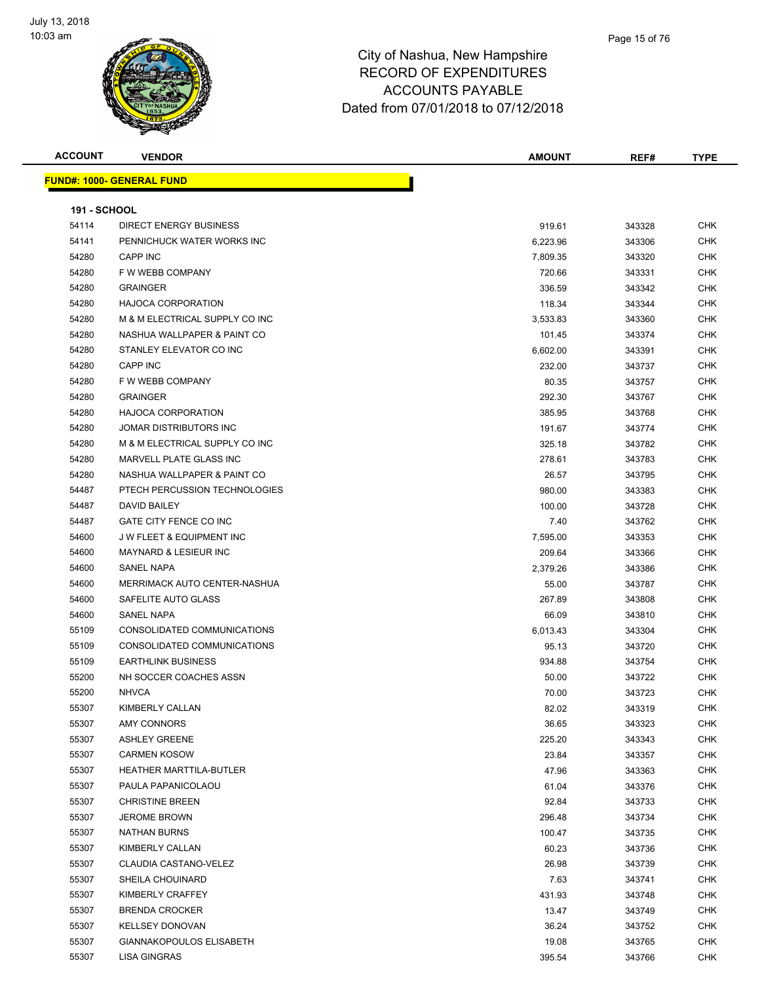

| <b>ACCOUNT</b>      | <b>VENDOR</b>                       | <b>AMOUNT</b> | REF#   | <b>TYPE</b> |
|---------------------|-------------------------------------|---------------|--------|-------------|
|                     | <u> FUND#: 1000- GENERAL FUND</u>   |               |        |             |
|                     |                                     |               |        |             |
| <b>191 - SCHOOL</b> |                                     |               |        |             |
| 54114               | DIRECT ENERGY BUSINESS              | 919.61        | 343328 | CHK         |
| 54141               | PENNICHUCK WATER WORKS INC          | 6,223.96      | 343306 | CHK         |
| 54280               | CAPP INC                            | 7,809.35      | 343320 | CHK         |
| 54280               | F W WEBB COMPANY                    | 720.66        | 343331 | CHK         |
| 54280               | <b>GRAINGER</b>                     | 336.59        | 343342 | CHK         |
| 54280               | <b>HAJOCA CORPORATION</b>           | 118.34        | 343344 | <b>CHK</b>  |
| 54280               | M & M ELECTRICAL SUPPLY CO INC      | 3,533.83      | 343360 | CHK         |
| 54280               | NASHUA WALLPAPER & PAINT CO         | 101.45        | 343374 | <b>CHK</b>  |
| 54280               | STANLEY ELEVATOR CO INC             | 6,602.00      | 343391 | <b>CHK</b>  |
| 54280               | CAPP INC                            | 232.00        | 343737 | CHK         |
| 54280               | F W WEBB COMPANY                    | 80.35         | 343757 | CHK         |
| 54280               | <b>GRAINGER</b>                     | 292.30        | 343767 | CHK         |
| 54280               | <b>HAJOCA CORPORATION</b>           | 385.95        | 343768 | CHK         |
| 54280               | JOMAR DISTRIBUTORS INC              | 191.67        | 343774 | <b>CHK</b>  |
| 54280               | M & M ELECTRICAL SUPPLY CO INC      | 325.18        | 343782 | CHK         |
| 54280               | MARVELL PLATE GLASS INC             | 278.61        | 343783 | CHK         |
| 54280               | NASHUA WALLPAPER & PAINT CO         | 26.57         | 343795 | <b>CHK</b>  |
| 54487               | PTECH PERCUSSION TECHNOLOGIES       | 980.00        | 343383 | CHK         |
| 54487               | <b>DAVID BAILEY</b>                 | 100.00        | 343728 | CHK         |
| 54487               | GATE CITY FENCE CO INC              | 7.40          | 343762 | CHK         |
| 54600               | <b>JW FLEET &amp; EQUIPMENT INC</b> | 7,595.00      | 343353 | CHK         |
| 54600               | <b>MAYNARD &amp; LESIEUR INC</b>    | 209.64        | 343366 | CHK         |
| 54600               | SANEL NAPA                          | 2,379.26      | 343386 | CHK         |
| 54600               | MERRIMACK AUTO CENTER-NASHUA        | 55.00         | 343787 | CHK         |
| 54600               | SAFELITE AUTO GLASS                 | 267.89        | 343808 | <b>CHK</b>  |
| 54600               | <b>SANEL NAPA</b>                   | 66.09         | 343810 | CHK         |
| 55109               | CONSOLIDATED COMMUNICATIONS         | 6,013.43      | 343304 | CHK         |
| 55109               | CONSOLIDATED COMMUNICATIONS         | 95.13         | 343720 | <b>CHK</b>  |
| 55109               | <b>EARTHLINK BUSINESS</b>           | 934.88        | 343754 | CHK         |
| 55200               | NH SOCCER COACHES ASSN              | 50.00         | 343722 | CHK         |
| 55200               | <b>NHVCA</b>                        | 70.00         | 343723 | CHK         |
| 55307               | KIMBERLY CALLAN                     | 82.02         | 343319 | <b>CHK</b>  |
| 55307               | AMY CONNORS                         | 36.65         | 343323 | <b>CHK</b>  |
| 55307               | <b>ASHLEY GREENE</b>                | 225.20        | 343343 | CHK         |
| 55307               | <b>CARMEN KOSOW</b>                 | 23.84         | 343357 | CHK         |
| 55307               | HEATHER MARTTILA-BUTLER             | 47.96         | 343363 | <b>CHK</b>  |
| 55307               | PAULA PAPANICOLAOU                  | 61.04         | 343376 | CHK         |
| 55307               | <b>CHRISTINE BREEN</b>              | 92.84         | 343733 | <b>CHK</b>  |
| 55307               | <b>JEROME BROWN</b>                 | 296.48        | 343734 | CHK         |
| 55307               | <b>NATHAN BURNS</b>                 | 100.47        | 343735 | CHK         |
| 55307               | KIMBERLY CALLAN                     | 60.23         | 343736 | <b>CHK</b>  |
| 55307               | CLAUDIA CASTANO-VELEZ               | 26.98         | 343739 | <b>CHK</b>  |
| 55307               | SHEILA CHOUINARD                    | 7.63          | 343741 | CHK         |
| 55307               | KIMBERLY CRAFFEY                    | 431.93        | 343748 | CHK         |
| 55307               | <b>BRENDA CROCKER</b>               | 13.47         | 343749 | CHK         |
| 55307               | <b>KELLSEY DONOVAN</b>              | 36.24         | 343752 | CHK         |
| 55307               | GIANNAKOPOULOS ELISABETH            | 19.08         | 343765 | <b>CHK</b>  |
| 55307               | LISA GINGRAS                        | 395.54        | 343766 | <b>CHK</b>  |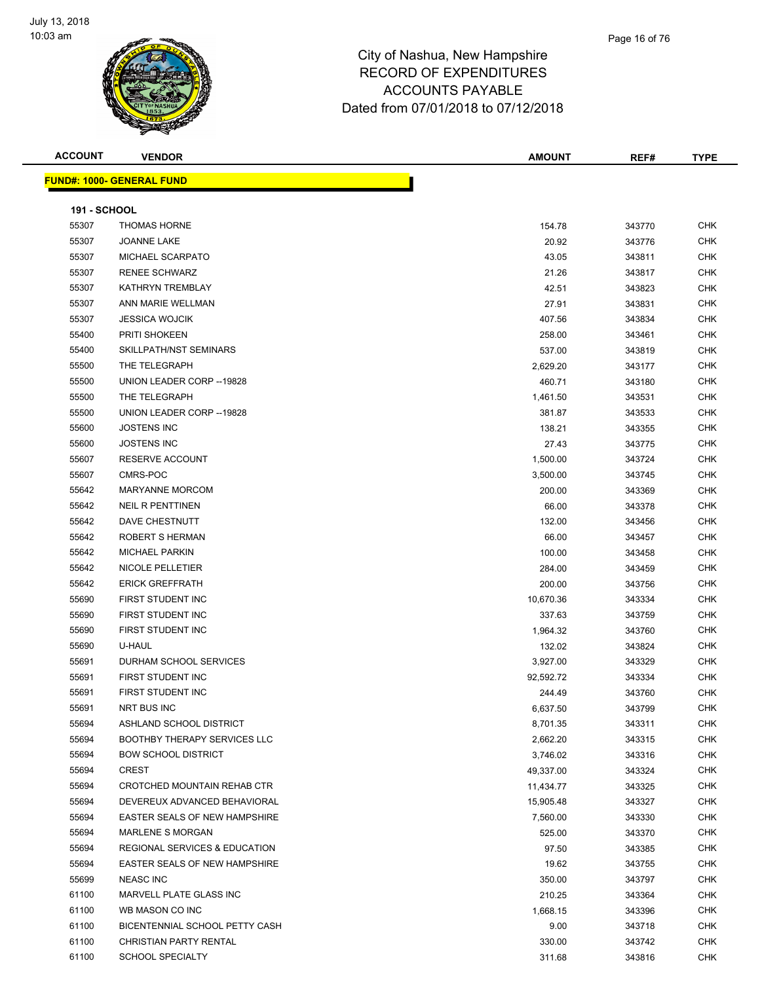

| <b>ACCOUNT</b>      | <b>VENDOR</b>                            | <b>AMOUNT</b> | REF#   | <b>TYPE</b> |
|---------------------|------------------------------------------|---------------|--------|-------------|
|                     | <u> FUND#: 1000- GENERAL FUND</u>        |               |        |             |
|                     |                                          |               |        |             |
| <b>191 - SCHOOL</b> |                                          |               |        |             |
| 55307               | <b>THOMAS HORNE</b>                      | 154.78        | 343770 | <b>CHK</b>  |
| 55307               | JOANNE LAKE                              | 20.92         | 343776 | <b>CHK</b>  |
| 55307               | MICHAEL SCARPATO                         | 43.05         | 343811 | <b>CHK</b>  |
| 55307               | <b>RENEE SCHWARZ</b>                     | 21.26         | 343817 | <b>CHK</b>  |
| 55307               | KATHRYN TREMBLAY                         | 42.51         | 343823 | <b>CHK</b>  |
| 55307               | ANN MARIE WELLMAN                        | 27.91         | 343831 | <b>CHK</b>  |
| 55307               | <b>JESSICA WOJCIK</b>                    | 407.56        | 343834 | CHK         |
| 55400               | <b>PRITI SHOKEEN</b>                     | 258.00        | 343461 | CHK         |
| 55400               | SKILLPATH/NST SEMINARS                   | 537.00        | 343819 | CHK         |
| 55500               | THE TELEGRAPH                            | 2,629.20      | 343177 | CHK         |
| 55500               | UNION LEADER CORP -- 19828               | 460.71        | 343180 | CHK         |
| 55500               | THE TELEGRAPH                            | 1,461.50      | 343531 | CHK         |
| 55500               | UNION LEADER CORP--19828                 | 381.87        | 343533 | CHK         |
| 55600               | <b>JOSTENS INC</b>                       | 138.21        | 343355 | <b>CHK</b>  |
| 55600               | <b>JOSTENS INC</b>                       | 27.43         | 343775 | <b>CHK</b>  |
| 55607               | RESERVE ACCOUNT                          | 1,500.00      | 343724 | CHK         |
| 55607               | CMRS-POC                                 | 3,500.00      | 343745 | CHK         |
| 55642               | <b>MARYANNE MORCOM</b>                   | 200.00        | 343369 | CHK         |
| 55642               | <b>NEIL R PENTTINEN</b>                  | 66.00         | 343378 | CHK         |
| 55642               | DAVE CHESTNUTT                           | 132.00        | 343456 | CHK         |
| 55642               | ROBERT S HERMAN                          | 66.00         | 343457 | CHK         |
| 55642               | <b>MICHAEL PARKIN</b>                    | 100.00        | 343458 | CHK         |
| 55642               | NICOLE PELLETIER                         | 284.00        | 343459 | CHK         |
| 55642               | <b>ERICK GREFFRATH</b>                   | 200.00        | 343756 | <b>CHK</b>  |
| 55690               | FIRST STUDENT INC                        | 10,670.36     | 343334 | <b>CHK</b>  |
| 55690               | FIRST STUDENT INC                        | 337.63        | 343759 | <b>CHK</b>  |
| 55690               | FIRST STUDENT INC                        | 1,964.32      | 343760 | <b>CHK</b>  |
| 55690               | U-HAUL                                   | 132.02        | 343824 | CHK         |
| 55691               | DURHAM SCHOOL SERVICES                   | 3,927.00      | 343329 | CHK         |
| 55691               | FIRST STUDENT INC                        | 92,592.72     | 343334 | <b>CHK</b>  |
| 55691               | FIRST STUDENT INC                        | 244.49        | 343760 | <b>CHK</b>  |
| 55691               | NRT BUS INC                              | 6,637.50      | 343799 | <b>CHK</b>  |
| 55694               | ASHLAND SCHOOL DISTRICT                  | 8,701.35      | 343311 | CHK         |
| 55694               | <b>BOOTHBY THERAPY SERVICES LLC</b>      | 2,662.20      | 343315 | CHK         |
| 55694               | <b>BOW SCHOOL DISTRICT</b>               | 3,746.02      | 343316 | <b>CHK</b>  |
| 55694               | CREST                                    | 49,337.00     | 343324 | <b>CHK</b>  |
| 55694               | CROTCHED MOUNTAIN REHAB CTR              | 11,434.77     | 343325 | <b>CHK</b>  |
| 55694               | DEVEREUX ADVANCED BEHAVIORAL             | 15,905.48     | 343327 | <b>CHK</b>  |
| 55694               | <b>EASTER SEALS OF NEW HAMPSHIRE</b>     | 7,560.00      | 343330 | <b>CHK</b>  |
| 55694               | MARLENE S MORGAN                         | 525.00        | 343370 | <b>CHK</b>  |
| 55694               | <b>REGIONAL SERVICES &amp; EDUCATION</b> | 97.50         | 343385 | <b>CHK</b>  |
| 55694               | EASTER SEALS OF NEW HAMPSHIRE            | 19.62         | 343755 | <b>CHK</b>  |
| 55699               | <b>NEASC INC</b>                         | 350.00        | 343797 | <b>CHK</b>  |
| 61100               | MARVELL PLATE GLASS INC                  | 210.25        | 343364 | <b>CHK</b>  |
| 61100               | WB MASON CO INC                          | 1,668.15      | 343396 | CHK         |
| 61100               | BICENTENNIAL SCHOOL PETTY CASH           | 9.00          | 343718 | <b>CHK</b>  |
| 61100               | CHRISTIAN PARTY RENTAL                   | 330.00        | 343742 | <b>CHK</b>  |
| 61100               | <b>SCHOOL SPECIALTY</b>                  | 311.68        | 343816 | CHK         |
|                     |                                          |               |        |             |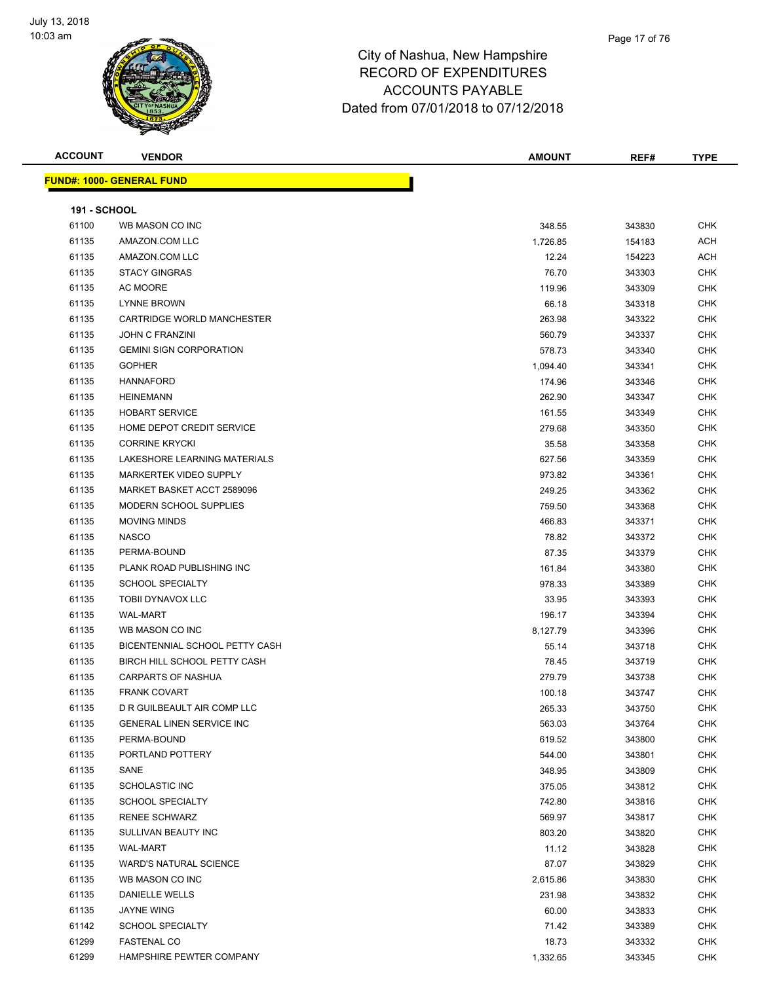

| <b>ACCOUNT</b>      | <b>VENDOR</b>                     | <b>AMOUNT</b> | REF#   | <b>TYPE</b> |
|---------------------|-----------------------------------|---------------|--------|-------------|
|                     | <u> FUND#: 1000- GENERAL FUND</u> |               |        |             |
|                     |                                   |               |        |             |
| <b>191 - SCHOOL</b> |                                   |               |        |             |
| 61100               | WB MASON CO INC                   | 348.55        | 343830 | <b>CHK</b>  |
| 61135               | AMAZON.COM LLC                    | 1,726.85      | 154183 | ACH         |
| 61135               | AMAZON.COM LLC                    | 12.24         | 154223 | ACH         |
| 61135               | <b>STACY GINGRAS</b>              | 76.70         | 343303 | CHK         |
| 61135               | AC MOORE                          | 119.96        | 343309 | <b>CHK</b>  |
| 61135               | <b>LYNNE BROWN</b>                | 66.18         | 343318 | <b>CHK</b>  |
| 61135               | CARTRIDGE WORLD MANCHESTER        | 263.98        | 343322 | CHK         |
| 61135               | <b>JOHN C FRANZINI</b>            | 560.79        | 343337 | CHK         |
| 61135               | <b>GEMINI SIGN CORPORATION</b>    | 578.73        | 343340 | <b>CHK</b>  |
| 61135               | <b>GOPHER</b>                     | 1,094.40      | 343341 | <b>CHK</b>  |
| 61135               | <b>HANNAFORD</b>                  | 174.96        | 343346 | <b>CHK</b>  |
| 61135               | <b>HEINEMANN</b>                  | 262.90        | 343347 | <b>CHK</b>  |
| 61135               | <b>HOBART SERVICE</b>             | 161.55        | 343349 | CHK         |
| 61135               | HOME DEPOT CREDIT SERVICE         | 279.68        | 343350 | CHK         |
| 61135               | <b>CORRINE KRYCKI</b>             | 35.58         | 343358 | <b>CHK</b>  |
| 61135               | LAKESHORE LEARNING MATERIALS      | 627.56        | 343359 | CHK         |
| 61135               | MARKERTEK VIDEO SUPPLY            | 973.82        | 343361 | <b>CHK</b>  |
| 61135               | MARKET BASKET ACCT 2589096        | 249.25        | 343362 | CHK         |
| 61135               | <b>MODERN SCHOOL SUPPLIES</b>     | 759.50        | 343368 | <b>CHK</b>  |
| 61135               | <b>MOVING MINDS</b>               | 466.83        | 343371 | CHK         |
| 61135               | <b>NASCO</b>                      | 78.82         | 343372 | <b>CHK</b>  |
| 61135               | PERMA-BOUND                       | 87.35         | 343379 | CHK         |
| 61135               | PLANK ROAD PUBLISHING INC         | 161.84        | 343380 | <b>CHK</b>  |
| 61135               | <b>SCHOOL SPECIALTY</b>           | 978.33        | 343389 | <b>CHK</b>  |
| 61135               | TOBII DYNAVOX LLC                 | 33.95         | 343393 | CHK         |
| 61135               | <b>WAL-MART</b>                   | 196.17        | 343394 | CHK         |
| 61135               | WB MASON CO INC                   | 8,127.79      | 343396 | CHK         |
| 61135               | BICENTENNIAL SCHOOL PETTY CASH    | 55.14         | 343718 | <b>CHK</b>  |
| 61135               | BIRCH HILL SCHOOL PETTY CASH      | 78.45         | 343719 | <b>CHK</b>  |
| 61135               | <b>CARPARTS OF NASHUA</b>         | 279.79        | 343738 | CHK         |
| 61135               | <b>FRANK COVART</b>               | 100.18        | 343747 | CHK         |
| 61135               | D R GUILBEAULT AIR COMP LLC       | 265.33        | 343750 | <b>CHK</b>  |
| 61135               | <b>GENERAL LINEN SERVICE INC</b>  | 563.03        | 343764 | CHK         |
| 61135               | PERMA-BOUND                       | 619.52        | 343800 | CHK         |
| 61135               | PORTLAND POTTERY                  | 544.00        | 343801 | <b>CHK</b>  |
| 61135               | SANE                              | 348.95        | 343809 | CHK         |
| 61135               | SCHOLASTIC INC                    | 375.05        | 343812 | CHK         |
| 61135               | <b>SCHOOL SPECIALTY</b>           | 742.80        | 343816 | CHK         |
| 61135               | RENEE SCHWARZ                     | 569.97        | 343817 | CHK         |
| 61135               | SULLIVAN BEAUTY INC               | 803.20        | 343820 | CHK         |
| 61135               | WAL-MART                          | 11.12         | 343828 | CHK         |
| 61135               | <b>WARD'S NATURAL SCIENCE</b>     | 87.07         | 343829 | CHK         |
| 61135               | WB MASON CO INC                   | 2,615.86      | 343830 | CHK         |
| 61135               | DANIELLE WELLS                    | 231.98        | 343832 | CHK         |
| 61135               | JAYNE WING                        | 60.00         | 343833 | CHK         |
| 61142               | <b>SCHOOL SPECIALTY</b>           | 71.42         | 343389 | <b>CHK</b>  |
| 61299               | <b>FASTENAL CO</b>                | 18.73         | 343332 | CHK         |
| 61299               | HAMPSHIRE PEWTER COMPANY          | 1,332.65      | 343345 | <b>CHK</b>  |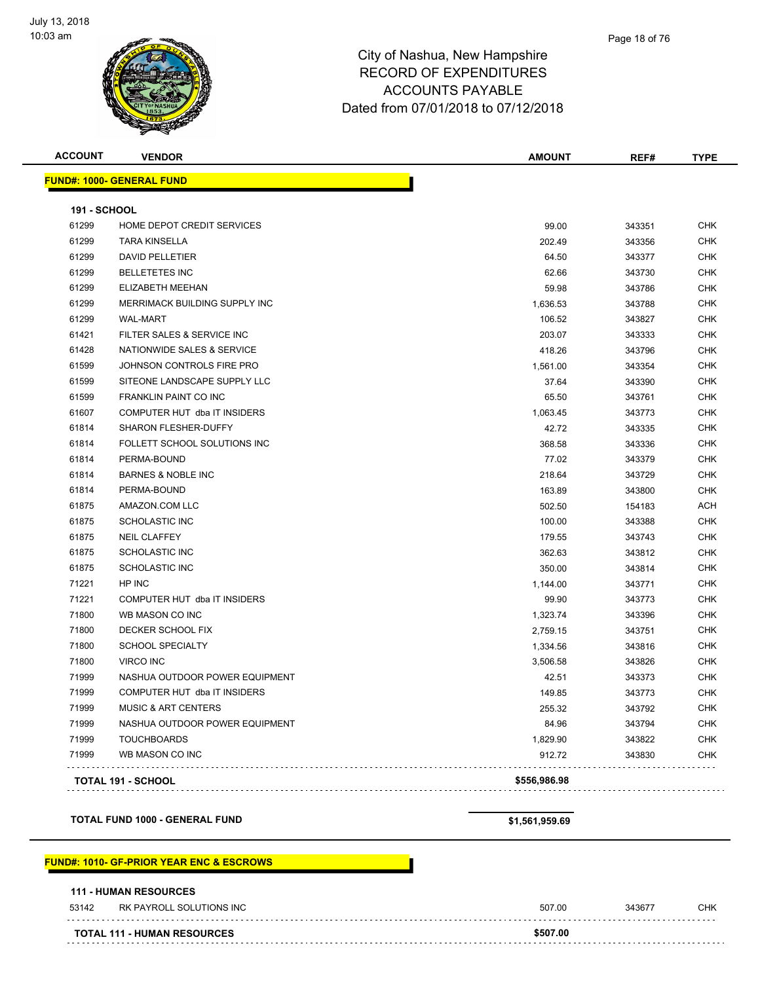

| <b>FUND#: 1000- GENERAL FUND</b> |                                |              |        |            |
|----------------------------------|--------------------------------|--------------|--------|------------|
| <b>191 - SCHOOL</b>              |                                |              |        |            |
| 61299                            | HOME DEPOT CREDIT SERVICES     | 99.00        | 343351 | CHK        |
| 61299                            | <b>TARA KINSELLA</b>           | 202.49       | 343356 | <b>CHK</b> |
| 61299                            | <b>DAVID PELLETIER</b>         | 64.50        | 343377 | <b>CHK</b> |
| 61299                            | <b>BELLETETES INC</b>          | 62.66        | 343730 | <b>CHK</b> |
| 61299                            | ELIZABETH MEEHAN               | 59.98        | 343786 | <b>CHK</b> |
| 61299                            | MERRIMACK BUILDING SUPPLY INC  | 1,636.53     | 343788 | <b>CHK</b> |
| 61299                            | <b>WAL-MART</b>                | 106.52       | 343827 | <b>CHK</b> |
| 61421                            | FILTER SALES & SERVICE INC     | 203.07       | 343333 | <b>CHK</b> |
| 61428                            | NATIONWIDE SALES & SERVICE     | 418.26       | 343796 | <b>CHK</b> |
| 61599                            | JOHNSON CONTROLS FIRE PRO      | 1,561.00     | 343354 | <b>CHK</b> |
| 61599                            | SITEONE LANDSCAPE SUPPLY LLC   | 37.64        | 343390 | <b>CHK</b> |
| 61599                            | <b>FRANKLIN PAINT CO INC</b>   | 65.50        | 343761 | <b>CHK</b> |
| 61607                            | COMPUTER HUT dba IT INSIDERS   | 1,063.45     | 343773 | <b>CHK</b> |
| 61814                            | <b>SHARON FLESHER-DUFFY</b>    | 42.72        | 343335 | <b>CHK</b> |
| 61814                            | FOLLETT SCHOOL SOLUTIONS INC   | 368.58       | 343336 | <b>CHK</b> |
| 61814                            | PERMA-BOUND                    | 77.02        | 343379 | <b>CHK</b> |
| 61814                            | <b>BARNES &amp; NOBLE INC</b>  | 218.64       | 343729 | <b>CHK</b> |
| 61814                            | PERMA-BOUND                    | 163.89       | 343800 | CHK        |
| 61875                            | AMAZON.COM LLC                 | 502.50       | 154183 | ACH        |
| 61875                            | <b>SCHOLASTIC INC</b>          | 100.00       | 343388 | <b>CHK</b> |
| 61875                            | <b>NEIL CLAFFEY</b>            | 179.55       | 343743 | <b>CHK</b> |
| 61875                            | <b>SCHOLASTIC INC</b>          | 362.63       | 343812 | CHK        |
| 61875                            | <b>SCHOLASTIC INC</b>          | 350.00       | 343814 | <b>CHK</b> |
| 71221                            | HP INC                         | 1,144.00     | 343771 | <b>CHK</b> |
| 71221                            | COMPUTER HUT dba IT INSIDERS   | 99.90        | 343773 | <b>CHK</b> |
| 71800                            | WB MASON CO INC                | 1,323.74     | 343396 | <b>CHK</b> |
| 71800                            | DECKER SCHOOL FIX              | 2,759.15     | 343751 | <b>CHK</b> |
| 71800                            | <b>SCHOOL SPECIALTY</b>        | 1,334.56     | 343816 | <b>CHK</b> |
| 71800                            | <b>VIRCO INC</b>               | 3,506.58     | 343826 | <b>CHK</b> |
| 71999                            | NASHUA OUTDOOR POWER EQUIPMENT | 42.51        | 343373 | <b>CHK</b> |
| 71999                            | COMPUTER HUT dba IT INSIDERS   | 149.85       | 343773 | <b>CHK</b> |
| 71999                            | MUSIC & ART CENTERS            | 255.32       | 343792 | <b>CHK</b> |
| 71999                            | NASHUA OUTDOOR POWER EQUIPMENT | 84.96        | 343794 | CHK        |
| 71999                            | <b>TOUCHBOARDS</b>             | 1,829.90     | 343822 | <b>CHK</b> |
| 71999                            | WB MASON CO INC                | 912.72       | 343830 | <b>CHK</b> |
|                                  | TOTAL 191 - SCHOOL             | \$556,986.98 |        |            |

**TOTAL FUND 1000 - GENERAL FUND \$1,561,959.69** 

#### **FUND#: 1010- GF-PRIOR YEAR ENC & ESCROWS 111 - HUMAN RESOURCES** RK PAYROLL SOLUTIONS INC  $507.00$   $343677$  CHK . . . . . . . . . . . . . . . . . . . . **TOTAL 111 - HUMAN RESOURCES \$507.00**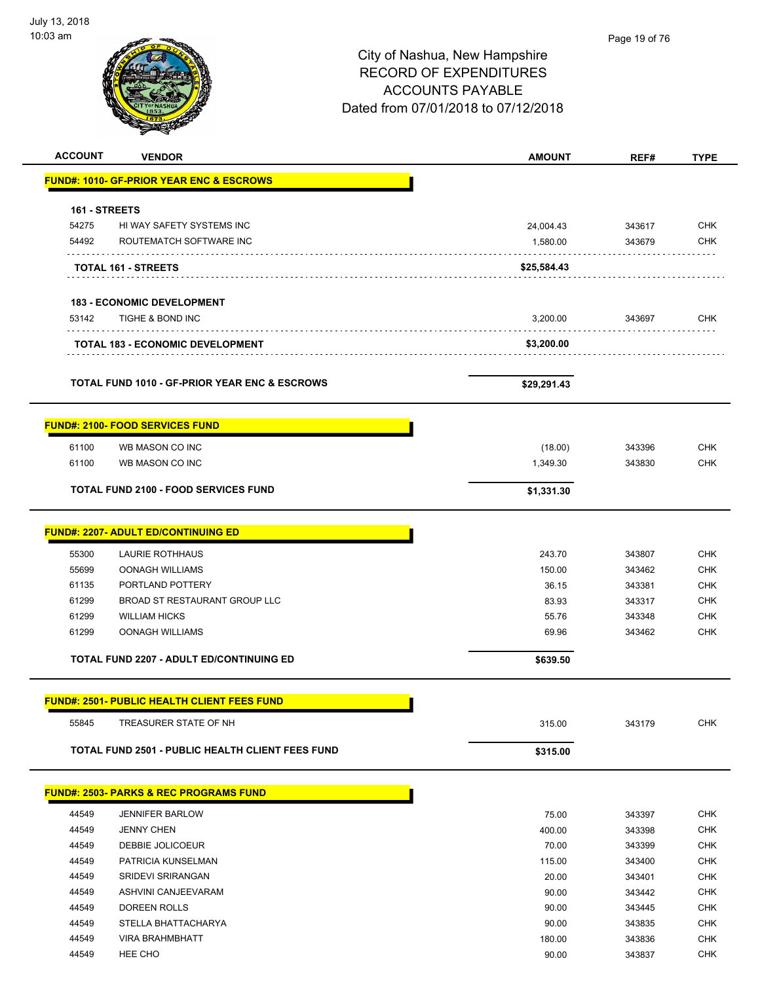| <b>ACCOUNT</b> | <b>VENDOR</b>                                            | <b>AMOUNT</b> | REF#   | <b>TYPE</b> |
|----------------|----------------------------------------------------------|---------------|--------|-------------|
|                | <b>FUND#: 1010- GF-PRIOR YEAR ENC &amp; ESCROWS</b>      |               |        |             |
|                |                                                          |               |        |             |
| 161 - STREETS  |                                                          |               |        |             |
| 54275          | HI WAY SAFETY SYSTEMS INC                                | 24,004.43     | 343617 | <b>CHK</b>  |
| 54492          | ROUTEMATCH SOFTWARE INC                                  | 1,580.00      | 343679 | <b>CHK</b>  |
|                | TOTAL 161 - STREETS                                      | \$25,584.43   |        |             |
|                |                                                          |               |        |             |
|                | <b>183 - ECONOMIC DEVELOPMENT</b>                        |               |        |             |
| 53142          | TIGHE & BOND INC                                         | 3,200.00      | 343697 | CHK         |
|                |                                                          | \$3,200.00    |        |             |
|                | <b>TOTAL 183 - ECONOMIC DEVELOPMENT</b>                  |               |        |             |
|                |                                                          |               |        |             |
|                | <b>TOTAL FUND 1010 - GF-PRIOR YEAR ENC &amp; ESCROWS</b> | \$29,291.43   |        |             |
|                |                                                          |               |        |             |
|                | <b>FUND#: 2100- FOOD SERVICES FUND</b>                   |               |        |             |
| 61100          | WB MASON CO INC                                          | (18.00)       | 343396 | <b>CHK</b>  |
| 61100          | WB MASON CO INC                                          | 1,349.30      | 343830 | <b>CHK</b>  |
|                | <b>TOTAL FUND 2100 - FOOD SERVICES FUND</b>              | \$1,331.30    |        |             |
|                |                                                          |               |        |             |
|                | <b>FUND#: 2207- ADULT ED/CONTINUING ED</b>               |               |        |             |
| 55300          | LAURIE ROTHHAUS                                          | 243.70        | 343807 | <b>CHK</b>  |
| 55699          | <b>OONAGH WILLIAMS</b>                                   | 150.00        | 343462 | <b>CHK</b>  |
| 61135          | PORTLAND POTTERY                                         | 36.15         | 343381 | <b>CHK</b>  |
| 61299          | BROAD ST RESTAURANT GROUP LLC                            | 83.93         | 343317 | <b>CHK</b>  |
| 61299          | <b>WILLIAM HICKS</b>                                     | 55.76         | 343348 | <b>CHK</b>  |
| 61299          | <b>OONAGH WILLIAMS</b>                                   | 69.96         | 343462 | <b>CHK</b>  |
|                | <b>TOTAL FUND 2207 - ADULT ED/CONTINUING ED</b>          | \$639.50      |        |             |
|                |                                                          |               |        |             |
|                | <b>FUND#: 2501- PUBLIC HEALTH CLIENT FEES FUND</b>       |               |        |             |
| 55845          | TREASURER STATE OF NH                                    | 315.00        | 343179 | <b>CHK</b>  |
|                | <b>TOTAL FUND 2501 - PUBLIC HEALTH CLIENT FEES FUND</b>  | \$315.00      |        |             |
|                | <b>FUND#: 2503- PARKS &amp; REC PROGRAMS FUND</b>        |               |        |             |
| 44549          | <b>JENNIFER BARLOW</b>                                   | 75.00         | 343397 | <b>CHK</b>  |
| 44549          | <b>JENNY CHEN</b>                                        | 400.00        | 343398 | <b>CHK</b>  |
| 44549          | DEBBIE JOLICOEUR                                         | 70.00         | 343399 | <b>CHK</b>  |
| 44549          | PATRICIA KUNSELMAN                                       | 115.00        | 343400 | <b>CHK</b>  |
| 44549          | SRIDEVI SRIRANGAN                                        | 20.00         | 343401 | <b>CHK</b>  |
| 44549          | ASHVINI CANJEEVARAM                                      | 90.00         | 343442 | <b>CHK</b>  |
| 44549          | DOREEN ROLLS                                             | 90.00         | 343445 | CHK         |
| 44549          | STELLA BHATTACHARYA                                      | 90.00         | 343835 | <b>CHK</b>  |
| 44549          | <b>VIRA BRAHMBHATT</b>                                   | 180.00        | 343836 | <b>CHK</b>  |
| 44549          | HEE CHO                                                  | 90.00         | 343837 | <b>CHK</b>  |
|                |                                                          |               |        |             |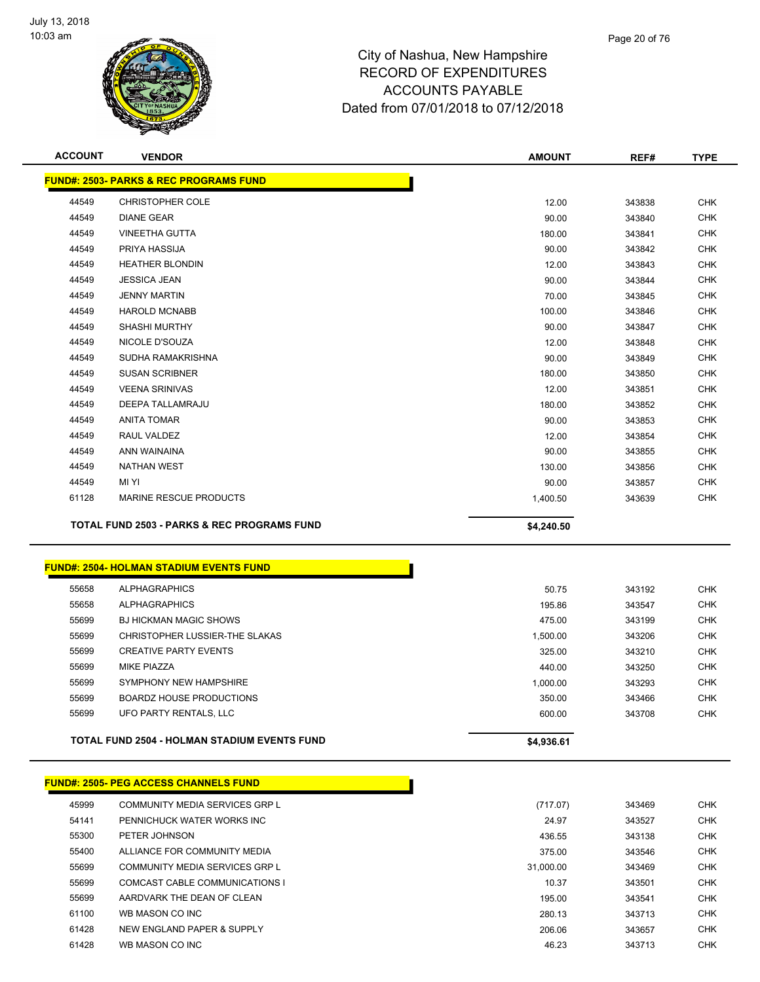

| <b>ACCOUNT</b> | <b>VENDOR</b>                                          | <b>AMOUNT</b> | REF#   | <b>TYPE</b> |
|----------------|--------------------------------------------------------|---------------|--------|-------------|
|                | <b>FUND#: 2503- PARKS &amp; REC PROGRAMS FUND</b>      |               |        |             |
| 44549          | <b>CHRISTOPHER COLE</b>                                | 12.00         | 343838 | <b>CHK</b>  |
| 44549          | <b>DIANE GEAR</b>                                      | 90.00         | 343840 | <b>CHK</b>  |
| 44549          | <b>VINEETHA GUTTA</b>                                  | 180.00        | 343841 | <b>CHK</b>  |
| 44549          | PRIYA HASSIJA                                          | 90.00         | 343842 | <b>CHK</b>  |
| 44549          | <b>HEATHER BLONDIN</b>                                 | 12.00         | 343843 | <b>CHK</b>  |
| 44549          | <b>JESSICA JEAN</b>                                    | 90.00         | 343844 | <b>CHK</b>  |
| 44549          | <b>JENNY MARTIN</b>                                    | 70.00         | 343845 | <b>CHK</b>  |
| 44549          | <b>HAROLD MCNABB</b>                                   | 100.00        | 343846 | <b>CHK</b>  |
| 44549          | <b>SHASHI MURTHY</b>                                   | 90.00         | 343847 | <b>CHK</b>  |
| 44549          | NICOLE D'SOUZA                                         | 12.00         | 343848 | <b>CHK</b>  |
| 44549          | SUDHA RAMAKRISHNA                                      | 90.00         | 343849 | <b>CHK</b>  |
| 44549          | <b>SUSAN SCRIBNER</b>                                  | 180.00        | 343850 | <b>CHK</b>  |
| 44549          | <b>VEENA SRINIVAS</b>                                  | 12.00         | 343851 | <b>CHK</b>  |
| 44549          | <b>DEEPA TALLAMRAJU</b>                                | 180.00        | 343852 | <b>CHK</b>  |
| 44549          | <b>ANITA TOMAR</b>                                     | 90.00         | 343853 | <b>CHK</b>  |
| 44549          | RAUL VALDEZ                                            | 12.00         | 343854 | <b>CHK</b>  |
| 44549          | ANN WAINAINA                                           | 90.00         | 343855 | <b>CHK</b>  |
| 44549          | <b>NATHAN WEST</b>                                     | 130.00        | 343856 | <b>CHK</b>  |
| 44549          | MI YI                                                  | 90.00         | 343857 | <b>CHK</b>  |
| 61128          | MARINE RESCUE PRODUCTS                                 | 1,400.50      | 343639 | <b>CHK</b>  |
|                | <b>TOTAL FUND 2503 - PARKS &amp; REC PROGRAMS FUND</b> | \$4,240.50    |        |             |
|                |                                                        |               |        |             |

#### **FUND#: 2504- HOLMAN STADIUM EVENTS FUND**

| <b>TOTAL FUND 2504 - HOLMAN STADIUM EVENTS FUND</b> | \$4,936.61 |        |            |
|-----------------------------------------------------|------------|--------|------------|
| UFO PARTY RENTALS, LLC                              | 600.00     | 343708 | <b>CHK</b> |
| <b>BOARDZ HOUSE PRODUCTIONS</b>                     | 350.00     | 343466 | <b>CHK</b> |
| SYMPHONY NEW HAMPSHIRE                              | 00.000.1   | 343293 | <b>CHK</b> |
|                                                     | 440.00     | 343250 | <b>CHK</b> |
| <b>CREATIVE PARTY EVENTS</b>                        | 325.00     | 343210 | <b>CHK</b> |
| CHRISTOPHER LUSSIER-THE SLAKAS                      | .500.00    | 343206 | <b>CHK</b> |
| <b>BJ HICKMAN MAGIC SHOWS</b>                       | 475.00     | 343199 | <b>CHK</b> |
|                                                     | 195.86     | 343547 | <b>CHK</b> |
|                                                     | 50.75      | 343192 | <b>CHK</b> |
|                                                     |            |        |            |

# **FUND#: 2505- PEG ACCESS CHANNELS FUND**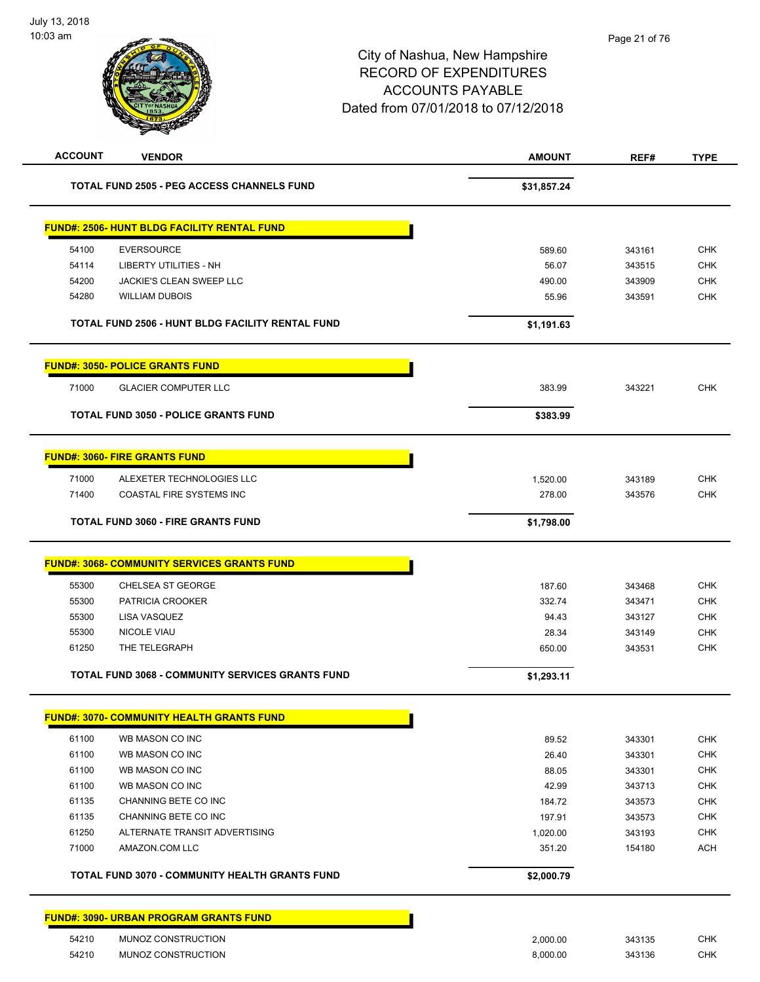| <b>ACCOUNT</b> | <b>VENDOR</b>                                           | <b>AMOUNT</b> | REF#   | <b>TYPE</b> |
|----------------|---------------------------------------------------------|---------------|--------|-------------|
|                | <b>TOTAL FUND 2505 - PEG ACCESS CHANNELS FUND</b>       | \$31,857.24   |        |             |
|                | <b>FUND#: 2506- HUNT BLDG FACILITY RENTAL FUND</b>      |               |        |             |
| 54100          | <b>EVERSOURCE</b>                                       | 589.60        | 343161 | <b>CHK</b>  |
| 54114          | <b>LIBERTY UTILITIES - NH</b>                           | 56.07         | 343515 | <b>CHK</b>  |
| 54200          | <b>JACKIE'S CLEAN SWEEP LLC</b>                         | 490.00        | 343909 | <b>CHK</b>  |
| 54280          | <b>WILLIAM DUBOIS</b>                                   | 55.96         | 343591 | <b>CHK</b>  |
|                | <b>TOTAL FUND 2506 - HUNT BLDG FACILITY RENTAL FUND</b> | \$1,191.63    |        |             |
|                | <b>FUND#: 3050- POLICE GRANTS FUND</b>                  |               |        |             |
| 71000          | <b>GLACIER COMPUTER LLC</b>                             | 383.99        | 343221 | <b>CHK</b>  |
|                | <b>TOTAL FUND 3050 - POLICE GRANTS FUND</b>             | \$383.99      |        |             |
|                | <b>FUND#: 3060- FIRE GRANTS FUND</b>                    |               |        |             |
| 71000          | ALEXETER TECHNOLOGIES LLC                               | 1,520.00      | 343189 | <b>CHK</b>  |
| 71400          | COASTAL FIRE SYSTEMS INC                                | 278.00        | 343576 | <b>CHK</b>  |
|                | <b>TOTAL FUND 3060 - FIRE GRANTS FUND</b>               | \$1,798.00    |        |             |
|                | <b>FUND#: 3068- COMMUNITY SERVICES GRANTS FUND</b>      |               |        |             |
| 55300          | CHELSEA ST GEORGE                                       | 187.60        | 343468 | <b>CHK</b>  |
| 55300          | PATRICIA CROOKER                                        | 332.74        | 343471 | <b>CHK</b>  |
| 55300          | LISA VASQUEZ                                            | 94.43         | 343127 | <b>CHK</b>  |
| 55300          | <b>NICOLE VIAU</b>                                      | 28.34         | 343149 | <b>CHK</b>  |
| 61250          | THE TELEGRAPH                                           | 650.00        | 343531 | <b>CHK</b>  |
|                | <b>TOTAL FUND 3068 - COMMUNITY SERVICES GRANTS FUND</b> | \$1,293.11    |        |             |
|                | <b>FUND#: 3070- COMMUNITY HEALTH GRANTS FUND</b>        |               |        |             |
| 61100          | WB MASON CO INC                                         | 89.52         | 343301 | <b>CHK</b>  |
| 61100          | WB MASON CO INC                                         | 26.40         | 343301 | CHK         |
| 61100          | WB MASON CO INC                                         | 88.05         | 343301 | <b>CHK</b>  |
| 61100          | WB MASON CO INC                                         | 42.99         | 343713 | <b>CHK</b>  |
| 61135          | CHANNING BETE CO INC                                    | 184.72        | 343573 | <b>CHK</b>  |
| 61135          | CHANNING BETE CO INC                                    | 197.91        | 343573 | <b>CHK</b>  |
| 61250          | ALTERNATE TRANSIT ADVERTISING                           | 1,020.00      | 343193 | <b>CHK</b>  |
| 71000          | AMAZON.COM LLC                                          | 351.20        | 154180 | <b>ACH</b>  |
|                | TOTAL FUND 3070 - COMMUNITY HEALTH GRANTS FUND          | \$2,000.79    |        |             |
|                | <b>FUND#: 3090- URBAN PROGRAM GRANTS FUND</b>           |               |        |             |
| 54210          | MUNOZ CONSTRUCTION                                      | 2,000.00      | 343135 | <b>CHK</b>  |
| 54210          | MUNOZ CONSTRUCTION                                      | 8,000.00      | 343136 | <b>CHK</b>  |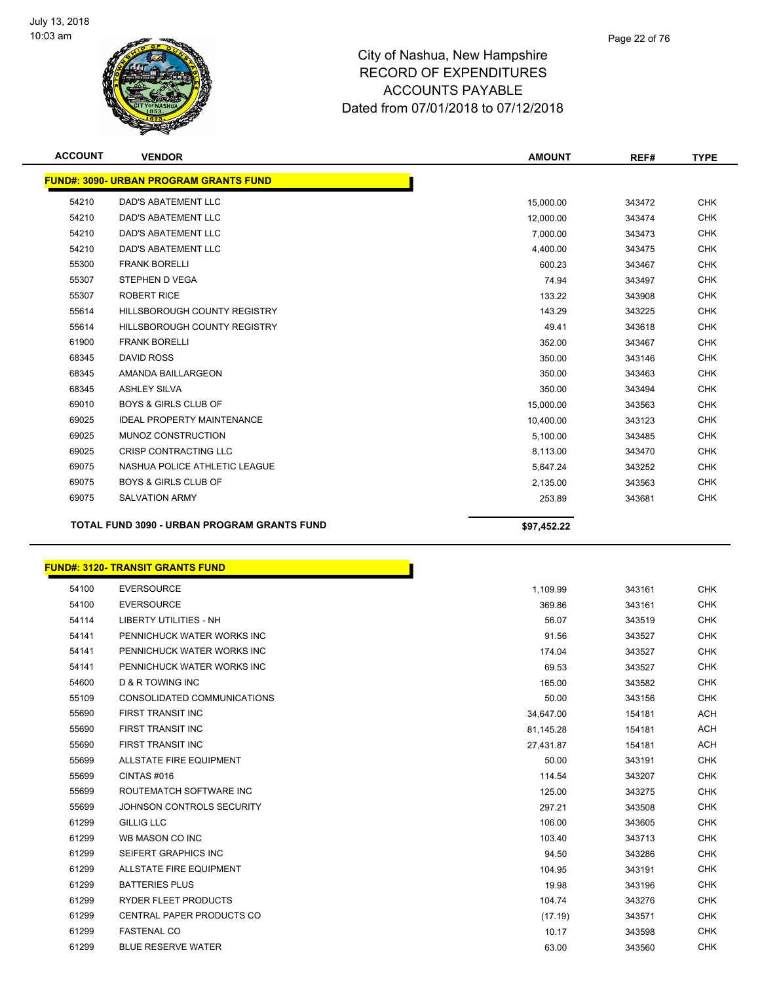

| <b>ACCOUNT</b> | <b>VENDOR</b>                                 | <b>AMOUNT</b> | REF#   | <b>TYPE</b> |
|----------------|-----------------------------------------------|---------------|--------|-------------|
|                | <b>FUND#: 3090- URBAN PROGRAM GRANTS FUND</b> |               |        |             |
| 54210          | <b>DAD'S ABATEMENT LLC</b>                    | 15,000.00     | 343472 | <b>CHK</b>  |
| 54210          | <b>DAD'S ABATEMENT LLC</b>                    | 12,000.00     | 343474 | <b>CHK</b>  |
| 54210          | <b>DAD'S ABATEMENT LLC</b>                    | 7,000.00      | 343473 | <b>CHK</b>  |
| 54210          | <b>DAD'S ABATEMENT LLC</b>                    | 4,400.00      | 343475 | <b>CHK</b>  |
| 55300          | <b>FRANK BORELLI</b>                          | 600.23        | 343467 | <b>CHK</b>  |
| 55307          | <b>STEPHEN D VEGA</b>                         | 74.94         | 343497 | <b>CHK</b>  |
| 55307          | <b>ROBERT RICE</b>                            | 133.22        | 343908 | <b>CHK</b>  |
| 55614          | <b>HILLSBOROUGH COUNTY REGISTRY</b>           | 143.29        | 343225 | <b>CHK</b>  |
| 55614          | <b>HILLSBOROUGH COUNTY REGISTRY</b>           | 49.41         | 343618 | <b>CHK</b>  |
| 61900          | <b>FRANK BORELLI</b>                          | 352.00        | 343467 | <b>CHK</b>  |
| 68345          | <b>DAVID ROSS</b>                             | 350.00        | 343146 | <b>CHK</b>  |
| 68345          | AMANDA BAILLARGEON                            | 350.00        | 343463 | <b>CHK</b>  |
| 68345          | <b>ASHLEY SILVA</b>                           | 350.00        | 343494 | <b>CHK</b>  |
| 69010          | <b>BOYS &amp; GIRLS CLUB OF</b>               | 15,000.00     | 343563 | <b>CHK</b>  |
| 69025          | <b>IDEAL PROPERTY MAINTENANCE</b>             | 10,400.00     | 343123 | <b>CHK</b>  |
| 69025          | MUNOZ CONSTRUCTION                            | 5,100.00      | 343485 | <b>CHK</b>  |
| 69025          | <b>CRISP CONTRACTING LLC</b>                  | 8,113.00      | 343470 | <b>CHK</b>  |
| 69075          | NASHUA POLICE ATHLETIC LEAGUE                 | 5,647.24      | 343252 | <b>CHK</b>  |
| 69075          | <b>BOYS &amp; GIRLS CLUB OF</b>               | 2,135.00      | 343563 | <b>CHK</b>  |
| 69075          | <b>SALVATION ARMY</b>                         | 253.89        | 343681 | <b>CHK</b>  |
|                | TOTAL FUND 3090 - URBAN PROGRAM GRANTS FUND   | \$97,452.22   |        |             |

# **FUND#: 3120- TRANSIT GRANTS FUND**

| 54100 | <b>EVERSOURCE</b>                | 1,109.99  | 343161 | <b>CHK</b> |
|-------|----------------------------------|-----------|--------|------------|
| 54100 | <b>EVERSOURCE</b>                | 369.86    | 343161 | <b>CHK</b> |
| 54114 | <b>LIBERTY UTILITIES - NH</b>    | 56.07     | 343519 | <b>CHK</b> |
| 54141 | PENNICHUCK WATER WORKS INC       | 91.56     | 343527 | <b>CHK</b> |
| 54141 | PENNICHUCK WATER WORKS INC       | 174.04    | 343527 | <b>CHK</b> |
| 54141 | PENNICHUCK WATER WORKS INC       | 69.53     | 343527 | <b>CHK</b> |
| 54600 | <b>D &amp; R TOWING INC</b>      | 165.00    | 343582 | <b>CHK</b> |
| 55109 | CONSOLIDATED COMMUNICATIONS      | 50.00     | 343156 | <b>CHK</b> |
| 55690 | <b>FIRST TRANSIT INC</b>         | 34,647.00 | 154181 | <b>ACH</b> |
| 55690 | <b>FIRST TRANSIT INC</b>         | 81,145.28 | 154181 | <b>ACH</b> |
| 55690 | <b>FIRST TRANSIT INC</b>         | 27,431.87 | 154181 | <b>ACH</b> |
| 55699 | <b>ALLSTATE FIRE EQUIPMENT</b>   | 50.00     | 343191 | <b>CHK</b> |
| 55699 | CINTAS#016                       | 114.54    | 343207 | <b>CHK</b> |
| 55699 | ROUTEMATCH SOFTWARE INC          | 125.00    | 343275 | <b>CHK</b> |
| 55699 | JOHNSON CONTROLS SECURITY        | 297.21    | 343508 | <b>CHK</b> |
| 61299 | <b>GILLIG LLC</b>                | 106.00    | 343605 | <b>CHK</b> |
| 61299 | WB MASON CO INC                  | 103.40    | 343713 | <b>CHK</b> |
| 61299 | SEIFERT GRAPHICS INC             | 94.50     | 343286 | <b>CHK</b> |
| 61299 | <b>ALLSTATE FIRE EQUIPMENT</b>   | 104.95    | 343191 | <b>CHK</b> |
| 61299 | <b>BATTERIES PLUS</b>            | 19.98     | 343196 | <b>CHK</b> |
| 61299 | <b>RYDER FLEET PRODUCTS</b>      | 104.74    | 343276 | <b>CHK</b> |
| 61299 | <b>CENTRAL PAPER PRODUCTS CO</b> | (17.19)   | 343571 | <b>CHK</b> |
| 61299 | <b>FASTENAL CO</b>               | 10.17     | 343598 | <b>CHK</b> |
| 61299 | <b>BLUE RESERVE WATER</b>        | 63.00     | 343560 | <b>CHK</b> |

r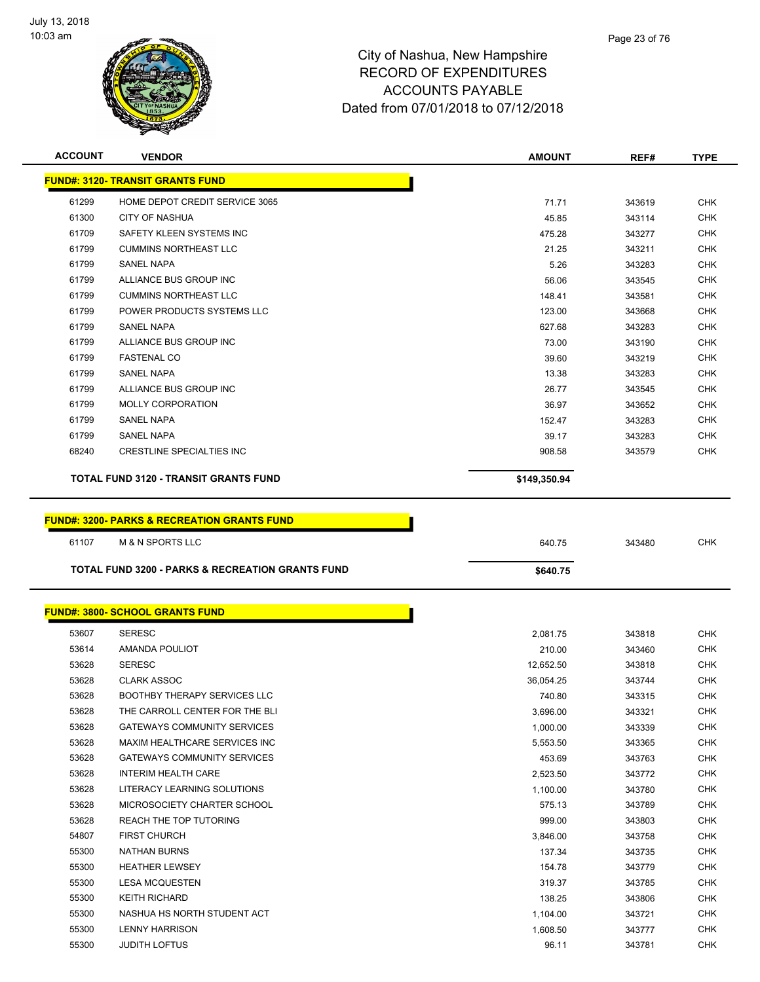

| <b>ACCOUNT</b> | <b>VENDOR</b>                                                        | AMOUNT               | REF#             | <b>TYPE</b>              |
|----------------|----------------------------------------------------------------------|----------------------|------------------|--------------------------|
|                | <b>FUND#: 3120- TRANSIT GRANTS FUND</b>                              |                      |                  |                          |
| 61299          | HOME DEPOT CREDIT SERVICE 3065                                       | 71.71                | 343619           | <b>CHK</b>               |
| 61300          | <b>CITY OF NASHUA</b>                                                | 45.85                | 343114           | <b>CHK</b>               |
| 61709          | SAFETY KLEEN SYSTEMS INC                                             | 475.28               | 343277           | <b>CHK</b>               |
| 61799          | <b>CUMMINS NORTHEAST LLC</b>                                         | 21.25                | 343211           | <b>CHK</b>               |
| 61799          | <b>SANEL NAPA</b>                                                    | 5.26                 | 343283           | <b>CHK</b>               |
| 61799          | ALLIANCE BUS GROUP INC                                               | 56.06                | 343545           | <b>CHK</b>               |
| 61799          | <b>CUMMINS NORTHEAST LLC</b>                                         | 148.41               | 343581           | <b>CHK</b>               |
| 61799          | POWER PRODUCTS SYSTEMS LLC                                           | 123.00               | 343668           | <b>CHK</b>               |
| 61799          | <b>SANEL NAPA</b>                                                    | 627.68               | 343283           | <b>CHK</b>               |
| 61799          | ALLIANCE BUS GROUP INC                                               | 73.00                | 343190           | <b>CHK</b>               |
| 61799          | <b>FASTENAL CO</b>                                                   | 39.60                | 343219           | <b>CHK</b>               |
| 61799          | <b>SANEL NAPA</b>                                                    | 13.38                | 343283           | <b>CHK</b>               |
| 61799          | ALLIANCE BUS GROUP INC                                               | 26.77                | 343545           | <b>CHK</b>               |
| 61799          | <b>MOLLY CORPORATION</b>                                             | 36.97                | 343652           | <b>CHK</b>               |
| 61799          | <b>SANEL NAPA</b>                                                    | 152.47               | 343283           | <b>CHK</b>               |
| 61799          | <b>SANEL NAPA</b>                                                    | 39.17                | 343283           | <b>CHK</b>               |
| 68240          | <b>CRESTLINE SPECIALTIES INC</b>                                     | 908.58               | 343579           | <b>CHK</b>               |
|                | TOTAL FUND 3120 - TRANSIT GRANTS FUND                                | \$149,350.94         |                  |                          |
| 61107          | <b>M &amp; N SPORTS LLC</b>                                          | 640.75               | 343480           | <b>CHK</b>               |
|                | <b>TOTAL FUND 3200 - PARKS &amp; RECREATION GRANTS FUND</b>          | \$640.75             |                  |                          |
|                |                                                                      |                      |                  |                          |
|                | <b>FUND#: 3800- SCHOOL GRANTS FUND</b>                               |                      |                  |                          |
| 53607          | <b>SERESC</b>                                                        | 2,081.75             | 343818           | <b>CHK</b>               |
| 53614          | AMANDA POULIOT                                                       | 210.00               | 343460           | <b>CHK</b>               |
| 53628          | <b>SERESC</b>                                                        | 12,652.50            | 343818           | <b>CHK</b>               |
| 53628          | <b>CLARK ASSOC</b>                                                   | 36,054.25            | 343744           | CHK                      |
| 53628          | <b>BOOTHBY THERAPY SERVICES LLC</b>                                  | 740.80               | 343315           | <b>CHK</b><br><b>CHK</b> |
| 53628<br>53628 | THE CARROLL CENTER FOR THE BLI<br><b>GATEWAYS COMMUNITY SERVICES</b> | 3,696.00<br>1,000.00 | 343321<br>343339 | <b>CHK</b>               |
| 53628          | MAXIM HEALTHCARE SERVICES INC                                        | 5,553.50             | 343365           | <b>CHK</b>               |
| 53628          | <b>GATEWAYS COMMUNITY SERVICES</b>                                   | 453.69               | 343763           | <b>CHK</b>               |
| 53628          | <b>INTERIM HEALTH CARE</b>                                           | 2,523.50             | 343772           | <b>CHK</b>               |
| 53628          | LITERACY LEARNING SOLUTIONS                                          | 1,100.00             | 343780           | <b>CHK</b>               |
| 53628          | MICROSOCIETY CHARTER SCHOOL                                          | 575.13               | 343789           | <b>CHK</b>               |
| 53628          | REACH THE TOP TUTORING                                               | 999.00               | 343803           | <b>CHK</b>               |
| 54807          | <b>FIRST CHURCH</b>                                                  | 3,846.00             | 343758           | CHK                      |
| 55300          | <b>NATHAN BURNS</b>                                                  | 137.34               | 343735           | <b>CHK</b>               |
| 55300          | <b>HEATHER LEWSEY</b>                                                | 154.78               | 343779           | CHK                      |
| 55300          | <b>LESA MCQUESTEN</b>                                                | 319.37               | 343785           | CHK                      |
| 55300          | <b>KEITH RICHARD</b>                                                 | 138.25               | 343806           | <b>CHK</b>               |
| 55300          | NASHUA HS NORTH STUDENT ACT                                          | 1,104.00             | 343721           | <b>CHK</b>               |
| 55300          | <b>LENNY HARRISON</b>                                                | 1,608.50             | 343777           | <b>CHK</b>               |

JUDITH LOFTUS 96.11 343781 CHK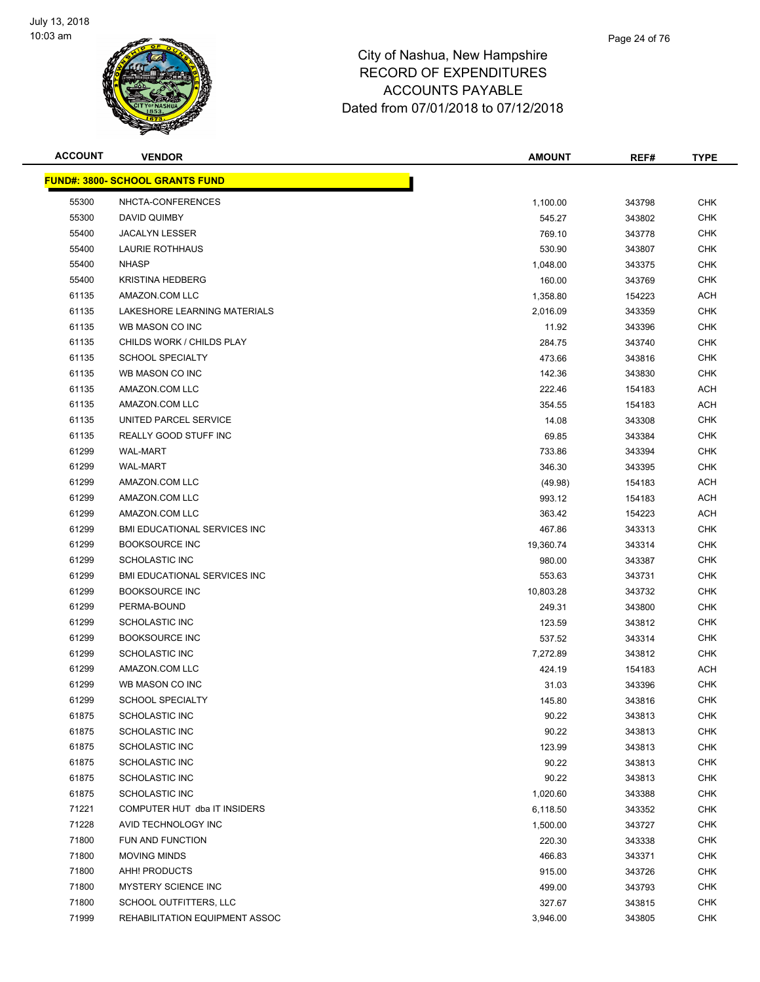

| <b>ACCOUNT</b> | <b>VENDOR</b>                          | <b>AMOUNT</b> | REF#   | <b>TYPE</b> |
|----------------|----------------------------------------|---------------|--------|-------------|
|                | <b>FUND#: 3800- SCHOOL GRANTS FUND</b> |               |        |             |
| 55300          | NHCTA-CONFERENCES                      | 1,100.00      | 343798 | <b>CHK</b>  |
| 55300          | DAVID QUIMBY                           | 545.27        | 343802 | <b>CHK</b>  |
| 55400          | <b>JACALYN LESSER</b>                  | 769.10        | 343778 | <b>CHK</b>  |
| 55400          | LAURIE ROTHHAUS                        | 530.90        | 343807 | <b>CHK</b>  |
| 55400          | <b>NHASP</b>                           | 1,048.00      | 343375 | <b>CHK</b>  |
| 55400          | <b>KRISTINA HEDBERG</b>                | 160.00        | 343769 | <b>CHK</b>  |
| 61135          | AMAZON.COM LLC                         | 1,358.80      | 154223 | <b>ACH</b>  |
| 61135          | LAKESHORE LEARNING MATERIALS           | 2,016.09      | 343359 | <b>CHK</b>  |
| 61135          | WB MASON CO INC                        | 11.92         | 343396 | <b>CHK</b>  |
| 61135          | CHILDS WORK / CHILDS PLAY              | 284.75        | 343740 | <b>CHK</b>  |
| 61135          | <b>SCHOOL SPECIALTY</b>                | 473.66        | 343816 | <b>CHK</b>  |
| 61135          | WB MASON CO INC                        | 142.36        | 343830 | <b>CHK</b>  |
| 61135          | AMAZON.COM LLC                         | 222.46        | 154183 | ACH         |
| 61135          | AMAZON.COM LLC                         | 354.55        | 154183 | ACH         |
| 61135          | UNITED PARCEL SERVICE                  | 14.08         | 343308 | <b>CHK</b>  |
| 61135          | REALLY GOOD STUFF INC                  | 69.85         | 343384 | <b>CHK</b>  |
| 61299          | WAL-MART                               | 733.86        | 343394 | <b>CHK</b>  |
| 61299          | <b>WAL-MART</b>                        | 346.30        | 343395 | <b>CHK</b>  |
| 61299          | AMAZON.COM LLC                         | (49.98)       | 154183 | <b>ACH</b>  |
| 61299          | AMAZON.COM LLC                         | 993.12        | 154183 | ACH         |
| 61299          | AMAZON.COM LLC                         | 363.42        | 154223 | ACH         |
| 61299          | <b>BMI EDUCATIONAL SERVICES INC</b>    | 467.86        | 343313 | <b>CHK</b>  |
| 61299          | <b>BOOKSOURCE INC</b>                  | 19,360.74     | 343314 | <b>CHK</b>  |
| 61299          | SCHOLASTIC INC                         | 980.00        | 343387 | <b>CHK</b>  |
| 61299          | <b>BMI EDUCATIONAL SERVICES INC</b>    | 553.63        | 343731 | <b>CHK</b>  |
| 61299          | <b>BOOKSOURCE INC</b>                  | 10,803.28     | 343732 | <b>CHK</b>  |
| 61299          | PERMA-BOUND                            | 249.31        | 343800 | <b>CHK</b>  |
| 61299          | SCHOLASTIC INC                         | 123.59        | 343812 | <b>CHK</b>  |
| 61299          | <b>BOOKSOURCE INC</b>                  | 537.52        | 343314 | <b>CHK</b>  |
| 61299          | <b>SCHOLASTIC INC</b>                  | 7,272.89      | 343812 | <b>CHK</b>  |
| 61299          | AMAZON.COM LLC                         | 424.19        | 154183 | ACH         |
| 61299          | WB MASON CO INC                        | 31.03         | 343396 | <b>CHK</b>  |
| 61299          | <b>SCHOOL SPECIALTY</b>                | 145.80        | 343816 | <b>CHK</b>  |
| 61875          | <b>SCHOLASTIC INC</b>                  | 90.22         | 343813 | <b>CHK</b>  |
| 61875          | <b>SCHOLASTIC INC</b>                  | 90.22         | 343813 | <b>CHK</b>  |
| 61875          | SCHOLASTIC INC                         | 123.99        | 343813 | <b>CHK</b>  |
| 61875          | SCHOLASTIC INC                         | 90.22         | 343813 | <b>CHK</b>  |
| 61875          | SCHOLASTIC INC                         | 90.22         | 343813 | <b>CHK</b>  |
| 61875          | SCHOLASTIC INC                         | 1,020.60      | 343388 | <b>CHK</b>  |
| 71221          | COMPUTER HUT dba IT INSIDERS           | 6,118.50      | 343352 | <b>CHK</b>  |
| 71228          | AVID TECHNOLOGY INC                    | 1,500.00      | 343727 | <b>CHK</b>  |
| 71800          | FUN AND FUNCTION                       | 220.30        | 343338 | <b>CHK</b>  |
| 71800          | <b>MOVING MINDS</b>                    | 466.83        | 343371 | <b>CHK</b>  |
| 71800          | AHH! PRODUCTS                          | 915.00        | 343726 | <b>CHK</b>  |
| 71800          | MYSTERY SCIENCE INC                    | 499.00        | 343793 | <b>CHK</b>  |
| 71800          | SCHOOL OUTFITTERS, LLC                 | 327.67        | 343815 | <b>CHK</b>  |
| 71999          | REHABILITATION EQUIPMENT ASSOC         | 3,946.00      | 343805 | <b>CHK</b>  |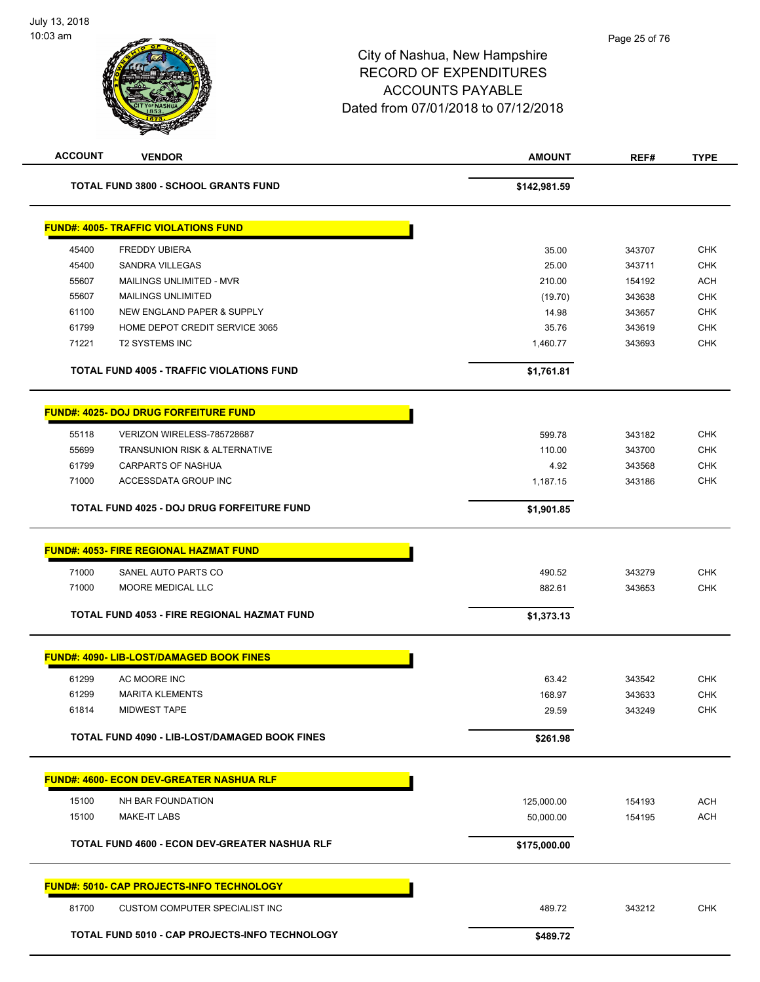| <b>ACCOUNT</b> | <b>VENDOR</b>                                    | <b>AMOUNT</b> | REF#   | <b>TYPE</b> |
|----------------|--------------------------------------------------|---------------|--------|-------------|
|                | <b>TOTAL FUND 3800 - SCHOOL GRANTS FUND</b>      | \$142,981.59  |        |             |
|                | <b>FUND#: 4005- TRAFFIC VIOLATIONS FUND</b>      |               |        |             |
| 45400          | <b>FREDDY UBIERA</b>                             | 35.00         | 343707 | <b>CHK</b>  |
| 45400          | <b>SANDRA VILLEGAS</b>                           | 25.00         | 343711 | <b>CHK</b>  |
| 55607          | MAILINGS UNLIMITED - MVR                         | 210.00        | 154192 | <b>ACH</b>  |
| 55607          | <b>MAILINGS UNLIMITED</b>                        | (19.70)       | 343638 | <b>CHK</b>  |
| 61100          | NEW ENGLAND PAPER & SUPPLY                       | 14.98         | 343657 | <b>CHK</b>  |
| 61799          | HOME DEPOT CREDIT SERVICE 3065                   | 35.76         | 343619 | <b>CHK</b>  |
| 71221          | <b>T2 SYSTEMS INC</b>                            | 1,460.77      | 343693 | <b>CHK</b>  |
|                | <b>TOTAL FUND 4005 - TRAFFIC VIOLATIONS FUND</b> | \$1,761.81    |        |             |
|                | <b>FUND#: 4025- DOJ DRUG FORFEITURE FUND</b>     |               |        |             |
| 55118          | VERIZON WIRELESS-785728687                       | 599.78        | 343182 | <b>CHK</b>  |
| 55699          | TRANSUNION RISK & ALTERNATIVE                    | 110.00        | 343700 | <b>CHK</b>  |
| 61799          | <b>CARPARTS OF NASHUA</b>                        | 4.92          | 343568 | <b>CHK</b>  |
| 71000          | ACCESSDATA GROUP INC                             | 1,187.15      | 343186 | <b>CHK</b>  |
|                | TOTAL FUND 4025 - DOJ DRUG FORFEITURE FUND       | \$1,901.85    |        |             |
|                |                                                  |               |        |             |
|                | <b>FUND#: 4053- FIRE REGIONAL HAZMAT FUND</b>    |               |        |             |
| 71000          | SANEL AUTO PARTS CO                              | 490.52        | 343279 | <b>CHK</b>  |
| 71000          | MOORE MEDICAL LLC                                | 882.61        | 343653 | <b>CHK</b>  |
|                | TOTAL FUND 4053 - FIRE REGIONAL HAZMAT FUND      | \$1,373.13    |        |             |
|                | <b>FUND#: 4090- LIB-LOST/DAMAGED BOOK FINES</b>  |               |        |             |
| 61299          | AC MOORE INC                                     | 63.42         | 343542 | <b>CHK</b>  |
| 61299          | <b>MARITA KLEMENTS</b>                           | 168.97        | 343633 | <b>CHK</b>  |
| 61814          | <b>MIDWEST TAPE</b>                              | 29.59         | 343249 | <b>CHK</b>  |
|                | TOTAL FUND 4090 - LIB-LOST/DAMAGED BOOK FINES    | \$261.98      |        |             |
|                | <b>FUND#: 4600- ECON DEV-GREATER NASHUA RLF</b>  |               |        |             |
| 15100          | NH BAR FOUNDATION                                | 125,000.00    | 154193 | <b>ACH</b>  |
| 15100          | <b>MAKE-IT LABS</b>                              | 50,000.00     | 154195 | <b>ACH</b>  |
|                |                                                  |               |        |             |
|                | TOTAL FUND 4600 - ECON DEV-GREATER NASHUA RLF    | \$175,000.00  |        |             |
|                | <b>FUND#: 5010- CAP PROJECTS-INFO TECHNOLOGY</b> |               |        |             |
| 81700          | CUSTOM COMPUTER SPECIALIST INC                   | 489.72        | 343212 | <b>CHK</b>  |
|                | TOTAL FUND 5010 - CAP PROJECTS-INFO TECHNOLOGY   | \$489.72      |        |             |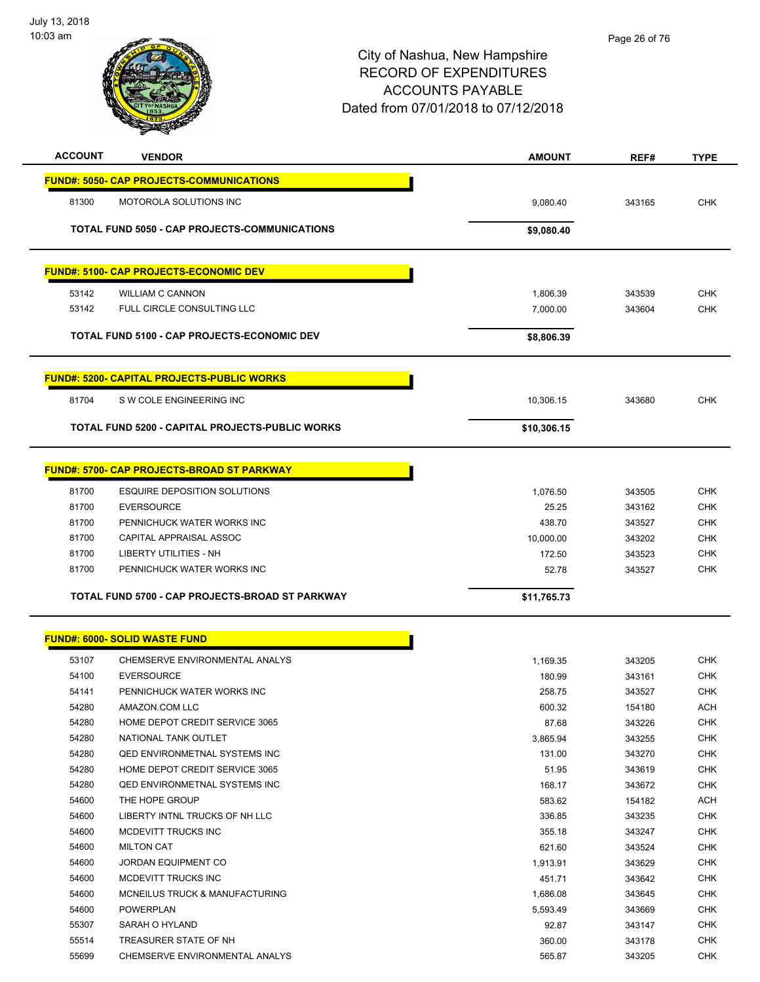

| <b>ACCOUNT</b> | <b>VENDOR</b>                                         | <b>AMOUNT</b>        | REF#             | <b>TYPE</b> |
|----------------|-------------------------------------------------------|----------------------|------------------|-------------|
|                | <b>FUND#: 5050- CAP PROJECTS-COMMUNICATIONS</b>       |                      |                  |             |
| 81300          | MOTOROLA SOLUTIONS INC                                | 9,080.40             | 343165           | <b>CHK</b>  |
|                |                                                       |                      |                  |             |
|                | <b>TOTAL FUND 5050 - CAP PROJECTS-COMMUNICATIONS</b>  | \$9,080.40           |                  |             |
|                | <b>FUND#: 5100- CAP PROJECTS-ECONOMIC DEV</b>         |                      |                  |             |
| 53142          |                                                       |                      |                  | <b>CHK</b>  |
| 53142          | <b>WILLIAM C CANNON</b><br>FULL CIRCLE CONSULTING LLC | 1,806.39<br>7,000.00 | 343539<br>343604 | <b>CHK</b>  |
|                |                                                       |                      |                  |             |
|                | TOTAL FUND 5100 - CAP PROJECTS-ECONOMIC DEV           | \$8,806.39           |                  |             |
|                | <b>FUND#: 5200- CAPITAL PROJECTS-PUBLIC WORKS</b>     |                      |                  |             |
| 81704          | S W COLE ENGINEERING INC                              | 10,306.15            | 343680           | <b>CHK</b>  |
|                |                                                       |                      |                  |             |
|                | TOTAL FUND 5200 - CAPITAL PROJECTS-PUBLIC WORKS       | \$10,306.15          |                  |             |
|                | <b>FUND#: 5700- CAP PROJECTS-BROAD ST PARKWAY</b>     |                      |                  |             |
| 81700          | <b>ESQUIRE DEPOSITION SOLUTIONS</b>                   | 1,076.50             | 343505           | <b>CHK</b>  |
| 81700          | <b>EVERSOURCE</b>                                     | 25.25                | 343162           | <b>CHK</b>  |
| 81700          | PENNICHUCK WATER WORKS INC                            | 438.70               | 343527           | <b>CHK</b>  |
| 81700          | CAPITAL APPRAISAL ASSOC                               | 10,000.00            | 343202           | <b>CHK</b>  |
| 81700          | LIBERTY UTILITIES - NH                                | 172.50               | 343523           | <b>CHK</b>  |
| 81700          | PENNICHUCK WATER WORKS INC                            | 52.78                | 343527           | <b>CHK</b>  |
|                | TOTAL FUND 5700 - CAP PROJECTS-BROAD ST PARKWAY       |                      |                  |             |
|                |                                                       | \$11,765.73          |                  |             |
|                | <b>FUND#: 6000- SOLID WASTE FUND</b>                  |                      |                  |             |
| 53107          | CHEMSERVE ENVIRONMENTAL ANALYS                        | 1,169.35             | 343205           | <b>CHK</b>  |
| 54100          | <b>EVERSOURCE</b>                                     | 180.99               | 343161           | <b>CHK</b>  |
| 54141          | PENNICHUCK WATER WORKS INC                            | 258.75               | 343527           | <b>CHK</b>  |
| 54280          | AMAZON.COM LLC                                        | 600.32               | 154180           | <b>ACH</b>  |
| 54280          | HOME DEPOT CREDIT SERVICE 3065                        | 87.68                | 343226           | CHK         |
| 54280          | NATIONAL TANK OUTLET                                  | 3,865.94             | 343255           | <b>CHK</b>  |
| 54280          | QED ENVIRONMETNAL SYSTEMS INC                         | 131.00               | 343270           | <b>CHK</b>  |
| 54280          | HOME DEPOT CREDIT SERVICE 3065                        | 51.95                | 343619           | CHK         |
| 54280          | <b>QED ENVIRONMETNAL SYSTEMS INC</b>                  | 168.17               | 343672           | <b>CHK</b>  |
| 54600          | THE HOPE GROUP                                        | 583.62               | 154182           | <b>ACH</b>  |
| 54600          | LIBERTY INTNL TRUCKS OF NH LLC                        | 336.85               | 343235           | <b>CHK</b>  |
| 54600          | MCDEVITT TRUCKS INC                                   | 355.18               | 343247           | <b>CHK</b>  |
| 54600          | <b>MILTON CAT</b>                                     | 621.60               | 343524           | <b>CHK</b>  |
| 54600          | JORDAN EQUIPMENT CO                                   | 1,913.91             | 343629           | <b>CHK</b>  |
| 54600          | MCDEVITT TRUCKS INC                                   | 451.71               | 343642           | <b>CHK</b>  |
| 54600          | MCNEILUS TRUCK & MANUFACTURING                        | 1,686.08             | 343645           | <b>CHK</b>  |
| 54600          | POWERPLAN                                             | 5,593.49             | 343669           | <b>CHK</b>  |
| 55307          | SARAH O HYLAND                                        | 92.87                | 343147           | <b>CHK</b>  |
| 55514          | TREASURER STATE OF NH                                 | 360.00               | 343178           | <b>CHK</b>  |
| 55699          | CHEMSERVE ENVIRONMENTAL ANALYS                        | 565.87               | 343205           | <b>CHK</b>  |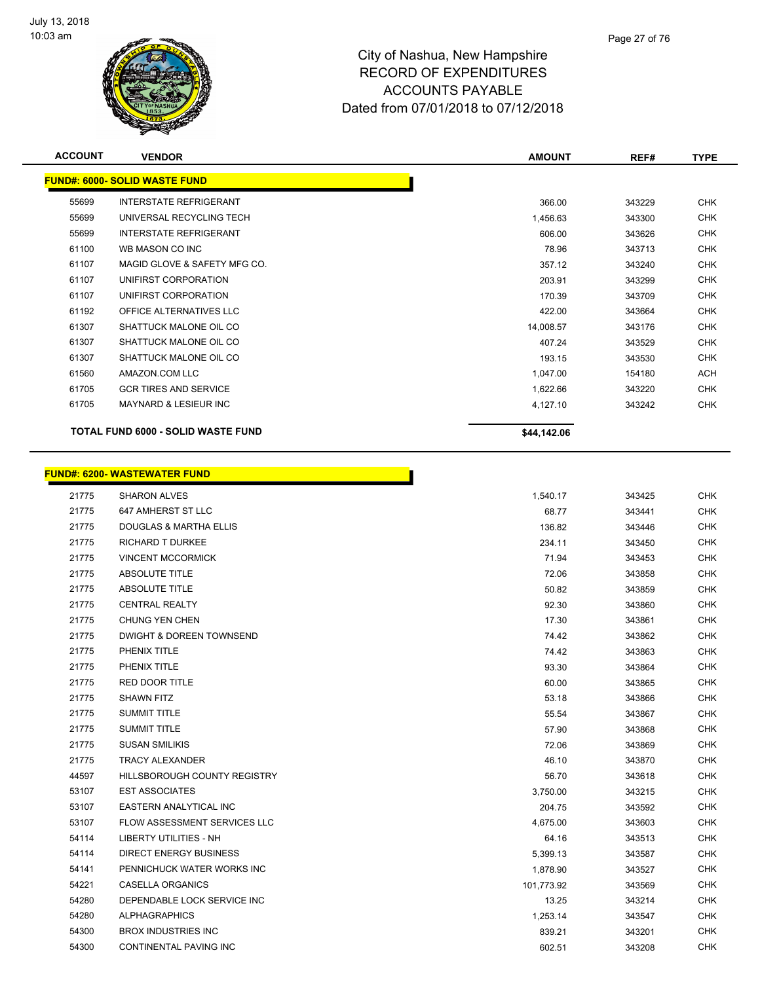

| <b>ACCOUNT</b> | <b>VENDOR</b>                             | <b>AMOUNT</b> | REF#   | <b>TYPE</b> |
|----------------|-------------------------------------------|---------------|--------|-------------|
|                | <b>FUND#: 6000- SOLID WASTE FUND</b>      |               |        |             |
| 55699          | <b>INTERSTATE REFRIGERANT</b>             | 366.00        | 343229 | <b>CHK</b>  |
| 55699          | UNIVERSAL RECYCLING TECH                  | 1,456.63      | 343300 | <b>CHK</b>  |
| 55699          | <b>INTERSTATE REFRIGERANT</b>             | 606.00        | 343626 | <b>CHK</b>  |
| 61100          | WB MASON CO INC                           | 78.96         | 343713 | <b>CHK</b>  |
| 61107          | MAGID GLOVE & SAFETY MFG CO.              | 357.12        | 343240 | <b>CHK</b>  |
| 61107          | UNIFIRST CORPORATION                      | 203.91        | 343299 | <b>CHK</b>  |
| 61107          | UNIFIRST CORPORATION                      | 170.39        | 343709 | <b>CHK</b>  |
| 61192          | OFFICE ALTERNATIVES LLC                   | 422.00        | 343664 | <b>CHK</b>  |
| 61307          | SHATTUCK MALONE OIL CO                    | 14,008.57     | 343176 | <b>CHK</b>  |
| 61307          | SHATTUCK MALONE OIL CO                    | 407.24        | 343529 | <b>CHK</b>  |
| 61307          | SHATTUCK MALONE OIL CO                    | 193.15        | 343530 | <b>CHK</b>  |
| 61560          | AMAZON.COM LLC                            | 1,047.00      | 154180 | <b>ACH</b>  |
| 61705          | <b>GCR TIRES AND SERVICE</b>              | 1,622.66      | 343220 | <b>CHK</b>  |
| 61705          | <b>MAYNARD &amp; LESIEUR INC</b>          | 4,127.10      | 343242 | <b>CHK</b>  |
|                | <b>TOTAL FUND 6000 - SOLID WASTE FUND</b> | \$44,142.06   |        |             |

Г

# **FUND#: 6200- WASTEWATER FUND**

| 21775 | <b>SHARON ALVES</b>               | 1,540.17   | 343425 | <b>CHK</b> |
|-------|-----------------------------------|------------|--------|------------|
| 21775 | 647 AMHERST ST LLC                | 68.77      | 343441 | <b>CHK</b> |
| 21775 | <b>DOUGLAS &amp; MARTHA ELLIS</b> | 136.82     | 343446 | <b>CHK</b> |
| 21775 | <b>RICHARD T DURKEE</b>           | 234.11     | 343450 | <b>CHK</b> |
| 21775 | <b>VINCENT MCCORMICK</b>          | 71.94      | 343453 | <b>CHK</b> |
| 21775 | <b>ABSOLUTE TITLE</b>             | 72.06      | 343858 | <b>CHK</b> |
| 21775 | ABSOLUTE TITLE                    | 50.82      | 343859 | <b>CHK</b> |
| 21775 | <b>CENTRAL REALTY</b>             | 92.30      | 343860 | <b>CHK</b> |
| 21775 | CHUNG YEN CHEN                    | 17.30      | 343861 | <b>CHK</b> |
| 21775 | DWIGHT & DOREEN TOWNSEND          | 74.42      | 343862 | <b>CHK</b> |
| 21775 | PHENIX TITLE                      | 74.42      | 343863 | <b>CHK</b> |
| 21775 | PHENIX TITLE                      | 93.30      | 343864 | <b>CHK</b> |
| 21775 | <b>RED DOOR TITLE</b>             | 60.00      | 343865 | <b>CHK</b> |
| 21775 | <b>SHAWN FITZ</b>                 | 53.18      | 343866 | <b>CHK</b> |
| 21775 | <b>SUMMIT TITLE</b>               | 55.54      | 343867 | <b>CHK</b> |
| 21775 | <b>SUMMIT TITLE</b>               | 57.90      | 343868 | <b>CHK</b> |
| 21775 | <b>SUSAN SMILIKIS</b>             | 72.06      | 343869 | <b>CHK</b> |
| 21775 | <b>TRACY ALEXANDER</b>            | 46.10      | 343870 | <b>CHK</b> |
| 44597 | HILLSBOROUGH COUNTY REGISTRY      | 56.70      | 343618 | <b>CHK</b> |
| 53107 | <b>EST ASSOCIATES</b>             | 3,750.00   | 343215 | <b>CHK</b> |
| 53107 | EASTERN ANALYTICAL INC            | 204.75     | 343592 | <b>CHK</b> |
| 53107 | FLOW ASSESSMENT SERVICES LLC      | 4,675.00   | 343603 | <b>CHK</b> |
| 54114 | <b>LIBERTY UTILITIES - NH</b>     | 64.16      | 343513 | <b>CHK</b> |
| 54114 | DIRECT ENERGY BUSINESS            | 5,399.13   | 343587 | <b>CHK</b> |
| 54141 | PENNICHUCK WATER WORKS INC        | 1,878.90   | 343527 | <b>CHK</b> |
| 54221 | <b>CASELLA ORGANICS</b>           | 101,773.92 | 343569 | <b>CHK</b> |
| 54280 | DEPENDABLE LOCK SERVICE INC       | 13.25      | 343214 | <b>CHK</b> |
| 54280 | <b>ALPHAGRAPHICS</b>              | 1,253.14   | 343547 | <b>CHK</b> |
| 54300 | <b>BROX INDUSTRIES INC</b>        | 839.21     | 343201 | <b>CHK</b> |
| 54300 | CONTINENTAL PAVING INC            | 602.51     | 343208 | <b>CHK</b> |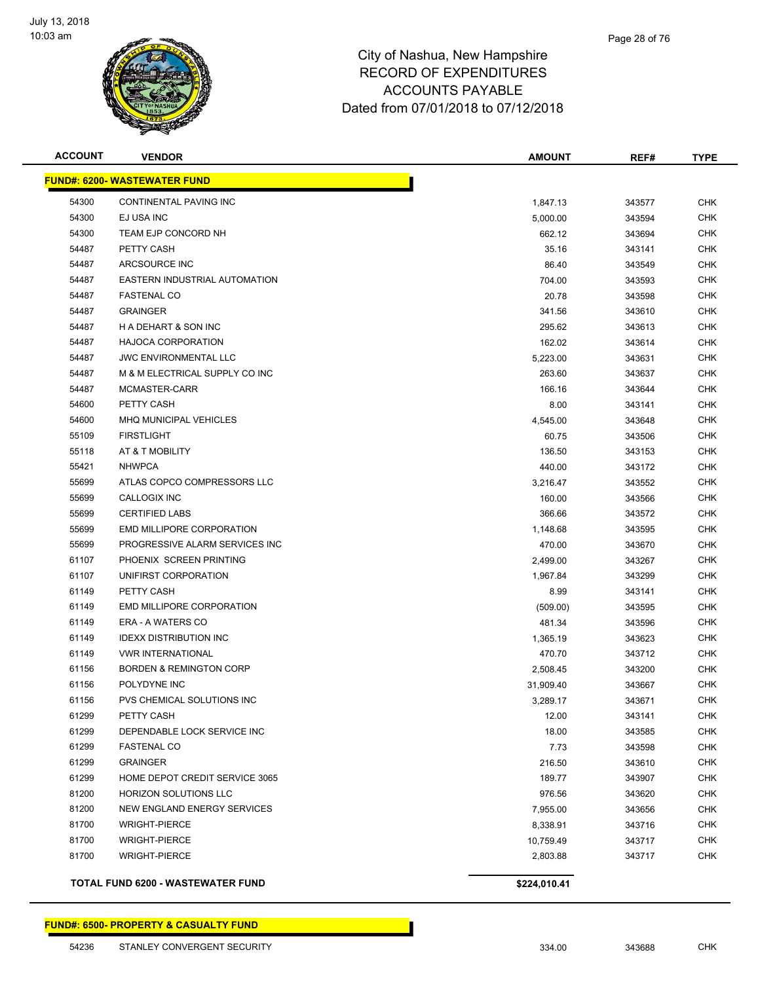

| <b>ACCOUNT</b> | <b>VENDOR</b>                            | <b>AMOUNT</b> | REF#   | <b>TYPE</b> |
|----------------|------------------------------------------|---------------|--------|-------------|
|                | <b>FUND#: 6200- WASTEWATER FUND</b>      |               |        |             |
| 54300          | CONTINENTAL PAVING INC                   | 1,847.13      | 343577 | <b>CHK</b>  |
| 54300          | EJ USA INC                               | 5,000.00      | 343594 | <b>CHK</b>  |
| 54300          | <b>TEAM EJP CONCORD NH</b>               | 662.12        | 343694 | CHK         |
| 54487          | PETTY CASH                               | 35.16         | 343141 | CHK         |
| 54487          | ARCSOURCE INC                            | 86.40         | 343549 | <b>CHK</b>  |
| 54487          | EASTERN INDUSTRIAL AUTOMATION            | 704.00        | 343593 | <b>CHK</b>  |
| 54487          | <b>FASTENAL CO</b>                       | 20.78         | 343598 | <b>CHK</b>  |
| 54487          | <b>GRAINGER</b>                          | 341.56        | 343610 | <b>CHK</b>  |
| 54487          | H A DEHART & SON INC                     | 295.62        | 343613 | <b>CHK</b>  |
| 54487          | <b>HAJOCA CORPORATION</b>                | 162.02        | 343614 | <b>CHK</b>  |
| 54487          | <b>JWC ENVIRONMENTAL LLC</b>             | 5,223.00      | 343631 | CHK         |
| 54487          | M & M ELECTRICAL SUPPLY CO INC           | 263.60        | 343637 | <b>CHK</b>  |
| 54487          | MCMASTER-CARR                            | 166.16        | 343644 | CHK         |
| 54600          | PETTY CASH                               | 8.00          | 343141 | CHK         |
| 54600          | <b>MHQ MUNICIPAL VEHICLES</b>            | 4,545.00      | 343648 | CHK         |
| 55109          | <b>FIRSTLIGHT</b>                        | 60.75         | 343506 | <b>CHK</b>  |
| 55118          | AT & T MOBILITY                          | 136.50        | 343153 | CHK         |
| 55421          | <b>NHWPCA</b>                            | 440.00        | 343172 | <b>CHK</b>  |
| 55699          | ATLAS COPCO COMPRESSORS LLC              | 3,216.47      | 343552 | <b>CHK</b>  |
| 55699          | CALLOGIX INC                             | 160.00        | 343566 | CHK         |
| 55699          | <b>CERTIFIED LABS</b>                    | 366.66        | 343572 | <b>CHK</b>  |
| 55699          | <b>EMD MILLIPORE CORPORATION</b>         | 1,148.68      | 343595 | CHK         |
| 55699          | PROGRESSIVE ALARM SERVICES INC           | 470.00        | 343670 | <b>CHK</b>  |
| 61107          | PHOENIX SCREEN PRINTING                  | 2,499.00      | 343267 | <b>CHK</b>  |
| 61107          | UNIFIRST CORPORATION                     | 1,967.84      | 343299 | CHK         |
| 61149          | PETTY CASH                               | 8.99          | 343141 | <b>CHK</b>  |
| 61149          | EMD MILLIPORE CORPORATION                | (509.00)      | 343595 | <b>CHK</b>  |
| 61149          | <b>ERA - A WATERS CO</b>                 | 481.34        | 343596 | <b>CHK</b>  |
| 61149          | <b>IDEXX DISTRIBUTION INC</b>            | 1,365.19      | 343623 | <b>CHK</b>  |
| 61149          | <b>VWR INTERNATIONAL</b>                 | 470.70        | 343712 | <b>CHK</b>  |
| 61156          | <b>BORDEN &amp; REMINGTON CORP</b>       | 2,508.45      | 343200 | <b>CHK</b>  |
| 61156          | POLYDYNE INC                             | 31,909.40     | 343667 | CHK         |
| 61156          | PVS CHEMICAL SOLUTIONS INC               | 3,289.17      | 343671 | CHK         |
| 61299          | PETTY CASH                               | 12.00         | 343141 | <b>CHK</b>  |
| 61299          | DEPENDABLE LOCK SERVICE INC              | 18.00         | 343585 | <b>CHK</b>  |
| 61299          | <b>FASTENAL CO</b>                       | 7.73          | 343598 | <b>CHK</b>  |
| 61299          | <b>GRAINGER</b>                          | 216.50        | 343610 | <b>CHK</b>  |
| 61299          | HOME DEPOT CREDIT SERVICE 3065           | 189.77        | 343907 | <b>CHK</b>  |
| 81200          | <b>HORIZON SOLUTIONS LLC</b>             | 976.56        | 343620 | <b>CHK</b>  |
| 81200          | <b>NEW ENGLAND ENERGY SERVICES</b>       | 7,955.00      | 343656 | <b>CHK</b>  |
| 81700          | <b>WRIGHT-PIERCE</b>                     | 8,338.91      | 343716 | <b>CHK</b>  |
| 81700          | <b>WRIGHT-PIERCE</b>                     | 10,759.49     | 343717 | <b>CHK</b>  |
| 81700          | <b>WRIGHT-PIERCE</b>                     | 2,803.88      | 343717 | <b>CHK</b>  |
|                | <b>TOTAL FUND 6200 - WASTEWATER FUND</b> | \$224,010.41  |        |             |

**FUND#: 6500- PROPERTY & CASUALTY FUND**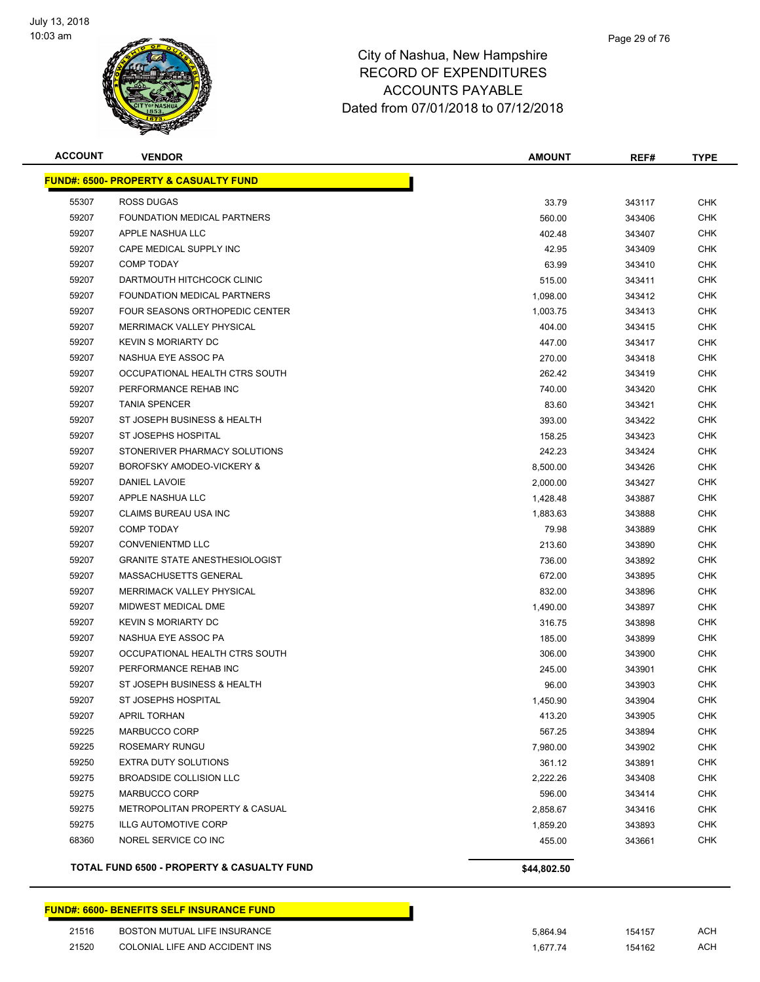

| <b>ACCOUNT</b> | <b>VENDOR</b>                                    | <b>AMOUNT</b> | REF#   | <b>TYPE</b> |
|----------------|--------------------------------------------------|---------------|--------|-------------|
|                | <b>FUND#: 6500- PROPERTY &amp; CASUALTY FUND</b> |               |        |             |
| 55307          | ROSS DUGAS                                       | 33.79         | 343117 | CHK         |
| 59207          | FOUNDATION MEDICAL PARTNERS                      | 560.00        | 343406 | <b>CHK</b>  |
| 59207          | APPLE NASHUA LLC                                 | 402.48        | 343407 | CHK         |
| 59207          | CAPE MEDICAL SUPPLY INC                          | 42.95         | 343409 | CHK         |
| 59207          | <b>COMP TODAY</b>                                | 63.99         | 343410 | <b>CHK</b>  |
| 59207          | DARTMOUTH HITCHCOCK CLINIC                       | 515.00        | 343411 | CHK         |
| 59207          | FOUNDATION MEDICAL PARTNERS                      | 1,098.00      | 343412 | CHK         |
| 59207          | FOUR SEASONS ORTHOPEDIC CENTER                   | 1,003.75      | 343413 | CHK         |
| 59207          | MERRIMACK VALLEY PHYSICAL                        | 404.00        | 343415 | CHK         |
| 59207          | <b>KEVIN S MORIARTY DC</b>                       | 447.00        | 343417 | CHK         |
| 59207          | NASHUA EYE ASSOC PA                              | 270.00        | 343418 | CHK         |
| 59207          | OCCUPATIONAL HEALTH CTRS SOUTH                   | 262.42        | 343419 | CHK         |
| 59207          | PERFORMANCE REHAB INC                            | 740.00        | 343420 | CHK         |
| 59207          | <b>TANIA SPENCER</b>                             | 83.60         | 343421 | CHK         |
| 59207          | ST JOSEPH BUSINESS & HEALTH                      | 393.00        | 343422 | CHK         |
| 59207          | ST JOSEPHS HOSPITAL                              | 158.25        | 343423 | CHK         |
| 59207          | STONERIVER PHARMACY SOLUTIONS                    | 242.23        | 343424 | CHK         |
| 59207          | BOROFSKY AMODEO-VICKERY &                        | 8,500.00      | 343426 | CHK         |
| 59207          | DANIEL LAVOIE                                    | 2,000.00      | 343427 | <b>CHK</b>  |
| 59207          | APPLE NASHUA LLC                                 | 1,428.48      | 343887 | CHK         |
| 59207          | CLAIMS BUREAU USA INC                            | 1,883.63      | 343888 | <b>CHK</b>  |
| 59207          | <b>COMP TODAY</b>                                | 79.98         | 343889 | CHK         |
| 59207          | <b>CONVENIENTMD LLC</b>                          | 213.60        | 343890 | CHK         |
| 59207          | <b>GRANITE STATE ANESTHESIOLOGIST</b>            | 736.00        | 343892 | CHK         |
| 59207          | MASSACHUSETTS GENERAL                            | 672.00        | 343895 | CHK         |
| 59207          | MERRIMACK VALLEY PHYSICAL                        | 832.00        | 343896 | <b>CHK</b>  |
| 59207          | MIDWEST MEDICAL DME                              | 1,490.00      | 343897 | CHK         |
| 59207          | <b>KEVIN S MORIARTY DC</b>                       | 316.75        | 343898 | CHK         |
| 59207          | NASHUA EYE ASSOC PA                              | 185.00        | 343899 | CHK         |
| 59207          | OCCUPATIONAL HEALTH CTRS SOUTH                   | 306.00        | 343900 | <b>CHK</b>  |
| 59207          | PERFORMANCE REHAB INC                            | 245.00        | 343901 | CHK         |
| 59207          | ST JOSEPH BUSINESS & HEALTH                      | 96.00         | 343903 | CHK         |
| 59207          | ST JOSEPHS HOSPITAL                              | 1,450.90      | 343904 | CHK         |
| 59207          | APRIL TORHAN                                     | 413.20        | 343905 | <b>CHK</b>  |
| 59225          | MARBUCCO CORP                                    | 567.25        | 343894 | <b>CHK</b>  |
| 59225          | ROSEMARY RUNGU                                   | 7,980.00      | 343902 | CHK         |
| 59250          | <b>EXTRA DUTY SOLUTIONS</b>                      | 361.12        | 343891 | <b>CHK</b>  |
| 59275          | BROADSIDE COLLISION LLC                          | 2,222.26      | 343408 | <b>CHK</b>  |
| 59275          | MARBUCCO CORP                                    | 596.00        | 343414 | <b>CHK</b>  |
| 59275          | METROPOLITAN PROPERTY & CASUAL                   | 2,858.67      | 343416 | <b>CHK</b>  |
| 59275          | <b>ILLG AUTOMOTIVE CORP</b>                      | 1,859.20      | 343893 | <b>CHK</b>  |
| 68360          | NOREL SERVICE CO INC                             | 455.00        | 343661 | <b>CHK</b>  |
|                | TOTAL FUND 6500 - PROPERTY & CASUALTY FUND       | \$44,802.50   |        |             |
|                |                                                  |               |        |             |

# **FUND#: 6600- BENEFITS SELF INSURANCE FUND**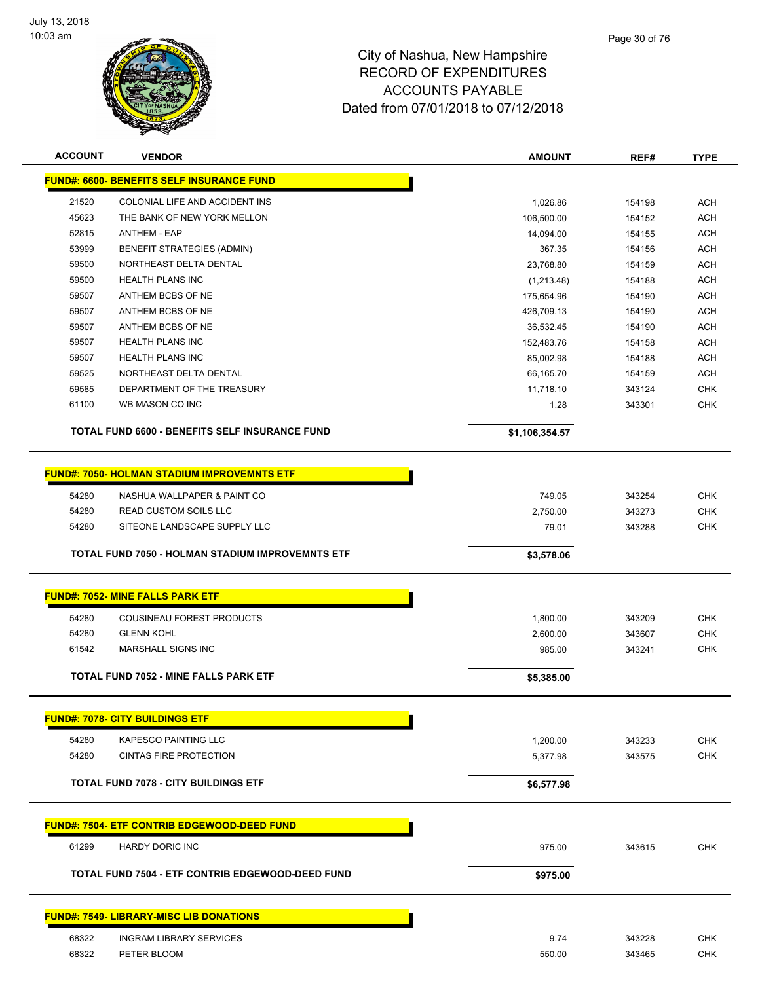

| <b>ACCOUNT</b> | <b>VENDOR</b>                                               | <b>AMOUNT</b>  | REF#   | <b>TYPE</b>              |
|----------------|-------------------------------------------------------------|----------------|--------|--------------------------|
|                | FUND#: 6600- BENEFITS SELF INSURANCE FUND                   |                |        |                          |
| 21520          | COLONIAL LIFE AND ACCIDENT INS                              | 1,026.86       | 154198 | <b>ACH</b>               |
| 45623          | THE BANK OF NEW YORK MELLON                                 | 106,500.00     | 154152 | <b>ACH</b>               |
| 52815          | <b>ANTHEM - EAP</b>                                         | 14,094.00      | 154155 | <b>ACH</b>               |
| 53999          | BENEFIT STRATEGIES (ADMIN)                                  | 367.35         | 154156 | <b>ACH</b>               |
| 59500          | NORTHEAST DELTA DENTAL                                      | 23,768.80      | 154159 | <b>ACH</b>               |
| 59500          | <b>HEALTH PLANS INC</b>                                     | (1,213.48)     | 154188 | <b>ACH</b>               |
| 59507          | ANTHEM BCBS OF NE                                           | 175,654.96     | 154190 | <b>ACH</b>               |
| 59507          | ANTHEM BCBS OF NE                                           | 426,709.13     | 154190 | <b>ACH</b>               |
| 59507          | ANTHEM BCBS OF NE                                           | 36,532.45      | 154190 | <b>ACH</b>               |
| 59507          | <b>HEALTH PLANS INC</b>                                     | 152,483.76     | 154158 | <b>ACH</b>               |
| 59507          | <b>HEALTH PLANS INC</b>                                     | 85,002.98      | 154188 | <b>ACH</b>               |
| 59525          | NORTHEAST DELTA DENTAL                                      | 66,165.70      | 154159 | <b>ACH</b>               |
| 59585          | DEPARTMENT OF THE TREASURY                                  | 11,718.10      | 343124 | <b>CHK</b>               |
| 61100          | WB MASON CO INC                                             | 1.28           | 343301 | <b>CHK</b>               |
|                | TOTAL FUND 6600 - BENEFITS SELF INSURANCE FUND              | \$1,106,354.57 |        |                          |
|                | <b>FUND#: 7050- HOLMAN STADIUM IMPROVEMNTS ETF</b>          |                |        |                          |
|                |                                                             |                |        |                          |
| 54280<br>54280 | NASHUA WALLPAPER & PAINT CO<br><b>READ CUSTOM SOILS LLC</b> | 749.05         | 343254 | <b>CHK</b><br><b>CHK</b> |
| 54280          | SITEONE LANDSCAPE SUPPLY LLC                                | 2,750.00       | 343273 | <b>CHK</b>               |
|                |                                                             | 79.01          | 343288 |                          |
|                | TOTAL FUND 7050 - HOLMAN STADIUM IMPROVEMNTS ETF            | \$3,578.06     |        |                          |
|                | FUND#: 7052- MINE FALLS PARK ETF                            |                |        |                          |
| 54280          | COUSINEAU FOREST PRODUCTS                                   | 1,800.00       | 343209 | <b>CHK</b>               |
| 54280          | <b>GLENN KOHL</b>                                           | 2,600.00       | 343607 | CHK                      |
| 61542          | <b>MARSHALL SIGNS INC</b>                                   | 985.00         | 343241 | <b>CHK</b>               |
|                |                                                             |                |        |                          |
|                | TOTAL FUND 7052 - MINE FALLS PARK ETF                       | \$5,385.00     |        |                          |
|                | <b>FUND#: 7078- CITY BUILDINGS ETF</b>                      |                |        |                          |
| 54280          | <b>KAPESCO PAINTING LLC</b>                                 | 1,200.00       | 343233 | <b>CHK</b>               |
| 54280          | <b>CINTAS FIRE PROTECTION</b>                               | 5,377.98       | 343575 | <b>CHK</b>               |
|                | <b>TOTAL FUND 7078 - CITY BUILDINGS ETF</b>                 | \$6,577.98     |        |                          |
|                | <u> FUND#: 7504- ETF CONTRIB EDGEWOOD-DEED FUND</u>         |                |        |                          |
| 61299          | HARDY DORIC INC                                             | 975.00         | 343615 | <b>CHK</b>               |
|                |                                                             |                |        |                          |
|                | TOTAL FUND 7504 - ETF CONTRIB EDGEWOOD-DEED FUND            | \$975.00       |        |                          |
|                | <b>FUND#: 7549- LIBRARY-MISC LIB DONATIONS</b>              |                |        |                          |
| 68322          | <b>INGRAM LIBRARY SERVICES</b>                              | 9.74           | 343228 | <b>CHK</b>               |
| 68322          | PETER BLOOM                                                 | 550.00         | 343465 | <b>CHK</b>               |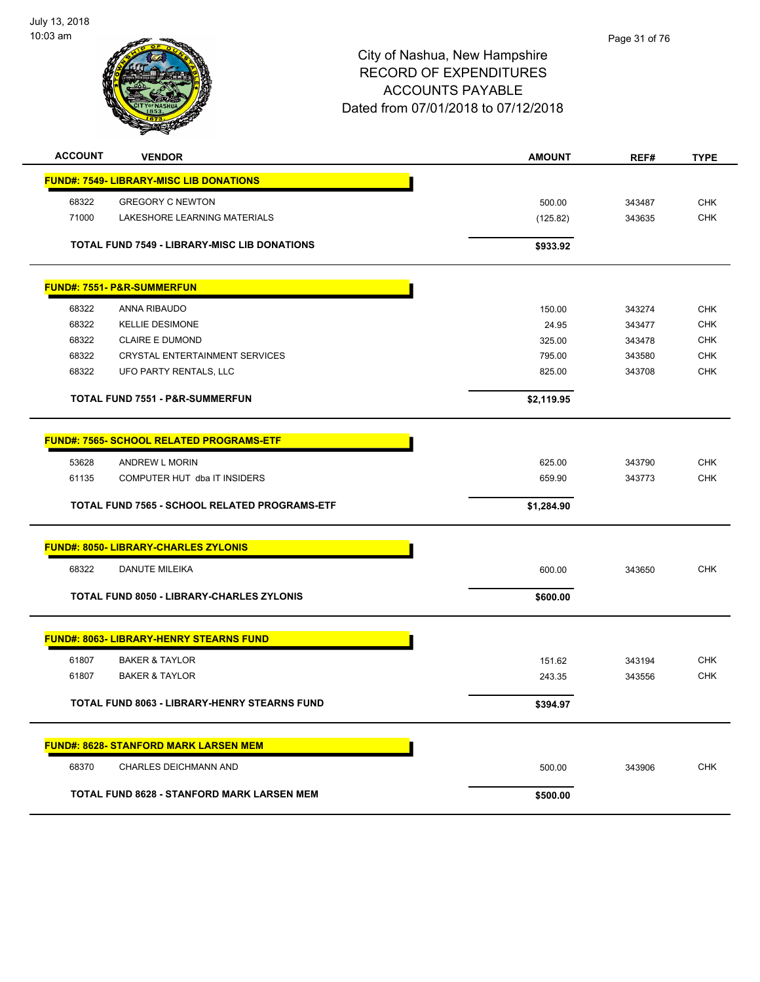

| <b>ACCOUNT</b> | <b>VENDOR</b>                                       | <b>AMOUNT</b> | REF#   | <b>TYPE</b> |
|----------------|-----------------------------------------------------|---------------|--------|-------------|
|                | <b>FUND#: 7549- LIBRARY-MISC LIB DONATIONS</b>      |               |        |             |
| 68322          | <b>GREGORY C NEWTON</b>                             | 500.00        | 343487 | <b>CHK</b>  |
| 71000          | LAKESHORE LEARNING MATERIALS                        | (125.82)      | 343635 | <b>CHK</b>  |
|                | <b>TOTAL FUND 7549 - LIBRARY-MISC LIB DONATIONS</b> | \$933.92      |        |             |
|                | <b>FUND#: 7551- P&amp;R-SUMMERFUN</b>               |               |        |             |
| 68322          | ANNA RIBAUDO                                        | 150.00        | 343274 | <b>CHK</b>  |
| 68322          | <b>KELLIE DESIMONE</b>                              | 24.95         | 343477 | <b>CHK</b>  |
| 68322          | <b>CLAIRE E DUMOND</b>                              | 325.00        | 343478 | <b>CHK</b>  |
| 68322          | <b>CRYSTAL ENTERTAINMENT SERVICES</b>               | 795.00        | 343580 | <b>CHK</b>  |
| 68322          | UFO PARTY RENTALS, LLC                              | 825.00        | 343708 | <b>CHK</b>  |
|                | <b>TOTAL FUND 7551 - P&amp;R-SUMMERFUN</b>          | \$2,119.95    |        |             |
|                | <b>FUND#: 7565- SCHOOL RELATED PROGRAMS-ETF</b>     |               |        |             |
| 53628          | ANDREW L MORIN                                      | 625.00        | 343790 | <b>CHK</b>  |
| 61135          | COMPUTER HUT dba IT INSIDERS                        | 659.90        | 343773 | <b>CHK</b>  |
|                | TOTAL FUND 7565 - SCHOOL RELATED PROGRAMS-ETF       | \$1,284.90    |        |             |
|                | <b>FUND#: 8050- LIBRARY-CHARLES ZYLONIS</b>         |               |        |             |
| 68322          | DANUTE MILEIKA                                      | 600.00        | 343650 | <b>CHK</b>  |
|                | <b>TOTAL FUND 8050 - LIBRARY-CHARLES ZYLONIS</b>    | \$600.00      |        |             |
|                | <b>FUND#: 8063- LIBRARY-HENRY STEARNS FUND</b>      |               |        |             |
| 61807          | <b>BAKER &amp; TAYLOR</b>                           | 151.62        | 343194 | <b>CHK</b>  |
| 61807          | <b>BAKER &amp; TAYLOR</b>                           | 243.35        | 343556 | <b>CHK</b>  |
|                | TOTAL FUND 8063 - LIBRARY-HENRY STEARNS FUND        | \$394.97      |        |             |
|                |                                                     |               |        |             |
|                | <b>FUND#: 8628- STANFORD MARK LARSEN MEM</b>        |               |        |             |
| 68370          | CHARLES DEICHMANN AND                               | 500.00        | 343906 | <b>CHK</b>  |
|                | <b>TOTAL FUND 8628 - STANFORD MARK LARSEN MEM</b>   | \$500.00      |        |             |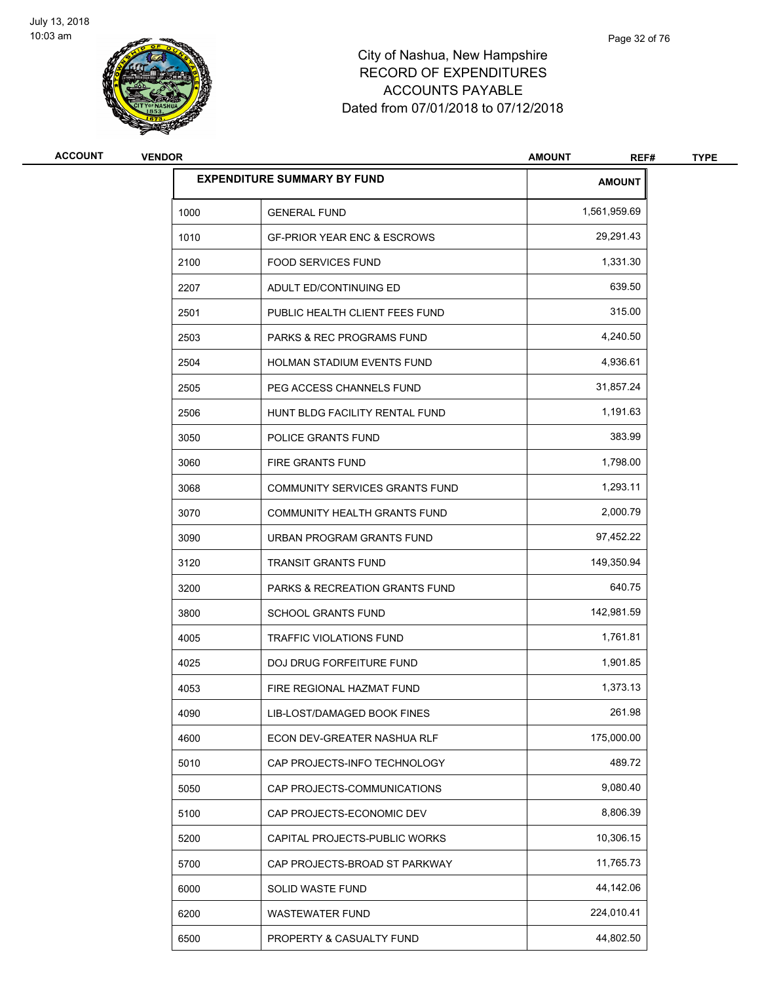

| <b>ACCOUNT</b> | <b>VENDOR</b> |                                        | <b>AMOUNT</b><br>REF# | <b>TYPE</b> |
|----------------|---------------|----------------------------------------|-----------------------|-------------|
|                |               | <b>EXPENDITURE SUMMARY BY FUND</b>     | <b>AMOUNT</b>         |             |
|                | 1000          | <b>GENERAL FUND</b>                    | 1,561,959.69          |             |
|                | 1010          | <b>GF-PRIOR YEAR ENC &amp; ESCROWS</b> | 29,291.43             |             |
|                | 2100          | <b>FOOD SERVICES FUND</b>              | 1,331.30              |             |
|                | 2207          | ADULT ED/CONTINUING ED                 | 639.50                |             |
|                | 2501          | PUBLIC HEALTH CLIENT FEES FUND         | 315.00                |             |
|                | 2503          | <b>PARKS &amp; REC PROGRAMS FUND</b>   | 4,240.50              |             |
|                | 2504          | HOLMAN STADIUM EVENTS FUND             | 4,936.61              |             |
|                | 2505          | PEG ACCESS CHANNELS FUND               | 31,857.24             |             |
|                | 2506          | HUNT BLDG FACILITY RENTAL FUND         | 1,191.63              |             |
|                | 3050          | POLICE GRANTS FUND                     | 383.99                |             |
|                | 3060          | FIRE GRANTS FUND                       | 1,798.00              |             |
|                | 3068          | COMMUNITY SERVICES GRANTS FUND         | 1,293.11              |             |
|                | 3070          | COMMUNITY HEALTH GRANTS FUND           | 2,000.79              |             |
|                | 3090          | URBAN PROGRAM GRANTS FUND              | 97,452.22             |             |
|                | 3120          | <b>TRANSIT GRANTS FUND</b>             | 149,350.94            |             |
|                | 3200          | PARKS & RECREATION GRANTS FUND         | 640.75                |             |
|                | 3800          | <b>SCHOOL GRANTS FUND</b>              | 142,981.59            |             |
|                | 4005          | <b>TRAFFIC VIOLATIONS FUND</b>         | 1,761.81              |             |
|                | 4025          | <b>DOJ DRUG FORFEITURE FUND</b>        | 1,901.85              |             |
|                | 4053          | FIRE REGIONAL HAZMAT FUND              | 1,373.13              |             |
|                | 4090          | LIB-LOST/DAMAGED BOOK FINES            | 261.98                |             |
|                | 4600          | ECON DEV-GREATER NASHUA RLF            | 175,000.00            |             |
|                | 5010          | CAP PROJECTS-INFO TECHNOLOGY           | 489.72                |             |
|                | 5050          | CAP PROJECTS-COMMUNICATIONS            | 9,080.40              |             |
|                | 5100          | CAP PROJECTS-ECONOMIC DEV              | 8,806.39              |             |
|                | 5200          | CAPITAL PROJECTS-PUBLIC WORKS          | 10,306.15             |             |
|                | 5700          | CAP PROJECTS-BROAD ST PARKWAY          | 11,765.73             |             |
|                | 6000          | SOLID WASTE FUND                       | 44,142.06             |             |
|                | 6200          | <b>WASTEWATER FUND</b>                 | 224,010.41            |             |
|                | 6500          | PROPERTY & CASUALTY FUND               | 44,802.50             |             |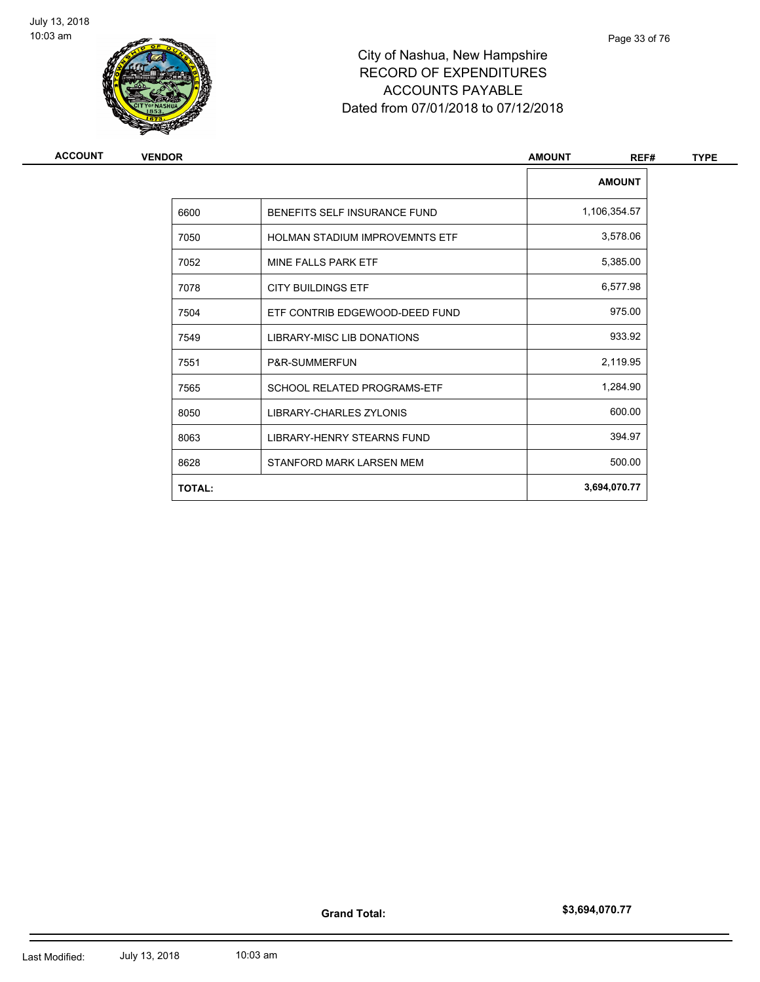

| ACCOUNT | <b>VENDOR</b> |                                       |               | <b>TYPE</b> |
|---------|---------------|---------------------------------------|---------------|-------------|
|         |               |                                       | <b>AMOUNT</b> |             |
|         | 6600          | BENEFITS SELF INSURANCE FUND          | 1,106,354.57  |             |
|         | 7050          | <b>HOLMAN STADIUM IMPROVEMNTS ETF</b> | 3,578.06      |             |
|         | 7052          | MINE FALLS PARK ETF                   | 5,385.00      |             |
|         | 7078          | <b>CITY BUILDINGS ETF</b>             | 6,577.98      |             |
|         | 7504          | ETF CONTRIB EDGEWOOD-DEED FUND        | 975.00        |             |
|         | 7549          | LIBRARY-MISC LIB DONATIONS            | 933.92        |             |
|         | 7551          | P&R-SUMMERFUN                         | 2,119.95      |             |
|         | 7565          | SCHOOL RELATED PROGRAMS-ETF           | 1,284.90      |             |
|         | 8050          | LIBRARY-CHARLES ZYLONIS               | 600.00        |             |
|         | 8063          | LIBRARY-HENRY STEARNS FUND            | 394.97        |             |
|         | 8628          | STANFORD MARK LARSEN MEM              | 500.00        |             |
|         | <b>TOTAL:</b> |                                       | 3,694,070.77  |             |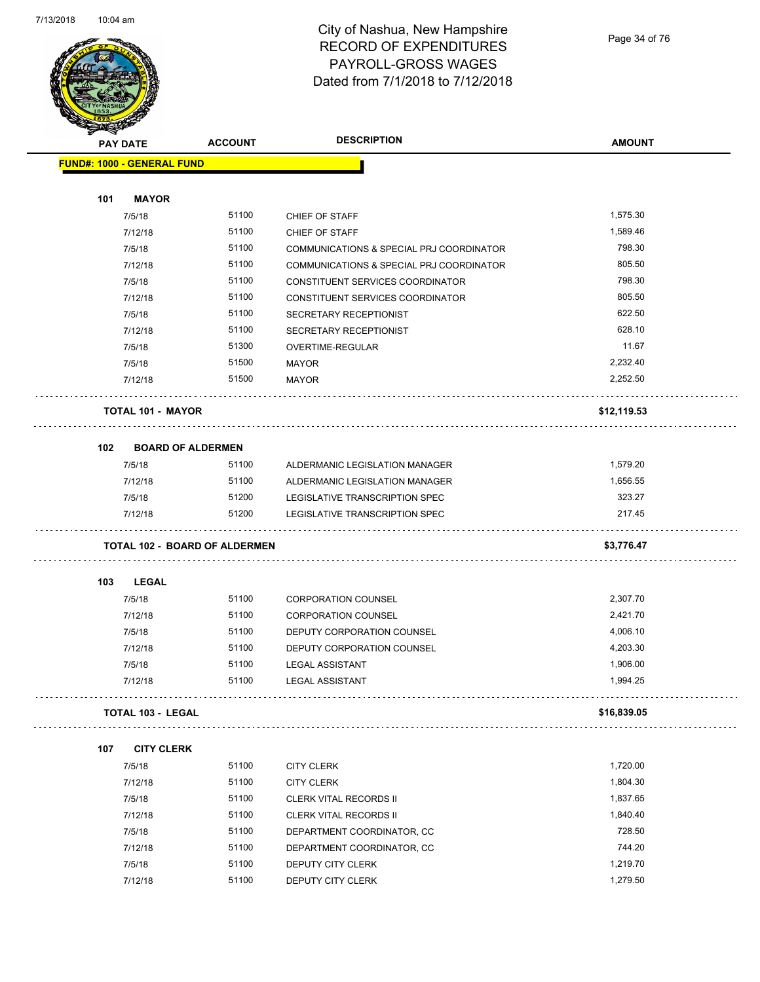![](_page_33_Picture_1.jpeg)

#### City of Nashua, New Hampshire RECORD OF EXPENDITURES PAYROLL-GROSS WAGES Dated from 7/1/2018 to 7/12/2018

Page 34 of 76

| <b>PAY DATE</b>                   | <b>ACCOUNT</b>                    | <b>DESCRIPTION</b>                              | <b>AMOUNT</b> |
|-----------------------------------|-----------------------------------|-------------------------------------------------|---------------|
| <b>FUND#: 1000 - GENERAL FUND</b> |                                   |                                                 |               |
| 101                               | <b>MAYOR</b>                      |                                                 |               |
| 7/5/18                            | 51100                             | CHIEF OF STAFF                                  | 1,575.30      |
| 7/12/18                           | 51100                             | CHIEF OF STAFF                                  | 1,589.46      |
| 7/5/18                            | 51100                             | COMMUNICATIONS & SPECIAL PRJ COORDINATOR        | 798.30        |
| 7/12/18                           | 51100                             | COMMUNICATIONS & SPECIAL PRJ COORDINATOR        | 805.50        |
| 7/5/18                            | 51100                             | CONSTITUENT SERVICES COORDINATOR                | 798.30        |
| 7/12/18                           | 51100                             | CONSTITUENT SERVICES COORDINATOR                | 805.50        |
| 7/5/18                            | 51100                             | SECRETARY RECEPTIONIST                          | 622.50        |
| 7/12/18                           | 51100                             | SECRETARY RECEPTIONIST                          | 628.10        |
| 7/5/18                            | 51300                             | OVERTIME-REGULAR                                | 11.67         |
| 7/5/18                            | 51500                             | MAYOR                                           | 2,232.40      |
| 7/12/18                           | 51500                             | <b>MAYOR</b>                                    | 2,252.50      |
|                                   |                                   |                                                 |               |
|                                   | TOTAL 101 - MAYOR                 |                                                 | \$12,119.53   |
|                                   |                                   |                                                 |               |
| 102<br>7/5/18                     | <b>BOARD OF ALDERMEN</b><br>51100 | ALDERMANIC LEGISLATION MANAGER                  | 1,579.20      |
| 7/12/18                           | 51100                             | ALDERMANIC LEGISLATION MANAGER                  | 1,656.55      |
| 7/5/18                            | 51200                             | LEGISLATIVE TRANSCRIPTION SPEC                  | 323.27        |
| 7/12/18                           | 51200                             | LEGISLATIVE TRANSCRIPTION SPEC                  | 217.45        |
|                                   | TOTAL 102 - BOARD OF ALDERMEN     |                                                 | \$3,776.47    |
|                                   |                                   |                                                 |               |
| 103<br><b>LEGAL</b>               |                                   |                                                 |               |
| 7/5/18                            | 51100                             | <b>CORPORATION COUNSEL</b>                      | 2,307.70      |
| 7/12/18                           | 51100                             | <b>CORPORATION COUNSEL</b>                      | 2,421.70      |
| 7/5/18                            | 51100                             | DEPUTY CORPORATION COUNSEL                      | 4,006.10      |
| 7/12/18                           | 51100                             | DEPUTY CORPORATION COUNSEL                      | 4,203.30      |
| 7/5/18                            | 51100                             | <b>LEGAL ASSISTANT</b>                          | 1,906.00      |
| 7/12/18                           | 51100                             | <b>LEGAL ASSISTANT</b>                          | 1,994.25      |
|                                   | <b>TOTAL 103 - LEGAL</b>          |                                                 | \$16,839.05   |
| 107                               | <b>CITY CLERK</b>                 |                                                 |               |
| 7/5/18                            | 51100                             | <b>CITY CLERK</b>                               | 1,720.00      |
| 7/12/18                           | 51100                             | <b>CITY CLERK</b>                               | 1,804.30      |
| 7/5/18                            | 51100                             | <b>CLERK VITAL RECORDS II</b>                   | 1,837.65      |
| 7/12/18                           | 51100                             | CLERK VITAL RECORDS II                          | 1,840.40      |
|                                   | 51100                             | DEPARTMENT COORDINATOR, CC                      | 728.50        |
| 7/5/18                            |                                   |                                                 |               |
| 7/12/18                           | 51100                             |                                                 | 744.20        |
| 7/5/18                            | 51100                             | DEPARTMENT COORDINATOR, CC<br>DEPUTY CITY CLERK | 1,219.70      |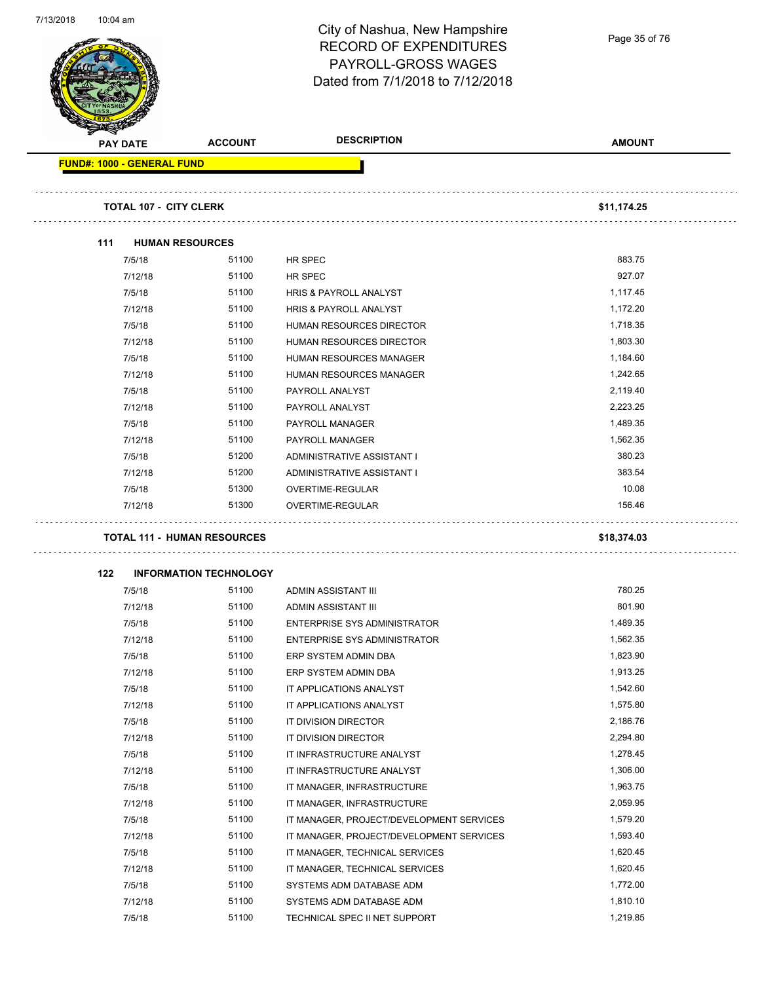![](_page_34_Picture_1.jpeg)

Page 35 of 76

**PAY DATE ACCOUNT DESCRIPTION AMOUNT FUND#: 1000 - GENERAL FUND TOTAL 107 - CITY CLERK \$11,174.25 111 HUMAN RESOURCES** 7/5/18 51100 HR SPEC 883.75 7/12/18 51100 HR SPEC 927.07 7/5/18 51100 HRIS & PAYROLL ANALYST 1,117.45 7/12/18 51100 HRIS & PAYROLL ANALYST 5 1,172.20 7/5/18 51100 HUMAN RESOURCES DIRECTOR 1,718.35 T/12/18 51100 HUMAN RESOURCES DIRECTOR 1,803.30 7/5/18 51100 HUMAN RESOURCES MANAGER 1,184.60 7/12/18 51100 HUMAN RESOURCES MANAGER 1,242.65 7/5/18 51100 PAYROLL ANALYST 2,119.40 7/12/18 51100 PAYROLL ANALYST 2,223.25 7/5/18 51100 PAYROLL MANAGER 1,489.35 7/12/18 51100 PAYROLL MANAGER 1,562.35 7/5/18 51200 ADMINISTRATIVE ASSISTANT I 380.23 7/12/18 51200 ADMINISTRATIVE ASSISTANT I 383.54 7/5/18 51300 OVERTIME-REGULAR 10.08 7/12/18 51300 OVERTIME-REGULAR 156.46 **TOTAL 111 - HUMAN RESOURCES \$18,374.03 122 INFORMATION TECHNOLOGY** 7/5/18 51100 ADMIN ASSISTANT III 780.25 7/12/18 51100 ADMIN ASSISTANT III 801.90 7/5/18 51100 ENTERPRISE SYS ADMINISTRATOR 1,489.35 7/12/18 51100 ENTERPRISE SYS ADMINISTRATOR 1,562.35 7/5/18 51100 ERP SYSTEM ADMIN DBA 1,823.90 7/12/18 51100 ERP SYSTEM ADMIN DBA 1,913.25 7/5/18 51100 IT APPLICATIONS ANALYST 1,542.60 7/12/18 51100 IT APPLICATIONS ANALYST **1,575.80** 1,575.80 7/5/18 51100 IT DIVISION DIRECTOR 2,186.76 7/12/18 51100 IT DIVISION DIRECTOR 2,294.80 T/5/18 51100 IT INFRASTRUCTURE ANALYST 1,278.45 7/12/18 51100 IT INFRASTRUCTURE ANALYST 1,306.00 7/5/18 51100 IT MANAGER, INFRASTRUCTURE 1,963.75 7/12/18 51100 IT MANAGER, INFRASTRUCTURE 2,059.95 7/5/18 51100 IT MANAGER, PROJECT/DEVELOPMENT SERVICES 1,579.20 7/12/18 51100 IT MANAGER, PROJECT/DEVELOPMENT SERVICES 1,593.40

> 7/5/18 51100 IT MANAGER, TECHNICAL SERVICES 1,620.45 7/12/18 51100 IT MANAGER, TECHNICAL SERVICES 1,620.45 7/5/18 51100 SYSTEMS ADM DATABASE ADM 1,772.00 7/12/18 51100 SYSTEMS ADM DATABASE ADM 1,810.10 7/5/18 51100 TECHNICAL SPEC II NET SUPPORT 1,219.85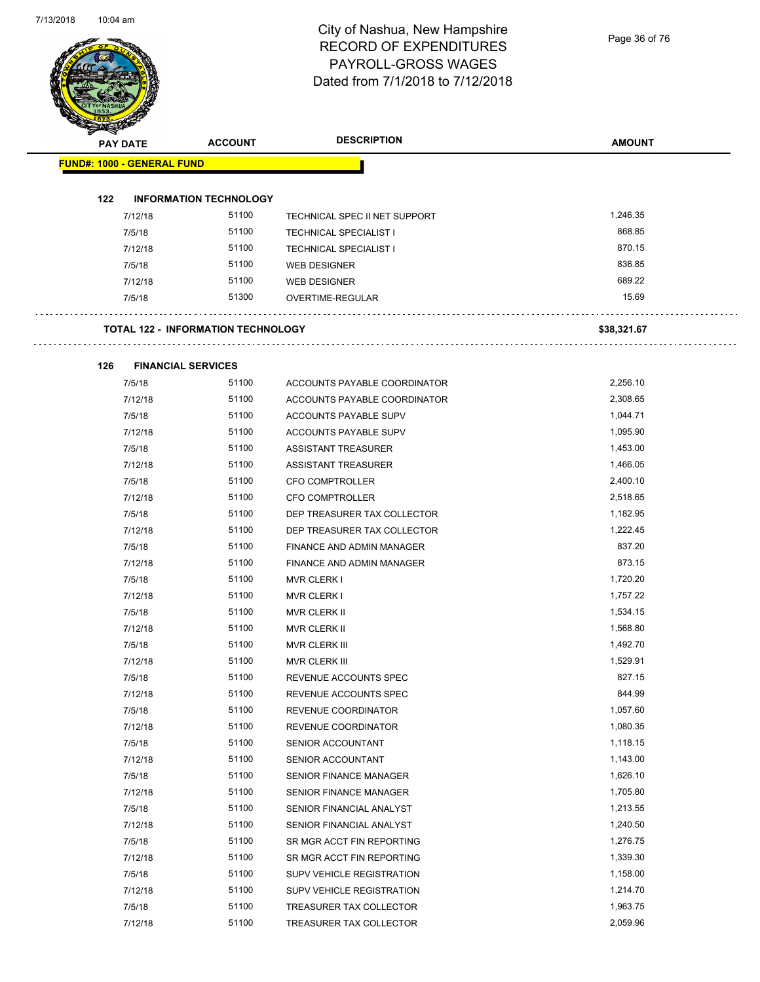#### City of Nashua, New Hampshire RECORD OF EXPENDITURES PAYROLL-GROSS WAGES Dated from 7/1/2018 to 7/12/2018

Page 36 of 76

| <b>PAY DATE</b>                   | <b>ACCOUNT</b>                            | <b>DESCRIPTION</b>                                   | <b>AMOUNT</b> |
|-----------------------------------|-------------------------------------------|------------------------------------------------------|---------------|
| <b>FUND#: 1000 - GENERAL FUND</b> |                                           |                                                      |               |
|                                   |                                           |                                                      |               |
| 122                               | <b>INFORMATION TECHNOLOGY</b><br>51100    |                                                      | 1,246.35      |
| 7/12/18<br>7/5/18                 | 51100                                     | TECHNICAL SPEC II NET SUPPORT                        | 868.85        |
| 7/12/18                           | 51100                                     | <b>TECHNICAL SPECIALIST I</b>                        | 870.15        |
| 7/5/18                            | 51100                                     | <b>TECHNICAL SPECIALIST I</b><br><b>WEB DESIGNER</b> | 836.85        |
| 7/12/18                           | 51100                                     | <b>WEB DESIGNER</b>                                  | 689.22        |
| 7/5/18                            | 51300                                     | OVERTIME-REGULAR                                     | 15.69         |
|                                   |                                           |                                                      |               |
|                                   | <b>TOTAL 122 - INFORMATION TECHNOLOGY</b> |                                                      | \$38,321.67   |
| 126                               | <b>FINANCIAL SERVICES</b>                 |                                                      |               |
| 7/5/18                            | 51100                                     | ACCOUNTS PAYABLE COORDINATOR                         | 2,256.10      |
| 7/12/18                           | 51100                                     | ACCOUNTS PAYABLE COORDINATOR                         | 2,308.65      |
| 7/5/18                            | 51100                                     | ACCOUNTS PAYABLE SUPV                                | 1,044.71      |
| 7/12/18                           | 51100                                     | ACCOUNTS PAYABLE SUPV                                | 1,095.90      |
| 7/5/18                            | 51100                                     | <b>ASSISTANT TREASURER</b>                           | 1,453.00      |
| 7/12/18                           | 51100                                     | <b>ASSISTANT TREASURER</b>                           | 1,466.05      |
| 7/5/18                            | 51100                                     | CFO COMPTROLLER                                      | 2,400.10      |
| 7/12/18                           | 51100                                     | <b>CFO COMPTROLLER</b>                               | 2,518.65      |
| 7/5/18                            | 51100                                     | DEP TREASURER TAX COLLECTOR                          | 1,182.95      |
| 7/12/18                           | 51100                                     | DEP TREASURER TAX COLLECTOR                          | 1,222.45      |
| 7/5/18                            | 51100                                     | FINANCE AND ADMIN MANAGER                            | 837.20        |
| 7/12/18                           | 51100                                     | FINANCE AND ADMIN MANAGER                            | 873.15        |
| 7/5/18                            | 51100                                     | <b>MVR CLERK I</b>                                   | 1,720.20      |
| 7/12/18                           | 51100                                     | <b>MVR CLERK I</b>                                   | 1,757.22      |
| 7/5/18                            | 51100                                     | <b>MVR CLERK II</b>                                  | 1,534.15      |
| 7/12/18                           | 51100                                     | <b>MVR CLERK II</b>                                  | 1,568.80      |
| 7/5/18                            | 51100                                     | MVR CLERK III                                        | 1,492.70      |
| 7/12/18                           | 51100                                     | MVR CLERK III                                        | 1,529.91      |
| 7/5/18                            | 51100                                     | REVENUE ACCOUNTS SPEC                                | 827.15        |
| 7/12/18                           | 51100                                     | REVENUE ACCOUNTS SPEC                                | 844.99        |
| 7/5/18                            | 51100                                     | <b>REVENUE COORDINATOR</b>                           | 1,057.60      |
| 7/12/18                           | 51100                                     | REVENUE COORDINATOR                                  | 1,080.35      |
| 7/5/18                            | 51100                                     | SENIOR ACCOUNTANT                                    | 1,118.15      |
| 7/12/18                           | 51100                                     | SENIOR ACCOUNTANT                                    | 1,143.00      |
| 7/5/18                            | 51100                                     | SENIOR FINANCE MANAGER                               | 1,626.10      |
| 7/12/18                           | 51100                                     | SENIOR FINANCE MANAGER                               | 1,705.80      |
| 7/5/18                            | 51100                                     | SENIOR FINANCIAL ANALYST                             | 1,213.55      |
| 7/12/18                           | 51100                                     | SENIOR FINANCIAL ANALYST                             | 1,240.50      |
| 7/5/18                            | 51100                                     | SR MGR ACCT FIN REPORTING                            | 1,276.75      |
| 7/12/18                           | 51100                                     | SR MGR ACCT FIN REPORTING                            | 1,339.30      |
| 7/5/18                            | 51100                                     | SUPV VEHICLE REGISTRATION                            | 1,158.00      |
| 7/12/18                           | 51100                                     | SUPV VEHICLE REGISTRATION                            | 1,214.70      |
| 7/5/18                            | 51100                                     | TREASURER TAX COLLECTOR                              | 1,963.75      |
| 7/12/18                           | 51100                                     | TREASURER TAX COLLECTOR                              | 2,059.96      |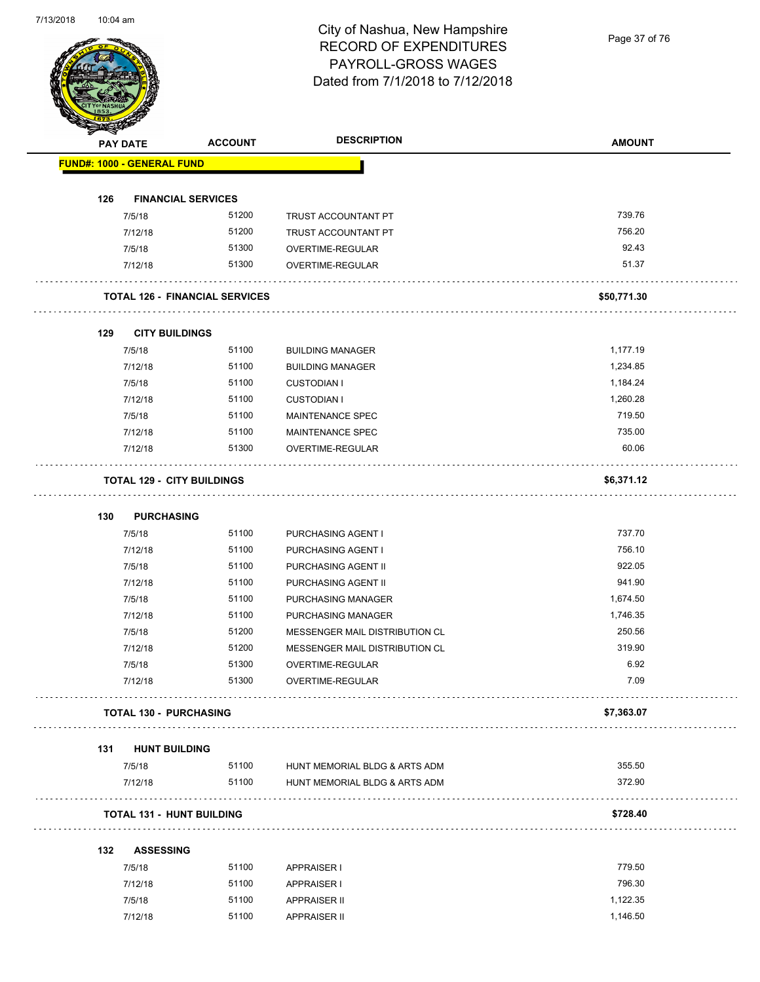Page 37 of 76

| <b>PAY DATE</b> |                  | <b>ACCOUNT</b>                        | <b>DESCRIPTION</b>             | <b>AMOUNT</b> |
|-----------------|------------------|---------------------------------------|--------------------------------|---------------|
|                 |                  | <b>FUND#: 1000 - GENERAL FUND</b>     |                                |               |
| 126             |                  | <b>FINANCIAL SERVICES</b>             |                                |               |
|                 | 7/5/18           | 51200                                 | TRUST ACCOUNTANT PT            | 739.76        |
|                 | 7/12/18          | 51200                                 | TRUST ACCOUNTANT PT            | 756.20        |
|                 | 7/5/18           | 51300                                 | OVERTIME-REGULAR               | 92.43         |
|                 | 7/12/18          | 51300                                 | <b>OVERTIME-REGULAR</b>        | 51.37         |
|                 |                  | <b>TOTAL 126 - FINANCIAL SERVICES</b> |                                | \$50,771.30   |
| 129             |                  | <b>CITY BUILDINGS</b>                 |                                |               |
|                 | 7/5/18           | 51100                                 | <b>BUILDING MANAGER</b>        | 1,177.19      |
|                 | 7/12/18          | 51100                                 | <b>BUILDING MANAGER</b>        | 1,234.85      |
|                 | 7/5/18           | 51100                                 | <b>CUSTODIAN I</b>             | 1,184.24      |
|                 | 7/12/18          | 51100                                 | <b>CUSTODIAN I</b>             | 1,260.28      |
|                 | 7/5/18           | 51100                                 | MAINTENANCE SPEC               | 719.50        |
|                 | 7/12/18          | 51100                                 | MAINTENANCE SPEC               | 735.00        |
|                 | 7/12/18          | 51300                                 | <b>OVERTIME-REGULAR</b>        | 60.06         |
|                 |                  | <b>TOTAL 129 - CITY BUILDINGS</b>     |                                | \$6,371.12    |
| 130             |                  | <b>PURCHASING</b>                     |                                |               |
|                 | 7/5/18           | 51100                                 | PURCHASING AGENT I             | 737.70        |
|                 | 7/12/18          | 51100                                 | PURCHASING AGENT I             | 756.10        |
|                 | 7/5/18           | 51100                                 | PURCHASING AGENT II            | 922.05        |
|                 | 7/12/18          | 51100                                 | PURCHASING AGENT II            | 941.90        |
|                 | 7/5/18           | 51100                                 | PURCHASING MANAGER             | 1,674.50      |
|                 | 7/12/18          | 51100                                 | PURCHASING MANAGER             | 1,746.35      |
|                 | 7/5/18           | 51200                                 | MESSENGER MAIL DISTRIBUTION CL | 250.56        |
|                 | 7/12/18          | 51200                                 | MESSENGER MAIL DISTRIBUTION CL | 319.90        |
|                 | 7/5/18           | 51300                                 | OVERTIME-REGULAR               | 6.92          |
|                 | 7/12/18          | 51300                                 | OVERTIME-REGULAR               | 7.09          |
|                 |                  | <b>TOTAL 130 - PURCHASING</b>         |                                | \$7,363.07    |
|                 |                  | 131 HUNT BUILDING                     |                                |               |
|                 | 7/5/18           | 51100                                 | HUNT MEMORIAL BLDG & ARTS ADM  | 355.50        |
|                 | 7/12/18          | 51100                                 | HUNT MEMORIAL BLDG & ARTS ADM  | 372.90        |
|                 |                  | <b>TOTAL 131 - HUNT BUILDING</b>      |                                | \$728.40      |
| 132             | <b>ASSESSING</b> |                                       |                                |               |
|                 | 7/5/18           | 51100                                 | APPRAISER I                    | 779.50        |
|                 | 7/12/18          | 51100                                 | <b>APPRAISER I</b>             | 796.30        |
|                 |                  |                                       |                                |               |
|                 | 7/5/18           | 51100                                 | <b>APPRAISER II</b>            | 1,122.35      |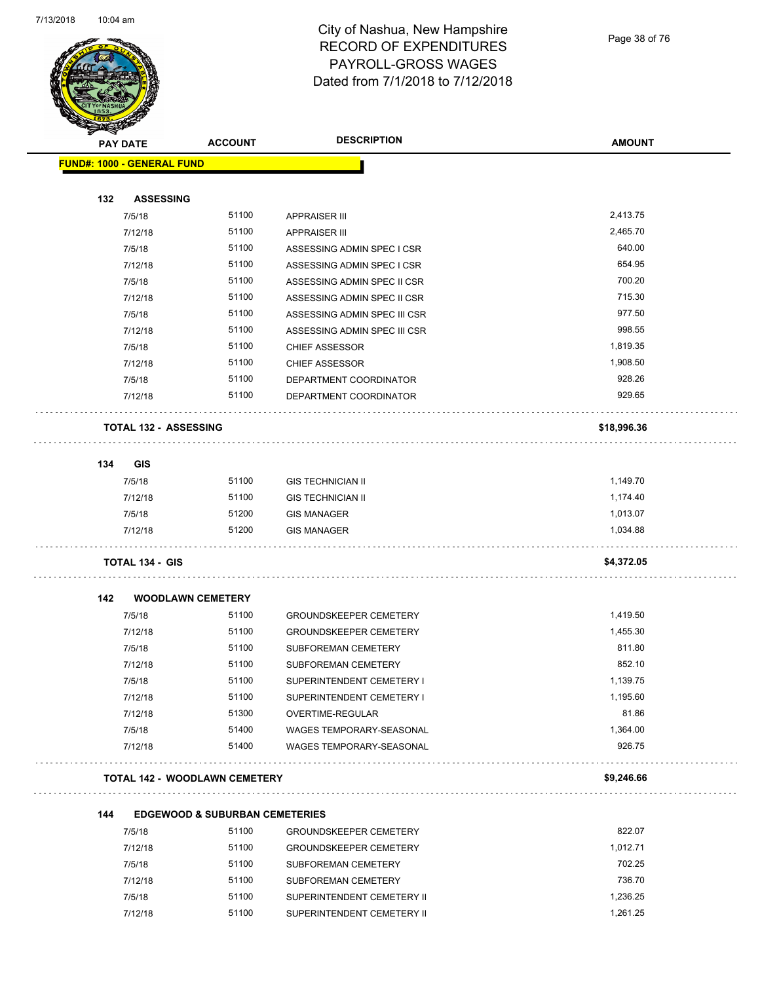

Page 38 of 76

|     | <b>PAY DATE</b>                   | <b>ACCOUNT</b>                            | <b>DESCRIPTION</b>              | <b>AMOUNT</b> |
|-----|-----------------------------------|-------------------------------------------|---------------------------------|---------------|
|     | <b>FUND#: 1000 - GENERAL FUND</b> |                                           |                                 |               |
| 132 | <b>ASSESSING</b>                  |                                           |                                 |               |
|     | 7/5/18                            | 51100                                     | <b>APPRAISER III</b>            | 2,413.75      |
|     | 7/12/18                           | 51100                                     | <b>APPRAISER III</b>            | 2,465.70      |
|     | 7/5/18                            | 51100                                     | ASSESSING ADMIN SPEC I CSR      | 640.00        |
|     | 7/12/18                           | 51100                                     | ASSESSING ADMIN SPEC I CSR      | 654.95        |
|     | 7/5/18                            | 51100                                     | ASSESSING ADMIN SPEC II CSR     | 700.20        |
|     | 7/12/18                           | 51100                                     | ASSESSING ADMIN SPEC II CSR     | 715.30        |
|     | 7/5/18                            | 51100                                     | ASSESSING ADMIN SPEC III CSR    | 977.50        |
|     | 7/12/18                           | 51100                                     | ASSESSING ADMIN SPEC III CSR    | 998.55        |
|     | 7/5/18                            | 51100                                     | <b>CHIEF ASSESSOR</b>           | 1,819.35      |
|     | 7/12/18                           | 51100                                     | <b>CHIEF ASSESSOR</b>           | 1,908.50      |
|     | 7/5/18                            | 51100                                     | DEPARTMENT COORDINATOR          | 928.26        |
|     | 7/12/18                           | 51100                                     | DEPARTMENT COORDINATOR          | 929.65        |
|     | <b>TOTAL 132 - ASSESSING</b>      |                                           |                                 | \$18,996.36   |
| 134 | <b>GIS</b>                        |                                           |                                 |               |
|     | 7/5/18                            | 51100                                     | <b>GIS TECHNICIAN II</b>        | 1,149.70      |
|     | 7/12/18                           | 51100                                     | <b>GIS TECHNICIAN II</b>        | 1,174.40      |
|     | 7/5/18                            | 51200                                     | <b>GIS MANAGER</b>              | 1,013.07      |
|     | 7/12/18                           | 51200                                     | <b>GIS MANAGER</b>              | 1,034.88      |
|     | <b>TOTAL 134 - GIS</b>            |                                           |                                 | \$4,372.05    |
| 142 |                                   | <b>WOODLAWN CEMETERY</b>                  |                                 |               |
|     | 7/5/18                            | 51100                                     | <b>GROUNDSKEEPER CEMETERY</b>   | 1,419.50      |
|     | 7/12/18                           | 51100                                     | <b>GROUNDSKEEPER CEMETERY</b>   | 1,455.30      |
|     | 7/5/18                            | 51100                                     | SUBFOREMAN CEMETERY             | 811.80        |
|     | 7/12/18                           | 51100                                     | SUBFOREMAN CEMETERY             | 852.10        |
|     | 7/5/18                            | 51100                                     | SUPERINTENDENT CEMETERY I       | 1,139.75      |
|     | 7/12/18                           | 51100                                     | SUPERINTENDENT CEMETERY I       | 1,195.60      |
|     | 7/12/18                           | 51300                                     | OVERTIME-REGULAR                | 81.86         |
|     | 7/5/18                            | 51400                                     | WAGES TEMPORARY-SEASONAL        | 1,364.00      |
|     | 7/12/18                           | 51400                                     | <b>WAGES TEMPORARY-SEASONAL</b> | 926.75        |
|     |                                   | <b>TOTAL 142 - WOODLAWN CEMETERY</b>      |                                 | \$9,246.66    |
| 144 |                                   | <b>EDGEWOOD &amp; SUBURBAN CEMETERIES</b> |                                 |               |
|     | 7/5/18                            | 51100                                     | <b>GROUNDSKEEPER CEMETERY</b>   | 822.07        |
|     | 7/12/18                           | 51100                                     | <b>GROUNDSKEEPER CEMETERY</b>   | 1,012.71      |
|     | 7/5/18                            | 51100                                     | SUBFOREMAN CEMETERY             | 702.25        |

| 7/5/18  | 51100 | SUBFOREMAN CEMETERY        | 702.25   |
|---------|-------|----------------------------|----------|
| 7/12/18 | 51100 | SUBFOREMAN CEMETERY        | 736.70   |
| 7/5/18  | 51100 | SUPERINTENDENT CEMETERY II | 1.236.25 |
| 7/12/18 | 51100 | SUPERINTENDENT CEMETERY II | 1.261.25 |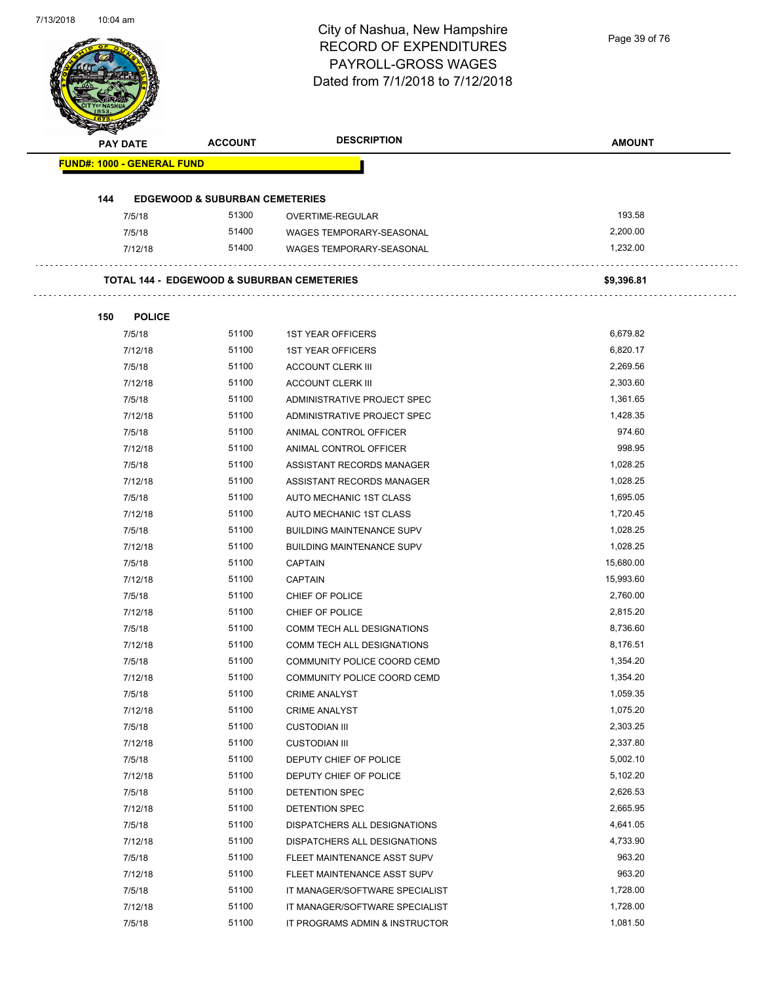| <b>PAY DATE</b>                   | <b>ACCOUNT</b>                                        | <b>DESCRIPTION</b>                                     | <b>AMOUNT</b>      |
|-----------------------------------|-------------------------------------------------------|--------------------------------------------------------|--------------------|
| <b>FUND#: 1000 - GENERAL FUND</b> |                                                       |                                                        |                    |
| 144                               |                                                       |                                                        |                    |
|                                   | <b>EDGEWOOD &amp; SUBURBAN CEMETERIES</b><br>51300    |                                                        | 193.58             |
| 7/5/18                            | 51400                                                 | OVERTIME-REGULAR<br><b>WAGES TEMPORARY-SEASONAL</b>    | 2,200.00           |
| 7/5/18                            |                                                       |                                                        |                    |
| 7/12/18                           | 51400                                                 | WAGES TEMPORARY-SEASONAL                               | 1,232.00           |
|                                   | <b>TOTAL 144 - EDGEWOOD &amp; SUBURBAN CEMETERIES</b> |                                                        | \$9,396.81         |
|                                   |                                                       |                                                        |                    |
| 150<br><b>POLICE</b>              |                                                       |                                                        |                    |
| 7/5/18                            | 51100                                                 | <b>1ST YEAR OFFICERS</b>                               | 6,679.82           |
| 7/12/18                           | 51100                                                 | <b>1ST YEAR OFFICERS</b>                               | 6,820.17           |
| 7/5/18                            | 51100                                                 | <b>ACCOUNT CLERK III</b>                               | 2,269.56           |
| 7/12/18                           | 51100                                                 | <b>ACCOUNT CLERK III</b>                               | 2,303.60           |
| 7/5/18                            | 51100                                                 | ADMINISTRATIVE PROJECT SPEC                            | 1,361.65           |
| 7/12/18                           | 51100<br>51100                                        | ADMINISTRATIVE PROJECT SPEC<br>ANIMAL CONTROL OFFICER  | 1,428.35<br>974.60 |
| 7/5/18                            |                                                       |                                                        | 998.95             |
| 7/12/18                           | 51100<br>51100                                        | ANIMAL CONTROL OFFICER                                 | 1,028.25           |
| 7/5/18<br>7/12/18                 | 51100                                                 | ASSISTANT RECORDS MANAGER<br>ASSISTANT RECORDS MANAGER | 1,028.25           |
| 7/5/18                            | 51100                                                 | AUTO MECHANIC 1ST CLASS                                | 1,695.05           |
| 7/12/18                           | 51100                                                 | AUTO MECHANIC 1ST CLASS                                | 1,720.45           |
| 7/5/18                            | 51100                                                 | <b>BUILDING MAINTENANCE SUPV</b>                       | 1,028.25           |
| 7/12/18                           | 51100                                                 | <b>BUILDING MAINTENANCE SUPV</b>                       | 1,028.25           |
| 7/5/18                            | 51100                                                 | <b>CAPTAIN</b>                                         | 15,680.00          |
| 7/12/18                           | 51100                                                 | <b>CAPTAIN</b>                                         | 15,993.60          |
| 7/5/18                            | 51100                                                 | CHIEF OF POLICE                                        | 2,760.00           |
| 7/12/18                           | 51100                                                 | CHIEF OF POLICE                                        | 2,815.20           |
| 7/5/18                            | 51100                                                 | <b>COMM TECH ALL DESIGNATIONS</b>                      | 8,736.60           |
| 7/12/18                           | 51100                                                 | COMM TECH ALL DESIGNATIONS                             | 8,176.51           |
| 7/5/18                            | 51100                                                 | COMMUNITY POLICE COORD CEMD                            | 1,354.20           |
| 7/12/18                           | 51100                                                 | COMMUNITY POLICE COORD CEMD                            | 1,354.20           |
| 7/5/18                            | 51100                                                 | <b>CRIME ANALYST</b>                                   | 1,059.35           |
| 7/12/18                           | 51100                                                 | <b>CRIME ANALYST</b>                                   | 1,075.20           |
| 7/5/18                            | 51100                                                 | <b>CUSTODIAN III</b>                                   | 2,303.25           |
| 7/12/18                           | 51100                                                 | <b>CUSTODIAN III</b>                                   | 2,337.80           |
| 7/5/18                            | 51100                                                 | DEPUTY CHIEF OF POLICE                                 | 5,002.10           |
| 7/12/18                           | 51100                                                 | DEPUTY CHIEF OF POLICE                                 | 5,102.20           |
| 7/5/18                            | 51100                                                 | DETENTION SPEC                                         | 2,626.53           |
| 7/12/18                           | 51100                                                 | DETENTION SPEC                                         | 2,665.95           |
| 7/5/18                            | 51100                                                 | DISPATCHERS ALL DESIGNATIONS                           | 4,641.05           |
| 7/12/18                           | 51100                                                 | DISPATCHERS ALL DESIGNATIONS                           | 4,733.90           |
| 7/5/18                            | 51100                                                 | FLEET MAINTENANCE ASST SUPV                            | 963.20             |
| 7/12/18                           | 51100                                                 | FLEET MAINTENANCE ASST SUPV                            | 963.20             |
| 7/5/18                            | 51100                                                 | IT MANAGER/SOFTWARE SPECIALIST                         | 1,728.00           |
|                                   |                                                       |                                                        |                    |
| 7/12/18                           | 51100                                                 | IT MANAGER/SOFTWARE SPECIALIST                         | 1,728.00           |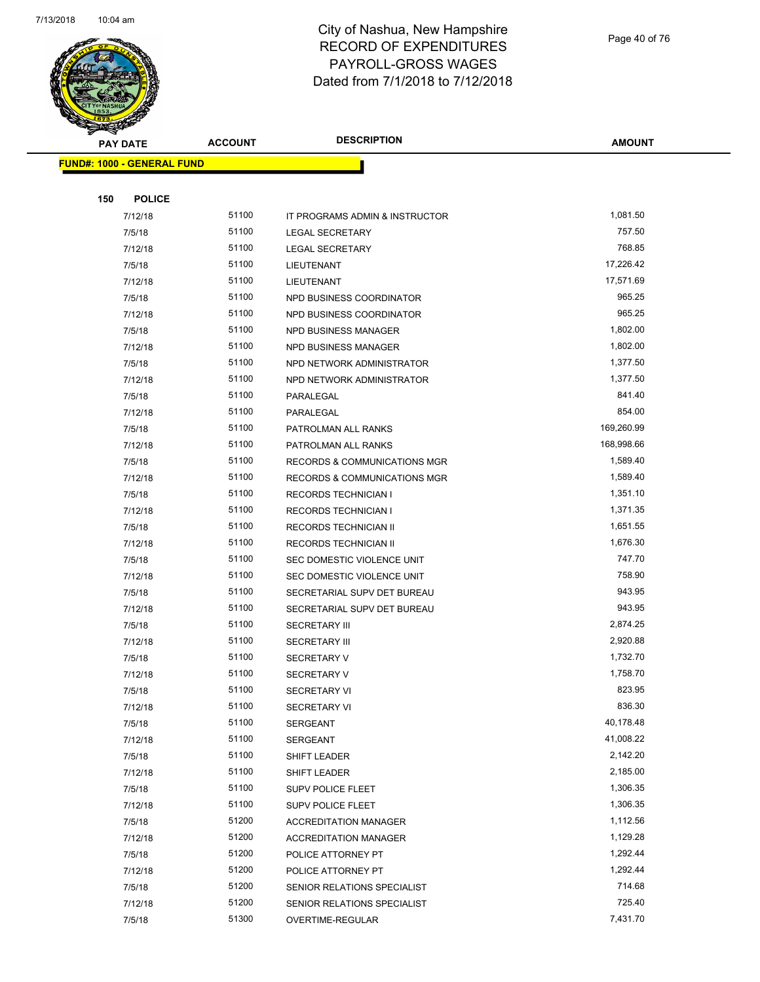

Page 40 of 76

| <b>PAY DATE</b>                   | <b>ACCOUNT</b> | <b>DESCRIPTION</b>                                         | <b>AMOUNT</b>        |
|-----------------------------------|----------------|------------------------------------------------------------|----------------------|
| <b>FUND#: 1000 - GENERAL FUND</b> |                |                                                            |                      |
|                                   |                |                                                            |                      |
| <b>POLICE</b><br>150              |                |                                                            |                      |
| 7/12/18                           | 51100          | IT PROGRAMS ADMIN & INSTRUCTOR                             | 1,081.50             |
| 7/5/18                            | 51100          | <b>LEGAL SECRETARY</b>                                     | 757.50               |
| 7/12/18                           | 51100          | <b>LEGAL SECRETARY</b>                                     | 768.85               |
| 7/5/18                            | 51100          | LIEUTENANT                                                 | 17,226.42            |
| 7/12/18                           | 51100          | LIEUTENANT                                                 | 17,571.69            |
| 7/5/18                            | 51100          | NPD BUSINESS COORDINATOR                                   | 965.25               |
| 7/12/18                           | 51100          | NPD BUSINESS COORDINATOR                                   | 965.25               |
| 7/5/18                            | 51100          | NPD BUSINESS MANAGER                                       | 1,802.00             |
| 7/12/18                           | 51100          | NPD BUSINESS MANAGER                                       | 1,802.00             |
| 7/5/18                            | 51100          | NPD NETWORK ADMINISTRATOR                                  | 1,377.50             |
| 7/12/18                           | 51100          | NPD NETWORK ADMINISTRATOR                                  | 1,377.50             |
| 7/5/18                            | 51100          | PARALEGAL                                                  | 841.40               |
| 7/12/18                           | 51100          | PARALEGAL                                                  | 854.00               |
| 7/5/18                            | 51100          | PATROLMAN ALL RANKS                                        | 169,260.99           |
| 7/12/18                           | 51100          | PATROLMAN ALL RANKS                                        | 168,998.66           |
| 7/5/18                            | 51100          | RECORDS & COMMUNICATIONS MGR                               | 1,589.40             |
| 7/12/18                           | 51100          | RECORDS & COMMUNICATIONS MGR                               | 1,589.40             |
| 7/5/18                            | 51100          | <b>RECORDS TECHNICIAN I</b>                                | 1,351.10             |
| 7/12/18                           | 51100          | <b>RECORDS TECHNICIAN I</b>                                | 1,371.35             |
| 7/5/18                            | 51100          | RECORDS TECHNICIAN II                                      | 1,651.55             |
| 7/12/18                           | 51100          | RECORDS TECHNICIAN II                                      | 1,676.30             |
| 7/5/18                            | 51100          | SEC DOMESTIC VIOLENCE UNIT                                 | 747.70               |
| 7/12/18                           | 51100          | SEC DOMESTIC VIOLENCE UNIT                                 | 758.90               |
| 7/5/18                            | 51100          | SECRETARIAL SUPV DET BUREAU                                | 943.95               |
| 7/12/18                           | 51100          | SECRETARIAL SUPV DET BUREAU                                | 943.95               |
| 7/5/18                            | 51100          | <b>SECRETARY III</b>                                       | 2,874.25             |
| 7/12/18                           | 51100          | <b>SECRETARY III</b>                                       | 2,920.88             |
| 7/5/18                            | 51100          | <b>SECRETARY V</b>                                         | 1,732.70             |
| 7/12/18                           | 51100          | <b>SECRETARY V</b>                                         | 1,758.70             |
| 7/5/18                            | 51100          | SECRETARY VI                                               | 823.95               |
| 7/12/18                           | 51100          | <b>SECRETARY VI</b>                                        | 836.30               |
| 7/5/18                            | 51100          | SERGEANT                                                   | 40,178.48            |
| 7/12/18                           | 51100          | SERGEANT                                                   | 41,008.22            |
| 7/5/18                            | 51100          | SHIFT LEADER                                               | 2,142.20             |
| 7/12/18                           | 51100          | SHIFT LEADER                                               | 2,185.00             |
| 7/5/18                            | 51100          | SUPV POLICE FLEET                                          | 1,306.35             |
| 7/12/18                           | 51100          | SUPV POLICE FLEET                                          | 1,306.35             |
| 7/5/18                            | 51200<br>51200 | <b>ACCREDITATION MANAGER</b>                               | 1,112.56<br>1,129.28 |
| 7/12/18                           |                | <b>ACCREDITATION MANAGER</b>                               |                      |
| 7/5/18                            | 51200<br>51200 | POLICE ATTORNEY PT                                         | 1,292.44<br>1,292.44 |
| 7/12/18                           | 51200          | POLICE ATTORNEY PT                                         | 714.68               |
| 7/5/18<br>7/12/18                 | 51200          | SENIOR RELATIONS SPECIALIST<br>SENIOR RELATIONS SPECIALIST | 725.40               |
| 7/5/18                            | 51300          | OVERTIME-REGULAR                                           | 7,431.70             |
|                                   |                |                                                            |                      |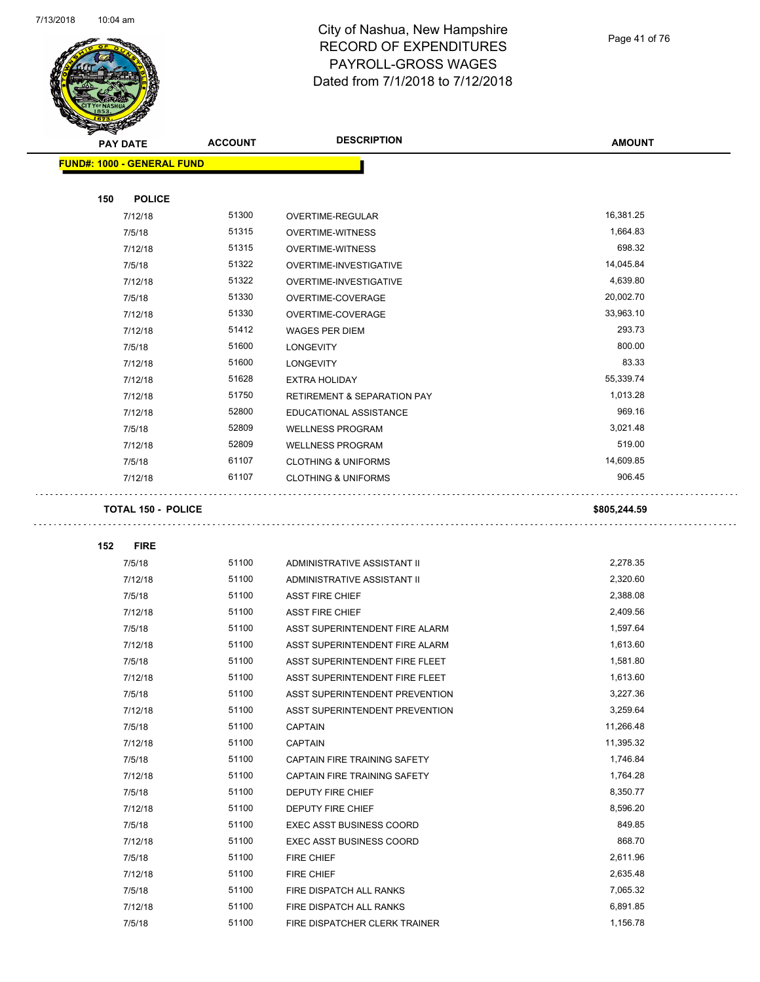$\overline{\phantom{0}}$ 



#### City of Nashua, New Hampshire RECORD OF EXPENDITURES PAYROLL-GROSS WAGES Dated from 7/1/2018 to 7/12/2018

Page 41 of 76

| <b>PAY DATE</b>                   | <b>ACCOUNT</b> | <b>DESCRIPTION</b>                     | <b>AMOUNT</b> |
|-----------------------------------|----------------|----------------------------------------|---------------|
| <b>FUND#: 1000 - GENERAL FUND</b> |                |                                        |               |
|                                   |                |                                        |               |
| 150<br><b>POLICE</b>              |                |                                        |               |
| 7/12/18                           | 51300          | OVERTIME-REGULAR                       | 16,381.25     |
| 7/5/18                            | 51315          | <b>OVERTIME-WITNESS</b>                | 1,664.83      |
| 7/12/18                           | 51315          | OVERTIME-WITNESS                       | 698.32        |
| 7/5/18                            | 51322          | OVERTIME-INVESTIGATIVE                 | 14,045.84     |
| 7/12/18                           | 51322          | OVERTIME-INVESTIGATIVE                 | 4,639.80      |
| 7/5/18                            | 51330          | OVERTIME-COVERAGE                      | 20,002.70     |
| 7/12/18                           | 51330          | OVERTIME-COVERAGE                      | 33,963.10     |
| 7/12/18                           | 51412          | <b>WAGES PER DIEM</b>                  | 293.73        |
| 7/5/18                            | 51600          | <b>LONGEVITY</b>                       | 800.00        |
| 7/12/18                           | 51600          | <b>LONGEVITY</b>                       | 83.33         |
| 7/12/18                           | 51628          | <b>EXTRA HOLIDAY</b>                   | 55,339.74     |
| 7/12/18                           | 51750          | <b>RETIREMENT &amp; SEPARATION PAY</b> | 1,013.28      |
| 7/12/18                           | 52800          | EDUCATIONAL ASSISTANCE                 | 969.16        |
| 7/5/18                            | 52809          | <b>WELLNESS PROGRAM</b>                | 3,021.48      |
| 7/12/18                           | 52809          | <b>WELLNESS PROGRAM</b>                | 519.00        |
| 7/5/18                            | 61107          | <b>CLOTHING &amp; UNIFORMS</b>         | 14,609.85     |
| 7/12/18                           | 61107          | <b>CLOTHING &amp; UNIFORMS</b>         | 906.45        |
| <b>TOTAL 150 - POLICE</b>         |                |                                        | \$805,244.59  |
| 152<br><b>FIRE</b>                |                |                                        |               |
| 7/5/18                            | 51100          | ADMINISTRATIVE ASSISTANT II            | 2,278.35      |
| 7/12/18                           | 51100          | ADMINISTRATIVE ASSISTANT II            | 2,320.60      |
| 7/5/18                            | 51100          | <b>ASST FIRE CHIEF</b>                 | 2,388.08      |
| 7/12/18                           | 51100          | <b>ASST FIRE CHIEF</b>                 | 2,409.56      |
| 7/5/18                            | 51100          | ASST SUPERINTENDENT FIRE ALARM         | 1,597.64      |
| 7/12/18                           | 51100          | ASST SUPERINTENDENT FIRE ALARM         | 1,613.60      |
| 7/5/18                            | 51100          | ASST SUPERINTENDENT FIRE FLEET         | 1,581.80      |
| 7/12/18                           | 51100          | ASST SUPERINTENDENT FIRE FLEET         | 1,613.60      |
| 7/5/18                            | 51100          | ASST SUPERINTENDENT PREVENTION         | 3,227.36      |
| 7/12/18                           | 51100          | ASST SUPERINTENDENT PREVENTION         | 3,259.64      |
| 7/5/18                            | 51100          | <b>CAPTAIN</b>                         | 11,266.48     |
| 7/12/18                           | 51100          | <b>CAPTAIN</b>                         | 11,395.32     |
| 7/5/18                            | 51100          | CAPTAIN FIRE TRAINING SAFETY           | 1,746.84      |
| 7/12/18                           | 51100          | CAPTAIN FIRE TRAINING SAFETY           | 1,764.28      |
| 7/5/18                            | 51100          | DEPUTY FIRE CHIEF                      | 8,350.77      |
| 7/12/18                           | 51100          | DEPUTY FIRE CHIEF                      | 8,596.20      |
| 7/5/18                            | 51100          | <b>EXEC ASST BUSINESS COORD</b>        | 849.85        |
| 7/12/18                           | 51100          | <b>EXEC ASST BUSINESS COORD</b>        | 868.70        |
| 7/5/18                            | 51100          | FIRE CHIEF                             | 2,611.96      |
| 7/12/18                           | 51100          | FIRE CHIEF                             | 2,635.48      |
| 7/5/18                            | 51100          | FIRE DISPATCH ALL RANKS                | 7,065.32      |
| 7/12/18                           | 51100          | FIRE DISPATCH ALL RANKS                | 6,891.85      |

7/5/18 51100 FIRE DISPATCHER CLERK TRAINER 1,156.78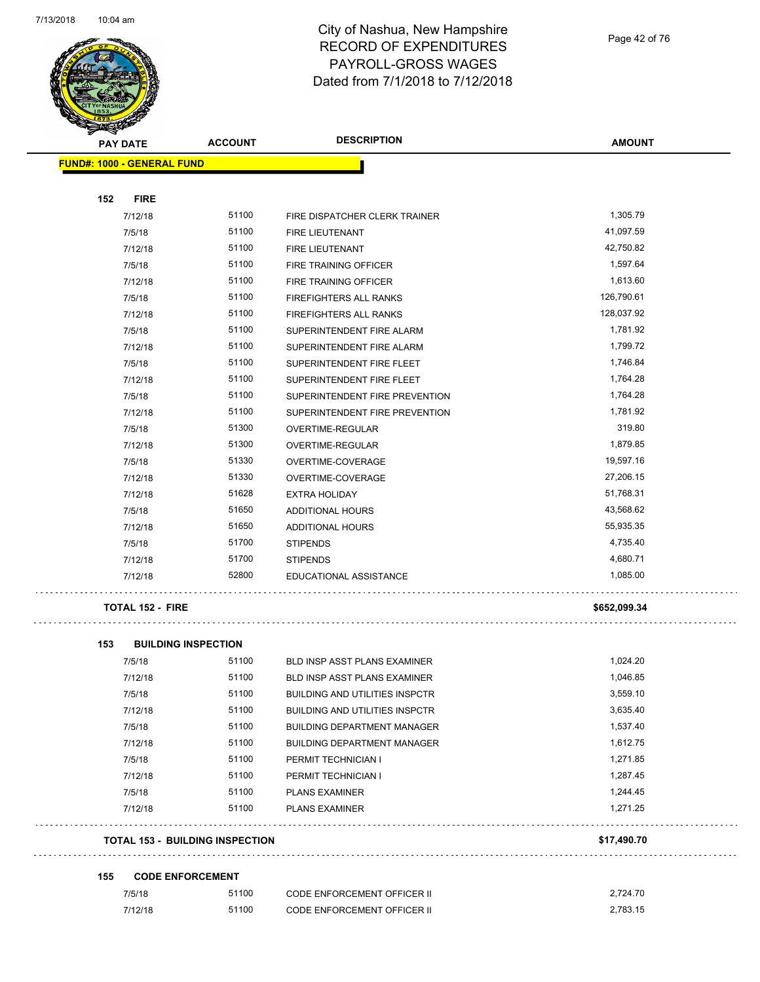

| PAY DATE                               | <b>ACCOUNT</b> | <b>DESCRIPTION</b>                    | <b>AMOUNT</b> |
|----------------------------------------|----------------|---------------------------------------|---------------|
| <b>FUND#: 1000 - GENERAL FUND</b>      |                |                                       |               |
|                                        |                |                                       |               |
| 152<br><b>FIRE</b>                     |                |                                       |               |
| 7/12/18                                | 51100          | FIRE DISPATCHER CLERK TRAINER         | 1,305.79      |
| 7/5/18                                 | 51100          | <b>FIRE LIEUTENANT</b>                | 41,097.59     |
| 7/12/18                                | 51100          | <b>FIRE LIEUTENANT</b>                | 42,750.82     |
| 7/5/18                                 | 51100          | FIRE TRAINING OFFICER                 | 1,597.64      |
| 7/12/18                                | 51100          | FIRE TRAINING OFFICER                 | 1,613.60      |
| 7/5/18                                 | 51100          | <b>FIREFIGHTERS ALL RANKS</b>         | 126,790.61    |
| 7/12/18                                | 51100          | <b>FIREFIGHTERS ALL RANKS</b>         | 128,037.92    |
| 7/5/18                                 | 51100          | SUPERINTENDENT FIRE ALARM             | 1,781.92      |
| 7/12/18                                | 51100          | SUPERINTENDENT FIRE ALARM             | 1,799.72      |
| 7/5/18                                 | 51100          | SUPERINTENDENT FIRE FLEET             | 1,746.84      |
| 7/12/18                                | 51100          | SUPERINTENDENT FIRE FLEET             | 1,764.28      |
| 7/5/18                                 | 51100          | SUPERINTENDENT FIRE PREVENTION        | 1,764.28      |
| 7/12/18                                | 51100          | SUPERINTENDENT FIRE PREVENTION        | 1,781.92      |
| 7/5/18                                 | 51300          | OVERTIME-REGULAR                      | 319.80        |
| 7/12/18                                | 51300          | OVERTIME-REGULAR                      | 1,879.85      |
| 7/5/18                                 | 51330          | OVERTIME-COVERAGE                     | 19,597.16     |
| 7/12/18                                | 51330          | OVERTIME-COVERAGE                     | 27,206.15     |
| 7/12/18                                | 51628          | <b>EXTRA HOLIDAY</b>                  | 51,768.31     |
| 7/5/18                                 | 51650          | <b>ADDITIONAL HOURS</b>               | 43,568.62     |
| 7/12/18                                | 51650          | <b>ADDITIONAL HOURS</b>               | 55,935.35     |
| 7/5/18                                 | 51700          | <b>STIPENDS</b>                       | 4,735.40      |
| 7/12/18                                | 51700          | <b>STIPENDS</b>                       | 4,680.71      |
| 7/12/18                                | 52800          | EDUCATIONAL ASSISTANCE                | 1,085.00      |
| <b>TOTAL 152 - FIRE</b>                |                |                                       | \$652,099.34  |
| 153<br><b>BUILDING INSPECTION</b>      |                |                                       |               |
| 7/5/18                                 | 51100          | BLD INSP ASST PLANS EXAMINER          | 1,024.20      |
| 7/12/18                                | 51100          | BLD INSP ASST PLANS EXAMINER          | 1,046.85      |
| 7/5/18                                 | 51100          | BUILDING AND UTILITIES INSPCTR        | 3,559.10      |
| 7/12/18                                | 51100          | <b>BUILDING AND UTILITIES INSPCTR</b> | 3,635.40      |
| 7/5/18                                 | 51100          | <b>BUILDING DEPARTMENT MANAGER</b>    | 1,537.40      |
| 7/12/18                                | 51100          | <b>BUILDING DEPARTMENT MANAGER</b>    | 1,612.75      |
| 7/5/18                                 | 51100          | PERMIT TECHNICIAN I                   | 1,271.85      |
| 7/12/18                                | 51100          | PERMIT TECHNICIAN I                   | 1,287.45      |
| 7/5/18                                 | 51100          | <b>PLANS EXAMINER</b>                 | 1,244.45      |
| 7/12/18                                | 51100          | <b>PLANS EXAMINER</b>                 | 1,271.25      |
| <b>TOTAL 153 - BUILDING INSPECTION</b> |                |                                       | \$17,490.70   |

| 7/5/18  | 51100 | <b>CODE ENFORCEMENT OFFICER II</b> | 2.724.70 |
|---------|-------|------------------------------------|----------|
| 7/12/18 | 51100 | CODE ENFORCEMENT OFFICER II        | 2.783.15 |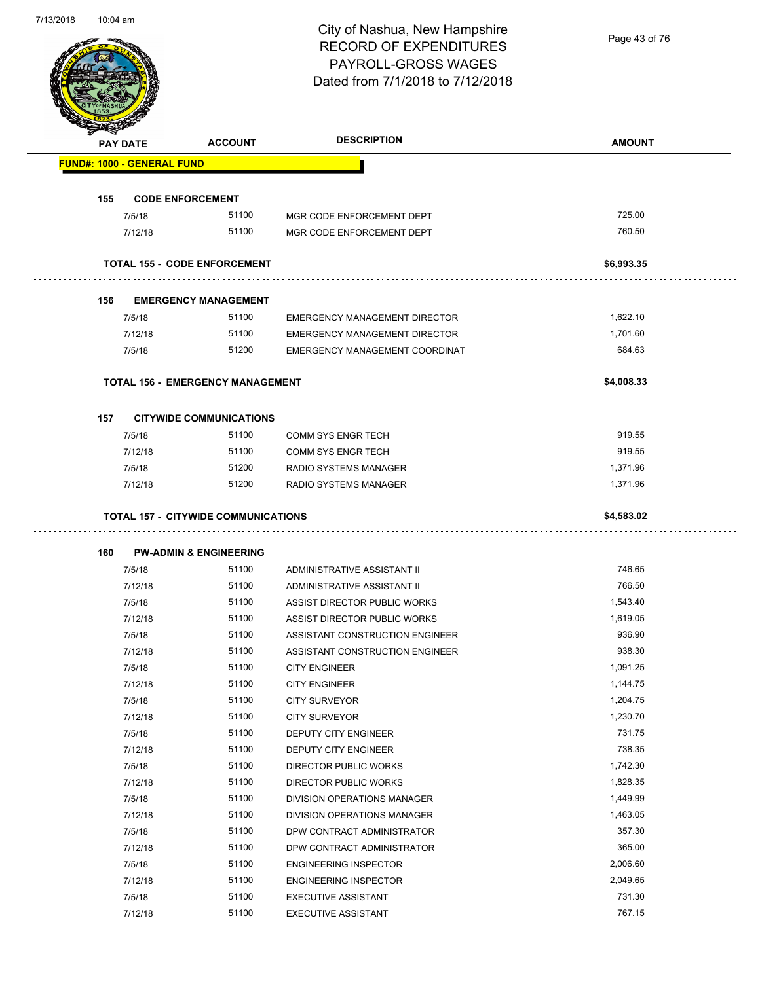Page 43 of 76

|     | <b>PAY DATE</b>                   | <b>ACCOUNT</b>                             | <b>DESCRIPTION</b>                   | <b>AMOUNT</b> |
|-----|-----------------------------------|--------------------------------------------|--------------------------------------|---------------|
|     | <b>FUND#: 1000 - GENERAL FUND</b> |                                            |                                      |               |
| 155 |                                   | <b>CODE ENFORCEMENT</b>                    |                                      |               |
|     | 7/5/18                            | 51100                                      | MGR CODE ENFORCEMENT DEPT            | 725.00        |
|     | 7/12/18                           | 51100                                      | MGR CODE ENFORCEMENT DEPT            | 760.50        |
|     |                                   | <b>TOTAL 155 - CODE ENFORCEMENT</b>        |                                      | \$6,993.35    |
| 156 |                                   | <b>EMERGENCY MANAGEMENT</b>                |                                      |               |
|     | 7/5/18                            | 51100                                      | <b>EMERGENCY MANAGEMENT DIRECTOR</b> | 1,622.10      |
|     | 7/12/18                           | 51100                                      | <b>EMERGENCY MANAGEMENT DIRECTOR</b> | 1,701.60      |
|     | 7/5/18                            | 51200                                      | EMERGENCY MANAGEMENT COORDINAT       | 684.63        |
|     |                                   | <b>TOTAL 156 - EMERGENCY MANAGEMENT</b>    |                                      | \$4,008.33    |
| 157 |                                   | <b>CITYWIDE COMMUNICATIONS</b>             |                                      |               |
|     | 7/5/18                            | 51100                                      | <b>COMM SYS ENGR TECH</b>            | 919.55        |
|     | 7/12/18                           | 51100                                      | <b>COMM SYS ENGR TECH</b>            | 919.55        |
|     | 7/5/18                            | 51200                                      | <b>RADIO SYSTEMS MANAGER</b>         | 1,371.96      |
|     | 7/12/18                           | 51200                                      | RADIO SYSTEMS MANAGER                | 1,371.96      |
|     |                                   | <b>TOTAL 157 - CITYWIDE COMMUNICATIONS</b> |                                      | \$4,583.02    |
| 160 |                                   | <b>PW-ADMIN &amp; ENGINEERING</b>          |                                      |               |
|     | 7/5/18                            | 51100                                      | ADMINISTRATIVE ASSISTANT II          | 746.65        |
|     | 7/12/18                           | 51100                                      | ADMINISTRATIVE ASSISTANT II          | 766.50        |
|     | 7/5/18                            | 51100                                      | ASSIST DIRECTOR PUBLIC WORKS         | 1,543.40      |
|     | 7/12/18                           | 51100                                      | ASSIST DIRECTOR PUBLIC WORKS         | 1,619.05      |
|     | 7/5/18                            | 51100                                      | ASSISTANT CONSTRUCTION ENGINEER      | 936.90        |
|     | 7/12/18                           | 51100                                      | ASSISTANT CONSTRUCTION ENGINEER      | 938.30        |
|     | 7/5/18                            | 51100                                      | <b>CITY ENGINEER</b>                 | 1,091.25      |
|     | 7/12/18                           | 51100                                      | <b>CITY ENGINEER</b>                 | 1,144.75      |
|     | 7/5/18                            | 51100                                      | <b>CITY SURVEYOR</b>                 | 1,204.75      |
|     | 7/12/18                           | 51100                                      | <b>CITY SURVEYOR</b>                 | 1,230.70      |
|     | 7/5/18                            | 51100                                      | DEPUTY CITY ENGINEER                 | 731.75        |
|     |                                   |                                            | DEPUTY CITY ENGINEER                 |               |
|     | 7/12/18                           | 51100                                      |                                      | 738.35        |
|     | 7/5/18                            | 51100                                      | DIRECTOR PUBLIC WORKS                | 1,742.30      |
|     | 7/12/18                           | 51100                                      | <b>DIRECTOR PUBLIC WORKS</b>         | 1,828.35      |
|     | 7/5/18                            | 51100                                      | DIVISION OPERATIONS MANAGER          | 1,449.99      |
|     | 7/12/18                           | 51100                                      | DIVISION OPERATIONS MANAGER          | 1,463.05      |
|     | 7/5/18                            | 51100                                      | DPW CONTRACT ADMINISTRATOR           | 357.30        |
|     | 7/12/18                           | 51100                                      | DPW CONTRACT ADMINISTRATOR           | 365.00        |
|     | 7/5/18                            | 51100                                      | <b>ENGINEERING INSPECTOR</b>         | 2,006.60      |
|     | 7/12/18                           | 51100                                      | <b>ENGINEERING INSPECTOR</b>         | 2,049.65      |
|     | 7/5/18                            | 51100                                      | <b>EXECUTIVE ASSISTANT</b>           | 731.30        |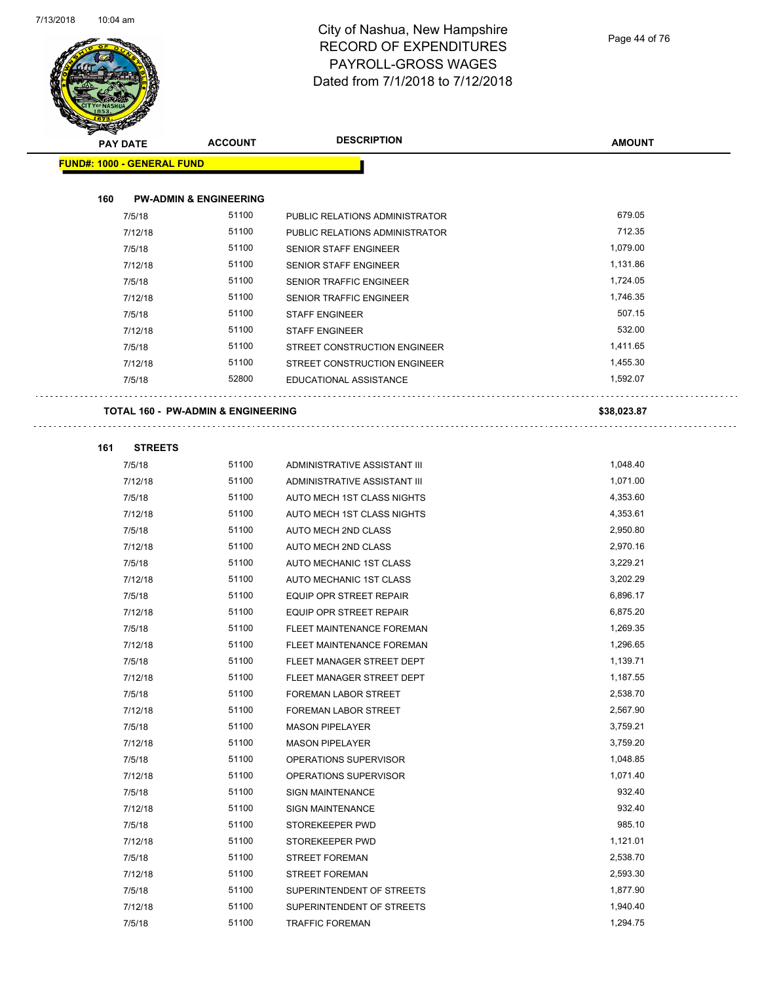

Page 44 of 76

|     | <b>PAY DATE</b>                   | <b>ACCOUNT</b>                                | <b>DESCRIPTION</b>             | <b>AMOUNT</b> |
|-----|-----------------------------------|-----------------------------------------------|--------------------------------|---------------|
|     | <b>FUND#: 1000 - GENERAL FUND</b> |                                               |                                |               |
|     |                                   |                                               |                                |               |
| 160 |                                   | <b>PW-ADMIN &amp; ENGINEERING</b>             |                                |               |
|     | 7/5/18                            | 51100                                         | PUBLIC RELATIONS ADMINISTRATOR | 679.05        |
|     | 7/12/18                           | 51100                                         | PUBLIC RELATIONS ADMINISTRATOR | 712.35        |
|     | 7/5/18                            | 51100                                         | <b>SENIOR STAFF ENGINEER</b>   | 1,079.00      |
|     | 7/12/18                           | 51100                                         | <b>SENIOR STAFF ENGINEER</b>   | 1,131.86      |
|     | 7/5/18                            | 51100                                         | SENIOR TRAFFIC ENGINEER        | 1,724.05      |
|     | 7/12/18                           | 51100                                         | SENIOR TRAFFIC ENGINEER        | 1,746.35      |
|     | 7/5/18                            | 51100                                         | <b>STAFF ENGINEER</b>          | 507.15        |
|     | 7/12/18                           | 51100                                         | <b>STAFF ENGINEER</b>          | 532.00        |
|     | 7/5/18                            | 51100                                         | STREET CONSTRUCTION ENGINEER   | 1,411.65      |
|     | 7/12/18                           | 51100                                         | STREET CONSTRUCTION ENGINEER   | 1,455.30      |
|     | 7/5/18                            | 52800                                         | EDUCATIONAL ASSISTANCE         | 1,592.07      |
|     |                                   |                                               |                                |               |
|     |                                   | <b>TOTAL 160 - PW-ADMIN &amp; ENGINEERING</b> |                                | \$38,023.87   |
|     |                                   |                                               |                                |               |
| 161 | <b>STREETS</b>                    |                                               |                                |               |
|     | 7/5/18                            | 51100                                         | ADMINISTRATIVE ASSISTANT III   | 1,048.40      |
|     | 7/12/18                           | 51100                                         | ADMINISTRATIVE ASSISTANT III   | 1,071.00      |
|     | 7/5/18                            | 51100                                         | AUTO MECH 1ST CLASS NIGHTS     | 4,353.60      |
|     | 7/12/18                           | 51100                                         | AUTO MECH 1ST CLASS NIGHTS     | 4,353.61      |
|     | 7/5/18                            | 51100                                         | AUTO MECH 2ND CLASS            | 2,950.80      |
|     | 7/12/18                           | 51100                                         | AUTO MECH 2ND CLASS            | 2,970.16      |
|     | 7/5/18                            | 51100                                         | AUTO MECHANIC 1ST CLASS        | 3,229.21      |
|     | 7/12/18                           | 51100                                         | AUTO MECHANIC 1ST CLASS        | 3,202.29      |
|     | 7/5/18                            | 51100                                         | EQUIP OPR STREET REPAIR        | 6,896.17      |
|     | 7/12/18                           | 51100                                         | EQUIP OPR STREET REPAIR        | 6,875.20      |
|     | 7/5/18                            | 51100                                         | FLEET MAINTENANCE FOREMAN      | 1,269.35      |
|     | 7/12/18                           | 51100                                         | FLEET MAINTENANCE FOREMAN      | 1,296.65      |
|     | 7/5/18                            | 51100                                         | FLEET MANAGER STREET DEPT      | 1,139.71      |
|     | 7/12/18                           | 51100                                         | FLEET MANAGER STREET DEPT      | 1,187.55      |
|     | 7/5/18                            | 51100                                         | FOREMAN LABOR STREET           | 2,538.70      |
|     | 7/12/18                           | 51100                                         | FOREMAN LABOR STREET           | 2,567.90      |
|     | 7/5/18                            | 51100                                         | <b>MASON PIPELAYER</b>         | 3,759.21      |
|     | 7/12/18                           | 51100                                         | <b>MASON PIPELAYER</b>         | 3,759.20      |
|     | 7/5/18                            | 51100                                         | OPERATIONS SUPERVISOR          | 1,048.85      |
|     | 7/12/18                           | 51100                                         | OPERATIONS SUPERVISOR          | 1,071.40      |
|     | 7/5/18                            | 51100                                         | <b>SIGN MAINTENANCE</b>        | 932.40        |
|     | 7/12/18                           | 51100                                         | <b>SIGN MAINTENANCE</b>        | 932.40        |
|     | 7/5/18                            | 51100                                         | STOREKEEPER PWD                | 985.10        |
|     | 7/12/18                           | 51100                                         | STOREKEEPER PWD                | 1,121.01      |
|     | 7/5/18                            | 51100                                         | <b>STREET FOREMAN</b>          | 2,538.70      |
|     | 7/12/18                           | 51100                                         | <b>STREET FOREMAN</b>          | 2,593.30      |
|     | 7/5/18                            | 51100                                         | SUPERINTENDENT OF STREETS      | 1,877.90      |
|     | 7/12/18                           | 51100                                         | SUPERINTENDENT OF STREETS      | 1,940.40      |
|     | 7/5/18                            | 51100                                         | <b>TRAFFIC FOREMAN</b>         | 1,294.75      |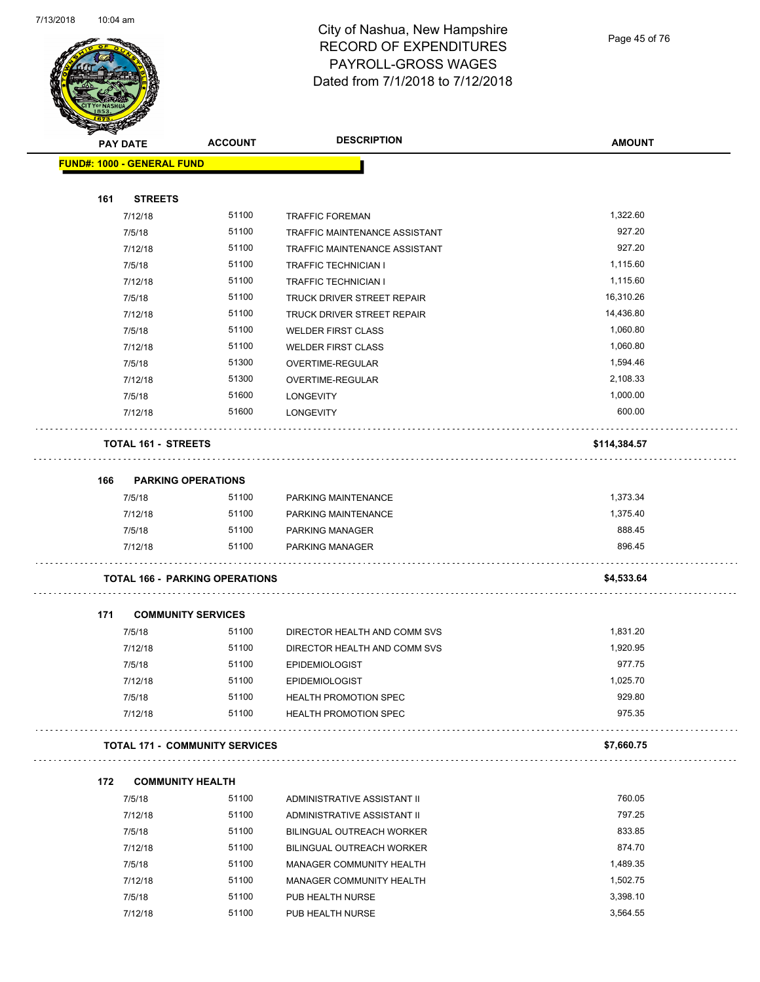

Page 45 of 76

|     | <b>PAY DATE</b>                   | <b>ACCOUNT</b>                        | <b>DESCRIPTION</b>            | <b>AMOUNT</b> |
|-----|-----------------------------------|---------------------------------------|-------------------------------|---------------|
|     | <b>FUND#: 1000 - GENERAL FUND</b> |                                       |                               |               |
| 161 | <b>STREETS</b>                    |                                       |                               |               |
|     | 7/12/18                           | 51100                                 | <b>TRAFFIC FOREMAN</b>        | 1,322.60      |
|     | 7/5/18                            | 51100                                 | TRAFFIC MAINTENANCE ASSISTANT | 927.20        |
|     | 7/12/18                           | 51100                                 | TRAFFIC MAINTENANCE ASSISTANT | 927.20        |
|     | 7/5/18                            | 51100                                 | <b>TRAFFIC TECHNICIAN I</b>   | 1,115.60      |
|     | 7/12/18                           | 51100                                 | <b>TRAFFIC TECHNICIAN I</b>   | 1,115.60      |
|     | 7/5/18                            | 51100                                 | TRUCK DRIVER STREET REPAIR    | 16,310.26     |
|     | 7/12/18                           | 51100                                 | TRUCK DRIVER STREET REPAIR    | 14,436.80     |
|     | 7/5/18                            | 51100                                 | <b>WELDER FIRST CLASS</b>     | 1,060.80      |
|     | 7/12/18                           | 51100                                 | <b>WELDER FIRST CLASS</b>     | 1,060.80      |
|     |                                   | 51300                                 |                               | 1,594.46      |
|     | 7/5/18                            | 51300                                 | OVERTIME-REGULAR              |               |
|     | 7/12/18                           |                                       | OVERTIME-REGULAR              | 2,108.33      |
|     | 7/5/18                            | 51600                                 | <b>LONGEVITY</b>              | 1,000.00      |
|     | 7/12/18                           | 51600                                 | <b>LONGEVITY</b>              | 600.00        |
|     | <b>TOTAL 161 - STREETS</b>        |                                       |                               | \$114,384.57  |
| 166 |                                   | <b>PARKING OPERATIONS</b>             |                               |               |
|     | 7/5/18                            | 51100                                 | PARKING MAINTENANCE           | 1,373.34      |
|     | 7/12/18                           | 51100                                 | <b>PARKING MAINTENANCE</b>    | 1,375.40      |
|     | 7/5/18                            | 51100                                 | <b>PARKING MANAGER</b>        | 888.45        |
|     | 7/12/18                           | 51100                                 | <b>PARKING MANAGER</b>        | 896.45        |
|     |                                   | <b>TOTAL 166 - PARKING OPERATIONS</b> |                               | \$4,533.64    |
|     |                                   |                                       |                               |               |
| 171 |                                   | <b>COMMUNITY SERVICES</b>             |                               |               |
|     | 7/5/18                            | 51100                                 | DIRECTOR HEALTH AND COMM SVS  | 1,831.20      |
|     | 7/12/18                           | 51100                                 | DIRECTOR HEALTH AND COMM SVS  | 1,920.95      |
|     | 7/5/18                            | 51100                                 | <b>EPIDEMIOLOGIST</b>         | 977.75        |
|     | 7/12/18                           | 51100                                 | <b>EPIDEMIOLOGIST</b>         | 1,025.70      |
|     | 7/5/18                            | 51100                                 | HEALTH PROMOTION SPEC         | 929.80        |
|     | 7/12/18                           | 51100                                 | HEALTH PROMOTION SPEC         | 975.35<br>.   |
|     |                                   | <b>TOTAL 171 - COMMUNITY SERVICES</b> |                               | \$7,660.75    |
| 172 |                                   | <b>COMMUNITY HEALTH</b>               |                               |               |
|     | 7/5/18                            | 51100                                 | ADMINISTRATIVE ASSISTANT II   | 760.05        |
|     | 7/12/18                           | 51100                                 | ADMINISTRATIVE ASSISTANT II   | 797.25        |
|     | 7/5/18                            | 51100                                 | BILINGUAL OUTREACH WORKER     | 833.85        |
|     |                                   | 51100                                 |                               | 874.70        |
|     | 7/12/18                           |                                       | BILINGUAL OUTREACH WORKER     |               |
|     | 7/5/18                            | 51100                                 | MANAGER COMMUNITY HEALTH      | 1,489.35      |
|     | 7/12/18                           | 51100                                 | MANAGER COMMUNITY HEALTH      | 1,502.75      |
|     | 7/5/18                            | 51100                                 | PUB HEALTH NURSE              | 3,398.10      |
|     | 7/12/18                           | 51100                                 | PUB HEALTH NURSE              | 3,564.55      |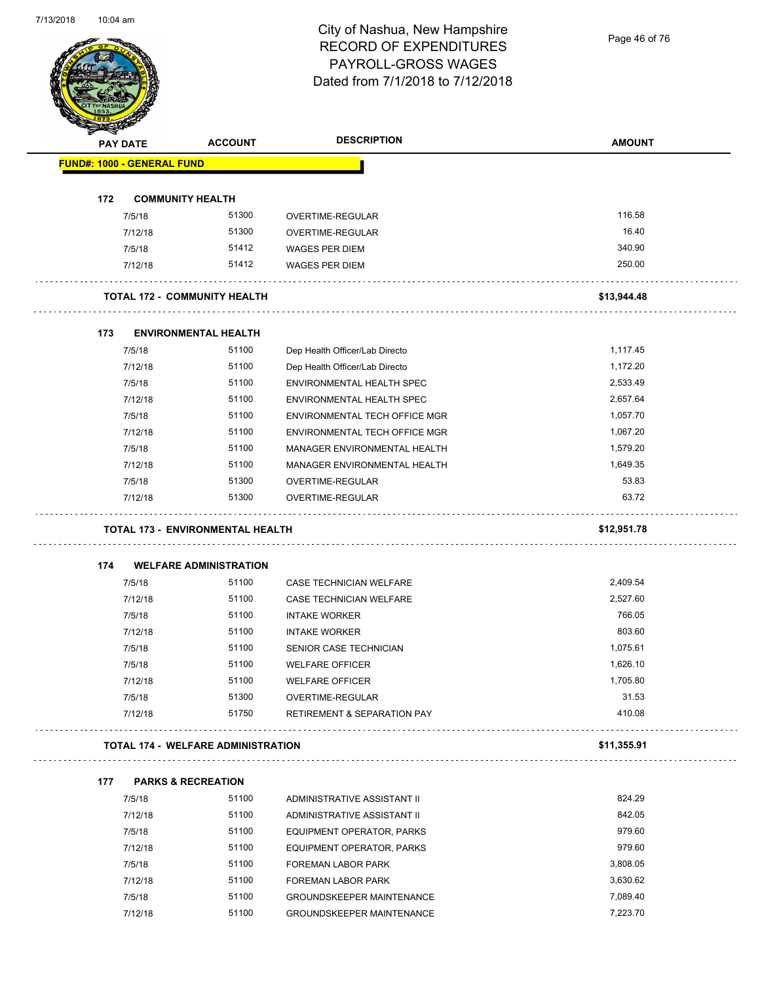Page 46 of 76

|     | PAY DATE                          | <b>ACCOUNT</b>                            | <b>DESCRIPTION</b>                                         | <b>AMOUNT</b>        |
|-----|-----------------------------------|-------------------------------------------|------------------------------------------------------------|----------------------|
|     | <b>FUND#: 1000 - GENERAL FUND</b> |                                           |                                                            |                      |
| 172 |                                   | <b>COMMUNITY HEALTH</b>                   |                                                            |                      |
|     | 7/5/18                            | 51300                                     | OVERTIME-REGULAR                                           | 116.58               |
|     | 7/12/18                           | 51300                                     | OVERTIME-REGULAR                                           | 16.40                |
|     | 7/5/18                            | 51412                                     | <b>WAGES PER DIEM</b>                                      | 340.90               |
|     | 7/12/18                           | 51412                                     | <b>WAGES PER DIEM</b>                                      | 250.00               |
|     |                                   | <b>TOTAL 172 - COMMUNITY HEALTH</b>       |                                                            | \$13,944.48          |
|     |                                   |                                           |                                                            |                      |
| 173 |                                   | <b>ENVIRONMENTAL HEALTH</b><br>51100      |                                                            | 1,117.45             |
|     | 7/5/18                            | 51100                                     | Dep Health Officer/Lab Directo                             |                      |
|     | 7/12/18<br>7/5/18                 | 51100                                     | Dep Health Officer/Lab Directo                             | 1,172.20<br>2,533.49 |
|     |                                   |                                           | ENVIRONMENTAL HEALTH SPEC                                  |                      |
|     | 7/12/18                           | 51100                                     | ENVIRONMENTAL HEALTH SPEC                                  | 2,657.64             |
|     | 7/5/18                            | 51100                                     | ENVIRONMENTAL TECH OFFICE MGR                              | 1,057.70             |
|     | 7/12/18                           | 51100                                     | ENVIRONMENTAL TECH OFFICE MGR                              | 1,067.20             |
|     | 7/5/18                            | 51100                                     | MANAGER ENVIRONMENTAL HEALTH                               | 1,579.20             |
|     | 7/12/18                           | 51100                                     | MANAGER ENVIRONMENTAL HEALTH                               | 1,649.35             |
|     | 7/5/18                            | 51300                                     | OVERTIME-REGULAR                                           | 53.83                |
|     |                                   |                                           |                                                            |                      |
|     | 7/12/18                           | 51300                                     | OVERTIME-REGULAR                                           | 63.72                |
|     |                                   | <b>TOTAL 173 - ENVIRONMENTAL HEALTH</b>   |                                                            | \$12,951.78          |
|     |                                   |                                           |                                                            |                      |
| 174 |                                   | <b>WELFARE ADMINISTRATION</b>             |                                                            |                      |
|     | 7/5/18                            | 51100                                     | CASE TECHNICIAN WELFARE                                    | 2,409.54             |
|     | 7/12/18                           | 51100                                     | CASE TECHNICIAN WELFARE                                    | 2,527.60             |
|     | 7/5/18                            | 51100                                     | <b>INTAKE WORKER</b>                                       | 766.05               |
|     | 7/12/18                           | 51100                                     | <b>INTAKE WORKER</b>                                       | 803.60               |
|     | 7/5/18                            | 51100                                     | SENIOR CASE TECHNICIAN                                     | 1,075.61             |
|     | 7/5/18                            | 51100                                     | <b>WELFARE OFFICER</b>                                     | 1,626.10             |
|     | 7/12/18                           | 51100                                     | <b>WELFARE OFFICER</b>                                     | 1,705.80             |
|     | 7/5/18<br>7/12/18                 | 51300<br>51750                            | OVERTIME-REGULAR<br><b>RETIREMENT &amp; SEPARATION PAY</b> | 31.53<br>410.08      |
|     |                                   | <b>TOTAL 174 - WELFARE ADMINISTRATION</b> |                                                            | \$11,355.91          |
|     |                                   |                                           |                                                            |                      |
| 177 |                                   | <b>PARKS &amp; RECREATION</b>             |                                                            |                      |
|     | 7/5/18                            | 51100                                     | ADMINISTRATIVE ASSISTANT II                                | 824.29               |
|     | 7/12/18                           | 51100                                     | ADMINISTRATIVE ASSISTANT II                                | 842.05               |
|     | 7/5/18                            | 51100                                     | EQUIPMENT OPERATOR, PARKS                                  | 979.60               |
|     | 7/12/18                           | 51100                                     | EQUIPMENT OPERATOR, PARKS                                  | 979.60               |
|     | 7/5/18                            | 51100                                     | FOREMAN LABOR PARK                                         | 3,808.05             |
|     | 7/12/18<br>7/5/18                 | 51100<br>51100                            | FOREMAN LABOR PARK<br><b>GROUNDSKEEPER MAINTENANCE</b>     | 3,630.62<br>7,089.40 |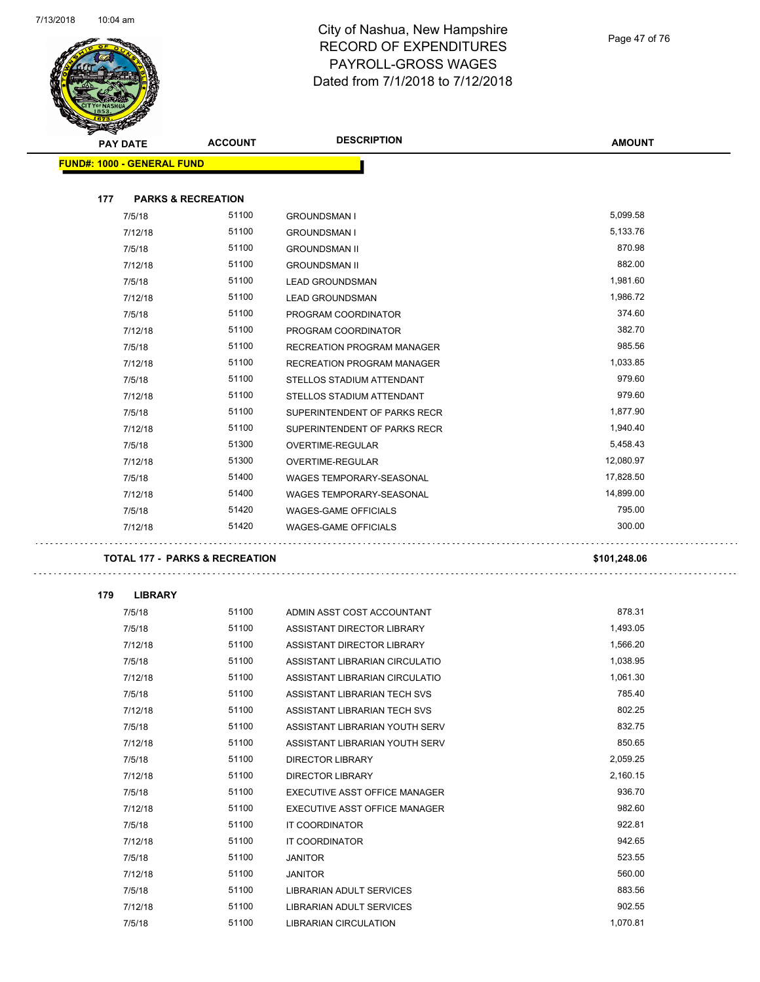

|     | <b>PAY DATE</b>                   | <b>ACCOUNT</b>                            | <b>DESCRIPTION</b>                | <b>AMOUNT</b> |
|-----|-----------------------------------|-------------------------------------------|-----------------------------------|---------------|
|     | <b>FUND#: 1000 - GENERAL FUND</b> |                                           |                                   |               |
| 177 |                                   | <b>PARKS &amp; RECREATION</b>             |                                   |               |
|     | 7/5/18                            | 51100                                     | <b>GROUNDSMAN I</b>               | 5,099.58      |
|     | 7/12/18                           | 51100                                     | <b>GROUNDSMAN I</b>               | 5,133.76      |
|     | 7/5/18                            | 51100                                     | <b>GROUNDSMAN II</b>              | 870.98        |
|     | 7/12/18                           | 51100                                     | <b>GROUNDSMAN II</b>              | 882.00        |
|     | 7/5/18                            | 51100                                     | <b>LEAD GROUNDSMAN</b>            | 1,981.60      |
|     | 7/12/18                           | 51100                                     | <b>LEAD GROUNDSMAN</b>            | 1,986.72      |
|     | 7/5/18                            | 51100                                     | PROGRAM COORDINATOR               | 374.60        |
|     | 7/12/18                           | 51100                                     | PROGRAM COORDINATOR               | 382.70        |
|     | 7/5/18                            | 51100                                     | RECREATION PROGRAM MANAGER        | 985.56        |
|     | 7/12/18                           | 51100                                     | <b>RECREATION PROGRAM MANAGER</b> | 1,033.85      |
|     | 7/5/18                            | 51100                                     | STELLOS STADIUM ATTENDANT         | 979.60        |
|     | 7/12/18                           | 51100                                     | STELLOS STADIUM ATTENDANT         | 979.60        |
|     | 7/5/18                            | 51100                                     | SUPERINTENDENT OF PARKS RECR      | 1,877.90      |
|     | 7/12/18                           | 51100                                     | SUPERINTENDENT OF PARKS RECR      | 1,940.40      |
|     | 7/5/18                            | 51300                                     | OVERTIME-REGULAR                  | 5,458.43      |
|     | 7/12/18                           | 51300                                     | <b>OVERTIME-REGULAR</b>           | 12,080.97     |
|     | 7/5/18                            | 51400                                     | WAGES TEMPORARY-SEASONAL          | 17,828.50     |
|     | 7/12/18                           | 51400                                     | WAGES TEMPORARY-SEASONAL          | 14,899.00     |
|     | 7/5/18                            | 51420                                     | <b>WAGES-GAME OFFICIALS</b>       | 795.00        |
|     | 7/12/18                           | 51420                                     | <b>WAGES-GAME OFFICIALS</b>       | 300.00        |
|     |                                   | <b>TOTAL 177 - PARKS &amp; RECREATION</b> |                                   | \$101,248.06  |
| 179 | <b>LIBRARY</b>                    |                                           |                                   |               |
|     | 7/5/18                            | 51100                                     | ADMIN ASST COST ACCOUNTANT        | 878.31        |
|     | 7/5/18                            | 51100                                     | ASSISTANT DIRECTOR LIBRARY        | 1,493.05      |
|     | 7/12/18                           | 51100                                     | ASSISTANT DIRECTOR LIBRARY        | 1,566.20      |
|     | 7/5/18                            | 51100                                     | ASSISTANT LIBRARIAN CIRCULATIO    | 1,038.95      |
|     | 7/12/18                           | 51100                                     | ASSISTANT LIBRARIAN CIRCULATIO    | 1,061.30      |
|     | 7/5/18                            | 51100                                     | ASSISTANT LIBRARIAN TECH SVS      | 785.40        |
|     | 7/12/18                           | 51100                                     | ASSISTANT LIBRARIAN TECH SVS      | 802.25        |
|     | 7/5/18                            | 51100                                     | ASSISTANT LIBRARIAN YOUTH SERV    | 832.75        |
|     | 7/12/18                           | 51100                                     | ASSISTANT LIBRARIAN YOUTH SERV    | 850.65        |
|     | 7/5/18                            | 51100                                     | <b>DIRECTOR LIBRARY</b>           | 2,059.25      |

7/12/18 51100 DIRECTOR LIBRARY 2,160.15 7/5/18 51100 EXECUTIVE ASST OFFICE MANAGER 936.70 7/12/18 51100 EXECUTIVE ASST OFFICE MANAGER 982.60 7/5/18 51100 IT COORDINATOR 922.81 7/12/18 51100 IT COORDINATOR 942.65 7/5/18 51100 JANITOR 523.55 7/12/18 51100 JANITOR 560.00 7/5/18 51100 LIBRARIAN ADULT SERVICES 883.56 7/12/18 51100 LIBRARIAN ADULT SERVICES 902.55 7/5/18 51100 LIBRARIAN CIRCULATION 1,070.81

Page 47 of 76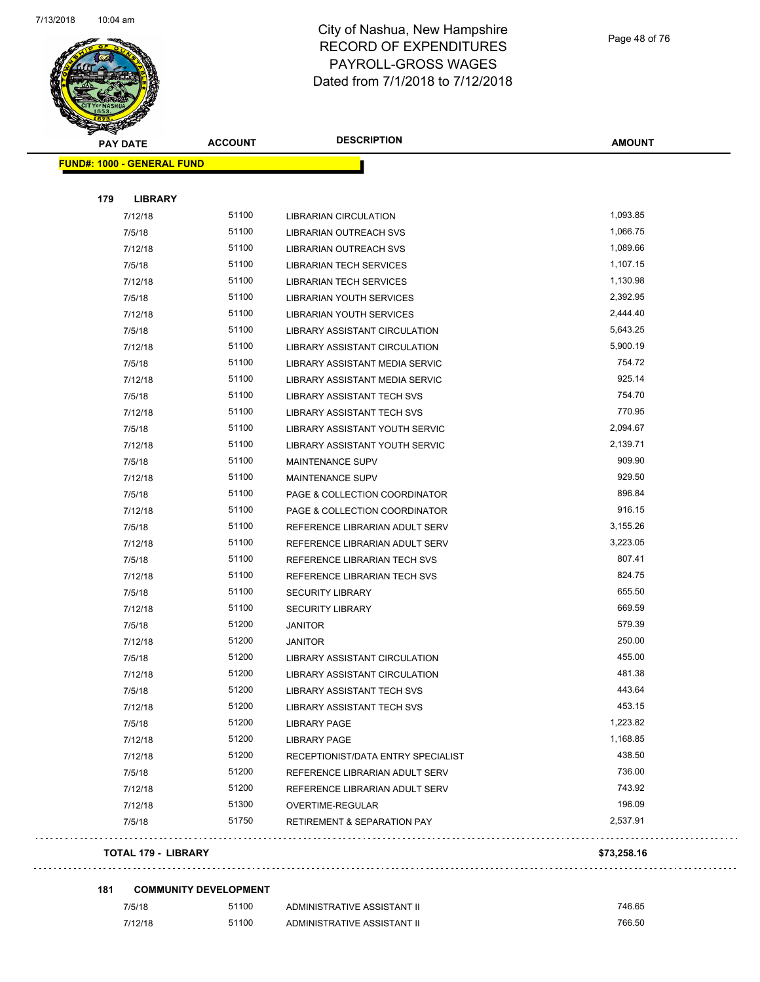

| <b>STARBOOKS</b><br><b>PAY DATE</b> | <b>ACCOUNT</b> | <b>DESCRIPTION</b>                     | <b>AMOUNT</b> |
|-------------------------------------|----------------|----------------------------------------|---------------|
|                                     |                |                                        |               |
| <b>FUND#: 1000 - GENERAL FUND</b>   |                |                                        |               |
|                                     |                |                                        |               |
| 179<br><b>LIBRARY</b>               |                |                                        |               |
| 7/12/18                             | 51100          | <b>LIBRARIAN CIRCULATION</b>           | 1,093.85      |
| 7/5/18                              | 51100          | LIBRARIAN OUTREACH SVS                 | 1,066.75      |
| 7/12/18                             | 51100          | LIBRARIAN OUTREACH SVS                 | 1,089.66      |
| 7/5/18                              | 51100          | <b>LIBRARIAN TECH SERVICES</b>         | 1,107.15      |
| 7/12/18                             | 51100          | <b>LIBRARIAN TECH SERVICES</b>         | 1,130.98      |
| 7/5/18                              | 51100          | <b>LIBRARIAN YOUTH SERVICES</b>        | 2,392.95      |
| 7/12/18                             | 51100          | LIBRARIAN YOUTH SERVICES               | 2,444.40      |
| 7/5/18                              | 51100          | LIBRARY ASSISTANT CIRCULATION          | 5,643.25      |
| 7/12/18                             | 51100          | LIBRARY ASSISTANT CIRCULATION          | 5,900.19      |
| 7/5/18                              | 51100          | <b>LIBRARY ASSISTANT MEDIA SERVIC</b>  | 754.72        |
| 7/12/18                             | 51100          | LIBRARY ASSISTANT MEDIA SERVIC         | 925.14        |
| 7/5/18                              | 51100          | LIBRARY ASSISTANT TECH SVS             | 754.70        |
| 7/12/18                             | 51100          | LIBRARY ASSISTANT TECH SVS             | 770.95        |
| 7/5/18                              | 51100          | LIBRARY ASSISTANT YOUTH SERVIC         | 2,094.67      |
| 7/12/18                             | 51100          | LIBRARY ASSISTANT YOUTH SERVIC         | 2,139.71      |
| 7/5/18                              | 51100          | <b>MAINTENANCE SUPV</b>                | 909.90        |
| 7/12/18                             | 51100          | <b>MAINTENANCE SUPV</b>                | 929.50        |
| 7/5/18                              | 51100          | PAGE & COLLECTION COORDINATOR          | 896.84        |
| 7/12/18                             | 51100          | PAGE & COLLECTION COORDINATOR          | 916.15        |
| 7/5/18                              | 51100          | REFERENCE LIBRARIAN ADULT SERV         | 3,155.26      |
| 7/12/18                             | 51100          | REFERENCE LIBRARIAN ADULT SERV         | 3,223.05      |
| 7/5/18                              | 51100          | REFERENCE LIBRARIAN TECH SVS           | 807.41        |
| 7/12/18                             | 51100          | REFERENCE LIBRARIAN TECH SVS           | 824.75        |
| 7/5/18                              | 51100          | <b>SECURITY LIBRARY</b>                | 655.50        |
| 7/12/18                             | 51100          | <b>SECURITY LIBRARY</b>                | 669.59        |
| 7/5/18                              | 51200          | <b>JANITOR</b>                         | 579.39        |
| 7/12/18                             | 51200          | JANITOR                                | 250.00        |
| 7/5/18                              | 51200          | LIBRARY ASSISTANT CIRCULATION          | 455.00        |
| 7/12/18                             | 51200          | LIBRARY ASSISTANT CIRCULATION          | 481.38        |
| 7/5/18                              | 51200          | LIBRARY ASSISTANT TECH SVS             | 443.64        |
| 7/12/18                             | 51200          | LIBRARY ASSISTANT TECH SVS             | 453.15        |
| 7/5/18                              | 51200          | <b>LIBRARY PAGE</b>                    | 1,223.82      |
| 7/12/18                             | 51200          | <b>LIBRARY PAGE</b>                    | 1,168.85      |
| 7/12/18                             | 51200          | RECEPTIONIST/DATA ENTRY SPECIALIST     | 438.50        |
| 7/5/18                              | 51200          | REFERENCE LIBRARIAN ADULT SERV         | 736.00        |
| 7/12/18                             | 51200          | REFERENCE LIBRARIAN ADULT SERV         | 743.92        |
| 7/12/18                             | 51300          | OVERTIME-REGULAR                       | 196.09        |
| 7/5/18                              | 51750          | <b>RETIREMENT &amp; SEPARATION PAY</b> | 2,537.91      |
|                                     |                |                                        |               |

#### **TOTAL 179 - LIBRARY \$73,258.16**

#### **181 COMMUNITY DEVELOPMENT**

| 7/5/18  | 51100 | ADMINISTRATIVE ASSISTANT II | 746.65 |
|---------|-------|-----------------------------|--------|
| 7/12/18 | 51100 | ADMINISTRATIVE ASSISTANT II | 766.50 |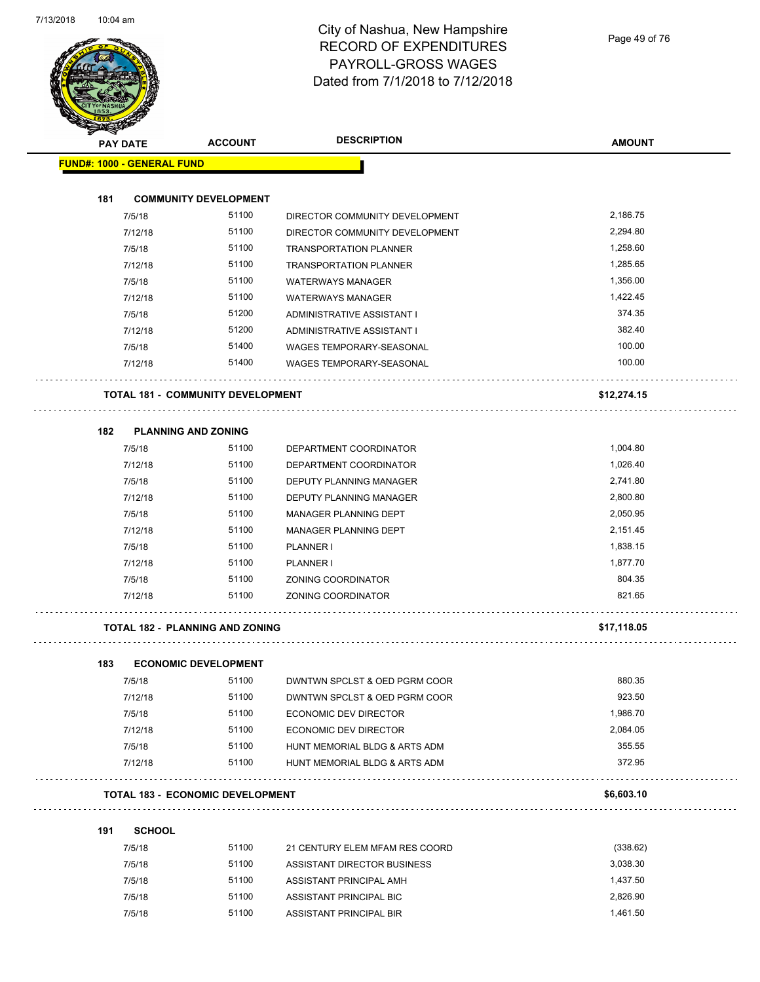

| <b>PAY DATE</b>                   | <b>ACCOUNT</b>                           | <b>DESCRIPTION</b>              | <b>AMOUNT</b> |
|-----------------------------------|------------------------------------------|---------------------------------|---------------|
| <b>FUND#: 1000 - GENERAL FUND</b> |                                          |                                 |               |
| 181                               | <b>COMMUNITY DEVELOPMENT</b>             |                                 |               |
| 7/5/18                            | 51100                                    | DIRECTOR COMMUNITY DEVELOPMENT  | 2,186.75      |
| 7/12/18                           | 51100                                    | DIRECTOR COMMUNITY DEVELOPMENT  | 2,294.80      |
| 7/5/18                            | 51100                                    | <b>TRANSPORTATION PLANNER</b>   | 1,258.60      |
| 7/12/18                           | 51100                                    | <b>TRANSPORTATION PLANNER</b>   | 1,285.65      |
| 7/5/18                            | 51100                                    | <b>WATERWAYS MANAGER</b>        | 1,356.00      |
| 7/12/18                           | 51100                                    | <b>WATERWAYS MANAGER</b>        | 1,422.45      |
| 7/5/18                            | 51200                                    | ADMINISTRATIVE ASSISTANT I      | 374.35        |
| 7/12/18                           | 51200                                    | ADMINISTRATIVE ASSISTANT I      | 382.40        |
| 7/5/18                            | 51400                                    | <b>WAGES TEMPORARY-SEASONAL</b> | 100.00        |
| 7/12/18                           | 51400                                    | <b>WAGES TEMPORARY-SEASONAL</b> | 100.00        |
|                                   | <b>TOTAL 181 - COMMUNITY DEVELOPMENT</b> |                                 | \$12,274.15   |
|                                   |                                          |                                 |               |
| 182                               | <b>PLANNING AND ZONING</b>               |                                 |               |
| 7/5/18                            | 51100                                    | DEPARTMENT COORDINATOR          | 1,004.80      |
| 7/12/18                           | 51100                                    | DEPARTMENT COORDINATOR          | 1,026.40      |
| 7/5/18                            | 51100                                    | DEPUTY PLANNING MANAGER         | 2,741.80      |
| 7/12/18                           | 51100                                    | <b>DEPUTY PLANNING MANAGER</b>  | 2,800.80      |
| 7/5/18                            | 51100                                    | MANAGER PLANNING DEPT           | 2,050.95      |
| 7/12/18                           | 51100                                    | MANAGER PLANNING DEPT           | 2,151.45      |
| 7/5/18                            | 51100                                    | PLANNER I                       | 1,838.15      |
| 7/12/18                           | 51100                                    | PLANNER I                       | 1,877.70      |
| 7/5/18                            | 51100                                    | ZONING COORDINATOR              | 804.35        |
| 7/12/18                           | 51100                                    | <b>ZONING COORDINATOR</b>       | 821.65        |
|                                   | <b>TOTAL 182 - PLANNING AND ZONING</b>   |                                 | \$17,118.05   |
| 183                               | <b>ECONOMIC DEVELOPMENT</b>              |                                 |               |
| 7/5/18                            | 51100                                    | DWNTWN SPCLST & OED PGRM COOR   | 880.35        |
| 7/12/18                           | 51100                                    | DWNTWN SPCLST & OED PGRM COOR   | 923.50        |
| 7/5/18                            | 51100                                    | ECONOMIC DEV DIRECTOR           | 1,986.70      |
| 7/12/18                           | 51100                                    | ECONOMIC DEV DIRECTOR           | 2,084.05      |
| 7/5/18                            | 51100                                    | HUNT MEMORIAL BLDG & ARTS ADM   | 355.55        |
| 7/12/18                           | 51100                                    | HUNT MEMORIAL BLDG & ARTS ADM   | 372.95        |
|                                   | <b>TOTAL 183 - ECONOMIC DEVELOPMENT</b>  |                                 | \$6,603.10    |
| 191<br><b>SCHOOL</b>              |                                          |                                 |               |
| 7/5/18                            | 51100                                    | 21 CENTURY ELEM MFAM RES COORD  | (338.62)      |
| 7/5/18                            | 51100                                    | ASSISTANT DIRECTOR BUSINESS     | 3,038.30      |
| 7/5/18                            | 51100                                    | ASSISTANT PRINCIPAL AMH         | 1,437.50      |
| 7/5/18                            | 51100                                    | ASSISTANT PRINCIPAL BIC         | 2,826.90      |

7/5/18 51100 ASSISTANT PRINCIPAL BIR 1,461.50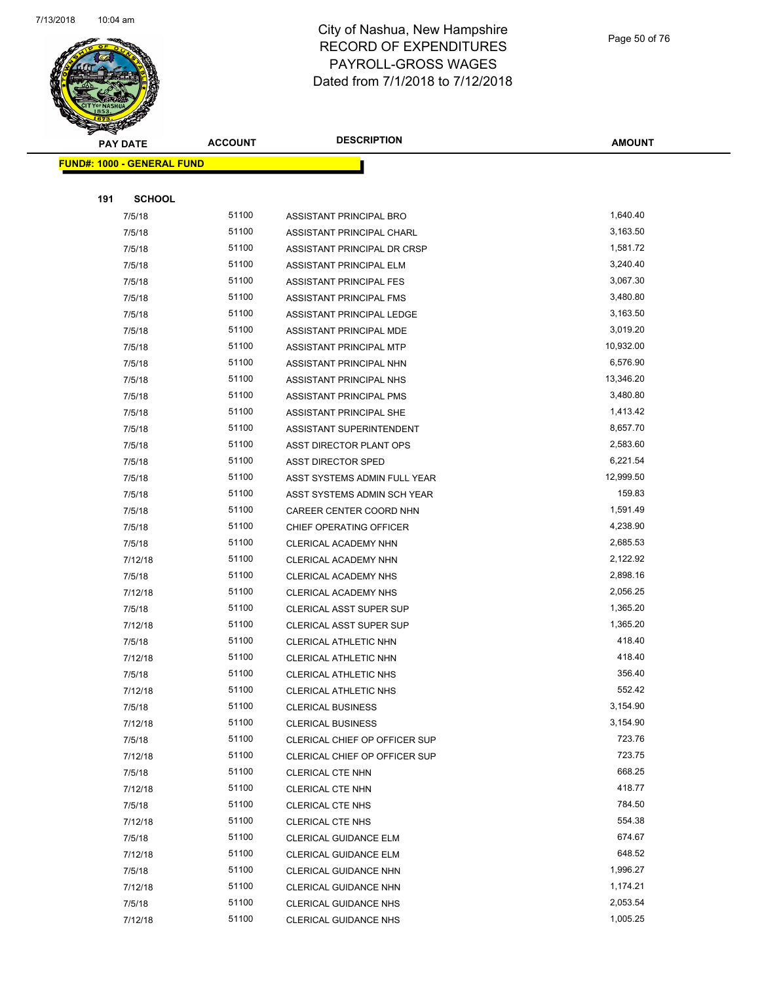

| <b>PAY DATE</b>                   | <b>ACCOUNT</b> | <b>DESCRIPTION</b>             | <b>AMOUNT</b> |
|-----------------------------------|----------------|--------------------------------|---------------|
| <b>FUND#: 1000 - GENERAL FUND</b> |                |                                |               |
|                                   |                |                                |               |
| 191<br><b>SCHOOL</b>              |                |                                |               |
| 7/5/18                            | 51100          | ASSISTANT PRINCIPAL BRO        | 1,640.40      |
| 7/5/18                            | 51100          | ASSISTANT PRINCIPAL CHARL      | 3,163.50      |
| 7/5/18                            | 51100          | ASSISTANT PRINCIPAL DR CRSP    | 1,581.72      |
| 7/5/18                            | 51100          | ASSISTANT PRINCIPAL ELM        | 3,240.40      |
| 7/5/18                            | 51100          | ASSISTANT PRINCIPAL FES        | 3,067.30      |
| 7/5/18                            | 51100          | ASSISTANT PRINCIPAL FMS        | 3,480.80      |
| 7/5/18                            | 51100          | ASSISTANT PRINCIPAL LEDGE      | 3,163.50      |
| 7/5/18                            | 51100          | ASSISTANT PRINCIPAL MDE        | 3,019.20      |
| 7/5/18                            | 51100          | ASSISTANT PRINCIPAL MTP        | 10,932.00     |
| 7/5/18                            | 51100          | ASSISTANT PRINCIPAL NHN        | 6,576.90      |
| 7/5/18                            | 51100          | ASSISTANT PRINCIPAL NHS        | 13,346.20     |
| 7/5/18                            | 51100          | ASSISTANT PRINCIPAL PMS        | 3,480.80      |
| 7/5/18                            | 51100          | <b>ASSISTANT PRINCIPAL SHE</b> | 1,413.42      |
| 7/5/18                            | 51100          | ASSISTANT SUPERINTENDENT       | 8,657.70      |
| 7/5/18                            | 51100          | ASST DIRECTOR PLANT OPS        | 2,583.60      |
| 7/5/18                            | 51100          | <b>ASST DIRECTOR SPED</b>      | 6,221.54      |
| 7/5/18                            | 51100          | ASST SYSTEMS ADMIN FULL YEAR   | 12,999.50     |
| 7/5/18                            | 51100          | ASST SYSTEMS ADMIN SCH YEAR    | 159.83        |
| 7/5/18                            | 51100          | CAREER CENTER COORD NHN        | 1,591.49      |
| 7/5/18                            | 51100          | CHIEF OPERATING OFFICER        | 4,238.90      |
| 7/5/18                            | 51100          | CLERICAL ACADEMY NHN           | 2,685.53      |
| 7/12/18                           | 51100          | CLERICAL ACADEMY NHN           | 2,122.92      |
| 7/5/18                            | 51100          | CLERICAL ACADEMY NHS           | 2,898.16      |
| 7/12/18                           | 51100          | CLERICAL ACADEMY NHS           | 2,056.25      |
| 7/5/18                            | 51100          | <b>CLERICAL ASST SUPER SUP</b> | 1,365.20      |
| 7/12/18                           | 51100          | <b>CLERICAL ASST SUPER SUP</b> | 1,365.20      |
| 7/5/18                            | 51100          | CLERICAL ATHLETIC NHN          | 418.40        |
| 7/12/18                           | 51100          | CLERICAL ATHLETIC NHN          | 418.40        |
| 7/5/18                            | 51100          | CLERICAL ATHLETIC NHS          | 356.40        |
| 7/12/18                           | 51100          | <b>CLERICAL ATHLETIC NHS</b>   | 552.42        |
| 7/5/18                            | 51100          | <b>CLERICAL BUSINESS</b>       | 3,154.90      |
| 7/12/18                           | 51100          | <b>CLERICAL BUSINESS</b>       | 3,154.90      |
| 7/5/18                            | 51100          | CLERICAL CHIEF OP OFFICER SUP  | 723.76        |
| 7/12/18                           | 51100          | CLERICAL CHIEF OP OFFICER SUP  | 723.75        |
| 7/5/18                            | 51100          | <b>CLERICAL CTE NHN</b>        | 668.25        |
| 7/12/18                           | 51100          | CLERICAL CTE NHN               | 418.77        |
| 7/5/18                            | 51100          | <b>CLERICAL CTE NHS</b>        | 784.50        |
| 7/12/18                           | 51100          | <b>CLERICAL CTE NHS</b>        | 554.38        |
| 7/5/18                            | 51100          | CLERICAL GUIDANCE ELM          | 674.67        |
| 7/12/18                           | 51100          | CLERICAL GUIDANCE ELM          | 648.52        |
| 7/5/18                            | 51100          | <b>CLERICAL GUIDANCE NHN</b>   | 1,996.27      |
| 7/12/18                           | 51100          | <b>CLERICAL GUIDANCE NHN</b>   | 1,174.21      |
| 7/5/18                            | 51100          | CLERICAL GUIDANCE NHS          | 2,053.54      |
| 7/12/18                           | 51100          | CLERICAL GUIDANCE NHS          | 1,005.25      |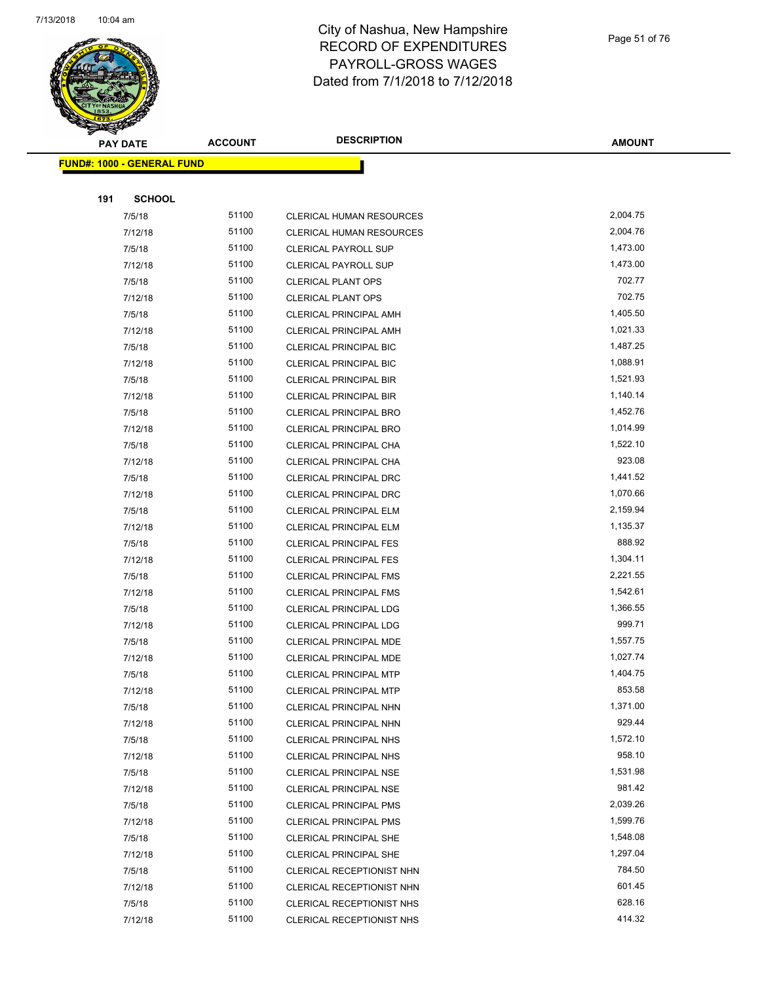

Page 51 of 76

| T<br>$\blacktriangleleft$<br><b>PAY DATE</b> | <b>ACCOUNT</b> | <b>DESCRIPTION</b>              | <b>AMOUNT</b> |
|----------------------------------------------|----------------|---------------------------------|---------------|
| <b>FUND#: 1000 - GENERAL FUND</b>            |                |                                 |               |
|                                              |                |                                 |               |
| 191<br><b>SCHOOL</b>                         |                |                                 |               |
| 7/5/18                                       | 51100          | <b>CLERICAL HUMAN RESOURCES</b> | 2,004.75      |
| 7/12/18                                      | 51100          | CLERICAL HUMAN RESOURCES        | 2,004.76      |
| 7/5/18                                       | 51100          | <b>CLERICAL PAYROLL SUP</b>     | 1,473.00      |
| 7/12/18                                      | 51100          | <b>CLERICAL PAYROLL SUP</b>     | 1,473.00      |
| 7/5/18                                       | 51100          | <b>CLERICAL PLANT OPS</b>       | 702.77        |
| 7/12/18                                      | 51100          | <b>CLERICAL PLANT OPS</b>       | 702.75        |
| 7/5/18                                       | 51100          | <b>CLERICAL PRINCIPAL AMH</b>   | 1,405.50      |
| 7/12/18                                      | 51100          | <b>CLERICAL PRINCIPAL AMH</b>   | 1,021.33      |
| 7/5/18                                       | 51100          | CLERICAL PRINCIPAL BIC          | 1,487.25      |
| 7/12/18                                      | 51100          | CLERICAL PRINCIPAL BIC          | 1,088.91      |
| 7/5/18                                       | 51100          | <b>CLERICAL PRINCIPAL BIR</b>   | 1,521.93      |
| 7/12/18                                      | 51100          | <b>CLERICAL PRINCIPAL BIR</b>   | 1,140.14      |
| 7/5/18                                       | 51100          | <b>CLERICAL PRINCIPAL BRO</b>   | 1,452.76      |
| 7/12/18                                      | 51100          | <b>CLERICAL PRINCIPAL BRO</b>   | 1,014.99      |
| 7/5/18                                       | 51100          | CLERICAL PRINCIPAL CHA          | 1,522.10      |
| 7/12/18                                      | 51100          | CLERICAL PRINCIPAL CHA          | 923.08        |
| 7/5/18                                       | 51100          | CLERICAL PRINCIPAL DRC          | 1,441.52      |
| 7/12/18                                      | 51100          | CLERICAL PRINCIPAL DRC          | 1,070.66      |
| 7/5/18                                       | 51100          | <b>CLERICAL PRINCIPAL ELM</b>   | 2,159.94      |
| 7/12/18                                      | 51100          | CLERICAL PRINCIPAL ELM          | 1,135.37      |
| 7/5/18                                       | 51100          | <b>CLERICAL PRINCIPAL FES</b>   | 888.92        |
| 7/12/18                                      | 51100          | <b>CLERICAL PRINCIPAL FES</b>   | 1,304.11      |
| 7/5/18                                       | 51100          | <b>CLERICAL PRINCIPAL FMS</b>   | 2,221.55      |
| 7/12/18                                      | 51100          | <b>CLERICAL PRINCIPAL FMS</b>   | 1,542.61      |
| 7/5/18                                       | 51100          | CLERICAL PRINCIPAL LDG          | 1,366.55      |
| 7/12/18                                      | 51100          | <b>CLERICAL PRINCIPAL LDG</b>   | 999.71        |
| 7/5/18                                       | 51100          | CLERICAL PRINCIPAL MDE          | 1,557.75      |
| 7/12/18                                      | 51100          | CLERICAL PRINCIPAL MDE          | 1,027.74      |
| 7/5/18                                       | 51100          | <b>CLERICAL PRINCIPAL MTP</b>   | 1,404.75      |
| 7/12/18                                      | 51100          | CLERICAL PRINCIPAL MTP          | 853.58        |
| 7/5/18                                       | 51100          | CLERICAL PRINCIPAL NHN          | 1,371.00      |
| 7/12/18                                      | 51100          | CLERICAL PRINCIPAL NHN          | 929.44        |
| 7/5/18                                       | 51100          | <b>CLERICAL PRINCIPAL NHS</b>   | 1,572.10      |
| 7/12/18                                      | 51100          | <b>CLERICAL PRINCIPAL NHS</b>   | 958.10        |
| 7/5/18                                       | 51100          | <b>CLERICAL PRINCIPAL NSE</b>   | 1,531.98      |
| 7/12/18                                      | 51100          | <b>CLERICAL PRINCIPAL NSE</b>   | 981.42        |
| 7/5/18                                       | 51100          | <b>CLERICAL PRINCIPAL PMS</b>   | 2,039.26      |
| 7/12/18                                      | 51100          | <b>CLERICAL PRINCIPAL PMS</b>   | 1,599.76      |
| 7/5/18                                       | 51100          | <b>CLERICAL PRINCIPAL SHE</b>   | 1,548.08      |
| 7/12/18                                      | 51100          | CLERICAL PRINCIPAL SHE          | 1,297.04      |
| 7/5/18                                       | 51100          | CLERICAL RECEPTIONIST NHN       | 784.50        |
| 7/12/18                                      | 51100          | CLERICAL RECEPTIONIST NHN       | 601.45        |
| 7/5/18                                       | 51100          | CLERICAL RECEPTIONIST NHS       | 628.16        |
| 7/12/18                                      | 51100          | CLERICAL RECEPTIONIST NHS       | 414.32        |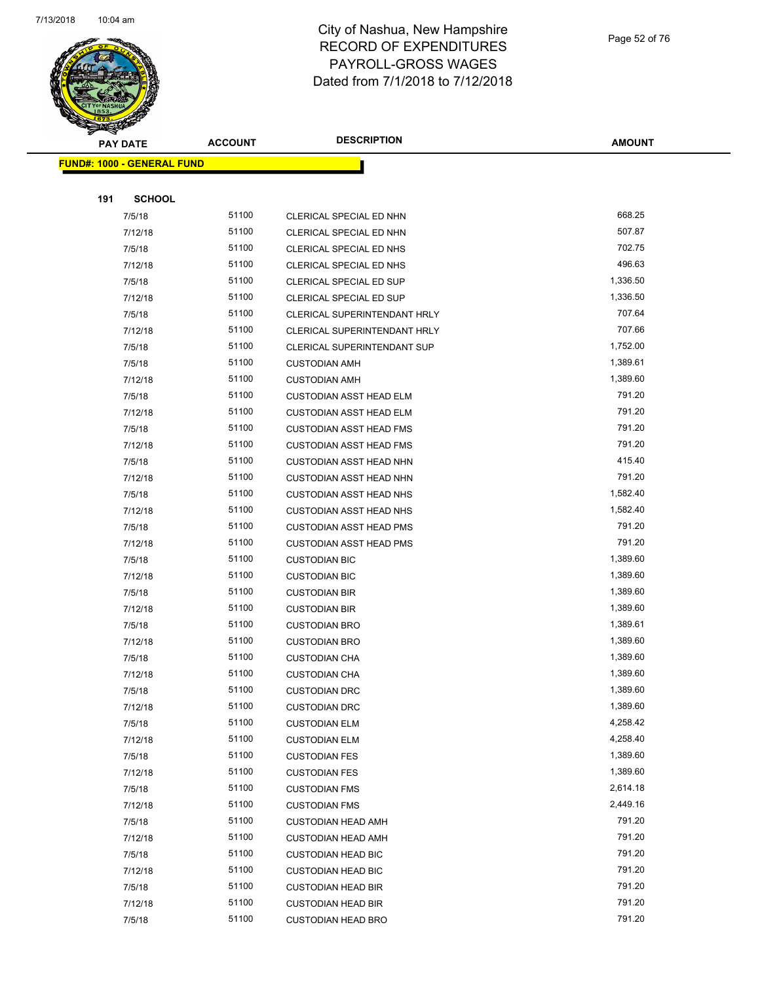

Page 52 of 76

|     | <b>PAY DATE</b>                   | <b>ACCOUNT</b> | <b>DESCRIPTION</b>                  | <b>AMOUNT</b> |
|-----|-----------------------------------|----------------|-------------------------------------|---------------|
|     | <b>FUND#: 1000 - GENERAL FUND</b> |                |                                     |               |
|     |                                   |                |                                     |               |
| 191 | <b>SCHOOL</b>                     |                |                                     |               |
|     | 7/5/18                            | 51100          | CLERICAL SPECIAL ED NHN             | 668.25        |
|     | 7/12/18                           | 51100          | CLERICAL SPECIAL ED NHN             | 507.87        |
|     | 7/5/18                            | 51100          | CLERICAL SPECIAL ED NHS             | 702.75        |
|     | 7/12/18                           | 51100          | CLERICAL SPECIAL ED NHS             | 496.63        |
|     | 7/5/18                            | 51100          | CLERICAL SPECIAL ED SUP             | 1,336.50      |
|     | 7/12/18                           | 51100          | CLERICAL SPECIAL ED SUP             | 1,336.50      |
|     | 7/5/18                            | 51100          | <b>CLERICAL SUPERINTENDANT HRLY</b> | 707.64        |
|     | 7/12/18                           | 51100          | CLERICAL SUPERINTENDANT HRLY        | 707.66        |
|     | 7/5/18                            | 51100          | <b>CLERICAL SUPERINTENDANT SUP</b>  | 1,752.00      |
|     | 7/5/18                            | 51100          | <b>CUSTODIAN AMH</b>                | 1,389.61      |
|     | 7/12/18                           | 51100          | <b>CUSTODIAN AMH</b>                | 1,389.60      |
|     | 7/5/18                            | 51100          | <b>CUSTODIAN ASST HEAD ELM</b>      | 791.20        |
|     | 7/12/18                           | 51100          | <b>CUSTODIAN ASST HEAD ELM</b>      | 791.20        |
|     | 7/5/18                            | 51100          | <b>CUSTODIAN ASST HEAD FMS</b>      | 791.20        |
|     | 7/12/18                           | 51100          | <b>CUSTODIAN ASST HEAD FMS</b>      | 791.20        |
|     | 7/5/18                            | 51100          | <b>CUSTODIAN ASST HEAD NHN</b>      | 415.40        |
|     | 7/12/18                           | 51100          | <b>CUSTODIAN ASST HEAD NHN</b>      | 791.20        |
|     | 7/5/18                            | 51100          | <b>CUSTODIAN ASST HEAD NHS</b>      | 1,582.40      |
|     | 7/12/18                           | 51100          | <b>CUSTODIAN ASST HEAD NHS</b>      | 1,582.40      |
|     | 7/5/18                            | 51100          | <b>CUSTODIAN ASST HEAD PMS</b>      | 791.20        |
|     | 7/12/18                           | 51100          | <b>CUSTODIAN ASST HEAD PMS</b>      | 791.20        |
|     | 7/5/18                            | 51100          | <b>CUSTODIAN BIC</b>                | 1,389.60      |
|     | 7/12/18                           | 51100          | <b>CUSTODIAN BIC</b>                | 1,389.60      |
|     | 7/5/18                            | 51100          | <b>CUSTODIAN BIR</b>                | 1,389.60      |
|     | 7/12/18                           | 51100          | <b>CUSTODIAN BIR</b>                | 1,389.60      |
|     | 7/5/18                            | 51100          | <b>CUSTODIAN BRO</b>                | 1,389.61      |
|     | 7/12/18                           | 51100          | <b>CUSTODIAN BRO</b>                | 1,389.60      |
|     | 7/5/18                            | 51100          | <b>CUSTODIAN CHA</b>                | 1,389.60      |
|     | 7/12/18                           | 51100          | <b>CUSTODIAN CHA</b>                | 1,389.60      |
|     | 7/5/18                            | 51100          | <b>CUSTODIAN DRC</b>                | 1,389.60      |
|     | 7/12/18                           | 51100          | <b>CUSTODIAN DRC</b>                | 1,389.60      |
|     | 7/5/18                            | 51100          | <b>CUSTODIAN ELM</b>                | 4,258.42      |
|     | 7/12/18                           | 51100          | <b>CUSTODIAN ELM</b>                | 4,258.40      |
|     | 7/5/18                            | 51100          | <b>CUSTODIAN FES</b>                | 1,389.60      |
|     | 7/12/18                           | 51100          | <b>CUSTODIAN FES</b>                | 1,389.60      |
|     | 7/5/18                            | 51100          | <b>CUSTODIAN FMS</b>                | 2,614.18      |
|     | 7/12/18                           | 51100          | <b>CUSTODIAN FMS</b>                | 2,449.16      |
|     | 7/5/18                            | 51100          | <b>CUSTODIAN HEAD AMH</b>           | 791.20        |
|     | 7/12/18                           | 51100          | <b>CUSTODIAN HEAD AMH</b>           | 791.20        |
|     | 7/5/18                            | 51100          | <b>CUSTODIAN HEAD BIC</b>           | 791.20        |
|     | 7/12/18                           | 51100          | <b>CUSTODIAN HEAD BIC</b>           | 791.20        |
|     | 7/5/18                            | 51100          | <b>CUSTODIAN HEAD BIR</b>           | 791.20        |
|     | 7/12/18                           | 51100          | <b>CUSTODIAN HEAD BIR</b>           | 791.20        |
|     | 7/5/18                            | 51100          | <b>CUSTODIAN HEAD BRO</b>           | 791.20        |
|     |                                   |                |                                     |               |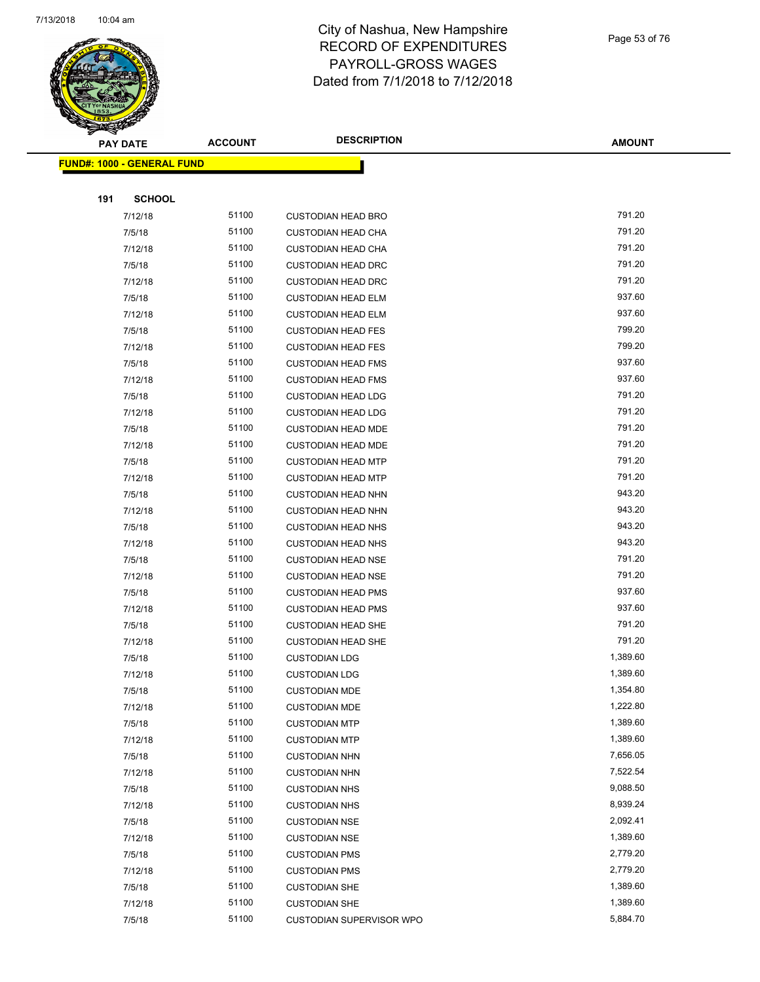

Page 53 of 76

| <b>PAY DATE</b>                   | <b>ACCOUNT</b> | <b>DESCRIPTION</b>              | <b>AMOUNT</b> |
|-----------------------------------|----------------|---------------------------------|---------------|
| <b>FUND#: 1000 - GENERAL FUND</b> |                |                                 |               |
|                                   |                |                                 |               |
| 191<br><b>SCHOOL</b>              |                |                                 |               |
| 7/12/18                           | 51100          | <b>CUSTODIAN HEAD BRO</b>       | 791.20        |
| 7/5/18                            | 51100          | <b>CUSTODIAN HEAD CHA</b>       | 791.20        |
| 7/12/18                           | 51100          | <b>CUSTODIAN HEAD CHA</b>       | 791.20        |
| 7/5/18                            | 51100          | <b>CUSTODIAN HEAD DRC</b>       | 791.20        |
| 7/12/18                           | 51100          | <b>CUSTODIAN HEAD DRC</b>       | 791.20        |
| 7/5/18                            | 51100          | <b>CUSTODIAN HEAD ELM</b>       | 937.60        |
| 7/12/18                           | 51100          | <b>CUSTODIAN HEAD ELM</b>       | 937.60        |
| 7/5/18                            | 51100          | <b>CUSTODIAN HEAD FES</b>       | 799.20        |
| 7/12/18                           | 51100          | <b>CUSTODIAN HEAD FES</b>       | 799.20        |
| 7/5/18                            | 51100          | <b>CUSTODIAN HEAD FMS</b>       | 937.60        |
| 7/12/18                           | 51100          | <b>CUSTODIAN HEAD FMS</b>       | 937.60        |
| 7/5/18                            | 51100          | <b>CUSTODIAN HEAD LDG</b>       | 791.20        |
| 7/12/18                           | 51100          | <b>CUSTODIAN HEAD LDG</b>       | 791.20        |
| 7/5/18                            | 51100          | <b>CUSTODIAN HEAD MDE</b>       | 791.20        |
| 7/12/18                           | 51100          | <b>CUSTODIAN HEAD MDE</b>       | 791.20        |
| 7/5/18                            | 51100          | <b>CUSTODIAN HEAD MTP</b>       | 791.20        |
| 7/12/18                           | 51100          | <b>CUSTODIAN HEAD MTP</b>       | 791.20        |
| 7/5/18                            | 51100          | <b>CUSTODIAN HEAD NHN</b>       | 943.20        |
| 7/12/18                           | 51100          | <b>CUSTODIAN HEAD NHN</b>       | 943.20        |
| 7/5/18                            | 51100          | <b>CUSTODIAN HEAD NHS</b>       | 943.20        |
| 7/12/18                           | 51100          | <b>CUSTODIAN HEAD NHS</b>       | 943.20        |
| 7/5/18                            | 51100          | <b>CUSTODIAN HEAD NSE</b>       | 791.20        |
| 7/12/18                           | 51100          | <b>CUSTODIAN HEAD NSE</b>       | 791.20        |
| 7/5/18                            | 51100          | <b>CUSTODIAN HEAD PMS</b>       | 937.60        |
| 7/12/18                           | 51100          | <b>CUSTODIAN HEAD PMS</b>       | 937.60        |
| 7/5/18                            | 51100          | <b>CUSTODIAN HEAD SHE</b>       | 791.20        |
| 7/12/18                           | 51100          | <b>CUSTODIAN HEAD SHE</b>       | 791.20        |
| 7/5/18                            | 51100          | <b>CUSTODIAN LDG</b>            | 1,389.60      |
| 7/12/18                           | 51100          | <b>CUSTODIAN LDG</b>            | 1,389.60      |
| 7/5/18                            | 51100          | <b>CUSTODIAN MDE</b>            | 1,354.80      |
| 7/12/18                           | 51100          | <b>CUSTODIAN MDE</b>            | 1,222.80      |
| 7/5/18                            | 51100          | <b>CUSTODIAN MTP</b>            | 1,389.60      |
| 7/12/18                           | 51100          | <b>CUSTODIAN MTP</b>            | 1,389.60      |
| 7/5/18                            | 51100          | <b>CUSTODIAN NHN</b>            | 7,656.05      |
| 7/12/18                           | 51100          | <b>CUSTODIAN NHN</b>            | 7,522.54      |
| 7/5/18                            | 51100          | <b>CUSTODIAN NHS</b>            | 9,088.50      |
| 7/12/18                           | 51100          | <b>CUSTODIAN NHS</b>            | 8,939.24      |
| 7/5/18                            | 51100          | <b>CUSTODIAN NSE</b>            | 2,092.41      |
| 7/12/18                           | 51100          | <b>CUSTODIAN NSE</b>            | 1,389.60      |
| 7/5/18                            | 51100          | <b>CUSTODIAN PMS</b>            | 2,779.20      |
| 7/12/18                           | 51100          | <b>CUSTODIAN PMS</b>            | 2,779.20      |
| 7/5/18                            | 51100          | <b>CUSTODIAN SHE</b>            | 1,389.60      |
| 7/12/18                           | 51100          | <b>CUSTODIAN SHE</b>            | 1,389.60      |
| 7/5/18                            | 51100          | <b>CUSTODIAN SUPERVISOR WPO</b> | 5,884.70      |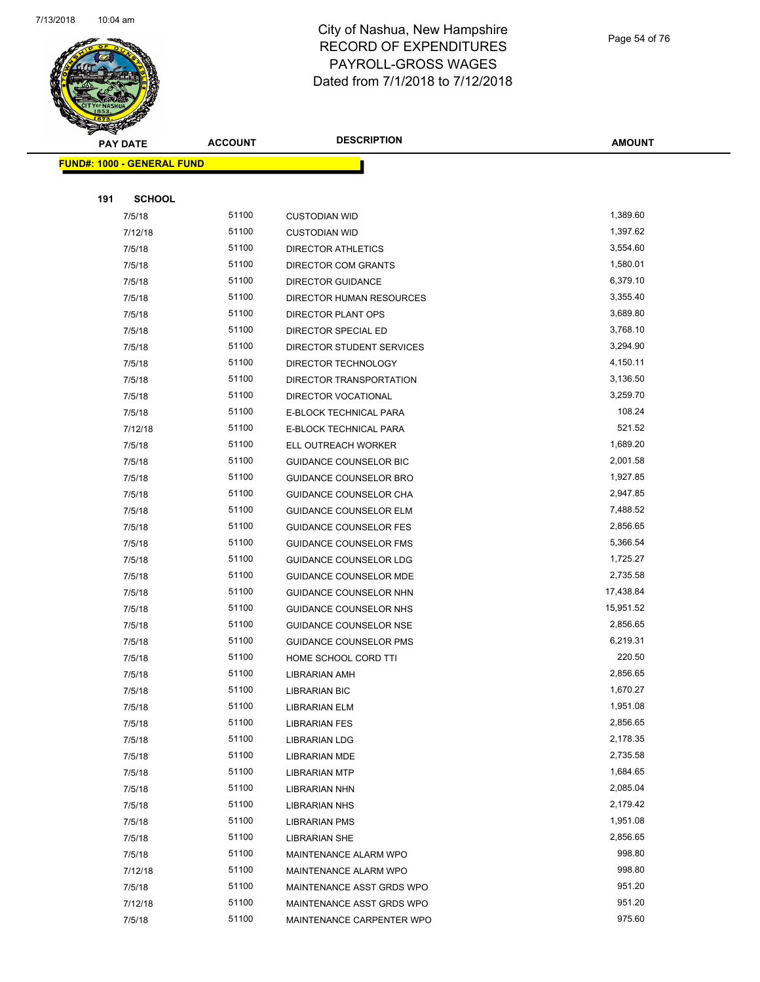

| <b>PAY DATE</b>                   | <b>ACCOUNT</b> | <b>DESCRIPTION</b>            | <b>AMOUNT</b> |
|-----------------------------------|----------------|-------------------------------|---------------|
| <b>FUND#: 1000 - GENERAL FUND</b> |                |                               |               |
|                                   |                |                               |               |
| 191                               | <b>SCHOOL</b>  |                               |               |
| 7/5/18                            | 51100          | <b>CUSTODIAN WID</b>          | 1,389.60      |
| 7/12/18                           | 51100          | <b>CUSTODIAN WID</b>          | 1,397.62      |
| 7/5/18                            | 51100          | DIRECTOR ATHLETICS            | 3,554.60      |
| 7/5/18                            | 51100          | DIRECTOR COM GRANTS           | 1,580.01      |
| 7/5/18                            | 51100          | <b>DIRECTOR GUIDANCE</b>      | 6,379.10      |
| 7/5/18                            | 51100          | DIRECTOR HUMAN RESOURCES      | 3,355.40      |
| 7/5/18                            | 51100          | DIRECTOR PLANT OPS            | 3,689.80      |
| 7/5/18                            | 51100          | DIRECTOR SPECIAL ED           | 3,768.10      |
| 7/5/18                            | 51100          | DIRECTOR STUDENT SERVICES     | 3,294.90      |
| 7/5/18                            | 51100          | DIRECTOR TECHNOLOGY           | 4,150.11      |
| 7/5/18                            | 51100          | DIRECTOR TRANSPORTATION       | 3,136.50      |
| 7/5/18                            | 51100          | DIRECTOR VOCATIONAL           | 3,259.70      |
| 7/5/18                            | 51100          | E-BLOCK TECHNICAL PARA        | 108.24        |
| 7/12/18                           | 51100          | E-BLOCK TECHNICAL PARA        | 521.52        |
| 7/5/18                            | 51100          | ELL OUTREACH WORKER           | 1,689.20      |
| 7/5/18                            | 51100          | GUIDANCE COUNSELOR BIC        | 2,001.58      |
| 7/5/18                            | 51100          | GUIDANCE COUNSELOR BRO        | 1,927.85      |
| 7/5/18                            | 51100          | GUIDANCE COUNSELOR CHA        | 2,947.85      |
| 7/5/18                            | 51100          | <b>GUIDANCE COUNSELOR ELM</b> | 7,488.52      |
| 7/5/18                            | 51100          | <b>GUIDANCE COUNSELOR FES</b> | 2,856.65      |
| 7/5/18                            | 51100          | <b>GUIDANCE COUNSELOR FMS</b> | 5,366.54      |
| 7/5/18                            | 51100          | GUIDANCE COUNSELOR LDG        | 1,725.27      |
| 7/5/18                            | 51100          | GUIDANCE COUNSELOR MDE        | 2,735.58      |
| 7/5/18                            | 51100          | GUIDANCE COUNSELOR NHN        | 17,438.84     |
| 7/5/18                            | 51100          | GUIDANCE COUNSELOR NHS        | 15,951.52     |
| 7/5/18                            | 51100          | GUIDANCE COUNSELOR NSE        | 2,856.65      |
| 7/5/18                            | 51100          | <b>GUIDANCE COUNSELOR PMS</b> | 6,219.31      |
| 7/5/18                            | 51100          | HOME SCHOOL CORD TTI          | 220.50        |
| 7/5/18                            | 51100          | LIBRARIAN AMH                 | 2,856.65      |
| 7/5/18                            | 51100          | <b>LIBRARIAN BIC</b>          | 1,670.27      |
| 7/5/18                            | 51100          | LIBRARIAN ELM                 | 1,951.08      |
| 7/5/18                            | 51100          | <b>LIBRARIAN FES</b>          | 2,856.65      |
| 7/5/18                            | 51100          | LIBRARIAN LDG                 | 2,178.35      |
| 7/5/18                            | 51100          | <b>LIBRARIAN MDE</b>          | 2,735.58      |
| 7/5/18                            | 51100          | LIBRARIAN MTP                 | 1,684.65      |
| 7/5/18                            | 51100          | LIBRARIAN NHN                 | 2,085.04      |
| 7/5/18                            | 51100          | <b>LIBRARIAN NHS</b>          | 2,179.42      |
| 7/5/18                            | 51100          | <b>LIBRARIAN PMS</b>          | 1,951.08      |
| 7/5/18                            | 51100          | LIBRARIAN SHE                 | 2,856.65      |
| 7/5/18                            | 51100          | MAINTENANCE ALARM WPO         | 998.80        |
| 7/12/18                           | 51100          | MAINTENANCE ALARM WPO         | 998.80        |
| 7/5/18                            | 51100          | MAINTENANCE ASST GRDS WPO     | 951.20        |
| 7/12/18                           | 51100          | MAINTENANCE ASST GRDS WPO     | 951.20        |
| 7/5/18                            | 51100          | MAINTENANCE CARPENTER WPO     | 975.60        |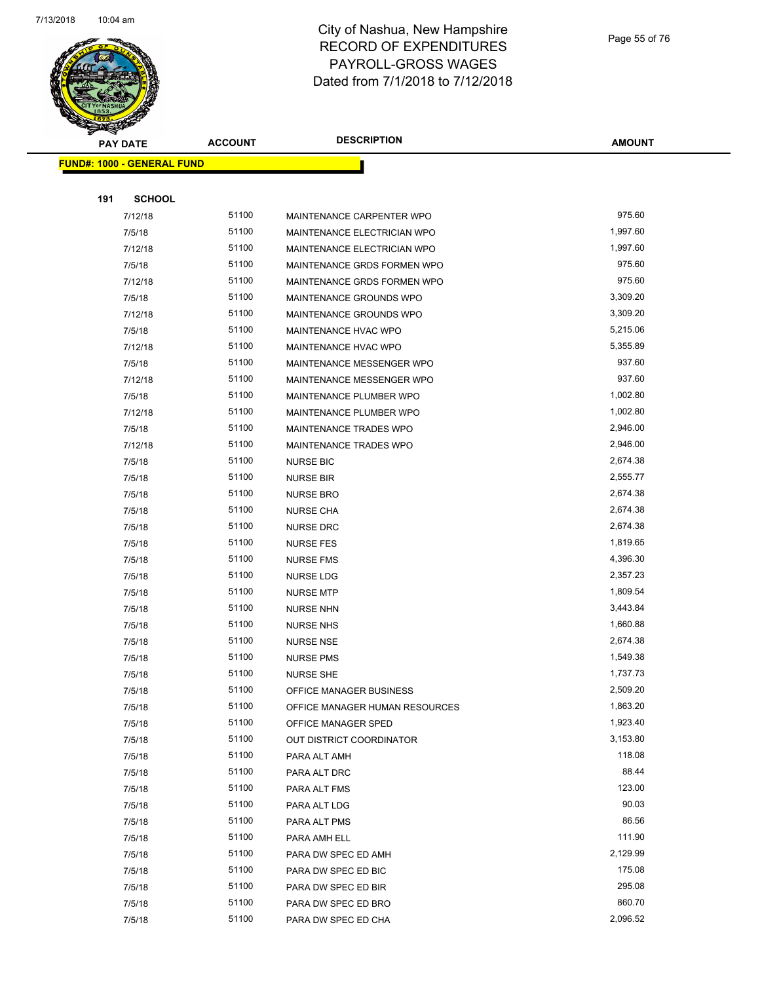

| <b>PAY DATE</b>                   | <b>ACCOUNT</b> | <b>DESCRIPTION</b>             | <b>AMOUNT</b> |
|-----------------------------------|----------------|--------------------------------|---------------|
| <b>FUND#: 1000 - GENERAL FUND</b> |                |                                |               |
|                                   |                |                                |               |
| 191<br><b>SCHOOL</b>              |                |                                |               |
| 7/12/18                           | 51100          | MAINTENANCE CARPENTER WPO      | 975.60        |
| 7/5/18                            | 51100          | MAINTENANCE ELECTRICIAN WPO    | 1,997.60      |
| 7/12/18                           | 51100          | MAINTENANCE ELECTRICIAN WPO    | 1,997.60      |
| 7/5/18                            | 51100          | MAINTENANCE GRDS FORMEN WPO    | 975.60        |
| 7/12/18                           | 51100          | MAINTENANCE GRDS FORMEN WPO    | 975.60        |
| 7/5/18                            | 51100          | MAINTENANCE GROUNDS WPO        | 3,309.20      |
| 7/12/18                           | 51100          | MAINTENANCE GROUNDS WPO        | 3,309.20      |
| 7/5/18                            | 51100          | MAINTENANCE HVAC WPO           | 5,215.06      |
| 7/12/18                           | 51100          | MAINTENANCE HVAC WPO           | 5,355.89      |
| 7/5/18                            | 51100          | MAINTENANCE MESSENGER WPO      | 937.60        |
| 7/12/18                           | 51100          | MAINTENANCE MESSENGER WPO      | 937.60        |
| 7/5/18                            | 51100          | MAINTENANCE PLUMBER WPO        | 1,002.80      |
| 7/12/18                           | 51100          | MAINTENANCE PLUMBER WPO        | 1,002.80      |
| 7/5/18                            | 51100          | MAINTENANCE TRADES WPO         | 2,946.00      |
| 7/12/18                           | 51100          | MAINTENANCE TRADES WPO         | 2,946.00      |
| 7/5/18                            | 51100          | <b>NURSE BIC</b>               | 2,674.38      |
| 7/5/18                            | 51100          | <b>NURSE BIR</b>               | 2,555.77      |
| 7/5/18                            | 51100          | <b>NURSE BRO</b>               | 2,674.38      |
| 7/5/18                            | 51100          | <b>NURSE CHA</b>               | 2,674.38      |
| 7/5/18                            | 51100          | <b>NURSE DRC</b>               | 2,674.38      |
| 7/5/18                            | 51100          | <b>NURSE FES</b>               | 1,819.65      |
| 7/5/18                            | 51100          | <b>NURSE FMS</b>               | 4,396.30      |
| 7/5/18                            | 51100          | NURSE LDG                      | 2,357.23      |
| 7/5/18                            | 51100          | <b>NURSE MTP</b>               | 1,809.54      |
| 7/5/18                            | 51100          | <b>NURSE NHN</b>               | 3,443.84      |
| 7/5/18                            | 51100          | <b>NURSE NHS</b>               | 1,660.88      |
| 7/5/18                            | 51100          | <b>NURSE NSE</b>               | 2,674.38      |
| 7/5/18                            | 51100          | <b>NURSE PMS</b>               | 1,549.38      |
| 7/5/18                            | 51100          | <b>NURSE SHE</b>               | 1,737.73      |
| 7/5/18                            | 51100          | OFFICE MANAGER BUSINESS        | 2,509.20      |
| 7/5/18                            | 51100          | OFFICE MANAGER HUMAN RESOURCES | 1,863.20      |
| 7/5/18                            | 51100          | OFFICE MANAGER SPED            | 1,923.40      |
| 7/5/18                            | 51100          | OUT DISTRICT COORDINATOR       | 3,153.80      |
| 7/5/18                            | 51100          | PARA ALT AMH                   | 118.08        |
| 7/5/18                            | 51100          | PARA ALT DRC                   | 88.44         |
| 7/5/18                            | 51100          | PARA ALT FMS                   | 123.00        |
| 7/5/18                            | 51100          | PARA ALT LDG                   | 90.03         |
| 7/5/18                            | 51100          | PARA ALT PMS                   | 86.56         |
| 7/5/18                            | 51100          | PARA AMH ELL                   | 111.90        |
| 7/5/18                            | 51100          | PARA DW SPEC ED AMH            | 2,129.99      |
| 7/5/18                            | 51100          | PARA DW SPEC ED BIC            | 175.08        |
| 7/5/18                            | 51100          | PARA DW SPEC ED BIR            | 295.08        |
| 7/5/18                            | 51100          | PARA DW SPEC ED BRO            | 860.70        |
| 7/5/18                            | 51100          | PARA DW SPEC ED CHA            | 2,096.52      |
|                                   |                |                                |               |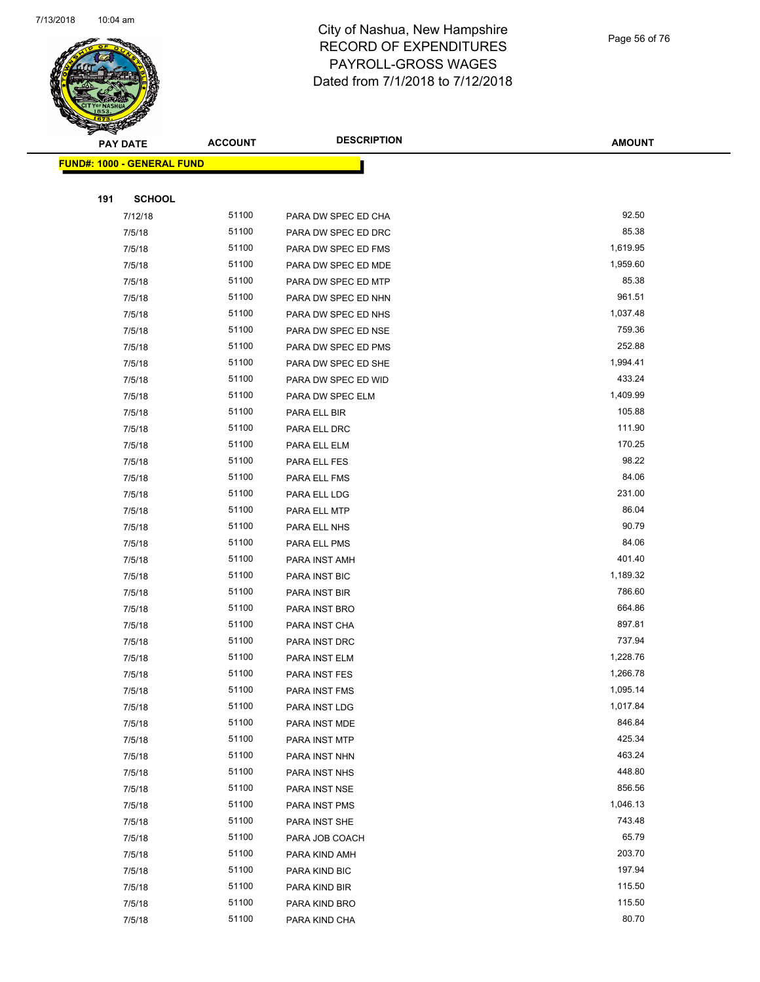

Page 56 of 76

| Ð<br>B.<br><b>PAY DATE</b>        | <b>ACCOUNT</b> | <b>DESCRIPTION</b>             | <b>AMOUNT</b>      |
|-----------------------------------|----------------|--------------------------------|--------------------|
| <b>FUND#: 1000 - GENERAL FUND</b> |                |                                |                    |
|                                   |                |                                |                    |
| 191<br><b>SCHOOL</b>              |                |                                |                    |
| 7/12/18                           | 51100          | PARA DW SPEC ED CHA            | 92.50              |
| 7/5/18                            | 51100          | PARA DW SPEC ED DRC            | 85.38              |
| 7/5/18                            | 51100          | PARA DW SPEC ED FMS            | 1,619.95           |
| 7/5/18                            | 51100          | PARA DW SPEC ED MDE            | 1,959.60           |
| 7/5/18                            | 51100          | PARA DW SPEC ED MTP            | 85.38              |
| 7/5/18                            | 51100          | PARA DW SPEC ED NHN            | 961.51             |
| 7/5/18                            | 51100          | PARA DW SPEC ED NHS            | 1,037.48           |
| 7/5/18                            | 51100          | PARA DW SPEC ED NSE            | 759.36             |
| 7/5/18                            | 51100          | PARA DW SPEC ED PMS            | 252.88             |
| 7/5/18                            | 51100          | PARA DW SPEC ED SHE            | 1,994.41           |
| 7/5/18                            | 51100          | PARA DW SPEC ED WID            | 433.24             |
| 7/5/18                            | 51100          | PARA DW SPEC ELM               | 1,409.99           |
| 7/5/18                            | 51100          | PARA ELL BIR                   | 105.88             |
| 7/5/18                            | 51100          | PARA ELL DRC                   | 111.90             |
| 7/5/18                            | 51100          | PARA ELL ELM                   | 170.25             |
| 7/5/18                            | 51100          | PARA ELL FES                   | 98.22              |
| 7/5/18                            | 51100          | PARA ELL FMS                   | 84.06              |
| 7/5/18                            | 51100          | PARA ELL LDG                   | 231.00             |
| 7/5/18                            | 51100          | PARA ELL MTP                   | 86.04              |
| 7/5/18                            | 51100          | PARA ELL NHS                   | 90.79              |
| 7/5/18                            | 51100          | PARA ELL PMS                   | 84.06              |
| 7/5/18                            | 51100          | PARA INST AMH                  | 401.40             |
| 7/5/18                            | 51100          | PARA INST BIC                  | 1,189.32           |
| 7/5/18                            | 51100          | PARA INST BIR                  | 786.60             |
| 7/5/18                            | 51100          | PARA INST BRO                  | 664.86             |
| 7/5/18                            | 51100          | PARA INST CHA                  | 897.81             |
| 7/5/18                            | 51100          | PARA INST DRC                  | 737.94             |
| 7/5/18                            | 51100          | PARA INST ELM                  | 1,228.76           |
| 7/5/18                            | 51100          | PARA INST FES                  | 1,266.78           |
| 7/5/18                            | 51100          | PARA INST FMS                  | 1,095.14           |
| 7/5/18                            | 51100<br>51100 | PARA INST LDG                  | 1,017.84<br>846.84 |
| 7/5/18                            | 51100          | PARA INST MDE                  | 425.34             |
| 7/5/18<br>7/5/18                  | 51100          | PARA INST MTP<br>PARA INST NHN | 463.24             |
| 7/5/18                            | 51100          | PARA INST NHS                  | 448.80             |
| 7/5/18                            | 51100          | PARA INST NSE                  | 856.56             |
| 7/5/18                            | 51100          | PARA INST PMS                  | 1,046.13           |
| 7/5/18                            | 51100          | PARA INST SHE                  | 743.48             |
| 7/5/18                            | 51100          | PARA JOB COACH                 | 65.79              |
| 7/5/18                            | 51100          | PARA KIND AMH                  | 203.70             |
| 7/5/18                            | 51100          | PARA KIND BIC                  | 197.94             |
| 7/5/18                            | 51100          | PARA KIND BIR                  | 115.50             |
| 7/5/18                            | 51100          | PARA KIND BRO                  | 115.50             |
| 7/5/18                            | 51100          | PARA KIND CHA                  | 80.70              |
|                                   |                |                                |                    |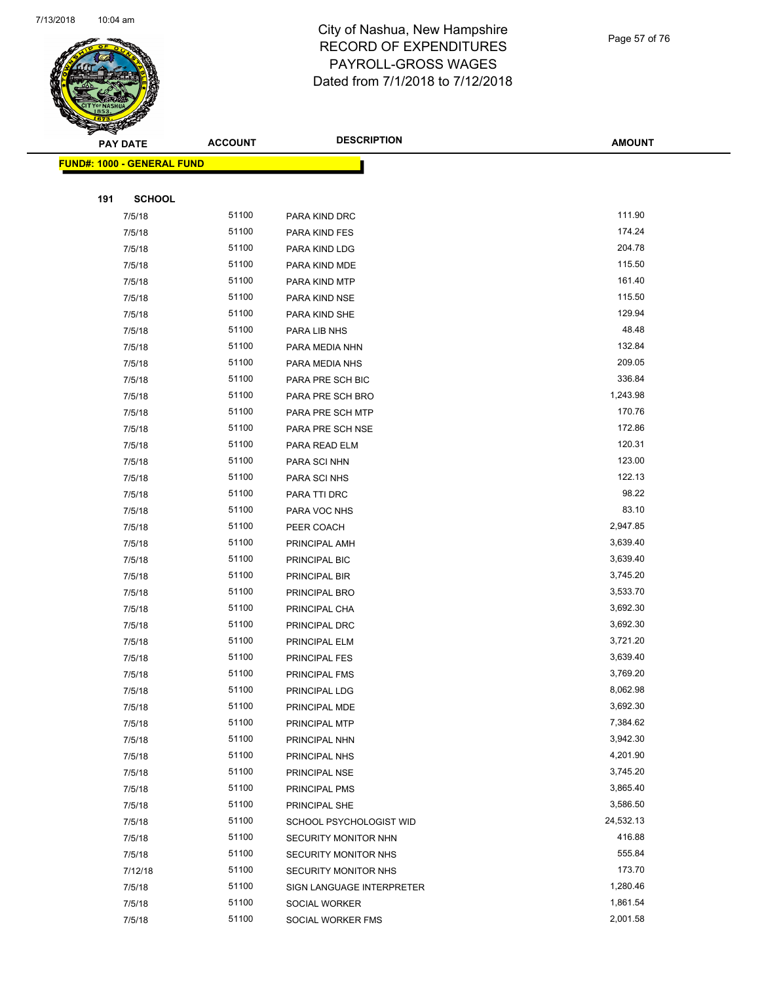

Page 57 of 76

| <u>saan kan ka</u><br><b>PAY DATE</b> | <b>ACCOUNT</b> | <b>DESCRIPTION</b>        | <b>AMOUNT</b> |
|---------------------------------------|----------------|---------------------------|---------------|
| <b>FUND#: 1000 - GENERAL FUND</b>     |                |                           |               |
|                                       |                |                           |               |
| 191<br><b>SCHOOL</b>                  |                |                           |               |
| 7/5/18                                | 51100          | PARA KIND DRC             | 111.90        |
| 7/5/18                                | 51100          | PARA KIND FES             | 174.24        |
| 7/5/18                                | 51100          | PARA KIND LDG             | 204.78        |
| 7/5/18                                | 51100          | PARA KIND MDE             | 115.50        |
| 7/5/18                                | 51100          | PARA KIND MTP             | 161.40        |
| 7/5/18                                | 51100          | PARA KIND NSE             | 115.50        |
| 7/5/18                                | 51100          | PARA KIND SHE             | 129.94        |
| 7/5/18                                | 51100          | PARA LIB NHS              | 48.48         |
| 7/5/18                                | 51100          | PARA MEDIA NHN            | 132.84        |
| 7/5/18                                | 51100          | PARA MEDIA NHS            | 209.05        |
| 7/5/18                                | 51100          | PARA PRE SCH BIC          | 336.84        |
| 7/5/18                                | 51100          | PARA PRE SCH BRO          | 1,243.98      |
| 7/5/18                                | 51100          | PARA PRE SCH MTP          | 170.76        |
| 7/5/18                                | 51100          | PARA PRE SCH NSE          | 172.86        |
| 7/5/18                                | 51100          | PARA READ ELM             | 120.31        |
| 7/5/18                                | 51100          | PARA SCI NHN              | 123.00        |
| 7/5/18                                | 51100          | PARA SCI NHS              | 122.13        |
| 7/5/18                                | 51100          | PARA TTI DRC              | 98.22         |
| 7/5/18                                | 51100          | PARA VOC NHS              | 83.10         |
| 7/5/18                                | 51100          | PEER COACH                | 2,947.85      |
| 7/5/18                                | 51100          | PRINCIPAL AMH             | 3,639.40      |
| 7/5/18                                | 51100          | PRINCIPAL BIC             | 3,639.40      |
| 7/5/18                                | 51100          | PRINCIPAL BIR             | 3,745.20      |
| 7/5/18                                | 51100          | PRINCIPAL BRO             | 3,533.70      |
| 7/5/18                                | 51100          | PRINCIPAL CHA             | 3,692.30      |
| 7/5/18                                | 51100          | PRINCIPAL DRC             | 3,692.30      |
| 7/5/18                                | 51100          | PRINCIPAL ELM             | 3,721.20      |
| 7/5/18                                | 51100          | PRINCIPAL FES             | 3,639.40      |
| 7/5/18                                | 51100          | PRINCIPAL FMS             | 3,769.20      |
| 7/5/18                                | 51100          | PRINCIPAL LDG             | 8,062.98      |
| 7/5/18                                | 51100          | PRINCIPAL MDE             | 3,692.30      |
| 7/5/18                                | 51100          | PRINCIPAL MTP             | 7,384.62      |
| 7/5/18                                | 51100          | PRINCIPAL NHN             | 3,942.30      |
| 7/5/18                                | 51100          | PRINCIPAL NHS             | 4,201.90      |
| 7/5/18                                | 51100          | PRINCIPAL NSE             | 3,745.20      |
| 7/5/18                                | 51100          | PRINCIPAL PMS             | 3,865.40      |
| 7/5/18                                | 51100          | PRINCIPAL SHE             | 3,586.50      |
| 7/5/18                                | 51100          | SCHOOL PSYCHOLOGIST WID   | 24,532.13     |
| 7/5/18                                | 51100          | SECURITY MONITOR NHN      | 416.88        |
| 7/5/18                                | 51100          | SECURITY MONITOR NHS      | 555.84        |
| 7/12/18                               | 51100          | SECURITY MONITOR NHS      | 173.70        |
| 7/5/18                                | 51100          | SIGN LANGUAGE INTERPRETER | 1,280.46      |
| 7/5/18                                | 51100          | SOCIAL WORKER             | 1,861.54      |
| 7/5/18                                | 51100          | SOCIAL WORKER FMS         | 2,001.58      |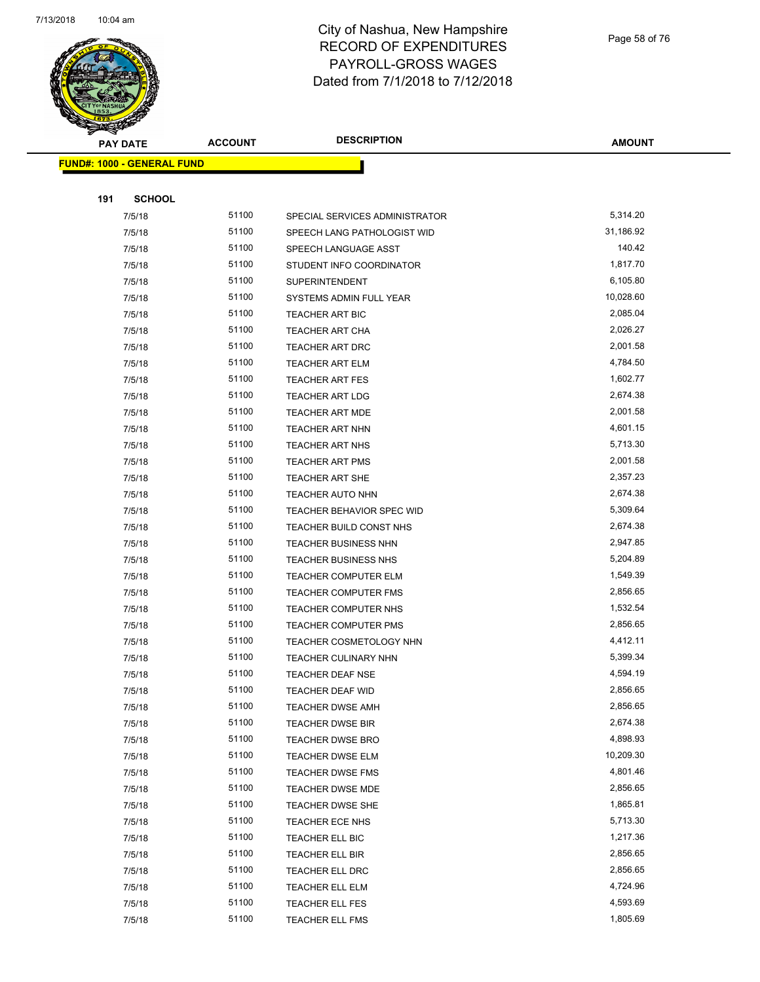

| <b>PAY DATE</b>                   | <b>ACCOUNT</b> | <b>DESCRIPTION</b>               | <b>AMOUNT</b> |
|-----------------------------------|----------------|----------------------------------|---------------|
| <b>FUND#: 1000 - GENERAL FUND</b> |                |                                  |               |
|                                   |                |                                  |               |
| 191<br><b>SCHOOL</b>              |                |                                  |               |
| 7/5/18                            | 51100          | SPECIAL SERVICES ADMINISTRATOR   | 5,314.20      |
| 7/5/18                            | 51100          | SPEECH LANG PATHOLOGIST WID      | 31,186.92     |
| 7/5/18                            | 51100          | SPEECH LANGUAGE ASST             | 140.42        |
| 7/5/18                            | 51100          | STUDENT INFO COORDINATOR         | 1,817.70      |
| 7/5/18                            | 51100          | <b>SUPERINTENDENT</b>            | 6,105.80      |
| 7/5/18                            | 51100          | SYSTEMS ADMIN FULL YEAR          | 10,028.60     |
| 7/5/18                            | 51100          | TEACHER ART BIC                  | 2,085.04      |
| 7/5/18                            | 51100          | <b>TEACHER ART CHA</b>           | 2,026.27      |
| 7/5/18                            | 51100          | <b>TEACHER ART DRC</b>           | 2,001.58      |
| 7/5/18                            | 51100          | <b>TEACHER ART ELM</b>           | 4,784.50      |
| 7/5/18                            | 51100          | <b>TEACHER ART FES</b>           | 1,602.77      |
| 7/5/18                            | 51100          | <b>TEACHER ART LDG</b>           | 2,674.38      |
| 7/5/18                            | 51100          | <b>TEACHER ART MDE</b>           | 2,001.58      |
| 7/5/18                            | 51100          | <b>TEACHER ART NHN</b>           | 4,601.15      |
| 7/5/18                            | 51100          | <b>TEACHER ART NHS</b>           | 5,713.30      |
| 7/5/18                            | 51100          | <b>TEACHER ART PMS</b>           | 2,001.58      |
| 7/5/18                            | 51100          | <b>TEACHER ART SHE</b>           | 2,357.23      |
| 7/5/18                            | 51100          | <b>TEACHER AUTO NHN</b>          | 2,674.38      |
| 7/5/18                            | 51100          | <b>TEACHER BEHAVIOR SPEC WID</b> | 5,309.64      |
| 7/5/18                            | 51100          | TEACHER BUILD CONST NHS          | 2,674.38      |
| 7/5/18                            | 51100          | TEACHER BUSINESS NHN             | 2,947.85      |
| 7/5/18                            | 51100          | <b>TEACHER BUSINESS NHS</b>      | 5,204.89      |
| 7/5/18                            | 51100          | <b>TEACHER COMPUTER ELM</b>      | 1,549.39      |
| 7/5/18                            | 51100          | <b>TEACHER COMPUTER FMS</b>      | 2,856.65      |
| 7/5/18                            | 51100          | TEACHER COMPUTER NHS             | 1,532.54      |
| 7/5/18                            | 51100          | <b>TEACHER COMPUTER PMS</b>      | 2,856.65      |
| 7/5/18                            | 51100          | TEACHER COSMETOLOGY NHN          | 4,412.11      |
| 7/5/18                            | 51100          | TEACHER CULINARY NHN             | 5,399.34      |
| 7/5/18                            | 51100          | TEACHER DEAF NSE                 | 4,594.19      |
| 7/5/18                            | 51100          | TEACHER DEAF WID                 | 2,856.65      |
| 7/5/18                            | 51100          | TEACHER DWSE AMH                 | 2,856.65      |
| 7/5/18                            | 51100          | TEACHER DWSE BIR                 | 2,674.38      |
| 7/5/18                            | 51100          | <b>TEACHER DWSE BRO</b>          | 4,898.93      |
| 7/5/18                            | 51100          | <b>TEACHER DWSE ELM</b>          | 10,209.30     |
| 7/5/18                            | 51100          | <b>TEACHER DWSE FMS</b>          | 4,801.46      |
| 7/5/18                            | 51100          | TEACHER DWSE MDE                 | 2,856.65      |
| 7/5/18                            | 51100          | TEACHER DWSE SHE                 | 1,865.81      |
| 7/5/18                            | 51100          | TEACHER ECE NHS                  | 5,713.30      |
| 7/5/18                            | 51100          | TEACHER ELL BIC                  | 1,217.36      |
| 7/5/18                            | 51100          | TEACHER ELL BIR                  | 2,856.65      |
| 7/5/18                            | 51100          | TEACHER ELL DRC                  | 2,856.65      |
| 7/5/18                            | 51100          | TEACHER ELL ELM                  | 4,724.96      |
| 7/5/18                            | 51100          | TEACHER ELL FES                  | 4,593.69      |
| 7/5/18                            | 51100          | TEACHER ELL FMS                  | 1,805.69      |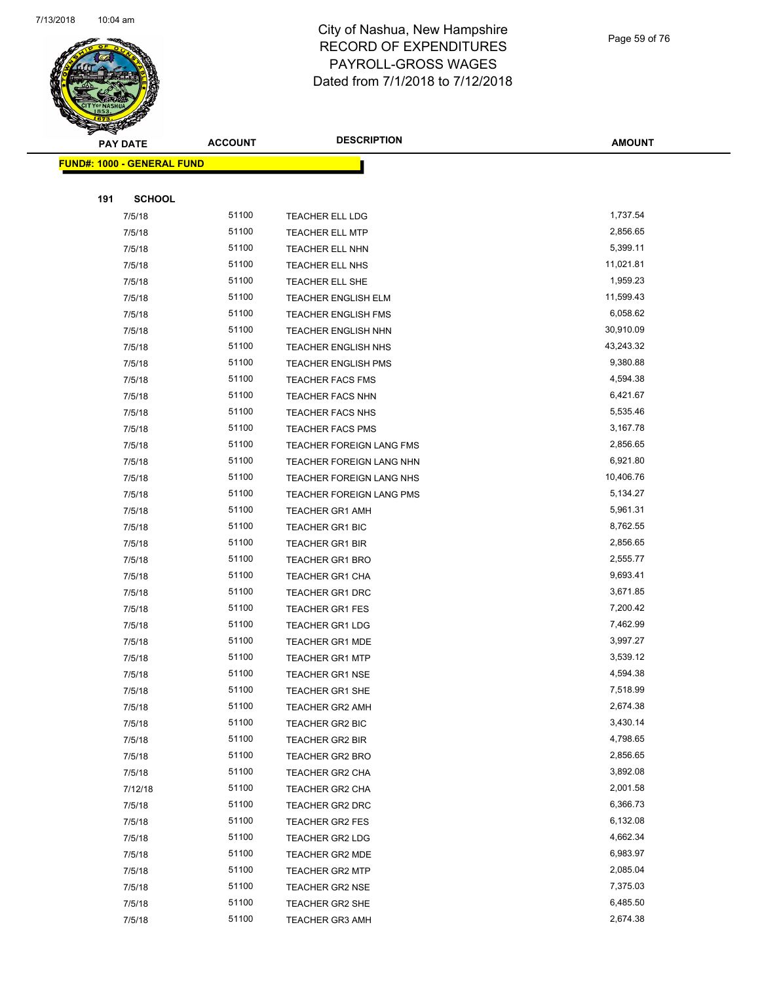

Page 59 of 76

| <b>PAY DATE</b>                   | <b>ACCOUNT</b> | <b>DESCRIPTION</b>         | <b>AMOUNT</b> |
|-----------------------------------|----------------|----------------------------|---------------|
| <b>FUND#: 1000 - GENERAL FUND</b> |                |                            |               |
|                                   |                |                            |               |
| 191<br><b>SCHOOL</b>              |                |                            |               |
| 7/5/18                            | 51100          | <b>TEACHER ELL LDG</b>     | 1,737.54      |
| 7/5/18                            | 51100          | <b>TEACHER ELL MTP</b>     | 2,856.65      |
| 7/5/18                            | 51100          | TEACHER ELL NHN            | 5,399.11      |
| 7/5/18                            | 51100          | TEACHER ELL NHS            | 11,021.81     |
| 7/5/18                            | 51100          | TEACHER ELL SHE            | 1,959.23      |
| 7/5/18                            | 51100          | TEACHER ENGLISH ELM        | 11,599.43     |
| 7/5/18                            | 51100          | <b>TEACHER ENGLISH FMS</b> | 6,058.62      |
| 7/5/18                            | 51100          | <b>TEACHER ENGLISH NHN</b> | 30,910.09     |
| 7/5/18                            | 51100          | TEACHER ENGLISH NHS        | 43,243.32     |
| 7/5/18                            | 51100          | <b>TEACHER ENGLISH PMS</b> | 9,380.88      |
| 7/5/18                            | 51100          | <b>TEACHER FACS FMS</b>    | 4,594.38      |
| 7/5/18                            | 51100          | <b>TEACHER FACS NHN</b>    | 6,421.67      |
| 7/5/18                            | 51100          | <b>TEACHER FACS NHS</b>    | 5,535.46      |
| 7/5/18                            | 51100          | <b>TEACHER FACS PMS</b>    | 3,167.78      |
| 7/5/18                            | 51100          | TEACHER FOREIGN LANG FMS   | 2,856.65      |
| 7/5/18                            | 51100          | TEACHER FOREIGN LANG NHN   | 6,921.80      |
| 7/5/18                            | 51100          | TEACHER FOREIGN LANG NHS   | 10,406.76     |
| 7/5/18                            | 51100          | TEACHER FOREIGN LANG PMS   | 5,134.27      |
| 7/5/18                            | 51100          | <b>TEACHER GR1 AMH</b>     | 5,961.31      |
| 7/5/18                            | 51100          | TEACHER GR1 BIC            | 8,762.55      |
| 7/5/18                            | 51100          | <b>TEACHER GR1 BIR</b>     | 2,856.65      |
| 7/5/18                            | 51100          | <b>TEACHER GR1 BRO</b>     | 2,555.77      |
| 7/5/18                            | 51100          | <b>TEACHER GR1 CHA</b>     | 9,693.41      |
| 7/5/18                            | 51100          | <b>TEACHER GR1 DRC</b>     | 3,671.85      |
| 7/5/18                            | 51100          | TEACHER GR1 FES            | 7,200.42      |
| 7/5/18                            | 51100          | <b>TEACHER GR1 LDG</b>     | 7,462.99      |
| 7/5/18                            | 51100          | <b>TEACHER GR1 MDE</b>     | 3,997.27      |
| 7/5/18                            | 51100          | <b>TEACHER GR1 MTP</b>     | 3,539.12      |
| 7/5/18                            | 51100          | <b>TEACHER GR1 NSE</b>     | 4,594.38      |
| 7/5/18                            | 51100          | TEACHER GR1 SHE            | 7,518.99      |
| 7/5/18                            | 51100          | <b>TEACHER GR2 AMH</b>     | 2,674.38      |
| 7/5/18                            | 51100          | TEACHER GR2 BIC            | 3,430.14      |
| 7/5/18                            | 51100          | TEACHER GR2 BIR            | 4,798.65      |
| 7/5/18                            | 51100          | TEACHER GR2 BRO            | 2,856.65      |
| 7/5/18                            | 51100          | TEACHER GR2 CHA            | 3,892.08      |
| 7/12/18                           | 51100          | <b>TEACHER GR2 CHA</b>     | 2,001.58      |
| 7/5/18                            | 51100          | <b>TEACHER GR2 DRC</b>     | 6,366.73      |
| 7/5/18                            | 51100          | TEACHER GR2 FES            | 6,132.08      |
| 7/5/18                            | 51100          | TEACHER GR2 LDG            | 4,662.34      |
| 7/5/18                            | 51100          | <b>TEACHER GR2 MDE</b>     | 6,983.97      |
| 7/5/18                            | 51100          | <b>TEACHER GR2 MTP</b>     | 2,085.04      |
| 7/5/18                            | 51100          | <b>TEACHER GR2 NSE</b>     | 7,375.03      |
| 7/5/18                            | 51100          | TEACHER GR2 SHE            | 6,485.50      |
| 7/5/18                            | 51100          | <b>TEACHER GR3 AMH</b>     | 2,674.38      |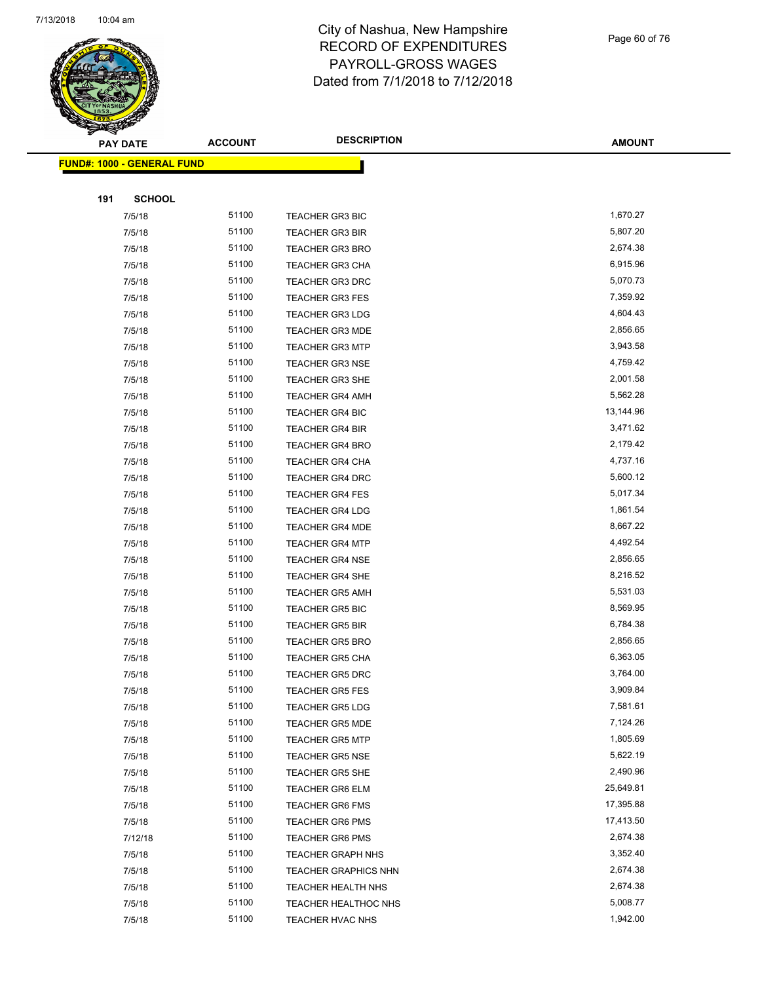

Page 60 of 76

| <u>saan kan ka</u><br><b>PAY DATE</b> | <b>ACCOUNT</b> | <b>DESCRIPTION</b>          | <b>AMOUNT</b> |
|---------------------------------------|----------------|-----------------------------|---------------|
| <b>FUND#: 1000 - GENERAL FUND</b>     |                |                             |               |
|                                       |                |                             |               |
| 191<br><b>SCHOOL</b>                  |                |                             |               |
| 7/5/18                                | 51100          | <b>TEACHER GR3 BIC</b>      | 1,670.27      |
| 7/5/18                                | 51100          | <b>TEACHER GR3 BIR</b>      | 5,807.20      |
| 7/5/18                                | 51100          | <b>TEACHER GR3 BRO</b>      | 2,674.38      |
| 7/5/18                                | 51100          | <b>TEACHER GR3 CHA</b>      | 6,915.96      |
| 7/5/18                                | 51100          | <b>TEACHER GR3 DRC</b>      | 5,070.73      |
| 7/5/18                                | 51100          | <b>TEACHER GR3 FES</b>      | 7,359.92      |
| 7/5/18                                | 51100          | <b>TEACHER GR3 LDG</b>      | 4,604.43      |
| 7/5/18                                | 51100          | <b>TEACHER GR3 MDE</b>      | 2,856.65      |
| 7/5/18                                | 51100          | <b>TEACHER GR3 MTP</b>      | 3,943.58      |
| 7/5/18                                | 51100          | <b>TEACHER GR3 NSE</b>      | 4,759.42      |
| 7/5/18                                | 51100          | <b>TEACHER GR3 SHE</b>      | 2,001.58      |
| 7/5/18                                | 51100          | <b>TEACHER GR4 AMH</b>      | 5,562.28      |
| 7/5/18                                | 51100          | <b>TEACHER GR4 BIC</b>      | 13,144.96     |
| 7/5/18                                | 51100          | <b>TEACHER GR4 BIR</b>      | 3,471.62      |
| 7/5/18                                | 51100          | <b>TEACHER GR4 BRO</b>      | 2,179.42      |
| 7/5/18                                | 51100          | <b>TEACHER GR4 CHA</b>      | 4,737.16      |
| 7/5/18                                | 51100          | TEACHER GR4 DRC             | 5,600.12      |
| 7/5/18                                | 51100          | <b>TEACHER GR4 FES</b>      | 5,017.34      |
| 7/5/18                                | 51100          | <b>TEACHER GR4 LDG</b>      | 1,861.54      |
| 7/5/18                                | 51100          | <b>TEACHER GR4 MDE</b>      | 8,667.22      |
| 7/5/18                                | 51100          | <b>TEACHER GR4 MTP</b>      | 4,492.54      |
| 7/5/18                                | 51100          | <b>TEACHER GR4 NSE</b>      | 2,856.65      |
| 7/5/18                                | 51100          | <b>TEACHER GR4 SHE</b>      | 8,216.52      |
| 7/5/18                                | 51100          | <b>TEACHER GR5 AMH</b>      | 5,531.03      |
| 7/5/18                                | 51100          | <b>TEACHER GR5 BIC</b>      | 8,569.95      |
| 7/5/18                                | 51100          | <b>TEACHER GR5 BIR</b>      | 6,784.38      |
| 7/5/18                                | 51100          | <b>TEACHER GR5 BRO</b>      | 2,856.65      |
| 7/5/18                                | 51100          | <b>TEACHER GR5 CHA</b>      | 6,363.05      |
| 7/5/18                                | 51100          | <b>TEACHER GR5 DRC</b>      | 3,764.00      |
| 7/5/18                                | 51100          | <b>TEACHER GR5 FES</b>      | 3,909.84      |
| 7/5/18                                | 51100          | <b>TEACHER GR5 LDG</b>      | 7,581.61      |
| 7/5/18                                | 51100          | <b>TEACHER GR5 MDE</b>      | 7,124.26      |
| 7/5/18                                | 51100          | <b>TEACHER GR5 MTP</b>      | 1,805.69      |
| 7/5/18                                | 51100          | <b>TEACHER GR5 NSE</b>      | 5,622.19      |
| 7/5/18                                | 51100          | <b>TEACHER GR5 SHE</b>      | 2,490.96      |
| 7/5/18                                | 51100          | <b>TEACHER GR6 ELM</b>      | 25,649.81     |
| 7/5/18                                | 51100          | <b>TEACHER GR6 FMS</b>      | 17,395.88     |
| 7/5/18                                | 51100          | <b>TEACHER GR6 PMS</b>      | 17,413.50     |
| 7/12/18                               | 51100          | <b>TEACHER GR6 PMS</b>      | 2,674.38      |
| 7/5/18                                | 51100          | <b>TEACHER GRAPH NHS</b>    | 3,352.40      |
| 7/5/18                                | 51100          | <b>TEACHER GRAPHICS NHN</b> | 2,674.38      |
| 7/5/18                                | 51100          | TEACHER HEALTH NHS          | 2,674.38      |
| 7/5/18                                | 51100          | TEACHER HEALTHOC NHS        | 5,008.77      |
| 7/5/18                                | 51100          | TEACHER HVAC NHS            | 1,942.00      |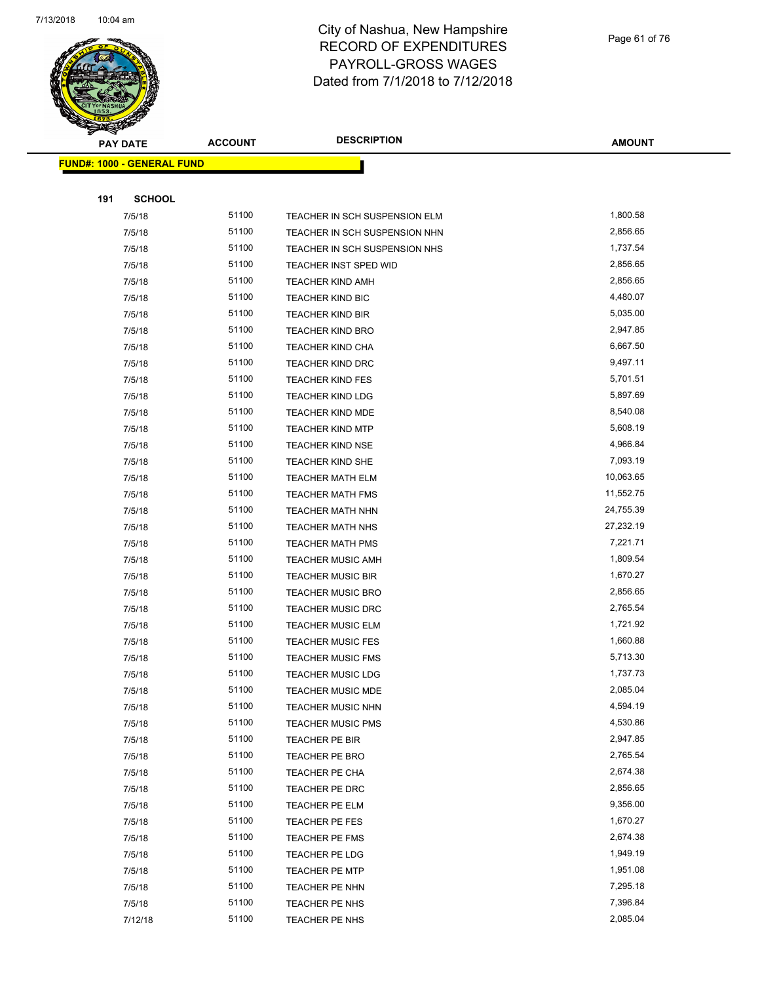

Page 61 of 76

| <b>PAY DATE</b>                   | <b>ACCOUNT</b> | <b>DESCRIPTION</b>                      | <b>AMOUNT</b>        |
|-----------------------------------|----------------|-----------------------------------------|----------------------|
| <b>FUND#: 1000 - GENERAL FUND</b> |                |                                         |                      |
|                                   |                |                                         |                      |
| 191<br><b>SCHOOL</b>              |                |                                         |                      |
| 7/5/18                            | 51100          | TEACHER IN SCH SUSPENSION ELM           | 1,800.58             |
| 7/5/18                            | 51100          | TEACHER IN SCH SUSPENSION NHN           | 2,856.65             |
| 7/5/18                            | 51100          | TEACHER IN SCH SUSPENSION NHS           | 1,737.54             |
| 7/5/18                            | 51100          | TEACHER INST SPED WID                   | 2,856.65             |
| 7/5/18                            | 51100          | <b>TEACHER KIND AMH</b>                 | 2,856.65             |
| 7/5/18                            | 51100          | <b>TEACHER KIND BIC</b>                 | 4,480.07             |
| 7/5/18                            | 51100          | <b>TEACHER KIND BIR</b>                 | 5,035.00             |
| 7/5/18                            | 51100          | <b>TEACHER KIND BRO</b>                 | 2,947.85             |
| 7/5/18                            | 51100          | <b>TEACHER KIND CHA</b>                 | 6,667.50             |
| 7/5/18                            | 51100          | <b>TEACHER KIND DRC</b>                 | 9,497.11             |
| 7/5/18                            | 51100          | <b>TEACHER KIND FES</b>                 | 5,701.51             |
| 7/5/18                            | 51100          | <b>TEACHER KIND LDG</b>                 | 5,897.69             |
| 7/5/18                            | 51100          | <b>TEACHER KIND MDE</b>                 | 8,540.08             |
| 7/5/18                            | 51100          | <b>TEACHER KIND MTP</b>                 | 5,608.19             |
| 7/5/18                            | 51100          | <b>TEACHER KIND NSE</b>                 | 4,966.84             |
| 7/5/18                            | 51100          | <b>TEACHER KIND SHE</b>                 | 7,093.19             |
| 7/5/18                            | 51100          | <b>TEACHER MATH ELM</b>                 | 10,063.65            |
| 7/5/18                            | 51100          | <b>TEACHER MATH FMS</b>                 | 11,552.75            |
| 7/5/18                            | 51100          | <b>TEACHER MATH NHN</b>                 | 24,755.39            |
| 7/5/18                            | 51100          | <b>TEACHER MATH NHS</b>                 | 27,232.19            |
| 7/5/18                            | 51100          | <b>TEACHER MATH PMS</b>                 | 7,221.71             |
| 7/5/18                            | 51100          | <b>TEACHER MUSIC AMH</b>                | 1,809.54             |
| 7/5/18                            | 51100          | <b>TEACHER MUSIC BIR</b>                | 1,670.27             |
| 7/5/18                            | 51100          | <b>TEACHER MUSIC BRO</b>                | 2,856.65             |
| 7/5/18                            | 51100          | <b>TEACHER MUSIC DRC</b>                | 2,765.54             |
| 7/5/18                            | 51100          | <b>TEACHER MUSIC ELM</b>                | 1,721.92             |
| 7/5/18                            | 51100          | <b>TEACHER MUSIC FES</b>                | 1,660.88             |
| 7/5/18                            | 51100          | <b>TEACHER MUSIC FMS</b>                | 5,713.30             |
| 7/5/18                            | 51100          | <b>TEACHER MUSIC LDG</b>                | 1,737.73             |
| 7/5/18                            | 51100          | TEACHER MUSIC MDE                       | 2,085.04             |
| 7/5/18                            | 51100          | <b>TEACHER MUSIC NHN</b>                | 4,594.19             |
| 7/5/18                            | 51100          | <b>TEACHER MUSIC PMS</b>                | 4,530.86             |
| 7/5/18                            | 51100          | TEACHER PE BIR                          | 2,947.85             |
| 7/5/18                            | 51100          | TEACHER PE BRO                          | 2,765.54             |
| 7/5/18                            | 51100          | <b>TEACHER PE CHA</b>                   | 2,674.38             |
| 7/5/18                            | 51100          | TEACHER PE DRC                          | 2,856.65             |
| 7/5/18                            | 51100          | <b>TEACHER PE ELM</b>                   | 9,356.00             |
| 7/5/18                            | 51100          | TEACHER PE FES                          | 1,670.27             |
| 7/5/18                            | 51100          | TEACHER PE FMS                          | 2,674.38             |
| 7/5/18                            | 51100<br>51100 | TEACHER PE LDG                          | 1,949.19<br>1,951.08 |
| 7/5/18<br>7/5/18                  | 51100          | <b>TEACHER PE MTP</b><br>TEACHER PE NHN | 7,295.18             |
| 7/5/18                            | 51100          | TEACHER PE NHS                          | 7,396.84             |
| 7/12/18                           | 51100          | TEACHER PE NHS                          | 2,085.04             |
|                                   |                |                                         |                      |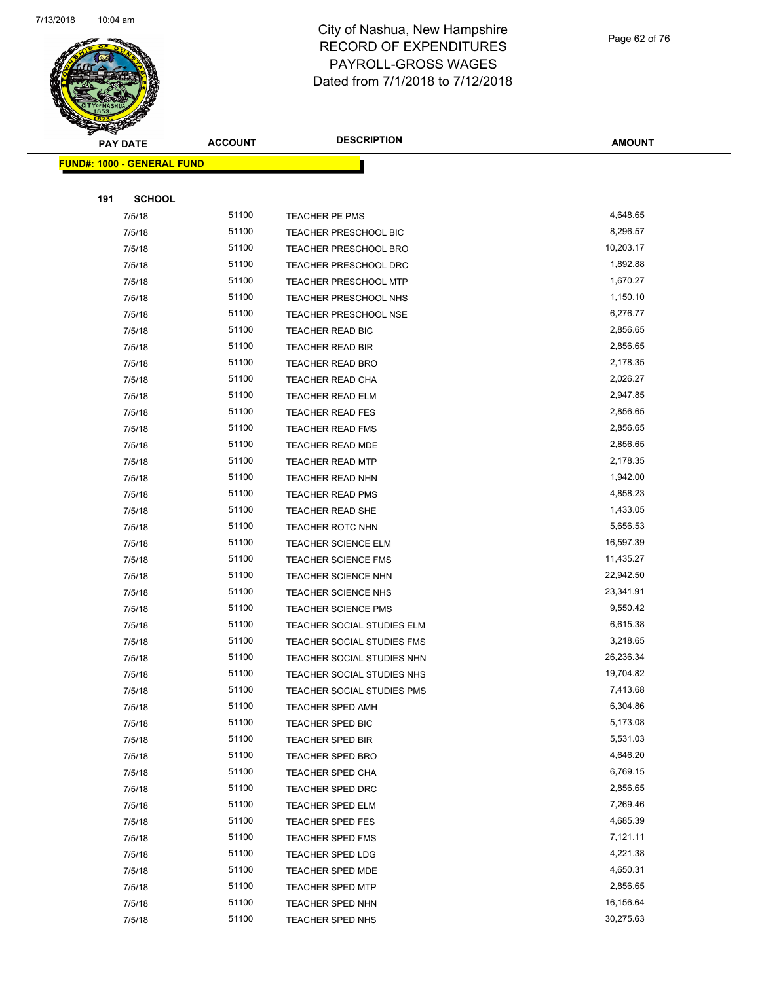

Page 62 of 76

| <b>PAY DATE</b>                   | <b>ACCOUNT</b> | <b>DESCRIPTION</b>                          | <b>AMOUNT</b>        |
|-----------------------------------|----------------|---------------------------------------------|----------------------|
| <b>FUND#: 1000 - GENERAL FUND</b> |                |                                             |                      |
|                                   |                |                                             |                      |
| 191<br><b>SCHOOL</b>              |                |                                             |                      |
| 7/5/18                            | 51100          | TEACHER PE PMS                              | 4,648.65             |
| 7/5/18                            | 51100          | TEACHER PRESCHOOL BIC                       | 8,296.57             |
| 7/5/18                            | 51100          | TEACHER PRESCHOOL BRO                       | 10,203.17            |
| 7/5/18                            | 51100          | <b>TEACHER PRESCHOOL DRC</b>                | 1,892.88             |
| 7/5/18                            | 51100          | <b>TEACHER PRESCHOOL MTP</b>                | 1,670.27             |
| 7/5/18                            | 51100          | TEACHER PRESCHOOL NHS                       | 1,150.10             |
| 7/5/18                            | 51100          | <b>TEACHER PRESCHOOL NSE</b>                | 6,276.77             |
| 7/5/18                            | 51100          | TEACHER READ BIC                            | 2,856.65             |
| 7/5/18                            | 51100          | <b>TEACHER READ BIR</b>                     | 2,856.65             |
| 7/5/18                            | 51100          | <b>TEACHER READ BRO</b>                     | 2,178.35             |
| 7/5/18                            | 51100          | TEACHER READ CHA                            | 2,026.27             |
| 7/5/18                            | 51100          | <b>TEACHER READ ELM</b>                     | 2,947.85             |
| 7/5/18                            | 51100          | <b>TEACHER READ FES</b>                     | 2,856.65             |
| 7/5/18                            | 51100          | <b>TEACHER READ FMS</b>                     | 2,856.65             |
| 7/5/18                            | 51100          | TEACHER READ MDE                            | 2,856.65             |
| 7/5/18                            | 51100          | <b>TEACHER READ MTP</b>                     | 2,178.35             |
| 7/5/18                            | 51100          | <b>TEACHER READ NHN</b>                     | 1,942.00             |
| 7/5/18                            | 51100          | <b>TEACHER READ PMS</b>                     | 4,858.23             |
| 7/5/18                            | 51100          | TEACHER READ SHE                            | 1,433.05             |
| 7/5/18                            | 51100          | <b>TEACHER ROTC NHN</b>                     | 5,656.53             |
| 7/5/18                            | 51100          | <b>TEACHER SCIENCE ELM</b>                  | 16,597.39            |
| 7/5/18                            | 51100          | <b>TEACHER SCIENCE FMS</b>                  | 11,435.27            |
| 7/5/18                            | 51100          | <b>TEACHER SCIENCE NHN</b>                  | 22,942.50            |
| 7/5/18                            | 51100          | <b>TEACHER SCIENCE NHS</b>                  | 23,341.91            |
| 7/5/18                            | 51100          | <b>TEACHER SCIENCE PMS</b>                  | 9,550.42             |
| 7/5/18                            | 51100          | TEACHER SOCIAL STUDIES ELM                  | 6,615.38             |
| 7/5/18                            | 51100          | TEACHER SOCIAL STUDIES FMS                  | 3,218.65             |
| 7/5/18                            | 51100          | TEACHER SOCIAL STUDIES NHN                  | 26,236.34            |
| 7/5/18                            | 51100          | TEACHER SOCIAL STUDIES NHS                  | 19,704.82            |
| 7/5/18                            | 51100          | TEACHER SOCIAL STUDIES PMS                  | 7,413.68             |
| 7/5/18                            | 51100<br>51100 | <b>TEACHER SPED AMH</b>                     | 6,304.86<br>5,173.08 |
| 7/5/18<br>7/5/18                  | 51100          | TEACHER SPED BIC<br><b>TEACHER SPED BIR</b> | 5,531.03             |
| 7/5/18                            | 51100          | <b>TEACHER SPED BRO</b>                     | 4,646.20             |
| 7/5/18                            | 51100          | TEACHER SPED CHA                            | 6,769.15             |
| 7/5/18                            | 51100          | <b>TEACHER SPED DRC</b>                     | 2,856.65             |
| 7/5/18                            | 51100          | TEACHER SPED ELM                            | 7,269.46             |
| 7/5/18                            | 51100          | TEACHER SPED FES                            | 4,685.39             |
| 7/5/18                            | 51100          | TEACHER SPED FMS                            | 7,121.11             |
| 7/5/18                            | 51100          | TEACHER SPED LDG                            | 4,221.38             |
| 7/5/18                            | 51100          | <b>TEACHER SPED MDE</b>                     | 4,650.31             |
| 7/5/18                            | 51100          | TEACHER SPED MTP                            | 2,856.65             |
| 7/5/18                            | 51100          | TEACHER SPED NHN                            | 16,156.64            |
| 7/5/18                            | 51100          | TEACHER SPED NHS                            | 30,275.63            |
|                                   |                |                                             |                      |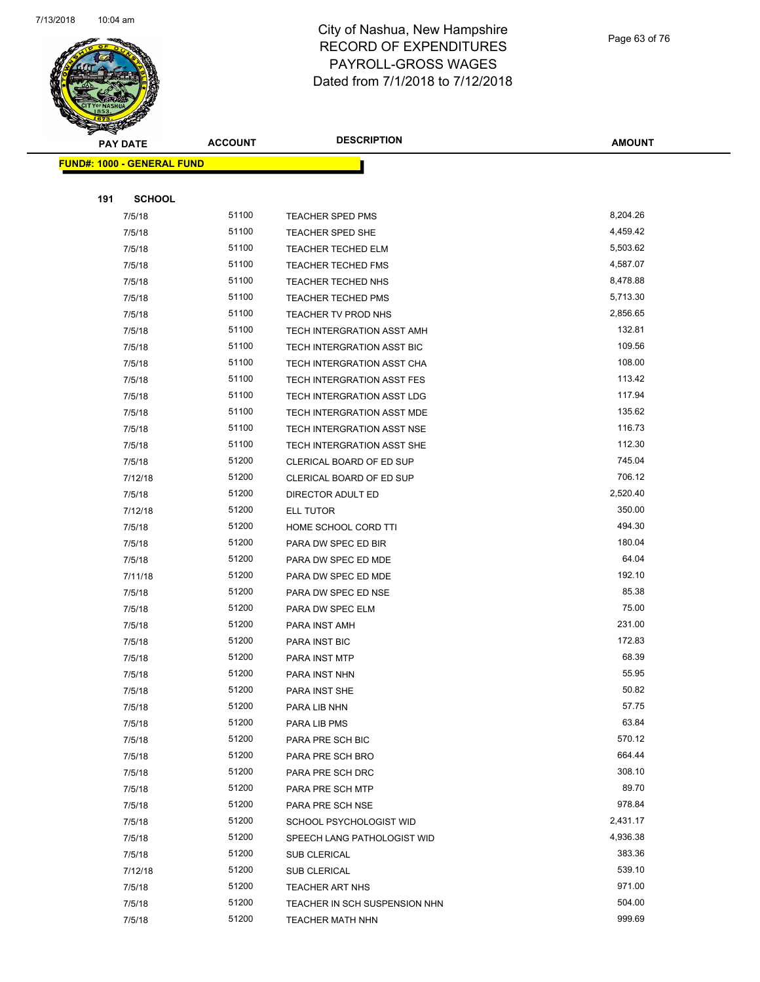

| <b>PAY DATE</b>                   | <b>ACCOUNT</b> | <b>DESCRIPTION</b>            | <b>AMOUNT</b> |
|-----------------------------------|----------------|-------------------------------|---------------|
| <b>FUND#: 1000 - GENERAL FUND</b> |                |                               |               |
|                                   |                |                               |               |
| 191<br><b>SCHOOL</b>              |                |                               |               |
| 7/5/18                            | 51100          | <b>TEACHER SPED PMS</b>       | 8,204.26      |
| 7/5/18                            | 51100          | TEACHER SPED SHE              | 4,459.42      |
| 7/5/18                            | 51100          | <b>TEACHER TECHED ELM</b>     | 5,503.62      |
| 7/5/18                            | 51100          | <b>TEACHER TECHED FMS</b>     | 4,587.07      |
| 7/5/18                            | 51100          | TEACHER TECHED NHS            | 8,478.88      |
| 7/5/18                            | 51100          | <b>TEACHER TECHED PMS</b>     | 5,713.30      |
| 7/5/18                            | 51100          | TEACHER TV PROD NHS           | 2,856.65      |
| 7/5/18                            | 51100          | TECH INTERGRATION ASST AMH    | 132.81        |
| 7/5/18                            | 51100          | TECH INTERGRATION ASST BIC    | 109.56        |
| 7/5/18                            | 51100          | TECH INTERGRATION ASST CHA    | 108.00        |
| 7/5/18                            | 51100          | TECH INTERGRATION ASST FES    | 113.42        |
| 7/5/18                            | 51100          | TECH INTERGRATION ASST LDG    | 117.94        |
| 7/5/18                            | 51100          | TECH INTERGRATION ASST MDE    | 135.62        |
| 7/5/18                            | 51100          | TECH INTERGRATION ASST NSE    | 116.73        |
| 7/5/18                            | 51100          | TECH INTERGRATION ASST SHE    | 112.30        |
| 7/5/18                            | 51200          | CLERICAL BOARD OF ED SUP      | 745.04        |
| 7/12/18                           | 51200          | CLERICAL BOARD OF ED SUP      | 706.12        |
| 7/5/18                            | 51200          | DIRECTOR ADULT ED             | 2,520.40      |
| 7/12/18                           | 51200          | ELL TUTOR                     | 350.00        |
| 7/5/18                            | 51200          | HOME SCHOOL CORD TTI          | 494.30        |
| 7/5/18                            | 51200          | PARA DW SPEC ED BIR           | 180.04        |
| 7/5/18                            | 51200          | PARA DW SPEC ED MDE           | 64.04         |
| 7/11/18                           | 51200          | PARA DW SPEC ED MDE           | 192.10        |
| 7/5/18                            | 51200          | PARA DW SPEC ED NSE           | 85.38         |
| 7/5/18                            | 51200          | PARA DW SPEC ELM              | 75.00         |
| 7/5/18                            | 51200          | PARA INST AMH                 | 231.00        |
| 7/5/18                            | 51200          | PARA INST BIC                 | 172.83        |
| 7/5/18                            | 51200          | PARA INST MTP                 | 68.39         |
| 7/5/18                            | 51200          | PARA INST NHN                 | 55.95         |
| 7/5/18                            | 51200          | PARA INST SHE                 | 50.82         |
| 7/5/18                            | 51200          | PARA LIB NHN                  | 57.75         |
| 7/5/18                            | 51200          | PARA LIB PMS                  | 63.84         |
| 7/5/18                            | 51200          | PARA PRE SCH BIC              | 570.12        |
| 7/5/18                            | 51200          | PARA PRE SCH BRO              | 664.44        |
| 7/5/18                            | 51200          | PARA PRE SCH DRC              | 308.10        |
| 7/5/18                            | 51200          | PARA PRE SCH MTP              | 89.70         |
| 7/5/18                            | 51200          | PARA PRE SCH NSE              | 978.84        |
| 7/5/18                            | 51200          | SCHOOL PSYCHOLOGIST WID       | 2,431.17      |
| 7/5/18                            | 51200          | SPEECH LANG PATHOLOGIST WID   | 4,936.38      |
| 7/5/18                            | 51200          | SUB CLERICAL                  | 383.36        |
| 7/12/18                           | 51200          | SUB CLERICAL                  | 539.10        |
| 7/5/18                            | 51200          | TEACHER ART NHS               | 971.00        |
| 7/5/18                            | 51200          | TEACHER IN SCH SUSPENSION NHN | 504.00        |
| 7/5/18                            | 51200          | TEACHER MATH NHN              | 999.69        |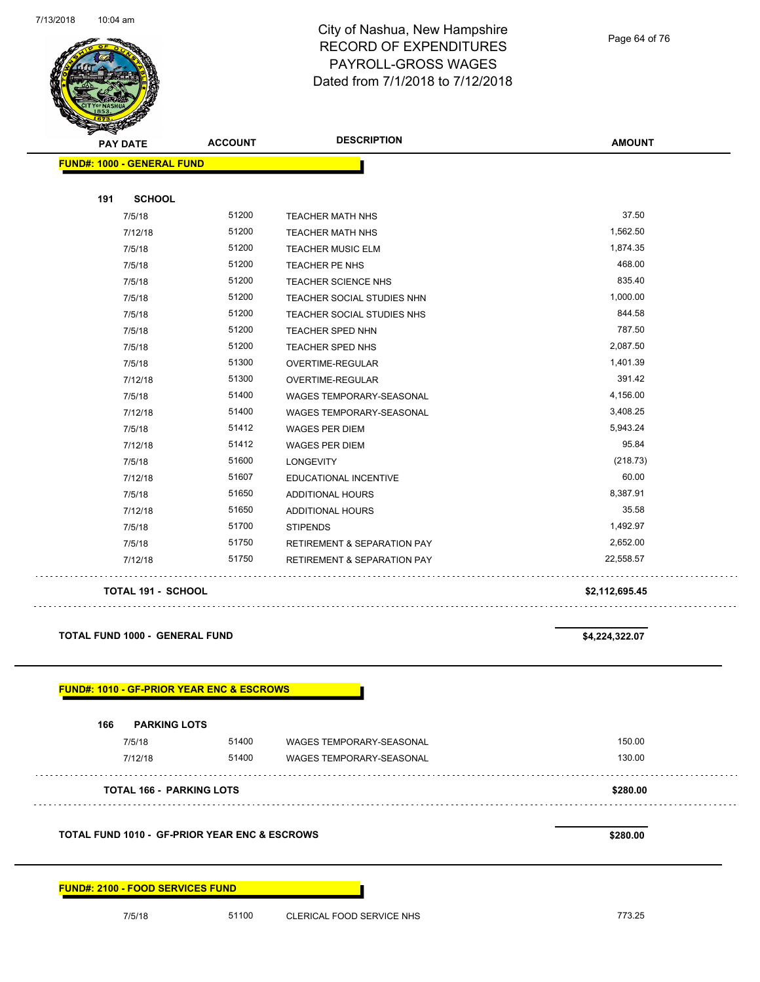

Page 64 of 76

| <b>PAY DATE</b>                                      | <b>ACCOUNT</b> | <b>DESCRIPTION</b>                     | <b>AMOUNT</b>  |
|------------------------------------------------------|----------------|----------------------------------------|----------------|
| <b>FUND#: 1000 - GENERAL FUND</b>                    |                |                                        |                |
|                                                      |                |                                        |                |
| 191<br><b>SCHOOL</b>                                 |                |                                        |                |
| 7/5/18                                               | 51200          | TEACHER MATH NHS                       | 37.50          |
| 7/12/18                                              | 51200          | TEACHER MATH NHS                       | 1,562.50       |
| 7/5/18                                               | 51200          | <b>TEACHER MUSIC ELM</b>               | 1,874.35       |
| 7/5/18                                               | 51200          | TEACHER PE NHS                         | 468.00         |
| 7/5/18                                               | 51200          | TEACHER SCIENCE NHS                    | 835.40         |
| 7/5/18                                               | 51200          | TEACHER SOCIAL STUDIES NHN             | 1,000.00       |
| 7/5/18                                               | 51200          | TEACHER SOCIAL STUDIES NHS             | 844.58         |
| 7/5/18                                               | 51200          | TEACHER SPED NHN                       | 787.50         |
| 7/5/18                                               | 51200          | TEACHER SPED NHS                       | 2,087.50       |
| 7/5/18                                               | 51300          | OVERTIME-REGULAR                       | 1,401.39       |
| 7/12/18                                              | 51300          | <b>OVERTIME-REGULAR</b>                | 391.42         |
| 7/5/18                                               | 51400          | WAGES TEMPORARY-SEASONAL               | 4,156.00       |
| 7/12/18                                              | 51400          | WAGES TEMPORARY-SEASONAL               | 3,408.25       |
| 7/5/18                                               | 51412          | <b>WAGES PER DIEM</b>                  | 5,943.24       |
| 7/12/18                                              | 51412          | <b>WAGES PER DIEM</b>                  | 95.84          |
| 7/5/18                                               | 51600          | LONGEVITY                              | (218.73)       |
| 7/12/18                                              | 51607          | EDUCATIONAL INCENTIVE                  | 60.00          |
| 7/5/18                                               | 51650          | <b>ADDITIONAL HOURS</b>                | 8,387.91       |
| 7/12/18                                              | 51650          | ADDITIONAL HOURS                       | 35.58          |
| 7/5/18                                               | 51700          | <b>STIPENDS</b>                        | 1,492.97       |
| 7/5/18                                               | 51750          | <b>RETIREMENT &amp; SEPARATION PAY</b> | 2,652.00       |
| 7/12/18                                              | 51750          | <b>RETIREMENT &amp; SEPARATION PAY</b> | 22,558.57      |
| <b>TOTAL 191 - SCHOOL</b>                            |                |                                        | \$2,112,695.45 |
| <b>TOTAL FUND 1000 - GENERAL FUND</b>                |                |                                        | \$4,224,322.07 |
| <b>FUND#: 1010 - GF-PRIOR YEAR ENC &amp; ESCROWS</b> |                |                                        |                |
| <b>PARKING LOTS</b><br>166                           |                |                                        |                |
| 7/5/18                                               |                | 51400 WAGES TEMPORARY-SEASONAL         | 150.00         |
| 7/12/18                                              | 51400          | WAGES TEMPORARY-SEASONAL               | 130.00         |
| <b>TOTAL 166 - PARKING LOTS</b>                      |                |                                        | \$280.00       |
|                                                      |                |                                        |                |

#### **FUND#: 2100 - FOOD SERVICES FUND**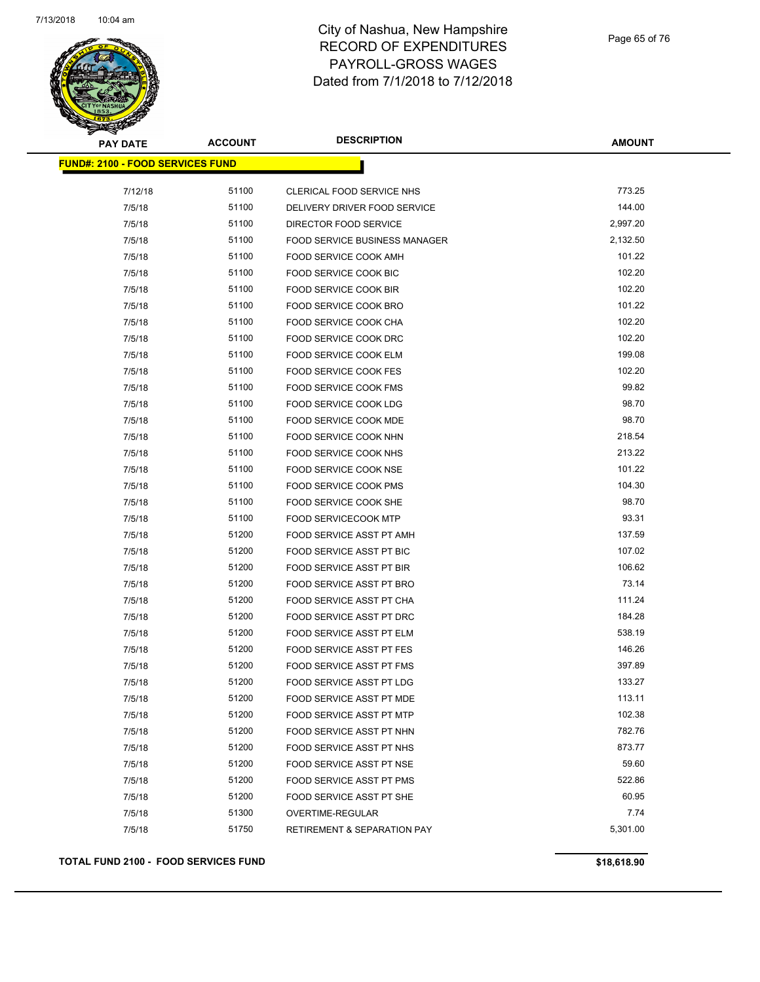

Page 65 of 76

| <b>PAY DATE</b>                         | <b>ACCOUNT</b> | <b>DESCRIPTION</b>                     | <b>AMOUNT</b> |
|-----------------------------------------|----------------|----------------------------------------|---------------|
| <b>FUND#: 2100 - FOOD SERVICES FUND</b> |                |                                        |               |
| 7/12/18                                 | 51100          | CLERICAL FOOD SERVICE NHS              | 773.25        |
| 7/5/18                                  | 51100          | DELIVERY DRIVER FOOD SERVICE           | 144.00        |
| 7/5/18                                  | 51100          | DIRECTOR FOOD SERVICE                  | 2,997.20      |
| 7/5/18                                  | 51100          | <b>FOOD SERVICE BUSINESS MANAGER</b>   | 2,132.50      |
| 7/5/18                                  | 51100          | FOOD SERVICE COOK AMH                  | 101.22        |
| 7/5/18                                  | 51100          | FOOD SERVICE COOK BIC                  | 102.20        |
| 7/5/18                                  | 51100          | <b>FOOD SERVICE COOK BIR</b>           | 102.20        |
| 7/5/18                                  | 51100          | FOOD SERVICE COOK BRO                  | 101.22        |
| 7/5/18                                  | 51100          | FOOD SERVICE COOK CHA                  | 102.20        |
| 7/5/18                                  | 51100          | FOOD SERVICE COOK DRC                  | 102.20        |
| 7/5/18                                  | 51100          | FOOD SERVICE COOK ELM                  | 199.08        |
| 7/5/18                                  | 51100          | FOOD SERVICE COOK FES                  | 102.20        |
| 7/5/18                                  | 51100          | <b>FOOD SERVICE COOK FMS</b>           | 99.82         |
| 7/5/18                                  | 51100          | FOOD SERVICE COOK LDG                  | 98.70         |
| 7/5/18                                  | 51100          | FOOD SERVICE COOK MDE                  | 98.70         |
| 7/5/18                                  | 51100          | FOOD SERVICE COOK NHN                  | 218.54        |
| 7/5/18                                  | 51100          | FOOD SERVICE COOK NHS                  | 213.22        |
| 7/5/18                                  | 51100          | FOOD SERVICE COOK NSE                  | 101.22        |
| 7/5/18                                  | 51100          | FOOD SERVICE COOK PMS                  | 104.30        |
| 7/5/18                                  | 51100          | FOOD SERVICE COOK SHE                  | 98.70         |
| 7/5/18                                  | 51100          | <b>FOOD SERVICECOOK MTP</b>            | 93.31         |
| 7/5/18                                  | 51200          | FOOD SERVICE ASST PT AMH               | 137.59        |
| 7/5/18                                  | 51200          | FOOD SERVICE ASST PT BIC               | 107.02        |
| 7/5/18                                  | 51200          | FOOD SERVICE ASST PT BIR               | 106.62        |
| 7/5/18                                  | 51200          | FOOD SERVICE ASST PT BRO               | 73.14         |
| 7/5/18                                  | 51200          | FOOD SERVICE ASST PT CHA               | 111.24        |
| 7/5/18                                  | 51200          | FOOD SERVICE ASST PT DRC               | 184.28        |
| 7/5/18                                  | 51200          | FOOD SERVICE ASST PT ELM               | 538.19        |
| 7/5/18                                  | 51200          | FOOD SERVICE ASST PT FES               | 146.26        |
| 7/5/18                                  | 51200          | FOOD SERVICE ASST PT FMS               | 397.89        |
| 7/5/18                                  | 51200          | FOOD SERVICE ASST PT LDG               | 133.27        |
| 7/5/18                                  | 51200          | FOOD SERVICE ASST PT MDE               | 113.11        |
| 7/5/18                                  | 51200          | <b>FOOD SERVICE ASST PT MTP</b>        | 102.38        |
| 7/5/18                                  | 51200          | FOOD SERVICE ASST PT NHN               | 782.76        |
| 7/5/18                                  | 51200          | FOOD SERVICE ASST PT NHS               | 873.77        |
| 7/5/18                                  | 51200          | FOOD SERVICE ASST PT NSE               | 59.60         |
| 7/5/18                                  | 51200          | FOOD SERVICE ASST PT PMS               | 522.86        |
| 7/5/18                                  | 51200          | FOOD SERVICE ASST PT SHE               | 60.95         |
| 7/5/18                                  | 51300          | OVERTIME-REGULAR                       | 7.74          |
| 7/5/18                                  | 51750          | <b>RETIREMENT &amp; SEPARATION PAY</b> | 5,301.00      |

**TOTAL FUND 2100 - FOOD SERVICES FUND \$18,618.90**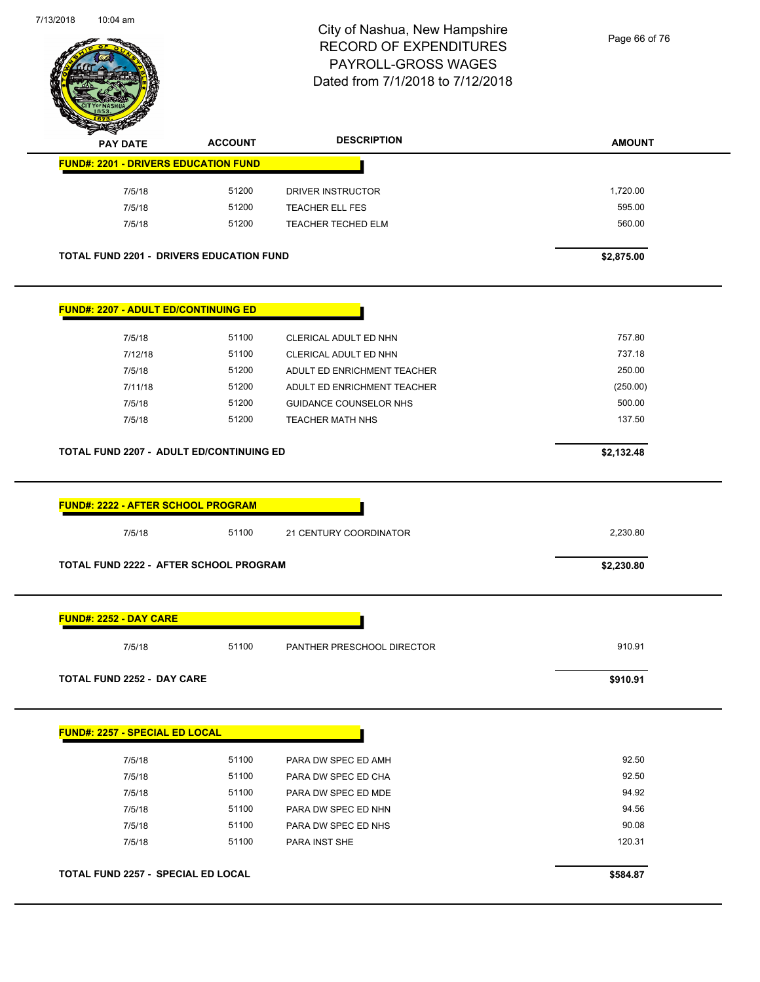

Page 66 of 76

|                                                 | <b>ACCOUNT</b> | <b>DESCRIPTION</b>            | <b>AMOUNT</b> |
|-------------------------------------------------|----------------|-------------------------------|---------------|
| <b>FUND#: 2201 - DRIVERS EDUCATION FUND</b>     |                |                               |               |
| 7/5/18                                          | 51200          | DRIVER INSTRUCTOR             | 1,720.00      |
| 7/5/18                                          | 51200          | <b>TEACHER ELL FES</b>        | 595.00        |
| 7/5/18                                          | 51200          | TEACHER TECHED ELM            | 560.00        |
| <b>TOTAL FUND 2201 - DRIVERS EDUCATION FUND</b> |                |                               | \$2,875.00    |
| <b>FUND#: 2207 - ADULT ED/CONTINUING ED</b>     |                |                               |               |
| 7/5/18                                          | 51100          | CLERICAL ADULT ED NHN         | 757.80        |
| 7/12/18                                         | 51100          | CLERICAL ADULT ED NHN         | 737.18        |
| 7/5/18                                          | 51200          | ADULT ED ENRICHMENT TEACHER   | 250.00        |
| 7/11/18                                         | 51200          | ADULT ED ENRICHMENT TEACHER   | (250.00)      |
| 7/5/18                                          | 51200          | <b>GUIDANCE COUNSELOR NHS</b> | 500.00        |
| 7/5/18                                          | 51200          | <b>TEACHER MATH NHS</b>       | 137.50        |
| <b>TOTAL FUND 2207 - ADULT ED/CONTINUING ED</b> |                |                               | \$2,132.48    |
| 7/5/18                                          | 51100          | 21 CENTURY COORDINATOR        | 2,230.80      |
| TOTAL FUND 2222 - AFTER SCHOOL PROGRAM          |                |                               | \$2,230.80    |
|                                                 |                |                               |               |
| <b>FUND#: 2252 - DAY CARE</b>                   |                |                               |               |
| 7/5/18                                          | 51100          | PANTHER PRESCHOOL DIRECTOR    | 910.91        |
| TOTAL FUND 2252 - DAY CARE                      |                |                               | \$910.91      |
| FUND#: 2257 - SPECIAL ED LOCAL                  |                |                               |               |
| 7/5/18                                          | 51100          | PARA DW SPEC ED AMH           | 92.50         |
| 7/5/18                                          | 51100          | PARA DW SPEC ED CHA           | 92.50         |
| 7/5/18                                          | 51100          | PARA DW SPEC ED MDE           | 94.92         |
| 7/5/18                                          | 51100          | PARA DW SPEC ED NHN           | 94.56         |
| 7/5/18                                          | 51100          | PARA DW SPEC ED NHS           | 90.08         |
| 7/5/18                                          | 51100          | PARA INST SHE                 | 120.31        |
| TOTAL FUND 2257 - SPECIAL ED LOCAL              |                |                               | \$584.87      |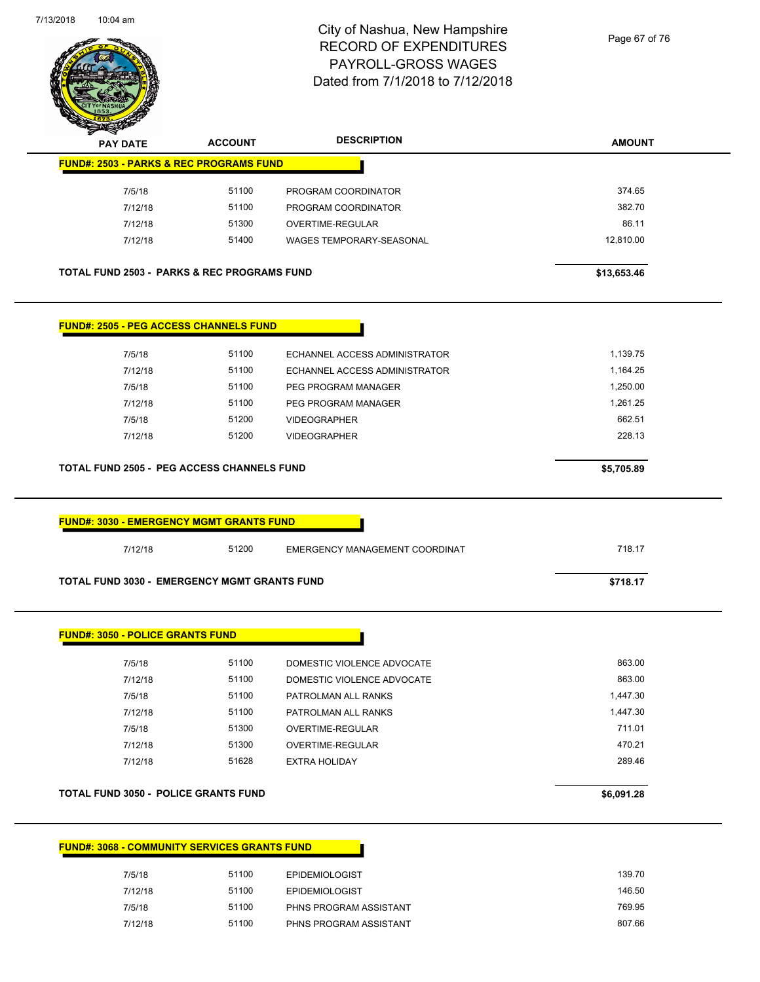

Page 67 of 76

| <b>PAY DATE</b><br><b>FUND#: 2503 - PARKS &amp; REC PROGRAMS FUND</b>                                                                                                                                | <b>ACCOUNT</b> | <b>DESCRIPTION</b>                             | <b>AMOUNT</b>    |
|------------------------------------------------------------------------------------------------------------------------------------------------------------------------------------------------------|----------------|------------------------------------------------|------------------|
|                                                                                                                                                                                                      |                |                                                |                  |
| 7/5/18                                                                                                                                                                                               | 51100          | PROGRAM COORDINATOR                            | 374.65           |
| 7/12/18                                                                                                                                                                                              | 51100          | PROGRAM COORDINATOR                            | 382.70           |
| 7/12/18                                                                                                                                                                                              | 51300          | OVERTIME-REGULAR                               | 86.11            |
| 7/12/18                                                                                                                                                                                              | 51400          | WAGES TEMPORARY-SEASONAL                       | 12,810.00        |
|                                                                                                                                                                                                      |                |                                                |                  |
| <b>TOTAL FUND 2503 - PARKS &amp; REC PROGRAMS FUND</b>                                                                                                                                               |                |                                                | \$13,653.46      |
| <b>FUND#: 2505 - PEG ACCESS CHANNELS FUND</b>                                                                                                                                                        |                |                                                |                  |
| 7/5/18                                                                                                                                                                                               | 51100          | ECHANNEL ACCESS ADMINISTRATOR                  | 1,139.75         |
| 7/12/18                                                                                                                                                                                              | 51100          | ECHANNEL ACCESS ADMINISTRATOR                  | 1,164.25         |
| 7/5/18                                                                                                                                                                                               | 51100          | PEG PROGRAM MANAGER                            | 1,250.00         |
| 7/12/18                                                                                                                                                                                              | 51100          | PEG PROGRAM MANAGER                            | 1,261.25         |
| 7/5/18                                                                                                                                                                                               | 51200          | <b>VIDEOGRAPHER</b>                            | 662.51           |
| 7/12/18                                                                                                                                                                                              | 51200          | <b>VIDEOGRAPHER</b>                            | 228.13           |
| <b>TOTAL FUND 2505 - PEG ACCESS CHANNELS FUND</b>                                                                                                                                                    |                |                                                | \$5,705.89       |
|                                                                                                                                                                                                      | 51200          |                                                |                  |
| 7/12/18                                                                                                                                                                                              |                | EMERGENCY MANAGEMENT COORDINAT                 | 718.17           |
|                                                                                                                                                                                                      |                |                                                | \$718.17         |
|                                                                                                                                                                                                      |                |                                                |                  |
| 7/5/18                                                                                                                                                                                               | 51100          | DOMESTIC VIOLENCE ADVOCATE                     | 863.00           |
| 7/12/18                                                                                                                                                                                              | 51100          | DOMESTIC VIOLENCE ADVOCATE                     | 863.00           |
| 7/5/18                                                                                                                                                                                               | 51100          | PATROLMAN ALL RANKS                            | 1,447.30         |
| 7/12/18                                                                                                                                                                                              | 51100          | PATROLMAN ALL RANKS                            | 1,447.30         |
| 7/5/18                                                                                                                                                                                               | 51300          | OVERTIME-REGULAR                               | 711.01           |
| 7/12/18                                                                                                                                                                                              | 51300          | OVERTIME-REGULAR                               | 470.21           |
| 7/12/18                                                                                                                                                                                              | 51628          | <b>EXTRA HOLIDAY</b>                           | 289.46           |
|                                                                                                                                                                                                      |                |                                                | \$6,091.28       |
| <b>TOTAL FUND 3030 - EMERGENCY MGMT GRANTS FUND</b><br><b>FUND#: 3050 - POLICE GRANTS FUND</b><br><b>TOTAL FUND 3050 - POLICE GRANTS FUND</b><br><b>FUND#: 3068 - COMMUNITY SERVICES GRANTS FUND</b> |                |                                                |                  |
|                                                                                                                                                                                                      |                |                                                |                  |
| 7/5/18<br>7/12/18                                                                                                                                                                                    | 51100<br>51100 | <b>EPIDEMIOLOGIST</b><br><b>EPIDEMIOLOGIST</b> | 139.70<br>146.50 |

7/12/18 51100 PHNS PROGRAM ASSISTANT 807.66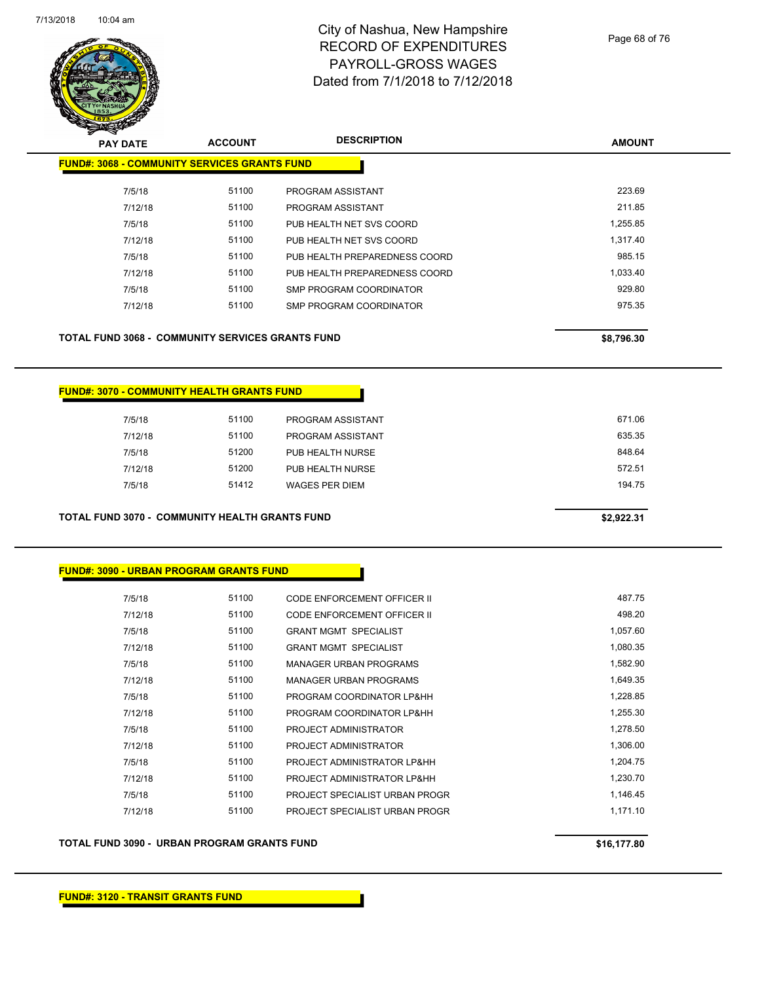

Page 68 of 76

| <b>PAY DATE</b>                                     | <b>ACCOUNT</b> | <b>DESCRIPTION</b>            | <b>AMOUNT</b> |
|-----------------------------------------------------|----------------|-------------------------------|---------------|
| <b>FUND#: 3068 - COMMUNITY SERVICES GRANTS FUND</b> |                |                               |               |
| 7/5/18                                              | 51100          | PROGRAM ASSISTANT             | 223.69        |
| 7/12/18                                             | 51100          | PROGRAM ASSISTANT             | 211.85        |
| 7/5/18                                              | 51100          | PUB HEALTH NET SVS COORD      | 1,255.85      |
| 7/12/18                                             | 51100          | PUB HEALTH NET SVS COORD      | 1,317.40      |
| 7/5/18                                              | 51100          | PUB HEALTH PREPAREDNESS COORD | 985.15        |
| 7/12/18                                             | 51100          | PUB HEALTH PREPAREDNESS COORD | 1,033.40      |
| 7/5/18                                              | 51100          | SMP PROGRAM COORDINATOR       | 929.80        |
| 7/12/18                                             | 51100          | SMP PROGRAM COORDINATOR       | 975.35        |
|                                                     |                |                               |               |
| TOTAL FUND 3068 - COMMUNITY SERVICES GRANTS FUND    |                |                               | \$8,796.30    |

#### **FUND#: 3070 - COMMUNITY HEALTH GRANTS FUND**

| 7/5/18  | 51100 | PROGRAM ASSISTANT | 671.06 |
|---------|-------|-------------------|--------|
| 7/12/18 | 51100 | PROGRAM ASSISTANT | 635.35 |
| 7/5/18  | 51200 | PUB HEALTH NURSE  | 848.64 |
| 7/12/18 | 51200 | PUB HEALTH NURSE  | 572.51 |
| 7/5/18  | 51412 | WAGES PER DIEM    | 194.75 |
|         |       |                   |        |

#### **TOTAL FUND 3070 - COMMUNITY HEALTH GRANTS FUND \$2,922.31**

| <u> FUND#: 3090 - URBAN PROGRAM GRANTS FUND</u> |  |  |  |  |
|-------------------------------------------------|--|--|--|--|
|-------------------------------------------------|--|--|--|--|

| 7/5/18  | 51100 | CODE ENFORCEMENT OFFICER II    | 487.75   |
|---------|-------|--------------------------------|----------|
| 7/12/18 | 51100 | CODE ENFORCEMENT OFFICER II    | 498.20   |
| 7/5/18  | 51100 | <b>GRANT MGMT SPECIALIST</b>   | 1.057.60 |
| 7/12/18 | 51100 | <b>GRANT MGMT SPECIALIST</b>   | 1,080.35 |
| 7/5/18  | 51100 | MANAGER URBAN PROGRAMS         | 1,582.90 |
| 7/12/18 | 51100 | MANAGER URBAN PROGRAMS         | 1,649.35 |
| 7/5/18  | 51100 | PROGRAM COORDINATOR LP&HH      | 1,228.85 |
| 7/12/18 | 51100 | PROGRAM COORDINATOR LP&HH      | 1,255.30 |
| 7/5/18  | 51100 | PROJECT ADMINISTRATOR          | 1,278.50 |
| 7/12/18 | 51100 | PROJECT ADMINISTRATOR          | 1,306.00 |
| 7/5/18  | 51100 | PROJECT ADMINISTRATOR LP&HH    | 1,204.75 |
| 7/12/18 | 51100 | PROJECT ADMINISTRATOR LP&HH    | 1,230.70 |
| 7/5/18  | 51100 | PROJECT SPECIALIST URBAN PROGR | 1,146.45 |
| 7/12/18 | 51100 | PROJECT SPECIALIST URBAN PROGR | 1,171.10 |
|         |       |                                |          |

#### **TOTAL FUND 3090 - URBAN PROGRAM GRANTS FUND \$16,177.80**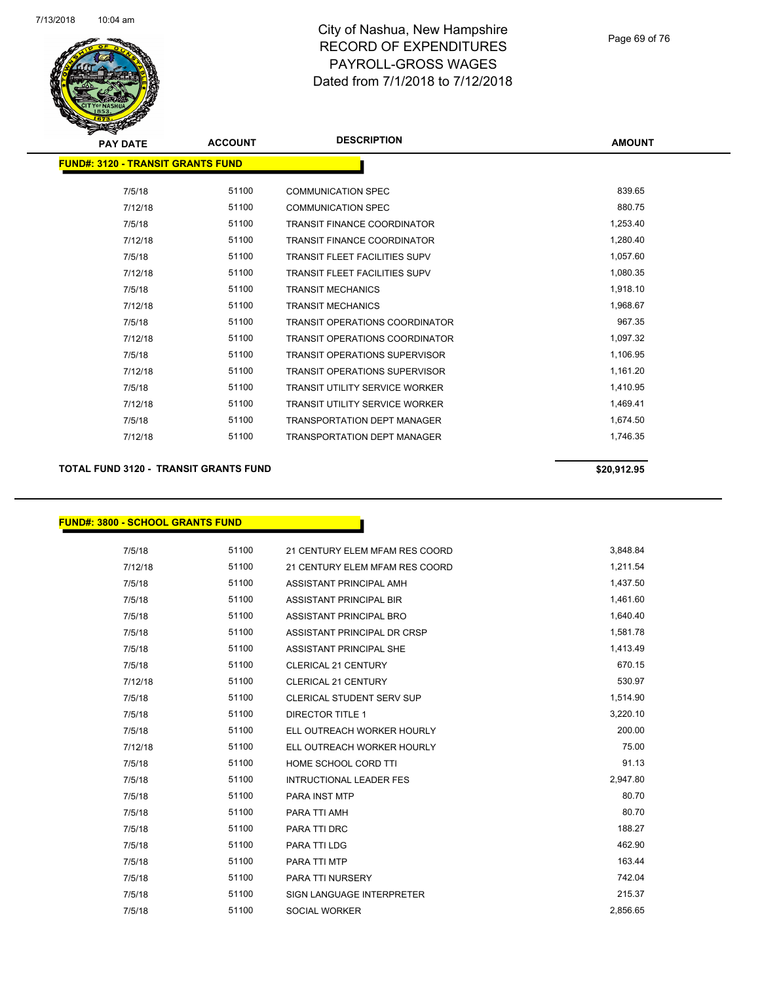

#### Page 69 of 76

| <b>PAY DATE</b>                          | <b>ACCOUNT</b> | <b>DESCRIPTION</b>                    | <b>AMOUNT</b> |
|------------------------------------------|----------------|---------------------------------------|---------------|
| <b>FUND#: 3120 - TRANSIT GRANTS FUND</b> |                |                                       |               |
| 7/5/18                                   | 51100          | <b>COMMUNICATION SPEC</b>             | 839.65        |
| 7/12/18                                  | 51100          | <b>COMMUNICATION SPEC</b>             | 880.75        |
| 7/5/18                                   | 51100          | <b>TRANSIT FINANCE COORDINATOR</b>    | 1,253.40      |
| 7/12/18                                  | 51100          | TRANSIT FINANCE COORDINATOR           | 1,280.40      |
| 7/5/18                                   | 51100          | <b>TRANSIT FLEET FACILITIES SUPV</b>  | 1,057.60      |
| 7/12/18                                  | 51100          | <b>TRANSIT FLEET FACILITIES SUPV</b>  | 1,080.35      |
| 7/5/18                                   | 51100          | <b>TRANSIT MECHANICS</b>              | 1,918.10      |
| 7/12/18                                  | 51100          | <b>TRANSIT MECHANICS</b>              | 1,968.67      |
| 7/5/18                                   | 51100          | <b>TRANSIT OPERATIONS COORDINATOR</b> | 967.35        |
| 7/12/18                                  | 51100          | <b>TRANSIT OPERATIONS COORDINATOR</b> | 1,097.32      |
| 7/5/18                                   | 51100          | <b>TRANSIT OPERATIONS SUPERVISOR</b>  | 1,106.95      |
| 7/12/18                                  | 51100          | <b>TRANSIT OPERATIONS SUPERVISOR</b>  | 1,161.20      |
| 7/5/18                                   | 51100          | <b>TRANSIT UTILITY SERVICE WORKER</b> | 1,410.95      |
| 7/12/18                                  | 51100          | <b>TRANSIT UTILITY SERVICE WORKER</b> | 1,469.41      |
| 7/5/18                                   | 51100          | <b>TRANSPORTATION DEPT MANAGER</b>    | 1,674.50      |
| 7/12/18                                  | 51100          | <b>TRANSPORTATION DEPT MANAGER</b>    | 1,746.35      |
|                                          |                |                                       |               |

#### **TOTAL FUND 3120 - TRANSIT GRANTS FUND \$20,912.95**

#### **FUND#: 3800 - SCHOOL GRANTS FUND**

| 7/5/18  | 51100 | 21 CENTURY ELEM MFAM RES COORD | 3,848.84 |
|---------|-------|--------------------------------|----------|
| 7/12/18 | 51100 | 21 CENTURY ELEM MFAM RES COORD | 1,211.54 |
| 7/5/18  | 51100 | ASSISTANT PRINCIPAL AMH        | 1,437.50 |
| 7/5/18  | 51100 | ASSISTANT PRINCIPAL BIR        | 1,461.60 |
| 7/5/18  | 51100 | ASSISTANT PRINCIPAL BRO        | 1,640.40 |
| 7/5/18  | 51100 | ASSISTANT PRINCIPAL DR CRSP    | 1,581.78 |
| 7/5/18  | 51100 | ASSISTANT PRINCIPAL SHE        | 1,413.49 |
| 7/5/18  | 51100 | CLERICAL 21 CENTURY            | 670.15   |
| 7/12/18 | 51100 | CLERICAL 21 CENTURY            | 530.97   |
| 7/5/18  | 51100 | CLERICAL STUDENT SERV SUP      | 1,514.90 |
| 7/5/18  | 51100 | <b>DIRECTOR TITLE 1</b>        | 3,220.10 |
| 7/5/18  | 51100 | ELL OUTREACH WORKER HOURLY     | 200.00   |
| 7/12/18 | 51100 | ELL OUTREACH WORKER HOURLY     | 75.00    |
| 7/5/18  | 51100 | HOME SCHOOL CORD TTI           | 91.13    |
| 7/5/18  | 51100 | INTRUCTIONAL LEADER FES        | 2.947.80 |
| 7/5/18  | 51100 | <b>PARA INST MTP</b>           | 80.70    |
| 7/5/18  | 51100 | PARA TTI AMH                   | 80.70    |
| 7/5/18  | 51100 | PARA TTI DRC                   | 188.27   |
| 7/5/18  | 51100 | PARA TTI LDG                   | 462.90   |
| 7/5/18  | 51100 | PARA TTI MTP                   | 163.44   |
| 7/5/18  | 51100 | PARA TTI NURSERY               | 742.04   |
| 7/5/18  | 51100 | SIGN LANGUAGE INTERPRETER      | 215.37   |
| 7/5/18  | 51100 | <b>SOCIAL WORKER</b>           | 2,856.65 |
|         |       |                                |          |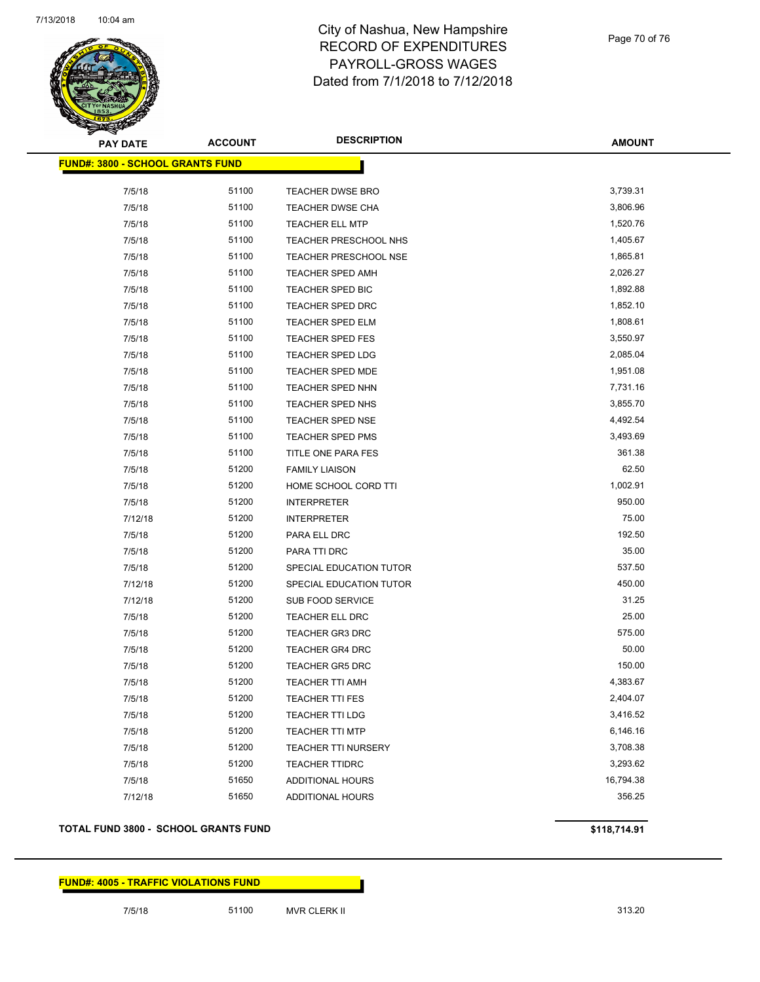

Page 70 of 76

**AMOUNT**

| <b>FUND#: 3800 - SCHOOL GRANTS FUND</b> |       |                         |           |
|-----------------------------------------|-------|-------------------------|-----------|
| 7/5/18                                  | 51100 | <b>TEACHER DWSE BRO</b> | 3,739.31  |
| 7/5/18                                  | 51100 | <b>TEACHER DWSE CHA</b> | 3,806.96  |
| 7/5/18                                  | 51100 | <b>TEACHER ELL MTP</b>  | 1,520.76  |
| 7/5/18                                  | 51100 | TEACHER PRESCHOOL NHS   | 1,405.67  |
| 7/5/18                                  | 51100 | TEACHER PRESCHOOL NSE   | 1,865.81  |
| 7/5/18                                  | 51100 | <b>TEACHER SPED AMH</b> | 2,026.27  |
| 7/5/18                                  | 51100 | <b>TEACHER SPED BIC</b> | 1,892.88  |
| 7/5/18                                  | 51100 | <b>TEACHER SPED DRC</b> | 1,852.10  |
| 7/5/18                                  | 51100 | <b>TEACHER SPED ELM</b> | 1,808.61  |
| 7/5/18                                  | 51100 | <b>TEACHER SPED FES</b> | 3,550.97  |
| 7/5/18                                  | 51100 | <b>TEACHER SPED LDG</b> | 2,085.04  |
| 7/5/18                                  | 51100 | <b>TEACHER SPED MDE</b> | 1,951.08  |
| 7/5/18                                  | 51100 | TEACHER SPED NHN        | 7,731.16  |
| 7/5/18                                  | 51100 | TEACHER SPED NHS        | 3,855.70  |
| 7/5/18                                  | 51100 | TEACHER SPED NSE        | 4,492.54  |
| 7/5/18                                  | 51100 | <b>TEACHER SPED PMS</b> | 3,493.69  |
| 7/5/18                                  | 51100 | TITLE ONE PARA FES      | 361.38    |
| 7/5/18                                  | 51200 | <b>FAMILY LIAISON</b>   | 62.50     |
| 7/5/18                                  | 51200 | HOME SCHOOL CORD TTI    | 1,002.91  |
| 7/5/18                                  | 51200 | <b>INTERPRETER</b>      | 950.00    |
| 7/12/18                                 | 51200 | <b>INTERPRETER</b>      | 75.00     |
| 7/5/18                                  | 51200 | PARA ELL DRC            | 192.50    |
| 7/5/18                                  | 51200 | PARA TTI DRC            | 35.00     |
| 7/5/18                                  | 51200 | SPECIAL EDUCATION TUTOR | 537.50    |
| 7/12/18                                 | 51200 | SPECIAL EDUCATION TUTOR | 450.00    |
| 7/12/18                                 | 51200 | SUB FOOD SERVICE        | 31.25     |
| 7/5/18                                  | 51200 | TEACHER ELL DRC         | 25.00     |
| 7/5/18                                  | 51200 | <b>TEACHER GR3 DRC</b>  | 575.00    |
| 7/5/18                                  | 51200 | <b>TEACHER GR4 DRC</b>  | 50.00     |
| 7/5/18                                  | 51200 | <b>TEACHER GR5 DRC</b>  | 150.00    |
| 7/5/18                                  | 51200 | <b>TEACHER TTI AMH</b>  | 4,383.67  |
| 7/5/18                                  | 51200 | <b>TEACHER TTI FES</b>  | 2,404.07  |
| 7/5/18                                  | 51200 | <b>TEACHER TTI LDG</b>  | 3,416.52  |
| 7/5/18                                  | 51200 | <b>TEACHER TTI MTP</b>  | 6,146.16  |
| 7/5/18                                  | 51200 | TEACHER TTI NURSERY     | 3,708.38  |
| 7/5/18                                  | 51200 | <b>TEACHER TTIDRC</b>   | 3,293.62  |
| 7/5/18                                  | 51650 | <b>ADDITIONAL HOURS</b> | 16,794.38 |
| 7/12/18                                 | 51650 | ADDITIONAL HOURS        | 356.25    |

#### **TOTAL FUND 3800 - SCHOOL GRANTS FUND \$118,714.91**

#### **FUND#: 4005 - TRAFFIC VIOLATIONS FUND**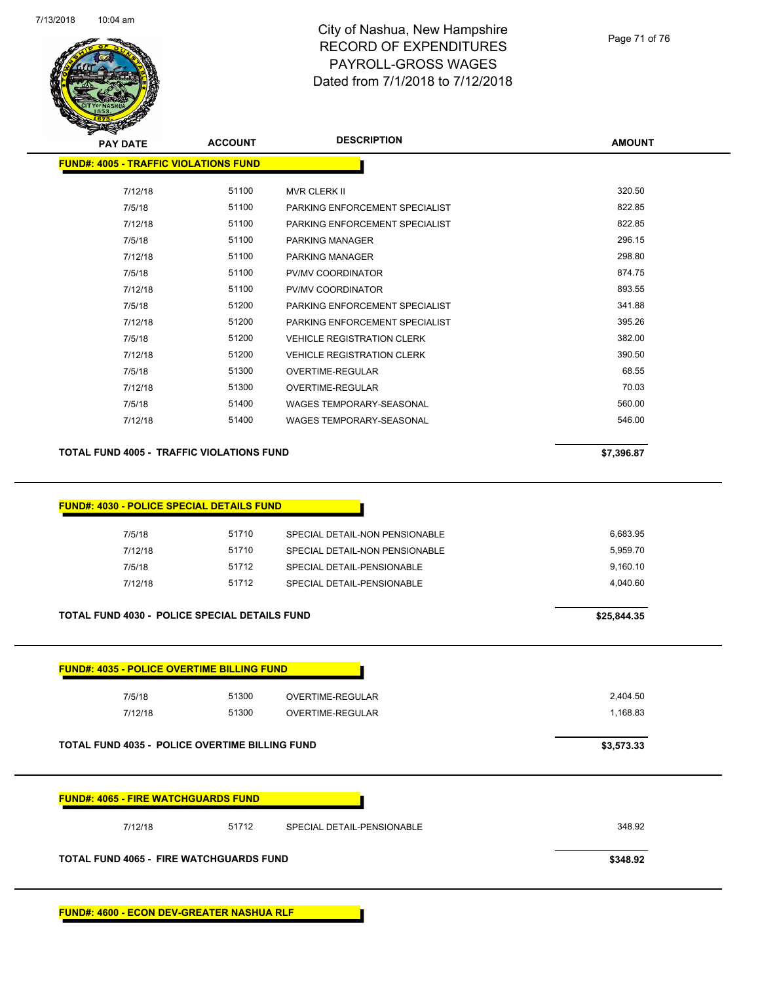

Ĺ.

Page 71 of 76

**AMOUNT**

| 7/5/18<br>7/12/18                                                                                                                                                   | 51100<br>51100          | PARKING ENFORCEMENT SPECIALIST<br>PARKING ENFORCEMENT SPECIALIST                               | 822.85<br>822.85                 |
|---------------------------------------------------------------------------------------------------------------------------------------------------------------------|-------------------------|------------------------------------------------------------------------------------------------|----------------------------------|
| 7/5/18                                                                                                                                                              | 51100                   | PARKING MANAGER                                                                                | 296.15                           |
| 7/12/18                                                                                                                                                             | 51100                   | PARKING MANAGER                                                                                | 298.80                           |
| 7/5/18                                                                                                                                                              | 51100                   | PV/MV COORDINATOR                                                                              | 874.75                           |
| 7/12/18                                                                                                                                                             | 51100                   | PV/MV COORDINATOR                                                                              | 893.55                           |
| 7/5/18                                                                                                                                                              | 51200                   | PARKING ENFORCEMENT SPECIALIST                                                                 | 341.88                           |
| 7/12/18                                                                                                                                                             | 51200                   | PARKING ENFORCEMENT SPECIALIST                                                                 | 395.26                           |
| 7/5/18                                                                                                                                                              | 51200                   | <b>VEHICLE REGISTRATION CLERK</b>                                                              | 382.00                           |
| 7/12/18                                                                                                                                                             | 51200                   | <b>VEHICLE REGISTRATION CLERK</b>                                                              | 390.50                           |
| 7/5/18                                                                                                                                                              | 51300                   | OVERTIME-REGULAR                                                                               | 68.55                            |
| 7/12/18                                                                                                                                                             | 51300                   | OVERTIME-REGULAR                                                                               | 70.03                            |
| 7/5/18                                                                                                                                                              | 51400                   | WAGES TEMPORARY-SEASONAL                                                                       | 560.00                           |
| 7/12/18                                                                                                                                                             | 51400                   | <b>WAGES TEMPORARY-SEASONAL</b>                                                                | 546.00                           |
|                                                                                                                                                                     |                         |                                                                                                |                                  |
| <b>TOTAL FUND 4005 - TRAFFIC VIOLATIONS FUND</b>                                                                                                                    |                         |                                                                                                | \$7,396.87                       |
| 7/5/18<br>7/12/18<br>7/5/18                                                                                                                                         | 51710<br>51710<br>51712 | SPECIAL DETAIL-NON PENSIONABLE<br>SPECIAL DETAIL-NON PENSIONABLE<br>SPECIAL DETAIL-PENSIONABLE | 6,683.95<br>5,959.70<br>9,160.10 |
| 7/12/18<br>TOTAL FUND 4030 - POLICE SPECIAL DETAILS FUND                                                                                                            | 51712                   | SPECIAL DETAIL-PENSIONABLE                                                                     | 4,040.60<br>\$25,844.35          |
|                                                                                                                                                                     |                         |                                                                                                |                                  |
| 7/5/18                                                                                                                                                              | 51300                   | <b>OVERTIME-REGULAR</b>                                                                        | 2,404.50                         |
| 7/12/18                                                                                                                                                             | 51300                   | OVERTIME-REGULAR                                                                               | 1,168.83                         |
|                                                                                                                                                                     |                         |                                                                                                | \$3,573.33                       |
|                                                                                                                                                                     |                         |                                                                                                |                                  |
| <b>FUND#: 4035 - POLICE OVERTIME BILLING FUND</b><br><b>TOTAL FUND 4035 - POLICE OVERTIME BILLING FUND</b><br><b>FUND#: 4065 - FIRE WATCHGUARDS FUND</b><br>7/12/18 | 51712                   | SPECIAL DETAIL-PENSIONABLE                                                                     | 348.92                           |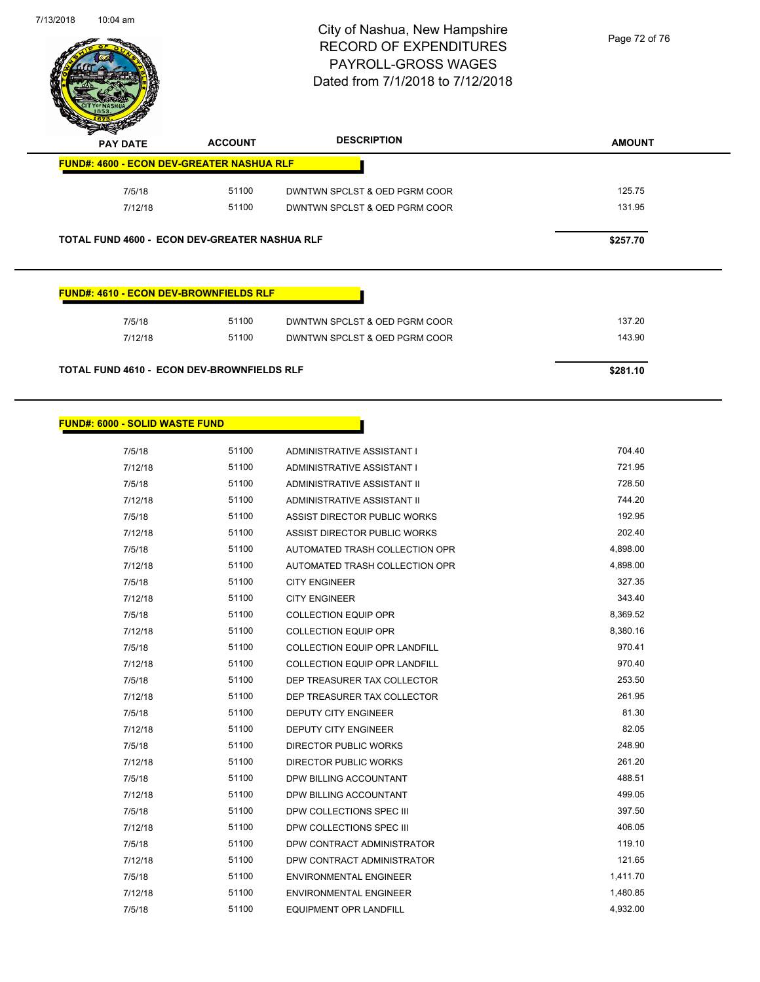

Page 72 of 76

| <b>PAY DATE</b>                                         | <b>ACCOUNT</b> | <b>DESCRIPTION</b>            | <b>AMOUNT</b> |
|---------------------------------------------------------|----------------|-------------------------------|---------------|
| <b>FUND#: 4600 - ECON DEV-GREATER NASHUA RLF</b>        |                |                               |               |
| 7/5/18                                                  | 51100          | DWNTWN SPCLST & OED PGRM COOR | 125.75        |
| 7/12/18                                                 | 51100          | DWNTWN SPCLST & OED PGRM COOR | 131.95        |
|                                                         |                |                               |               |
| TOTAL FUND 4600 - ECON DEV-GREATER NASHUA RLF           |                |                               | \$257.70      |
|                                                         |                |                               |               |
| <b>FUND#: 4610 - ECON DEV-BROWNFIELDS RLF</b><br>7/5/18 | 51100          | DWNTWN SPCLST & OED PGRM COOR | 137.20        |
| 7/12/18                                                 | 51100          | DWNTWN SPCLST & OED PGRM COOR | 143.90        |

#### **FUND#: 6000 - SOLID WASTE FUND**

| 7/5/18  | 51100 | ADMINISTRATIVE ASSISTANT I           | 704.40   |
|---------|-------|--------------------------------------|----------|
| 7/12/18 | 51100 | ADMINISTRATIVE ASSISTANT I           | 721.95   |
| 7/5/18  | 51100 | ADMINISTRATIVE ASSISTANT II          | 728.50   |
| 7/12/18 | 51100 | ADMINISTRATIVE ASSISTANT II          | 744.20   |
| 7/5/18  | 51100 | ASSIST DIRECTOR PUBLIC WORKS         | 192.95   |
| 7/12/18 | 51100 | ASSIST DIRECTOR PUBLIC WORKS         | 202.40   |
| 7/5/18  | 51100 | AUTOMATED TRASH COLLECTION OPR       | 4,898.00 |
| 7/12/18 | 51100 | AUTOMATED TRASH COLLECTION OPR       | 4,898.00 |
| 7/5/18  | 51100 | <b>CITY ENGINEER</b>                 | 327.35   |
| 7/12/18 | 51100 | <b>CITY ENGINEER</b>                 | 343.40   |
| 7/5/18  | 51100 | <b>COLLECTION EQUIP OPR</b>          | 8,369.52 |
| 7/12/18 | 51100 | <b>COLLECTION EQUIP OPR</b>          | 8,380.16 |
| 7/5/18  | 51100 | COLLECTION EQUIP OPR LANDFILL        | 970.41   |
| 7/12/18 | 51100 | <b>COLLECTION EQUIP OPR LANDFILL</b> | 970.40   |
| 7/5/18  | 51100 | DEP TREASURER TAX COLLECTOR          | 253.50   |
| 7/12/18 | 51100 | DEP TREASURER TAX COLLECTOR          | 261.95   |
| 7/5/18  | 51100 | <b>DEPUTY CITY ENGINEER</b>          | 81.30    |
| 7/12/18 | 51100 | <b>DEPUTY CITY ENGINEER</b>          | 82.05    |
| 7/5/18  | 51100 | <b>DIRECTOR PUBLIC WORKS</b>         | 248.90   |
| 7/12/18 | 51100 | <b>DIRECTOR PUBLIC WORKS</b>         | 261.20   |
| 7/5/18  | 51100 | DPW BILLING ACCOUNTANT               | 488.51   |
| 7/12/18 | 51100 | DPW BILLING ACCOUNTANT               | 499.05   |
| 7/5/18  | 51100 | DPW COLLECTIONS SPEC III             | 397.50   |
| 7/12/18 | 51100 | DPW COLLECTIONS SPEC III             | 406.05   |
| 7/5/18  | 51100 | DPW CONTRACT ADMINISTRATOR           | 119.10   |
| 7/12/18 | 51100 | DPW CONTRACT ADMINISTRATOR           | 121.65   |
| 7/5/18  | 51100 | <b>ENVIRONMENTAL ENGINEER</b>        | 1,411.70 |
| 7/12/18 | 51100 | <b>ENVIRONMENTAL ENGINEER</b>        | 1,480.85 |
| 7/5/18  | 51100 | <b>EQUIPMENT OPR LANDFILL</b>        | 4,932.00 |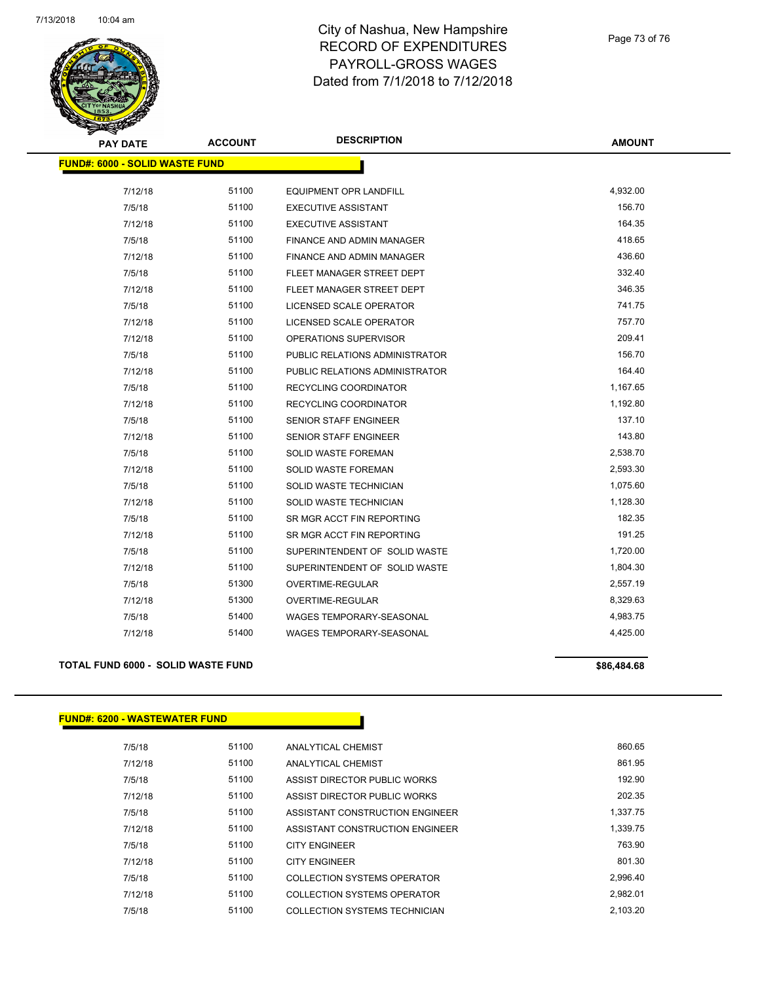

| <b>PAY DATE</b>                       | <b>ACCOUNT</b> | <b>DESCRIPTION</b>             | <b>AMOUNT</b> |
|---------------------------------------|----------------|--------------------------------|---------------|
| <b>FUND#: 6000 - SOLID WASTE FUND</b> |                |                                |               |
| 7/12/18                               | 51100          | <b>EQUIPMENT OPR LANDFILL</b>  | 4,932.00      |
| 7/5/18                                | 51100          | <b>EXECUTIVE ASSISTANT</b>     | 156.70        |
| 7/12/18                               | 51100          | <b>EXECUTIVE ASSISTANT</b>     | 164.35        |
| 7/5/18                                | 51100          | FINANCE AND ADMIN MANAGER      | 418.65        |
| 7/12/18                               | 51100          | FINANCE AND ADMIN MANAGER      | 436.60        |
| 7/5/18                                | 51100          | FLEET MANAGER STREET DEPT      | 332.40        |
| 7/12/18                               | 51100          | FLEET MANAGER STREET DEPT      | 346.35        |
| 7/5/18                                | 51100          | LICENSED SCALE OPERATOR        | 741.75        |
| 7/12/18                               | 51100          | LICENSED SCALE OPERATOR        | 757.70        |
| 7/12/18                               | 51100          | OPERATIONS SUPERVISOR          | 209.41        |
| 7/5/18                                | 51100          | PUBLIC RELATIONS ADMINISTRATOR | 156.70        |
| 7/12/18                               | 51100          | PUBLIC RELATIONS ADMINISTRATOR | 164.40        |
| 7/5/18                                | 51100          | <b>RECYCLING COORDINATOR</b>   | 1,167.65      |
| 7/12/18                               | 51100          | RECYCLING COORDINATOR          | 1,192.80      |
| 7/5/18                                | 51100          | SENIOR STAFF ENGINEER          | 137.10        |
| 7/12/18                               | 51100          | <b>SENIOR STAFF ENGINEER</b>   | 143.80        |
| 7/5/18                                | 51100          | <b>SOLID WASTE FOREMAN</b>     | 2,538.70      |
| 7/12/18                               | 51100          | <b>SOLID WASTE FOREMAN</b>     | 2,593.30      |
| 7/5/18                                | 51100          | SOLID WASTE TECHNICIAN         | 1,075.60      |
| 7/12/18                               | 51100          | SOLID WASTE TECHNICIAN         | 1,128.30      |
| 7/5/18                                | 51100          | SR MGR ACCT FIN REPORTING      | 182.35        |
| 7/12/18                               | 51100          | SR MGR ACCT FIN REPORTING      | 191.25        |
| 7/5/18                                | 51100          | SUPERINTENDENT OF SOLID WASTE  | 1,720.00      |
| 7/12/18                               | 51100          | SUPERINTENDENT OF SOLID WASTE  | 1,804.30      |
| 7/5/18                                | 51300          | OVERTIME-REGULAR               | 2,557.19      |
| 7/12/18                               | 51300          | OVERTIME-REGULAR               | 8,329.63      |
| 7/5/18                                | 51400          | WAGES TEMPORARY-SEASONAL       | 4,983.75      |
| 7/12/18                               | 51400          | WAGES TEMPORARY-SEASONAL       | 4.425.00      |

### **TOTAL FUND 6000 - SOLID WASTE FUND \$86,484.68**

### **FUND#: 6200 - WASTEWATER FUND**

| 7/5/18  | 51100 | <b>ANALYTICAL CHEMIST</b>          | 860.65   |
|---------|-------|------------------------------------|----------|
| 7/12/18 | 51100 | ANALYTICAL CHEMIST                 | 861.95   |
| 7/5/18  | 51100 | ASSIST DIRECTOR PUBLIC WORKS       | 192.90   |
| 7/12/18 | 51100 | ASSIST DIRECTOR PUBLIC WORKS       | 202.35   |
| 7/5/18  | 51100 | ASSISTANT CONSTRUCTION ENGINEER    | 1.337.75 |
| 7/12/18 | 51100 | ASSISTANT CONSTRUCTION ENGINEER    | 1.339.75 |
| 7/5/18  | 51100 | <b>CITY ENGINEER</b>               | 763.90   |
| 7/12/18 | 51100 | <b>CITY ENGINEER</b>               | 801.30   |
| 7/5/18  | 51100 | <b>COLLECTION SYSTEMS OPERATOR</b> | 2.996.40 |
| 7/12/18 | 51100 | COLLECTION SYSTEMS OPERATOR        | 2.982.01 |
| 7/5/18  | 51100 | COLLECTION SYSTEMS TECHNICIAN      | 2.103.20 |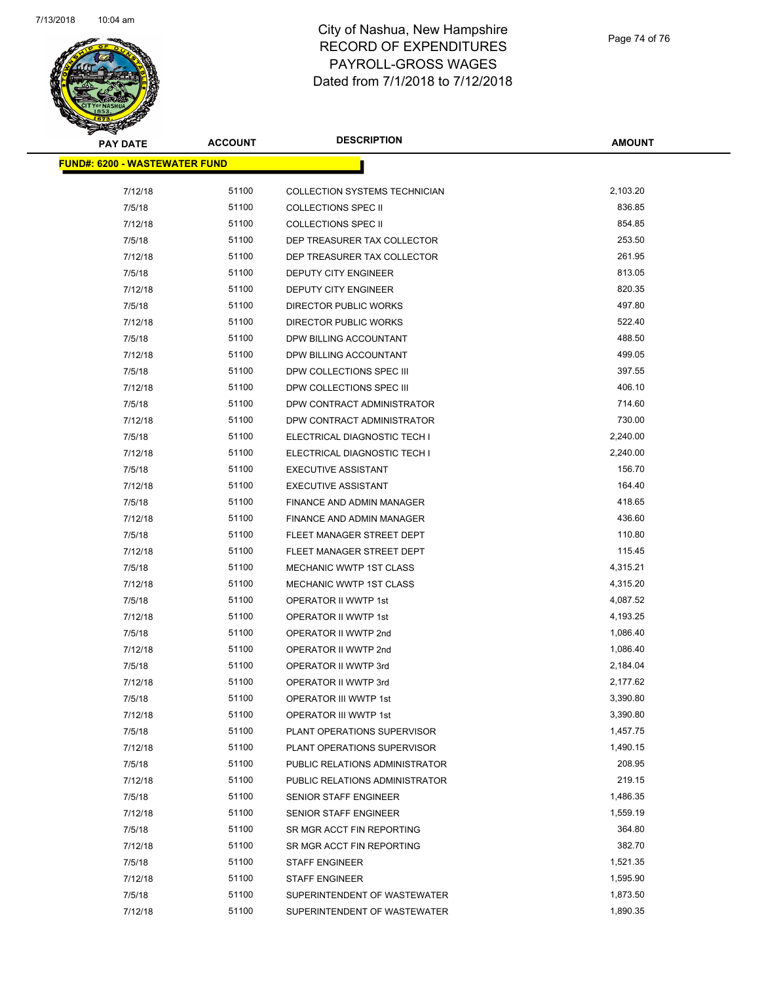

| <b>PAY DATE</b>                       | <b>ACCOUNT</b> | <b>DESCRIPTION</b>             | <b>AMOUNT</b> |
|---------------------------------------|----------------|--------------------------------|---------------|
| <u> FUND#: 6200 - WASTEWATER FUND</u> |                |                                |               |
| 7/12/18                               | 51100          | COLLECTION SYSTEMS TECHNICIAN  | 2,103.20      |
| 7/5/18                                | 51100          | <b>COLLECTIONS SPEC II</b>     | 836.85        |
| 7/12/18                               | 51100          | <b>COLLECTIONS SPEC II</b>     | 854.85        |
| 7/5/18                                | 51100          | DEP TREASURER TAX COLLECTOR    | 253.50        |
| 7/12/18                               | 51100          | DEP TREASURER TAX COLLECTOR    | 261.95        |
| 7/5/18                                | 51100          | <b>DEPUTY CITY ENGINEER</b>    | 813.05        |
| 7/12/18                               | 51100          | <b>DEPUTY CITY ENGINEER</b>    | 820.35        |
| 7/5/18                                | 51100          | DIRECTOR PUBLIC WORKS          | 497.80        |
| 7/12/18                               | 51100          | DIRECTOR PUBLIC WORKS          | 522.40        |
| 7/5/18                                | 51100          | DPW BILLING ACCOUNTANT         | 488.50        |
| 7/12/18                               | 51100          | DPW BILLING ACCOUNTANT         | 499.05        |
| 7/5/18                                | 51100          | DPW COLLECTIONS SPEC III       | 397.55        |
| 7/12/18                               | 51100          | DPW COLLECTIONS SPEC III       | 406.10        |
| 7/5/18                                | 51100          | DPW CONTRACT ADMINISTRATOR     | 714.60        |
| 7/12/18                               | 51100          | DPW CONTRACT ADMINISTRATOR     | 730.00        |
| 7/5/18                                | 51100          | ELECTRICAL DIAGNOSTIC TECH I   | 2,240.00      |
| 7/12/18                               | 51100          | ELECTRICAL DIAGNOSTIC TECH I   | 2,240.00      |
| 7/5/18                                | 51100          | <b>EXECUTIVE ASSISTANT</b>     | 156.70        |
| 7/12/18                               | 51100          | <b>EXECUTIVE ASSISTANT</b>     | 164.40        |
| 7/5/18                                | 51100          | FINANCE AND ADMIN MANAGER      | 418.65        |
| 7/12/18                               | 51100          | FINANCE AND ADMIN MANAGER      | 436.60        |
| 7/5/18                                | 51100          | FLEET MANAGER STREET DEPT      | 110.80        |
| 7/12/18                               | 51100          | FLEET MANAGER STREET DEPT      | 115.45        |
| 7/5/18                                | 51100          | MECHANIC WWTP 1ST CLASS        | 4,315.21      |
| 7/12/18                               | 51100          | MECHANIC WWTP 1ST CLASS        | 4,315.20      |
| 7/5/18                                | 51100          | <b>OPERATOR II WWTP 1st</b>    | 4,087.52      |
| 7/12/18                               | 51100          | OPERATOR II WWTP 1st           | 4,193.25      |
| 7/5/18                                | 51100          | OPERATOR II WWTP 2nd           | 1,086.40      |
| 7/12/18                               | 51100          | OPERATOR II WWTP 2nd           | 1,086.40      |
| 7/5/18                                | 51100          | OPERATOR II WWTP 3rd           | 2,184.04      |
| 7/12/18                               | 51100          | OPERATOR II WWTP 3rd           | 2,177.62      |
| 7/5/18                                | 51100          | OPERATOR III WWTP 1st          | 3,390.80      |
| 7/12/18                               | 51100          | OPERATOR III WWTP 1st          | 3,390.80      |
| 7/5/18                                | 51100          | PLANT OPERATIONS SUPERVISOR    | 1,457.75      |
| 7/12/18                               | 51100          | PLANT OPERATIONS SUPERVISOR    | 1,490.15      |
| 7/5/18                                | 51100          | PUBLIC RELATIONS ADMINISTRATOR | 208.95        |
| 7/12/18                               | 51100          | PUBLIC RELATIONS ADMINISTRATOR | 219.15        |
| 7/5/18                                | 51100          | SENIOR STAFF ENGINEER          | 1,486.35      |
| 7/12/18                               | 51100          | SENIOR STAFF ENGINEER          | 1,559.19      |
| 7/5/18                                | 51100          | SR MGR ACCT FIN REPORTING      | 364.80        |
| 7/12/18                               | 51100          | SR MGR ACCT FIN REPORTING      | 382.70        |
| 7/5/18                                | 51100          | <b>STAFF ENGINEER</b>          | 1,521.35      |
| 7/12/18                               | 51100          | <b>STAFF ENGINEER</b>          | 1,595.90      |
| 7/5/18                                | 51100          | SUPERINTENDENT OF WASTEWATER   | 1,873.50      |
| 7/12/18                               | 51100          | SUPERINTENDENT OF WASTEWATER   | 1,890.35      |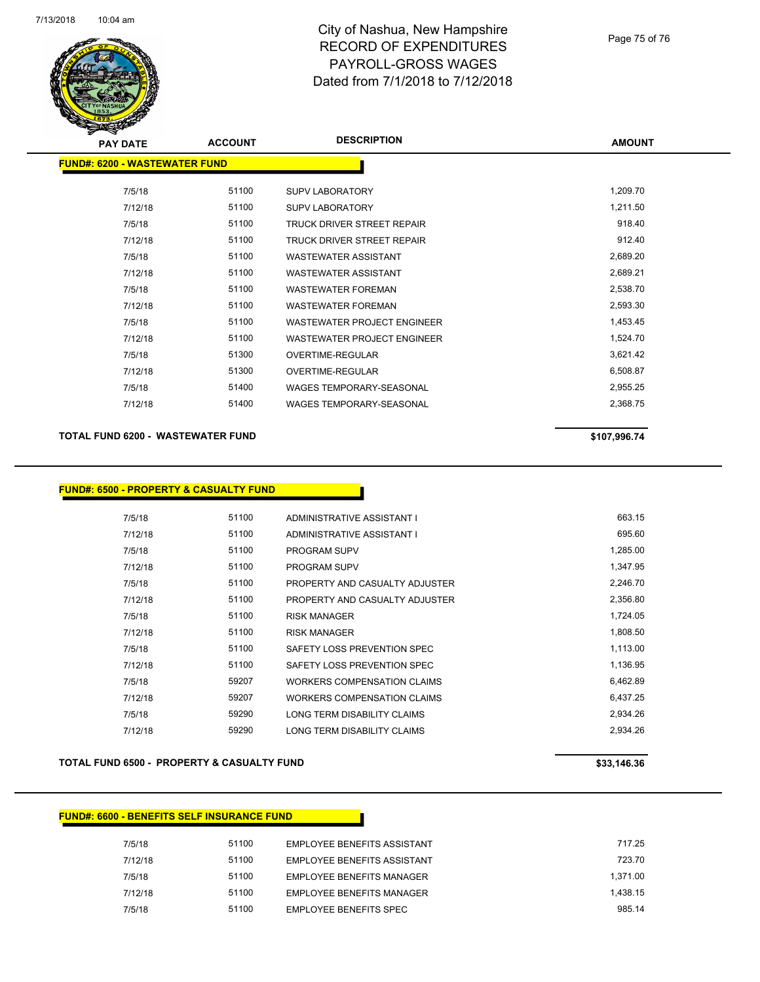

#### Page 75 of 76

| <b>PAY DATE</b>               | <b>ACCOUNT</b> | <b>DESCRIPTION</b>                 | <b>AMOUNT</b> |
|-------------------------------|----------------|------------------------------------|---------------|
| FUND#: 6200 - WASTEWATER FUND |                |                                    |               |
| 7/5/18                        | 51100          | <b>SUPV LABORATORY</b>             | 1,209.70      |
| 7/12/18                       | 51100          | <b>SUPV LABORATORY</b>             | 1,211.50      |
| 7/5/18                        | 51100          | TRUCK DRIVER STREET REPAIR         | 918.40        |
| 7/12/18                       | 51100          | TRUCK DRIVER STREET REPAIR         | 912.40        |
| 7/5/18                        | 51100          | <b>WASTEWATER ASSISTANT</b>        | 2,689.20      |
| 7/12/18                       | 51100          | WASTEWATER ASSISTANT               | 2,689.21      |
| 7/5/18                        | 51100          | <b>WASTEWATER FOREMAN</b>          | 2,538.70      |
| 7/12/18                       | 51100          | <b>WASTEWATER FOREMAN</b>          | 2,593.30      |
| 7/5/18                        | 51100          | <b>WASTEWATER PROJECT ENGINEER</b> | 1,453.45      |
| 7/12/18                       | 51100          | <b>WASTEWATER PROJECT ENGINEER</b> | 1,524.70      |
| 7/5/18                        | 51300          | OVERTIME-REGULAR                   | 3,621.42      |
| 7/12/18                       | 51300          | OVERTIME-REGULAR                   | 6,508.87      |
| 7/5/18                        | 51400          | <b>WAGES TEMPORARY-SEASONAL</b>    | 2,955.25      |
| 7/12/18                       | 51400          | <b>WAGES TEMPORARY-SEASONAL</b>    | 2,368.75      |
|                               |                |                                    |               |

### **TOTAL FUND 6200 - WASTEWATER FUND \$107,996.74**

### **FUND#: 6500 - PROPERTY & CASUALTY FUND**

| 7/5/18  | 51100 | ADMINISTRATIVE ASSISTANT I         | 663.15   |
|---------|-------|------------------------------------|----------|
| 7/12/18 | 51100 | ADMINISTRATIVE ASSISTANT I         | 695.60   |
| 7/5/18  | 51100 | <b>PROGRAM SUPV</b>                | 1,285.00 |
| 7/12/18 | 51100 | <b>PROGRAM SUPV</b>                | 1,347.95 |
| 7/5/18  | 51100 | PROPERTY AND CASUALTY ADJUSTER     | 2,246.70 |
| 7/12/18 | 51100 | PROPERTY AND CASUALTY ADJUSTER     | 2,356.80 |
| 7/5/18  | 51100 | <b>RISK MANAGER</b>                | 1,724.05 |
| 7/12/18 | 51100 | <b>RISK MANAGER</b>                | 1,808.50 |
| 7/5/18  | 51100 | SAFETY LOSS PREVENTION SPEC        | 1,113.00 |
| 7/12/18 | 51100 | SAFETY LOSS PREVENTION SPEC        | 1,136.95 |
| 7/5/18  | 59207 | <b>WORKERS COMPENSATION CLAIMS</b> | 6,462.89 |
| 7/12/18 | 59207 | WORKERS COMPENSATION CLAIMS        | 6,437.25 |
| 7/5/18  | 59290 | LONG TERM DISABILITY CLAIMS        | 2,934.26 |
| 7/12/18 | 59290 | LONG TERM DISABILITY CLAIMS        | 2.934.26 |

### TOTAL FUND 6500 - PROPERTY & CASUALTY FUND **\$33,146.36** \$33,146.36

#### **FUND#: 6600 - BENEFITS SELF INSURANCE FUND**

| 7/5/18  | 51100 | EMPLOYEE BENEFITS ASSISTANT   | 717.25   |
|---------|-------|-------------------------------|----------|
| 7/12/18 | 51100 | EMPLOYEE BENEFITS ASSISTANT   | 723.70   |
| 7/5/18  | 51100 | EMPLOYEE BENEFITS MANAGER     | 1.371.00 |
| 7/12/18 | 51100 | EMPLOYEE BENEFITS MANAGER     | 1.438.15 |
| 7/5/18  | 51100 | <b>EMPLOYEE BENEFITS SPEC</b> | 985.14   |